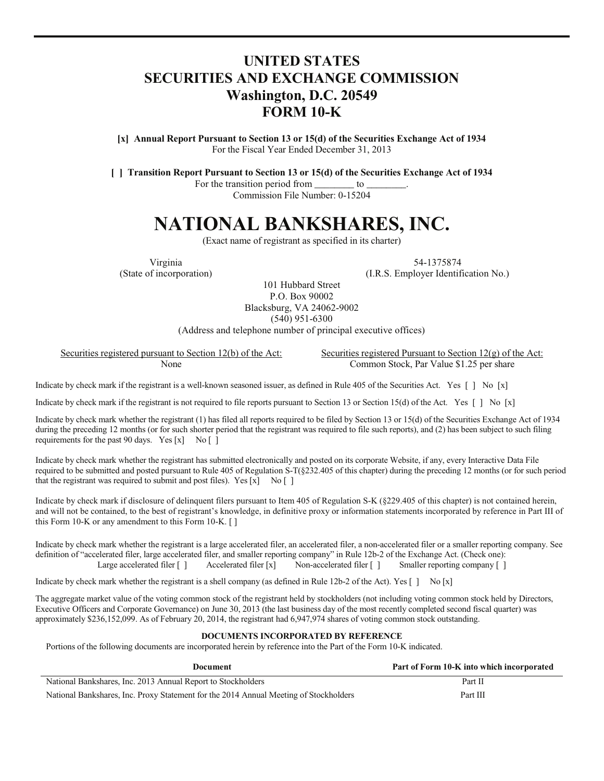# **UNITED STATES SECURITIES AND EXCHANGE COMMISSION Washington, D.C. 20549 FORM 10-K**

**[x] Annual Report Pursuant to Section 13 or 15(d) of the Securities Exchange Act of 1934**  For the Fiscal Year Ended December 31, 2013

**[ ] Transition Report Pursuant to Section 13 or 15(d) of the Securities Exchange Act of 1934**  For the transition period from to Commission File Number: 0-15204

# **NATIONAL BANKSHARES, INC.**

(Exact name of registrant as specified in its charter)

Virginia (State of incorporation)

54-1375874 (I.R.S. Employer Identification No.)

101 Hubbard Street P.O. Box 90002 Blacksburg, VA 24062-9002 (540) 951-6300

(Address and telephone number of principal executive offices)

Securities registered pursuant to Section 12(b) of the Act: None

Securities registered Pursuant to Section 12(g) of the Act: Common Stock, Par Value \$1.25 per share

Indicate by check mark if the registrant is a well-known seasoned issuer, as defined in Rule 405 of the Securities Act. Yes [ ] No [x]

Indicate by check mark if the registrant is not required to file reports pursuant to Section 13 or Section 15(d) of the Act. Yes  $\lceil \rceil$  No  $\lceil x \rceil$ 

Indicate by check mark whether the registrant (1) has filed all reports required to be filed by Section 13 or 15(d) of the Securities Exchange Act of 1934 during the preceding 12 months (or for such shorter period that the registrant was required to file such reports), and (2) has been subject to such filing requirements for the past 90 days. Yes [x] No []

Indicate by check mark whether the registrant has submitted electronically and posted on its corporate Website, if any, every Interactive Data File required to be submitted and posted pursuant to Rule 405 of Regulation S-T(§232.405 of this chapter) during the preceding 12 months (or for such period that the registrant was required to submit and post files). Yes  $[x]$  No  $[ ]$ 

Indicate by check mark if disclosure of delinquent filers pursuant to Item 405 of Regulation S-K (§229.405 of this chapter) is not contained herein, and will not be contained, to the best of registrant's knowledge, in definitive proxy or information statements incorporated by reference in Part III of this Form 10-K or any amendment to this Form 10-K. [ ]

Indicate by check mark whether the registrant is a large accelerated filer, an accelerated filer, a non-accelerated filer or a smaller reporting company. See definition of "accelerated filer, large accelerated filer, and smaller reporting company" in Rule 12b-2 of the Exchange Act. (Check one): Large accelerated filer [ ] Accelerated filer [ x] Non-accelerated filer [ ] Smaller reporting company [ ]

Indicate by check mark whether the registrant is a shell company (as defined in Rule 12b-2 of the Act). Yes  $\lceil \rceil$  No  $\lceil x \rceil$ 

The aggregate market value of the voting common stock of the registrant held by stockholders (not including voting common stock held by Directors, Executive Officers and Corporate Governance) on June 30, 2013 (the last business day of the most recently completed second fiscal quarter) was approximately \$236,152,099. As of February 20, 2014, the registrant had 6,947,974 shares of voting common stock outstanding.

# **DOCUMENTS INCORPORATED BY REFERENCE**

Portions of the following documents are incorporated herein by reference into the Part of the Form 10-K indicated.

| <b>Document</b>                                                                       | Part of Form 10-K into which incorporated |
|---------------------------------------------------------------------------------------|-------------------------------------------|
| National Bankshares, Inc. 2013 Annual Report to Stockholders                          | Part II                                   |
| National Bankshares, Inc. Proxy Statement for the 2014 Annual Meeting of Stockholders | Part III                                  |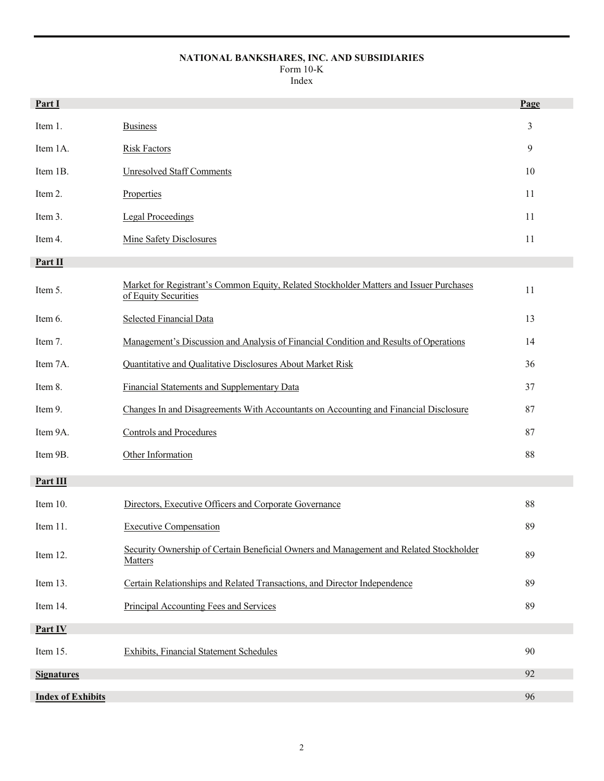# **NATIONAL BANKSHARES, INC. AND SUBSIDIARIES**

# Form 10-K Index

| Part I                   |                                                                                                                 | Page |
|--------------------------|-----------------------------------------------------------------------------------------------------------------|------|
| Item 1.                  | <b>Business</b>                                                                                                 | 3    |
| Item 1A.                 | <b>Risk Factors</b>                                                                                             | 9    |
| Item 1B.                 | <b>Unresolved Staff Comments</b>                                                                                | 10   |
| Item 2.                  | Properties                                                                                                      | 11   |
| Item 3.                  | <b>Legal Proceedings</b>                                                                                        | 11   |
| Item 4.                  | <b>Mine Safety Disclosures</b>                                                                                  | 11   |
| Part II                  |                                                                                                                 |      |
| Item 5.                  | Market for Registrant's Common Equity, Related Stockholder Matters and Issuer Purchases<br>of Equity Securities | 11   |
| Item 6.                  | <b>Selected Financial Data</b>                                                                                  | 13   |
| Item 7.                  | Management's Discussion and Analysis of Financial Condition and Results of Operations                           | 14   |
| Item 7A.                 | Quantitative and Qualitative Disclosures About Market Risk                                                      | 36   |
| Item 8.                  | Financial Statements and Supplementary Data                                                                     | 37   |
| Item 9.                  | Changes In and Disagreements With Accountants on Accounting and Financial Disclosure                            | 87   |
| Item 9A.                 | <b>Controls and Procedures</b>                                                                                  | 87   |
| Item 9B.                 | Other Information                                                                                               | 88   |
| Part III                 |                                                                                                                 |      |
| Item 10.                 | Directors, Executive Officers and Corporate Governance                                                          | 88   |
| Item 11.                 | <b>Executive Compensation</b>                                                                                   | 89   |
| Item 12.                 | Security Ownership of Certain Beneficial Owners and Management and Related Stockholder<br><b>Matters</b>        | 89   |
| Item 13.                 | Certain Relationships and Related Transactions, and Director Independence                                       | 89   |
| Item 14.                 | Principal Accounting Fees and Services                                                                          | 89   |
| Part IV                  |                                                                                                                 |      |
| Item 15.                 | <b>Exhibits, Financial Statement Schedules</b>                                                                  | 90   |
| <b>Signatures</b>        |                                                                                                                 | 92   |
| <b>Index of Exhibits</b> |                                                                                                                 | 96   |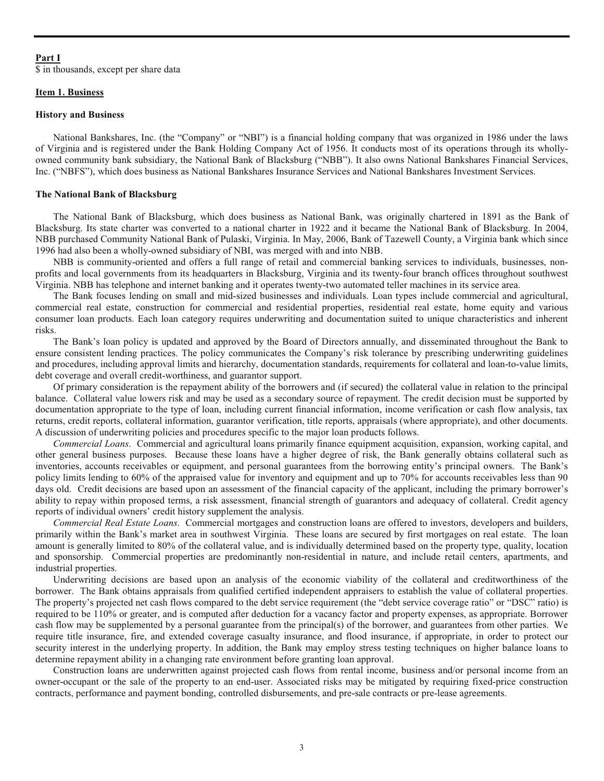# **Part I**

\$ in thousands, except per share data

# **Item 1. Business**

## **History and Business**

 National Bankshares, Inc. (the "Company" or "NBI") is a financial holding company that was organized in 1986 under the laws of Virginia and is registered under the Bank Holding Company Act of 1956. It conducts most of its operations through its whollyowned community bank subsidiary, the National Bank of Blacksburg ("NBB"). It also owns National Bankshares Financial Services, Inc. ("NBFS"), which does business as National Bankshares Insurance Services and National Bankshares Investment Services.

# **The National Bank of Blacksburg**

 The National Bank of Blacksburg, which does business as National Bank, was originally chartered in 1891 as the Bank of Blacksburg. Its state charter was converted to a national charter in 1922 and it became the National Bank of Blacksburg. In 2004, NBB purchased Community National Bank of Pulaski, Virginia. In May, 2006, Bank of Tazewell County, a Virginia bank which since 1996 had also been a wholly-owned subsidiary of NBI, was merged with and into NBB.

 NBB is community-oriented and offers a full range of retail and commercial banking services to individuals, businesses, nonprofits and local governments from its headquarters in Blacksburg, Virginia and its twenty-four branch offices throughout southwest Virginia. NBB has telephone and internet banking and it operates twenty-two automated teller machines in its service area.

 The Bank focuses lending on small and mid-sized businesses and individuals. Loan types include commercial and agricultural, commercial real estate, construction for commercial and residential properties, residential real estate, home equity and various consumer loan products. Each loan category requires underwriting and documentation suited to unique characteristics and inherent risks.

 The Bank's loan policy is updated and approved by the Board of Directors annually, and disseminated throughout the Bank to ensure consistent lending practices. The policy communicates the Company's risk tolerance by prescribing underwriting guidelines and procedures, including approval limits and hierarchy, documentation standards, requirements for collateral and loan-to-value limits, debt coverage and overall credit-worthiness, and guarantor support.

 Of primary consideration is the repayment ability of the borrowers and (if secured) the collateral value in relation to the principal balance. Collateral value lowers risk and may be used as a secondary source of repayment. The credit decision must be supported by documentation appropriate to the type of loan, including current financial information, income verification or cash flow analysis, tax returns, credit reports, collateral information, guarantor verification, title reports, appraisals (where appropriate), and other documents. A discussion of underwriting policies and procedures specific to the major loan products follows.

*Commercial Loans*. Commercial and agricultural loans primarily finance equipment acquisition, expansion, working capital, and other general business purposes. Because these loans have a higher degree of risk, the Bank generally obtains collateral such as inventories, accounts receivables or equipment, and personal guarantees from the borrowing entity's principal owners. The Bank's policy limits lending to 60% of the appraised value for inventory and equipment and up to 70% for accounts receivables less than 90 days old. Credit decisions are based upon an assessment of the financial capacity of the applicant, including the primary borrower's ability to repay within proposed terms, a risk assessment, financial strength of guarantors and adequacy of collateral. Credit agency reports of individual owners' credit history supplement the analysis.

*Commercial Real Estate Loans*. Commercial mortgages and construction loans are offered to investors, developers and builders, primarily within the Bank's market area in southwest Virginia. These loans are secured by first mortgages on real estate. The loan amount is generally limited to 80% of the collateral value, and is individually determined based on the property type, quality, location and sponsorship. Commercial properties are predominantly non-residential in nature, and include retail centers, apartments, and industrial properties.

 Underwriting decisions are based upon an analysis of the economic viability of the collateral and creditworthiness of the borrower. The Bank obtains appraisals from qualified certified independent appraisers to establish the value of collateral properties. The property's projected net cash flows compared to the debt service requirement (the "debt service coverage ratio" or "DSC" ratio) is required to be 110% or greater, and is computed after deduction for a vacancy factor and property expenses, as appropriate. Borrower cash flow may be supplemented by a personal guarantee from the principal(s) of the borrower, and guarantees from other parties. We require title insurance, fire, and extended coverage casualty insurance, and flood insurance, if appropriate, in order to protect our security interest in the underlying property. In addition, the Bank may employ stress testing techniques on higher balance loans to determine repayment ability in a changing rate environment before granting loan approval.

 Construction loans are underwritten against projected cash flows from rental income, business and/or personal income from an owner-occupant or the sale of the property to an end-user. Associated risks may be mitigated by requiring fixed-price construction contracts, performance and payment bonding, controlled disbursements, and pre-sale contracts or pre-lease agreements.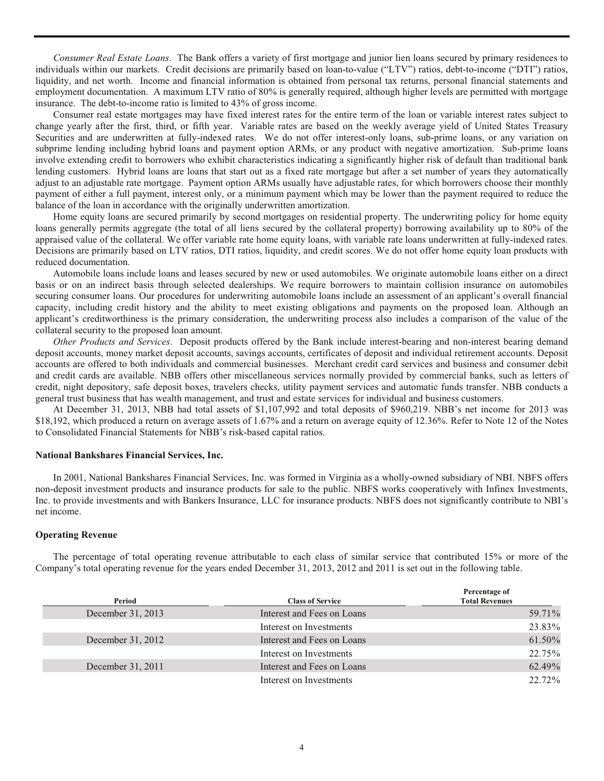*Consumer Real Estate Loans*. The Bank offers a variety of first mortgage and junior lien loans secured by primary residences to individuals within our markets. Credit decisions are primarily based on loan-to-value ("LTV") ratios, debt-to-income ("DTI") ratios, liquidity, and net worth. Income and financial information is obtained from personal tax returns, personal financial statements and employment documentation. A maximum LTV ratio of 80% is generally required, although higher levels are permitted with mortgage insurance. The debt-to-income ratio is limited to 43% of gross income.

 Consumer real estate mortgages may have fixed interest rates for the entire term of the loan or variable interest rates subject to change yearly after the first, third, or fifth year. Variable rates are based on the weekly average yield of United States Treasury Securities and are underwritten at fully-indexed rates. We do not offer interest-only loans, sub-prime loans, or any variation on subprime lending including hybrid loans and payment option ARMs, or any product with negative amortization. Sub-prime loans involve extending credit to borrowers who exhibit characteristics indicating a significantly higher risk of default than traditional bank lending customers. Hybrid loans are loans that start out as a fixed rate mortgage but after a set number of years they automatically adjust to an adjustable rate mortgage. Payment option ARMs usually have adjustable rates, for which borrowers choose their monthly payment of either a full payment, interest only, or a minimum payment which may be lower than the payment required to reduce the balance of the loan in accordance with the originally underwritten amortization.

 Home equity loans are secured primarily by second mortgages on residential property. The underwriting policy for home equity loans generally permits aggregate (the total of all liens secured by the collateral property) borrowing availability up to 80% of the appraised value of the collateral. We offer variable rate home equity loans, with variable rate loans underwritten at fully-indexed rates. Decisions are primarily based on LTV ratios, DTI ratios, liquidity, and credit scores. We do not offer home equity loan products with reduced documentation.

 Automobile loans include loans and leases secured by new or used automobiles. We originate automobile loans either on a direct basis or on an indirect basis through selected dealerships. We require borrowers to maintain collision insurance on automobiles securing consumer loans. Our procedures for underwriting automobile loans include an assessment of an applicant's overall financial capacity, including credit history and the ability to meet existing obligations and payments on the proposed loan. Although an applicant's creditworthiness is the primary consideration, the underwriting process also includes a comparison of the value of the collateral security to the proposed loan amount.

*Other Products and Services*. Deposit products offered by the Bank include interest-bearing and non-interest bearing demand deposit accounts, money market deposit accounts, savings accounts, certificates of deposit and individual retirement accounts. Deposit accounts are offered to both individuals and commercial businesses. Merchant credit card services and business and consumer debit and credit cards are available. NBB offers other miscellaneous services normally provided by commercial banks, such as letters of credit, night depository, safe deposit boxes, travelers checks, utility payment services and automatic funds transfer. NBB conducts a general trust business that has wealth management, and trust and estate services for individual and business customers.

 At December 31, 2013, NBB had total assets of \$1,107,992 and total deposits of \$960,219. NBB's net income for 2013 was \$18,192, which produced a return on average assets of 1.67% and a return on average equity of 12.36%. Refer to Note 12 of the Notes to Consolidated Financial Statements for NBB's risk-based capital ratios.

# **National Bankshares Financial Services, Inc.**

 In 2001, National Bankshares Financial Services, Inc. was formed in Virginia as a wholly-owned subsidiary of NBI. NBFS offers non-deposit investment products and insurance products for sale to the public. NBFS works cooperatively with Infinex Investments, Inc. to provide investments and with Bankers Insurance, LLC for insurance products. NBFS does not significantly contribute to NBI's net income.

# **Operating Revenue**

 The percentage of total operating revenue attributable to each class of similar service that contributed 15% or more of the Company's total operating revenue for the years ended December 31, 2013, 2012 and 2011 is set out in the following table.

| Period            | <b>Class of Service</b>    | Percentage of<br><b>Total Revenues</b> |
|-------------------|----------------------------|----------------------------------------|
| December 31, 2013 | Interest and Fees on Loans | 59.71%                                 |
|                   | Interest on Investments    | 23.83%                                 |
| December 31, 2012 | Interest and Fees on Loans | 61.50%                                 |
|                   | Interest on Investments    | 22.75%                                 |
| December 31, 2011 | Interest and Fees on Loans | 62.49%                                 |
|                   | Interest on Investments    | 22.72%                                 |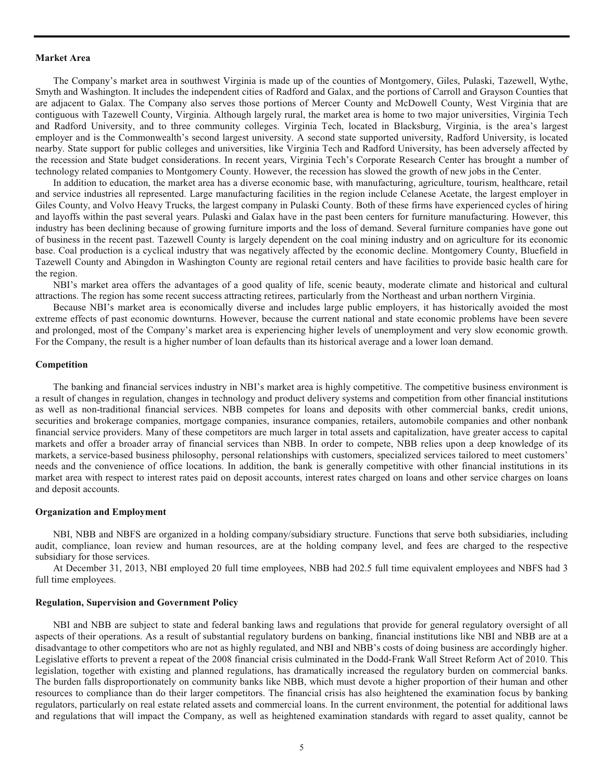### **Market Area**

 The Company's market area in southwest Virginia is made up of the counties of Montgomery, Giles, Pulaski, Tazewell, Wythe, Smyth and Washington. It includes the independent cities of Radford and Galax, and the portions of Carroll and Grayson Counties that are adjacent to Galax. The Company also serves those portions of Mercer County and McDowell County, West Virginia that are contiguous with Tazewell County, Virginia. Although largely rural, the market area is home to two major universities, Virginia Tech and Radford University, and to three community colleges. Virginia Tech, located in Blacksburg, Virginia, is the area's largest employer and is the Commonwealth's second largest university. A second state supported university, Radford University, is located nearby. State support for public colleges and universities, like Virginia Tech and Radford University, has been adversely affected by the recession and State budget considerations. In recent years, Virginia Tech's Corporate Research Center has brought a number of technology related companies to Montgomery County. However, the recession has slowed the growth of new jobs in the Center.

In addition to education, the market area has a diverse economic base, with manufacturing, agriculture, tourism, healthcare, retail and service industries all represented. Large manufacturing facilities in the region include Celanese Acetate, the largest employer in Giles County, and Volvo Heavy Trucks, the largest company in Pulaski County. Both of these firms have experienced cycles of hiring and layoffs within the past several years. Pulaski and Galax have in the past been centers for furniture manufacturing. However, this industry has been declining because of growing furniture imports and the loss of demand. Several furniture companies have gone out of business in the recent past. Tazewell County is largely dependent on the coal mining industry and on agriculture for its economic base. Coal production is a cyclical industry that was negatively affected by the economic decline. Montgomery County, Bluefield in Tazewell County and Abingdon in Washington County are regional retail centers and have facilities to provide basic health care for the region.

NBI's market area offers the advantages of a good quality of life, scenic beauty, moderate climate and historical and cultural attractions. The region has some recent success attracting retirees, particularly from the Northeast and urban northern Virginia.

 Because NBI's market area is economically diverse and includes large public employers, it has historically avoided the most extreme effects of past economic downturns. However, because the current national and state economic problems have been severe and prolonged, most of the Company's market area is experiencing higher levels of unemployment and very slow economic growth. For the Company, the result is a higher number of loan defaults than its historical average and a lower loan demand.

#### **Competition**

 The banking and financial services industry in NBI's market area is highly competitive. The competitive business environment is a result of changes in regulation, changes in technology and product delivery systems and competition from other financial institutions as well as non-traditional financial services. NBB competes for loans and deposits with other commercial banks, credit unions, securities and brokerage companies, mortgage companies, insurance companies, retailers, automobile companies and other nonbank financial service providers. Many of these competitors are much larger in total assets and capitalization, have greater access to capital markets and offer a broader array of financial services than NBB. In order to compete, NBB relies upon a deep knowledge of its markets, a service-based business philosophy, personal relationships with customers, specialized services tailored to meet customers' needs and the convenience of office locations. In addition, the bank is generally competitive with other financial institutions in its market area with respect to interest rates paid on deposit accounts, interest rates charged on loans and other service charges on loans and deposit accounts.

#### **Organization and Employment**

NBI, NBB and NBFS are organized in a holding company/subsidiary structure. Functions that serve both subsidiaries, including audit, compliance, loan review and human resources, are at the holding company level, and fees are charged to the respective subsidiary for those services.

 At December 31, 2013, NBI employed 20 full time employees, NBB had 202.5 full time equivalent employees and NBFS had 3 full time employees.

#### **Regulation, Supervision and Government Policy**

NBI and NBB are subject to state and federal banking laws and regulations that provide for general regulatory oversight of all aspects of their operations. As a result of substantial regulatory burdens on banking, financial institutions like NBI and NBB are at a disadvantage to other competitors who are not as highly regulated, and NBI and NBB's costs of doing business are accordingly higher. Legislative efforts to prevent a repeat of the 2008 financial crisis culminated in the Dodd-Frank Wall Street Reform Act of 2010. This legislation, together with existing and planned regulations, has dramatically increased the regulatory burden on commercial banks. The burden falls disproportionately on community banks like NBB, which must devote a higher proportion of their human and other resources to compliance than do their larger competitors. The financial crisis has also heightened the examination focus by banking regulators, particularly on real estate related assets and commercial loans. In the current environment, the potential for additional laws and regulations that will impact the Company, as well as heightened examination standards with regard to asset quality, cannot be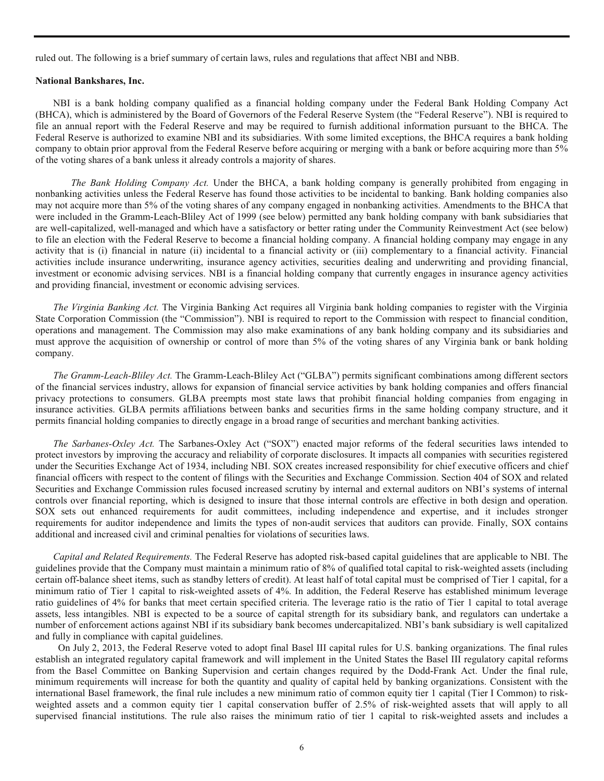ruled out. The following is a brief summary of certain laws, rules and regulations that affect NBI and NBB.

# **National Bankshares, Inc.**

NBI is a bank holding company qualified as a financial holding company under the Federal Bank Holding Company Act (BHCA), which is administered by the Board of Governors of the Federal Reserve System (the "Federal Reserve"). NBI is required to file an annual report with the Federal Reserve and may be required to furnish additional information pursuant to the BHCA. The Federal Reserve is authorized to examine NBI and its subsidiaries. With some limited exceptions, the BHCA requires a bank holding company to obtain prior approval from the Federal Reserve before acquiring or merging with a bank or before acquiring more than 5% of the voting shares of a bank unless it already controls a majority of shares.

*The Bank Holding Company Act.* Under the BHCA, a bank holding company is generally prohibited from engaging in nonbanking activities unless the Federal Reserve has found those activities to be incidental to banking. Bank holding companies also may not acquire more than 5% of the voting shares of any company engaged in nonbanking activities. Amendments to the BHCA that were included in the Gramm-Leach-Bliley Act of 1999 (see below) permitted any bank holding company with bank subsidiaries that are well-capitalized, well-managed and which have a satisfactory or better rating under the Community Reinvestment Act (see below) to file an election with the Federal Reserve to become a financial holding company. A financial holding company may engage in any activity that is (i) financial in nature (ii) incidental to a financial activity or (iii) complementary to a financial activity. Financial activities include insurance underwriting, insurance agency activities, securities dealing and underwriting and providing financial, investment or economic advising services. NBI is a financial holding company that currently engages in insurance agency activities and providing financial, investment or economic advising services.

*The Virginia Banking Act.* The Virginia Banking Act requires all Virginia bank holding companies to register with the Virginia State Corporation Commission (the "Commission"). NBI is required to report to the Commission with respect to financial condition, operations and management. The Commission may also make examinations of any bank holding company and its subsidiaries and must approve the acquisition of ownership or control of more than 5% of the voting shares of any Virginia bank or bank holding company.

*The Gramm-Leach-Bliley Act.* The Gramm-Leach-Bliley Act ("GLBA") permits significant combinations among different sectors of the financial services industry, allows for expansion of financial service activities by bank holding companies and offers financial privacy protections to consumers. GLBA preempts most state laws that prohibit financial holding companies from engaging in insurance activities. GLBA permits affiliations between banks and securities firms in the same holding company structure, and it permits financial holding companies to directly engage in a broad range of securities and merchant banking activities.

*The Sarbanes-Oxley Act.* The Sarbanes-Oxley Act ("SOX") enacted major reforms of the federal securities laws intended to protect investors by improving the accuracy and reliability of corporate disclosures. It impacts all companies with securities registered under the Securities Exchange Act of 1934, including NBI. SOX creates increased responsibility for chief executive officers and chief financial officers with respect to the content of filings with the Securities and Exchange Commission. Section 404 of SOX and related Securities and Exchange Commission rules focused increased scrutiny by internal and external auditors on NBI's systems of internal controls over financial reporting, which is designed to insure that those internal controls are effective in both design and operation. SOX sets out enhanced requirements for audit committees, including independence and expertise, and it includes stronger requirements for auditor independence and limits the types of non-audit services that auditors can provide. Finally, SOX contains additional and increased civil and criminal penalties for violations of securities laws.

*Capital and Related Requirements.* The Federal Reserve has adopted risk-based capital guidelines that are applicable to NBI. The guidelines provide that the Company must maintain a minimum ratio of 8% of qualified total capital to risk-weighted assets (including certain off-balance sheet items, such as standby letters of credit). At least half of total capital must be comprised of Tier 1 capital, for a minimum ratio of Tier 1 capital to risk-weighted assets of 4%. In addition, the Federal Reserve has established minimum leverage ratio guidelines of 4% for banks that meet certain specified criteria. The leverage ratio is the ratio of Tier 1 capital to total average assets, less intangibles. NBI is expected to be a source of capital strength for its subsidiary bank, and regulators can undertake a number of enforcement actions against NBI if its subsidiary bank becomes undercapitalized. NBI's bank subsidiary is well capitalized and fully in compliance with capital guidelines.

 On July 2, 2013, the Federal Reserve voted to adopt final Basel III capital rules for U.S. banking organizations. The final rules establish an integrated regulatory capital framework and will implement in the United States the Basel III regulatory capital reforms from the Basel Committee on Banking Supervision and certain changes required by the Dodd-Frank Act. Under the final rule, minimum requirements will increase for both the quantity and quality of capital held by banking organizations. Consistent with the international Basel framework, the final rule includes a new minimum ratio of common equity tier 1 capital (Tier I Common) to riskweighted assets and a common equity tier 1 capital conservation buffer of 2.5% of risk-weighted assets that will apply to all supervised financial institutions. The rule also raises the minimum ratio of tier 1 capital to risk-weighted assets and includes a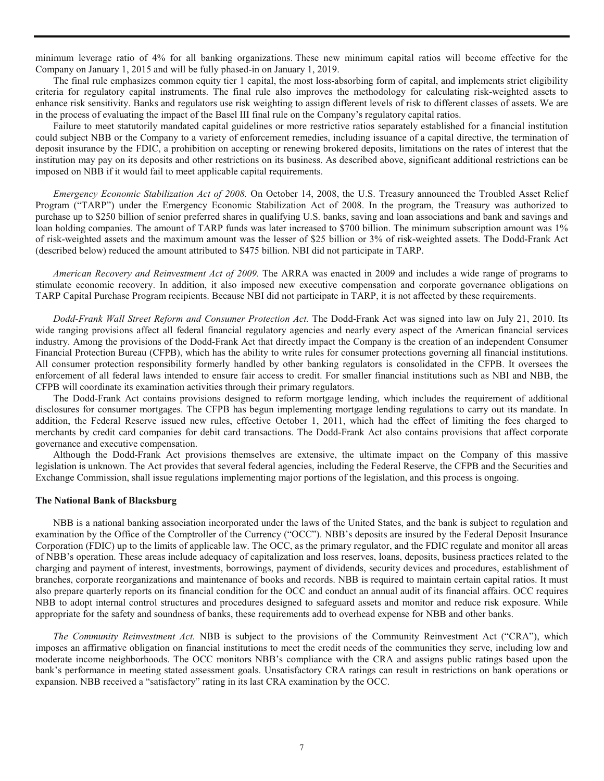minimum leverage ratio of 4% for all banking organizations. These new minimum capital ratios will become effective for the Company on January 1, 2015 and will be fully phased-in on January 1, 2019.

 The final rule emphasizes common equity tier 1 capital, the most loss-absorbing form of capital, and implements strict eligibility criteria for regulatory capital instruments. The final rule also improves the methodology for calculating risk-weighted assets to enhance risk sensitivity. Banks and regulators use risk weighting to assign different levels of risk to different classes of assets. We are in the process of evaluating the impact of the Basel III final rule on the Company's regulatory capital ratios.

 Failure to meet statutorily mandated capital guidelines or more restrictive ratios separately established for a financial institution could subject NBB or the Company to a variety of enforcement remedies, including issuance of a capital directive, the termination of deposit insurance by the FDIC, a prohibition on accepting or renewing brokered deposits, limitations on the rates of interest that the institution may pay on its deposits and other restrictions on its business. As described above, significant additional restrictions can be imposed on NBB if it would fail to meet applicable capital requirements.

*Emergency Economic Stabilization Act of 2008.* On October 14, 2008, the U.S. Treasury announced the Troubled Asset Relief Program ("TARP") under the Emergency Economic Stabilization Act of 2008. In the program, the Treasury was authorized to purchase up to \$250 billion of senior preferred shares in qualifying U.S. banks, saving and loan associations and bank and savings and loan holding companies. The amount of TARP funds was later increased to \$700 billion. The minimum subscription amount was 1% of risk-weighted assets and the maximum amount was the lesser of \$25 billion or 3% of risk-weighted assets. The Dodd-Frank Act (described below) reduced the amount attributed to \$475 billion. NBI did not participate in TARP.

*American Recovery and Reinvestment Act of 2009.* The ARRA was enacted in 2009 and includes a wide range of programs to stimulate economic recovery. In addition, it also imposed new executive compensation and corporate governance obligations on TARP Capital Purchase Program recipients. Because NBI did not participate in TARP, it is not affected by these requirements.

*Dodd-Frank Wall Street Reform and Consumer Protection Act.* The Dodd-Frank Act was signed into law on July 21, 2010. Its wide ranging provisions affect all federal financial regulatory agencies and nearly every aspect of the American financial services industry. Among the provisions of the Dodd-Frank Act that directly impact the Company is the creation of an independent Consumer Financial Protection Bureau (CFPB), which has the ability to write rules for consumer protections governing all financial institutions. All consumer protection responsibility formerly handled by other banking regulators is consolidated in the CFPB. It oversees the enforcement of all federal laws intended to ensure fair access to credit. For smaller financial institutions such as NBI and NBB, the CFPB will coordinate its examination activities through their primary regulators.

 The Dodd-Frank Act contains provisions designed to reform mortgage lending, which includes the requirement of additional disclosures for consumer mortgages. The CFPB has begun implementing mortgage lending regulations to carry out its mandate. In addition, the Federal Reserve issued new rules, effective October 1, 2011, which had the effect of limiting the fees charged to merchants by credit card companies for debit card transactions. The Dodd-Frank Act also contains provisions that affect corporate governance and executive compensation.

 Although the Dodd-Frank Act provisions themselves are extensive, the ultimate impact on the Company of this massive legislation is unknown. The Act provides that several federal agencies, including the Federal Reserve, the CFPB and the Securities and Exchange Commission, shall issue regulations implementing major portions of the legislation, and this process is ongoing.

## **The National Bank of Blacksburg**

 NBB is a national banking association incorporated under the laws of the United States, and the bank is subject to regulation and examination by the Office of the Comptroller of the Currency ("OCC"). NBB's deposits are insured by the Federal Deposit Insurance Corporation (FDIC) up to the limits of applicable law. The OCC, as the primary regulator, and the FDIC regulate and monitor all areas of NBB's operation. These areas include adequacy of capitalization and loss reserves, loans, deposits, business practices related to the charging and payment of interest, investments, borrowings, payment of dividends, security devices and procedures, establishment of branches, corporate reorganizations and maintenance of books and records. NBB is required to maintain certain capital ratios. It must also prepare quarterly reports on its financial condition for the OCC and conduct an annual audit of its financial affairs. OCC requires NBB to adopt internal control structures and procedures designed to safeguard assets and monitor and reduce risk exposure. While appropriate for the safety and soundness of banks, these requirements add to overhead expense for NBB and other banks.

*The Community Reinvestment Act.* NBB is subject to the provisions of the Community Reinvestment Act ("CRA"), which imposes an affirmative obligation on financial institutions to meet the credit needs of the communities they serve, including low and moderate income neighborhoods. The OCC monitors NBB's compliance with the CRA and assigns public ratings based upon the bank's performance in meeting stated assessment goals. Unsatisfactory CRA ratings can result in restrictions on bank operations or expansion. NBB received a "satisfactory" rating in its last CRA examination by the OCC.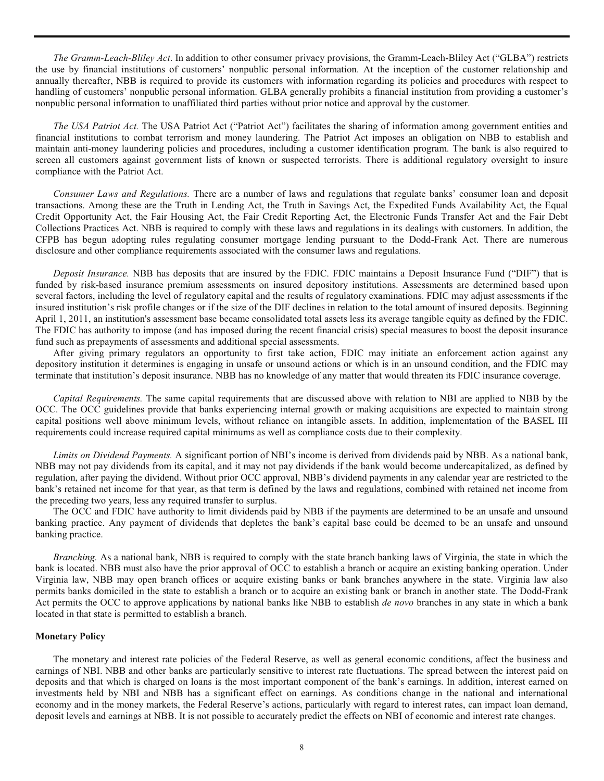*The Gramm-Leach-Bliley Act*. In addition to other consumer privacy provisions, the Gramm-Leach-Bliley Act ("GLBA") restricts the use by financial institutions of customers' nonpublic personal information. At the inception of the customer relationship and annually thereafter, NBB is required to provide its customers with information regarding its policies and procedures with respect to handling of customers' nonpublic personal information. GLBA generally prohibits a financial institution from providing a customer's nonpublic personal information to unaffiliated third parties without prior notice and approval by the customer.

*The USA Patriot Act.* The USA Patriot Act ("Patriot Act") facilitates the sharing of information among government entities and financial institutions to combat terrorism and money laundering. The Patriot Act imposes an obligation on NBB to establish and maintain anti-money laundering policies and procedures, including a customer identification program. The bank is also required to screen all customers against government lists of known or suspected terrorists. There is additional regulatory oversight to insure compliance with the Patriot Act.

*Consumer Laws and Regulations.* There are a number of laws and regulations that regulate banks' consumer loan and deposit transactions. Among these are the Truth in Lending Act, the Truth in Savings Act, the Expedited Funds Availability Act, the Equal Credit Opportunity Act, the Fair Housing Act, the Fair Credit Reporting Act, the Electronic Funds Transfer Act and the Fair Debt Collections Practices Act. NBB is required to comply with these laws and regulations in its dealings with customers. In addition, the CFPB has begun adopting rules regulating consumer mortgage lending pursuant to the Dodd-Frank Act. There are numerous disclosure and other compliance requirements associated with the consumer laws and regulations.

*Deposit Insurance.* NBB has deposits that are insured by the FDIC. FDIC maintains a Deposit Insurance Fund ("DIF") that is funded by risk-based insurance premium assessments on insured depository institutions. Assessments are determined based upon several factors, including the level of regulatory capital and the results of regulatory examinations. FDIC may adjust assessments if the insured institution's risk profile changes or if the size of the DIF declines in relation to the total amount of insured deposits. Beginning April 1, 2011, an institution's assessment base became consolidated total assets less its average tangible equity as defined by the FDIC. The FDIC has authority to impose (and has imposed during the recent financial crisis) special measures to boost the deposit insurance fund such as prepayments of assessments and additional special assessments.

 After giving primary regulators an opportunity to first take action, FDIC may initiate an enforcement action against any depository institution it determines is engaging in unsafe or unsound actions or which is in an unsound condition, and the FDIC may terminate that institution's deposit insurance. NBB has no knowledge of any matter that would threaten its FDIC insurance coverage.

*Capital Requirements.* The same capital requirements that are discussed above with relation to NBI are applied to NBB by the OCC. The OCC guidelines provide that banks experiencing internal growth or making acquisitions are expected to maintain strong capital positions well above minimum levels, without reliance on intangible assets. In addition, implementation of the BASEL III requirements could increase required capital minimums as well as compliance costs due to their complexity.

*Limits on Dividend Payments.* A significant portion of NBI's income is derived from dividends paid by NBB. As a national bank, NBB may not pay dividends from its capital, and it may not pay dividends if the bank would become undercapitalized, as defined by regulation, after paying the dividend. Without prior OCC approval, NBB's dividend payments in any calendar year are restricted to the bank's retained net income for that year, as that term is defined by the laws and regulations, combined with retained net income from the preceding two years, less any required transfer to surplus.

 The OCC and FDIC have authority to limit dividends paid by NBB if the payments are determined to be an unsafe and unsound banking practice. Any payment of dividends that depletes the bank's capital base could be deemed to be an unsafe and unsound banking practice.

*Branching.* As a national bank, NBB is required to comply with the state branch banking laws of Virginia, the state in which the bank is located. NBB must also have the prior approval of OCC to establish a branch or acquire an existing banking operation. Under Virginia law, NBB may open branch offices or acquire existing banks or bank branches anywhere in the state. Virginia law also permits banks domiciled in the state to establish a branch or to acquire an existing bank or branch in another state. The Dodd-Frank Act permits the OCC to approve applications by national banks like NBB to establish *de novo* branches in any state in which a bank located in that state is permitted to establish a branch.

# **Monetary Policy**

The monetary and interest rate policies of the Federal Reserve, as well as general economic conditions, affect the business and earnings of NBI. NBB and other banks are particularly sensitive to interest rate fluctuations. The spread between the interest paid on deposits and that which is charged on loans is the most important component of the bank's earnings. In addition, interest earned on investments held by NBI and NBB has a significant effect on earnings. As conditions change in the national and international economy and in the money markets, the Federal Reserve's actions, particularly with regard to interest rates, can impact loan demand, deposit levels and earnings at NBB. It is not possible to accurately predict the effects on NBI of economic and interest rate changes.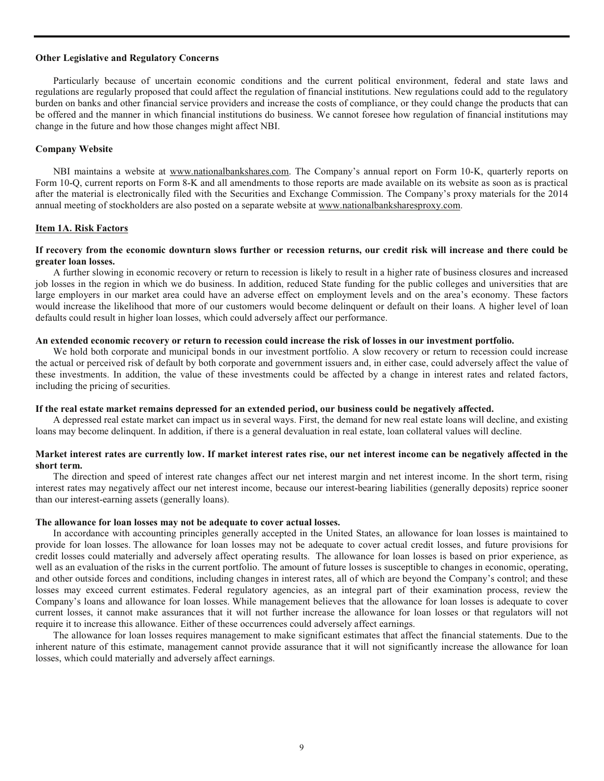## **Other Legislative and Regulatory Concerns**

 Particularly because of uncertain economic conditions and the current political environment, federal and state laws and regulations are regularly proposed that could affect the regulation of financial institutions. New regulations could add to the regulatory burden on banks and other financial service providers and increase the costs of compliance, or they could change the products that can be offered and the manner in which financial institutions do business. We cannot foresee how regulation of financial institutions may change in the future and how those changes might affect NBI.

# **Company Website**

 NBI maintains a website at www.nationalbankshares.com. The Company's annual report on Form 10-K, quarterly reports on Form 10-Q, current reports on Form 8-K and all amendments to those reports are made available on its website as soon as is practical after the material is electronically filed with the Securities and Exchange Commission. The Company's proxy materials for the 2014 annual meeting of stockholders are also posted on a separate website at www.nationalbanksharesproxy.com.

#### **Item 1A. Risk Factors**

# **If recovery from the economic downturn slows further or recession returns, our credit risk will increase and there could be greater loan losses.**

A further slowing in economic recovery or return to recession is likely to result in a higher rate of business closures and increased job losses in the region in which we do business. In addition, reduced State funding for the public colleges and universities that are large employers in our market area could have an adverse effect on employment levels and on the area's economy. These factors would increase the likelihood that more of our customers would become delinquent or default on their loans. A higher level of loan defaults could result in higher loan losses, which could adversely affect our performance.

#### **An extended economic recovery or return to recession could increase the risk of losses in our investment portfolio.**

We hold both corporate and municipal bonds in our investment portfolio. A slow recovery or return to recession could increase the actual or perceived risk of default by both corporate and government issuers and, in either case, could adversely affect the value of these investments. In addition, the value of these investments could be affected by a change in interest rates and related factors, including the pricing of securities.

#### **If the real estate market remains depressed for an extended period, our business could be negatively affected.**

A depressed real estate market can impact us in several ways. First, the demand for new real estate loans will decline, and existing loans may become delinquent. In addition, if there is a general devaluation in real estate, loan collateral values will decline.

# **Market interest rates are currently low. If market interest rates rise, our net interest income can be negatively affected in the short term.**

The direction and speed of interest rate changes affect our net interest margin and net interest income. In the short term, rising interest rates may negatively affect our net interest income, because our interest-bearing liabilities (generally deposits) reprice sooner than our interest-earning assets (generally loans).

#### **The allowance for loan losses may not be adequate to cover actual losses.**

In accordance with accounting principles generally accepted in the United States, an allowance for loan losses is maintained to provide for loan losses. The allowance for loan losses may not be adequate to cover actual credit losses, and future provisions for credit losses could materially and adversely affect operating results. The allowance for loan losses is based on prior experience, as well as an evaluation of the risks in the current portfolio. The amount of future losses is susceptible to changes in economic, operating, and other outside forces and conditions, including changes in interest rates, all of which are beyond the Company's control; and these losses may exceed current estimates. Federal regulatory agencies, as an integral part of their examination process, review the Company's loans and allowance for loan losses. While management believes that the allowance for loan losses is adequate to cover current losses, it cannot make assurances that it will not further increase the allowance for loan losses or that regulators will not require it to increase this allowance. Either of these occurrences could adversely affect earnings.

The allowance for loan losses requires management to make significant estimates that affect the financial statements. Due to the inherent nature of this estimate, management cannot provide assurance that it will not significantly increase the allowance for loan losses, which could materially and adversely affect earnings.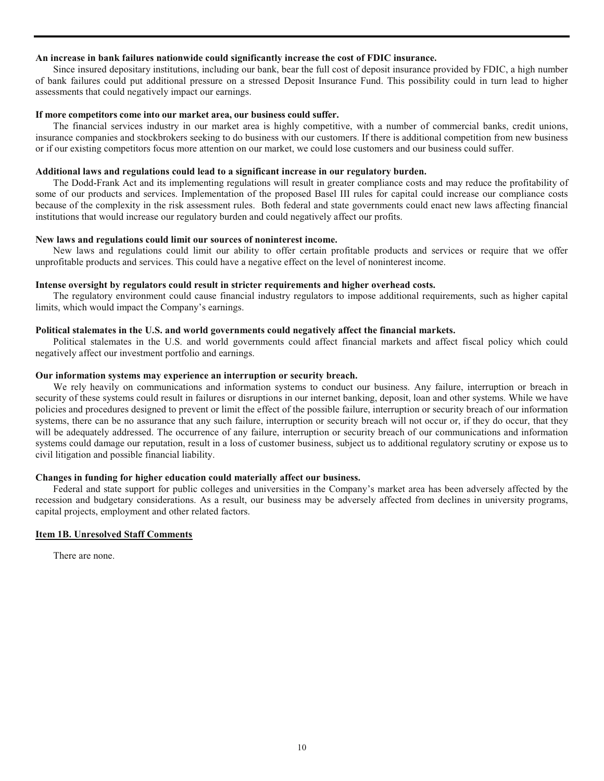# **An increase in bank failures nationwide could significantly increase the cost of FDIC insurance.**

Since insured depositary institutions, including our bank, bear the full cost of deposit insurance provided by FDIC, a high number of bank failures could put additional pressure on a stressed Deposit Insurance Fund. This possibility could in turn lead to higher assessments that could negatively impact our earnings.

# **If more competitors come into our market area, our business could suffer.**

 The financial services industry in our market area is highly competitive, with a number of commercial banks, credit unions, insurance companies and stockbrokers seeking to do business with our customers. If there is additional competition from new business or if our existing competitors focus more attention on our market, we could lose customers and our business could suffer.

# **Additional laws and regulations could lead to a significant increase in our regulatory burden.**

The Dodd-Frank Act and its implementing regulations will result in greater compliance costs and may reduce the profitability of some of our products and services. Implementation of the proposed Basel III rules for capital could increase our compliance costs because of the complexity in the risk assessment rules. Both federal and state governments could enact new laws affecting financial institutions that would increase our regulatory burden and could negatively affect our profits.

# **New laws and regulations could limit our sources of noninterest income.**

New laws and regulations could limit our ability to offer certain profitable products and services or require that we offer unprofitable products and services. This could have a negative effect on the level of noninterest income.

# **Intense oversight by regulators could result in stricter requirements and higher overhead costs.**

The regulatory environment could cause financial industry regulators to impose additional requirements, such as higher capital limits, which would impact the Company's earnings.

# **Political stalemates in the U.S. and world governments could negatively affect the financial markets.**

Political stalemates in the U.S. and world governments could affect financial markets and affect fiscal policy which could negatively affect our investment portfolio and earnings.

# **Our information systems may experience an interruption or security breach.**

 We rely heavily on communications and information systems to conduct our business. Any failure, interruption or breach in security of these systems could result in failures or disruptions in our internet banking, deposit, loan and other systems. While we have policies and procedures designed to prevent or limit the effect of the possible failure, interruption or security breach of our information systems, there can be no assurance that any such failure, interruption or security breach will not occur or, if they do occur, that they will be adequately addressed. The occurrence of any failure, interruption or security breach of our communications and information systems could damage our reputation, result in a loss of customer business, subject us to additional regulatory scrutiny or expose us to civil litigation and possible financial liability.

# **Changes in funding for higher education could materially affect our business.**

 Federal and state support for public colleges and universities in the Company's market area has been adversely affected by the recession and budgetary considerations. As a result, our business may be adversely affected from declines in university programs, capital projects, employment and other related factors.

# **Item 1B. Unresolved Staff Comments**

There are none.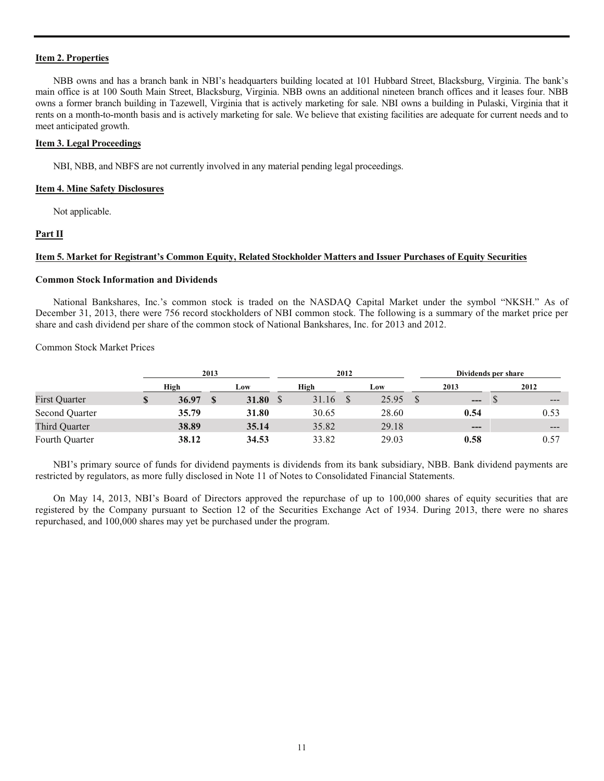### **Item 2. Properties**

 NBB owns and has a branch bank in NBI's headquarters building located at 101 Hubbard Street, Blacksburg, Virginia. The bank's main office is at 100 South Main Street, Blacksburg, Virginia. NBB owns an additional nineteen branch offices and it leases four. NBB owns a former branch building in Tazewell, Virginia that is actively marketing for sale. NBI owns a building in Pulaski, Virginia that it rents on a month-to-month basis and is actively marketing for sale. We believe that existing facilities are adequate for current needs and to meet anticipated growth.

## **Item 3. Legal Proceedings**

NBI, NBB, and NBFS are not currently involved in any material pending legal proceedings.

# **Item 4. Mine Safety Disclosures**

Not applicable.

# **Part II**

# **Item 5. Market for Registrant's Common Equity, Related Stockholder Matters and Issuer Purchases of Equity Securities**

# **Common Stock Information and Dividends**

 National Bankshares, Inc.'s common stock is traded on the NASDAQ Capital Market under the symbol "NKSH." As of December 31, 2013, there were 756 record stockholders of NBI common stock. The following is a summary of the market price per share and cash dividend per share of the common stock of National Bankshares, Inc. for 2013 and 2012.

Common Stock Market Prices

|                      |       | 2013 |       | 2012 |       |  |       | Dividends per share |                                          |  |         |  |  |
|----------------------|-------|------|-------|------|-------|--|-------|---------------------|------------------------------------------|--|---------|--|--|
|                      | High  |      | Low   |      | High  |  | Low   |                     | 2013                                     |  | 2012    |  |  |
| <b>First Quarter</b> | 36.97 |      | 31.80 |      | 31.16 |  | 25.95 |                     | $\hspace{0.05cm} \ldots \hspace{0.05cm}$ |  | $---$   |  |  |
| Second Quarter       | 35.79 |      | 31.80 |      | 30.65 |  | 28.60 |                     | 0.54                                     |  | 0.53    |  |  |
| Third Quarter        | 38.89 |      | 35.14 |      | 35.82 |  | 29.18 |                     | $---$                                    |  | $- - -$ |  |  |
| Fourth Quarter       | 38.12 |      | 34.53 |      | 33.82 |  | 29.03 |                     | 0.58                                     |  | 0.57    |  |  |

NBI's primary source of funds for dividend payments is dividends from its bank subsidiary, NBB. Bank dividend payments are restricted by regulators, as more fully disclosed in Note 11 of Notes to Consolidated Financial Statements.

 On May 14, 2013, NBI's Board of Directors approved the repurchase of up to 100,000 shares of equity securities that are registered by the Company pursuant to Section 12 of the Securities Exchange Act of 1934. During 2013, there were no shares repurchased, and 100,000 shares may yet be purchased under the program.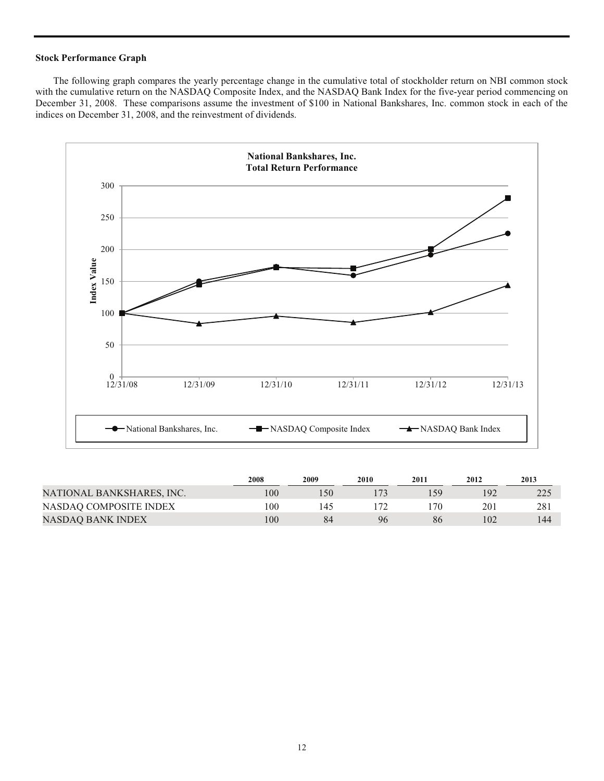# **Stock Performance Graph**

 The following graph compares the yearly percentage change in the cumulative total of stockholder return on NBI common stock with the cumulative return on the NASDAQ Composite Index, and the NASDAQ Bank Index for the five-year period commencing on December 31, 2008. These comparisons assume the investment of \$100 in National Bankshares, Inc. common stock in each of the indices on December 31, 2008, and the reinvestment of dividends.



|                           | 2008 | 2009 | 2010 | 2011 | 2012      | 2013 |
|---------------------------|------|------|------|------|-----------|------|
| NATIONAL BANKSHARES, INC. | 100  | 150  |      |      | $19'_{2}$ | 225  |
| NASDAQ COMPOSITE INDEX    | ! 00 |      |      |      | 20 î      | 281  |
| <b>NASDAQ BANK INDEX</b>  | 100  | 84   | 96   | 86   | 102       | 144  |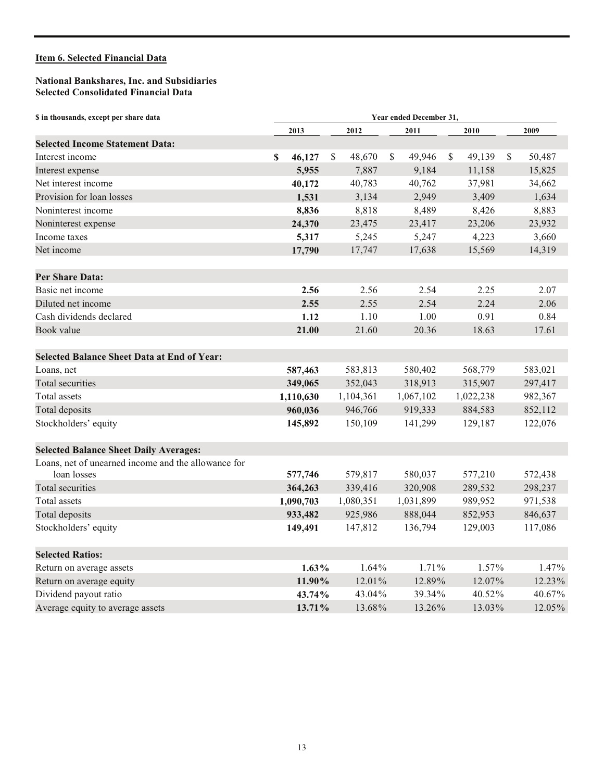# **Item 6. Selected Financial Data**

# **National Bankshares, Inc. and Subsidiaries Selected Consolidated Financial Data**

| \$ in thousands, except per share data                             | Year ended December 31, |           |             |           |               |           |    |           |             |         |  |  |  |
|--------------------------------------------------------------------|-------------------------|-----------|-------------|-----------|---------------|-----------|----|-----------|-------------|---------|--|--|--|
|                                                                    |                         | 2013      |             | 2012      |               | 2011      |    | 2010      |             | 2009    |  |  |  |
| <b>Selected Income Statement Data:</b>                             |                         |           |             |           |               |           |    |           |             |         |  |  |  |
| Interest income                                                    | \$                      | 46,127    | $\mathbb S$ | 48,670    | <sup>\$</sup> | 49,946    | S. | 49,139    | $\mathbb S$ | 50,487  |  |  |  |
| Interest expense                                                   |                         | 5,955     |             | 7,887     |               | 9,184     |    | 11,158    |             | 15,825  |  |  |  |
| Net interest income                                                |                         | 40,172    |             | 40,783    |               | 40,762    |    | 37,981    |             | 34,662  |  |  |  |
| Provision for loan losses                                          |                         | 1,531     |             | 3,134     |               | 2,949     |    | 3,409     |             | 1,634   |  |  |  |
| Noninterest income                                                 |                         | 8,836     |             | 8,818     |               | 8,489     |    | 8,426     |             | 8,883   |  |  |  |
| Noninterest expense                                                |                         | 24,370    |             | 23,475    |               | 23,417    |    | 23,206    |             | 23,932  |  |  |  |
| Income taxes                                                       |                         | 5,317     |             | 5,245     |               | 5,247     |    | 4,223     |             | 3,660   |  |  |  |
| Net income                                                         |                         | 17,790    |             | 17,747    |               | 17,638    |    | 15,569    |             | 14,319  |  |  |  |
| <b>Per Share Data:</b>                                             |                         |           |             |           |               |           |    |           |             |         |  |  |  |
| Basic net income                                                   |                         | 2.56      |             | 2.56      |               | 2.54      |    | 2.25      |             | 2.07    |  |  |  |
| Diluted net income                                                 |                         | 2.55      |             | 2.55      |               | 2.54      |    | 2.24      |             | 2.06    |  |  |  |
| Cash dividends declared                                            |                         | 1.12      |             | 1.10      |               | 1.00      |    | 0.91      |             | 0.84    |  |  |  |
| Book value                                                         |                         | 21.00     |             | 21.60     |               | 20.36     |    | 18.63     |             | 17.61   |  |  |  |
| <b>Selected Balance Sheet Data at End of Year:</b>                 |                         |           |             |           |               |           |    |           |             |         |  |  |  |
| Loans, net                                                         |                         | 587,463   |             | 583,813   |               | 580,402   |    | 568,779   |             | 583,021 |  |  |  |
| <b>Total securities</b>                                            |                         | 349,065   |             | 352,043   |               | 318,913   |    | 315,907   |             | 297,417 |  |  |  |
| Total assets                                                       |                         | 1,110,630 |             | 1,104,361 |               | 1,067,102 |    | 1,022,238 |             | 982,367 |  |  |  |
| Total deposits                                                     |                         | 960,036   |             | 946,766   |               | 919,333   |    | 884,583   |             | 852,112 |  |  |  |
| Stockholders' equity                                               |                         | 145,892   |             | 150,109   |               | 141,299   |    | 129,187   |             | 122,076 |  |  |  |
| <b>Selected Balance Sheet Daily Averages:</b>                      |                         |           |             |           |               |           |    |           |             |         |  |  |  |
| Loans, net of unearned income and the allowance for<br>loan losses |                         | 577,746   |             | 579,817   |               | 580,037   |    | 577,210   |             | 572,438 |  |  |  |
| Total securities                                                   |                         | 364,263   |             | 339,416   |               | 320,908   |    | 289,532   |             | 298,237 |  |  |  |
| Total assets                                                       |                         | 1,090,703 |             | 1,080,351 |               | 1,031,899 |    | 989,952   |             | 971,538 |  |  |  |
| Total deposits                                                     |                         | 933,482   |             | 925,986   |               | 888,044   |    | 852,953   |             | 846,637 |  |  |  |
| Stockholders' equity                                               |                         | 149,491   |             | 147,812   |               | 136,794   |    | 129,003   |             | 117,086 |  |  |  |
| <b>Selected Ratios:</b>                                            |                         |           |             |           |               |           |    |           |             |         |  |  |  |
| Return on average assets                                           |                         | $1.63\%$  |             | 1.64%     |               | 1.71%     |    | 1.57%     |             | 1.47%   |  |  |  |
| Return on average equity                                           |                         | 11.90%    |             | 12.01%    |               | 12.89%    |    | 12.07%    |             | 12.23%  |  |  |  |
| Dividend payout ratio                                              |                         | 43.74%    |             | 43.04%    |               | 39.34%    |    | 40.52%    |             | 40.67%  |  |  |  |
| Average equity to average assets                                   |                         | 13.71%    |             | 13.68%    |               | 13.26%    |    | 13.03%    |             | 12.05%  |  |  |  |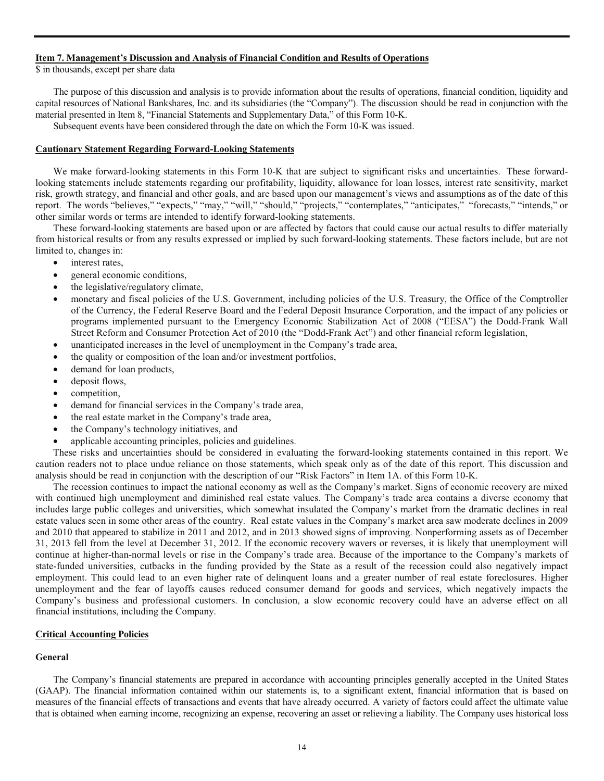## **Item 7. Management's Discussion and Analysis of Financial Condition and Results of Operations**

\$ in thousands, except per share data

 The purpose of this discussion and analysis is to provide information about the results of operations, financial condition, liquidity and capital resources of National Bankshares, Inc. and its subsidiaries (the "Company"). The discussion should be read in conjunction with the material presented in Item 8, "Financial Statements and Supplementary Data," of this Form 10-K.

Subsequent events have been considered through the date on which the Form 10-K was issued.

# **Cautionary Statement Regarding Forward-Looking Statements**

We make forward-looking statements in this Form 10-K that are subject to significant risks and uncertainties. These forwardlooking statements include statements regarding our profitability, liquidity, allowance for loan losses, interest rate sensitivity, market risk, growth strategy, and financial and other goals, and are based upon our management's views and assumptions as of the date of this report. The words "believes," "expects," "may," "will," "should," "projects," "contemplates," "anticipates," "forecasts," "intends," or other similar words or terms are intended to identify forward-looking statements.

 These forward-looking statements are based upon or are affected by factors that could cause our actual results to differ materially from historical results or from any results expressed or implied by such forward-looking statements. These factors include, but are not limited to, changes in:

- interest rates,
- general economic conditions,
- the legislative/regulatory climate,
- monetary and fiscal policies of the U.S. Government, including policies of the U.S. Treasury, the Office of the Comptroller of the Currency, the Federal Reserve Board and the Federal Deposit Insurance Corporation, and the impact of any policies or programs implemented pursuant to the Emergency Economic Stabilization Act of 2008 ("EESA") the Dodd-Frank Wall Street Reform and Consumer Protection Act of 2010 (the "Dodd-Frank Act") and other financial reform legislation,
- unanticipated increases in the level of unemployment in the Company's trade area,
- the quality or composition of the loan and/or investment portfolios,
- demand for loan products,
- deposit flows,
- competition.
- demand for financial services in the Company's trade area,
- the real estate market in the Company's trade area,
- the Company's technology initiatives, and
- applicable accounting principles, policies and guidelines.

 These risks and uncertainties should be considered in evaluating the forward-looking statements contained in this report. We caution readers not to place undue reliance on those statements, which speak only as of the date of this report. This discussion and analysis should be read in conjunction with the description of our "Risk Factors" in Item 1A. of this Form 10-K.

The recession continues to impact the national economy as well as the Company's market. Signs of economic recovery are mixed with continued high unemployment and diminished real estate values. The Company's trade area contains a diverse economy that includes large public colleges and universities, which somewhat insulated the Company's market from the dramatic declines in real estate values seen in some other areas of the country. Real estate values in the Company's market area saw moderate declines in 2009 and 2010 that appeared to stabilize in 2011 and 2012, and in 2013 showed signs of improving. Nonperforming assets as of December 31, 2013 fell from the level at December 31, 2012. If the economic recovery wavers or reverses, it is likely that unemployment will continue at higher-than-normal levels or rise in the Company's trade area. Because of the importance to the Company's markets of state-funded universities, cutbacks in the funding provided by the State as a result of the recession could also negatively impact employment. This could lead to an even higher rate of delinquent loans and a greater number of real estate foreclosures. Higher unemployment and the fear of layoffs causes reduced consumer demand for goods and services, which negatively impacts the Company's business and professional customers. In conclusion, a slow economic recovery could have an adverse effect on all financial institutions, including the Company.

# **Critical Accounting Policies**

# **General**

 The Company's financial statements are prepared in accordance with accounting principles generally accepted in the United States (GAAP). The financial information contained within our statements is, to a significant extent, financial information that is based on measures of the financial effects of transactions and events that have already occurred. A variety of factors could affect the ultimate value that is obtained when earning income, recognizing an expense, recovering an asset or relieving a liability. The Company uses historical loss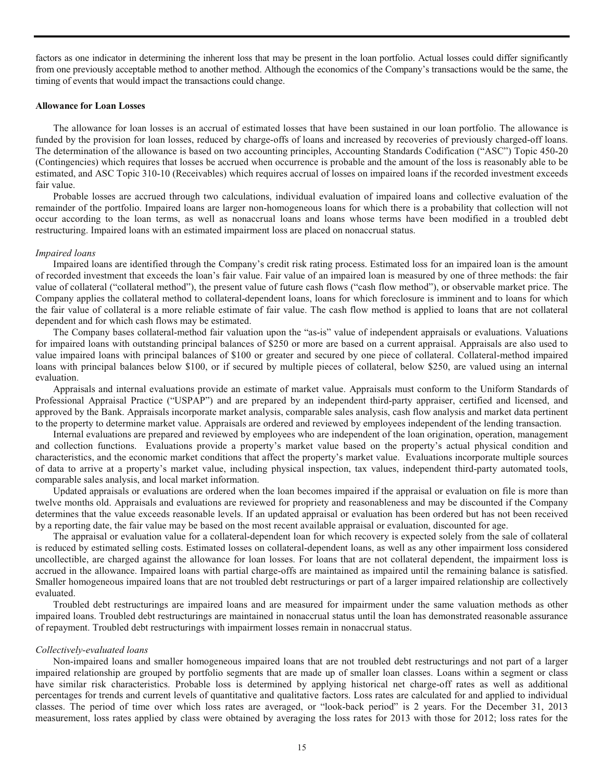factors as one indicator in determining the inherent loss that may be present in the loan portfolio. Actual losses could differ significantly from one previously acceptable method to another method. Although the economics of the Company's transactions would be the same, the timing of events that would impact the transactions could change.

#### **Allowance for Loan Losses**

 The allowance for loan losses is an accrual of estimated losses that have been sustained in our loan portfolio. The allowance is funded by the provision for loan losses, reduced by charge-offs of loans and increased by recoveries of previously charged-off loans. The determination of the allowance is based on two accounting principles, Accounting Standards Codification ("ASC") Topic 450-20 (Contingencies) which requires that losses be accrued when occurrence is probable and the amount of the loss is reasonably able to be estimated, and ASC Topic 310-10 (Receivables) which requires accrual of losses on impaired loans if the recorded investment exceeds fair value.

 Probable losses are accrued through two calculations, individual evaluation of impaired loans and collective evaluation of the remainder of the portfolio. Impaired loans are larger non-homogeneous loans for which there is a probability that collection will not occur according to the loan terms, as well as nonaccrual loans and loans whose terms have been modified in a troubled debt restructuring. Impaired loans with an estimated impairment loss are placed on nonaccrual status.

#### *Impaired loans*

 Impaired loans are identified through the Company's credit risk rating process. Estimated loss for an impaired loan is the amount of recorded investment that exceeds the loan's fair value. Fair value of an impaired loan is measured by one of three methods: the fair value of collateral ("collateral method"), the present value of future cash flows ("cash flow method"), or observable market price. The Company applies the collateral method to collateral-dependent loans, loans for which foreclosure is imminent and to loans for which the fair value of collateral is a more reliable estimate of fair value. The cash flow method is applied to loans that are not collateral dependent and for which cash flows may be estimated.

 The Company bases collateral-method fair valuation upon the "as-is" value of independent appraisals or evaluations. Valuations for impaired loans with outstanding principal balances of \$250 or more are based on a current appraisal. Appraisals are also used to value impaired loans with principal balances of \$100 or greater and secured by one piece of collateral. Collateral-method impaired loans with principal balances below \$100, or if secured by multiple pieces of collateral, below \$250, are valued using an internal evaluation.

 Appraisals and internal evaluations provide an estimate of market value. Appraisals must conform to the Uniform Standards of Professional Appraisal Practice ("USPAP") and are prepared by an independent third-party appraiser, certified and licensed, and approved by the Bank. Appraisals incorporate market analysis, comparable sales analysis, cash flow analysis and market data pertinent to the property to determine market value. Appraisals are ordered and reviewed by employees independent of the lending transaction.

 Internal evaluations are prepared and reviewed by employees who are independent of the loan origination, operation, management and collection functions. Evaluations provide a property's market value based on the property's actual physical condition and characteristics, and the economic market conditions that affect the property's market value. Evaluations incorporate multiple sources of data to arrive at a property's market value, including physical inspection, tax values, independent third-party automated tools, comparable sales analysis, and local market information.

 Updated appraisals or evaluations are ordered when the loan becomes impaired if the appraisal or evaluation on file is more than twelve months old. Appraisals and evaluations are reviewed for propriety and reasonableness and may be discounted if the Company determines that the value exceeds reasonable levels. If an updated appraisal or evaluation has been ordered but has not been received by a reporting date, the fair value may be based on the most recent available appraisal or evaluation, discounted for age.

 The appraisal or evaluation value for a collateral-dependent loan for which recovery is expected solely from the sale of collateral is reduced by estimated selling costs. Estimated losses on collateral-dependent loans, as well as any other impairment loss considered uncollectible, are charged against the allowance for loan losses. For loans that are not collateral dependent, the impairment loss is accrued in the allowance. Impaired loans with partial charge-offs are maintained as impaired until the remaining balance is satisfied. Smaller homogeneous impaired loans that are not troubled debt restructurings or part of a larger impaired relationship are collectively evaluated.

 Troubled debt restructurings are impaired loans and are measured for impairment under the same valuation methods as other impaired loans. Troubled debt restructurings are maintained in nonaccrual status until the loan has demonstrated reasonable assurance of repayment. Troubled debt restructurings with impairment losses remain in nonaccrual status.

#### *Collectively-evaluated loans*

 Non-impaired loans and smaller homogeneous impaired loans that are not troubled debt restructurings and not part of a larger impaired relationship are grouped by portfolio segments that are made up of smaller loan classes. Loans within a segment or class have similar risk characteristics. Probable loss is determined by applying historical net charge-off rates as well as additional percentages for trends and current levels of quantitative and qualitative factors. Loss rates are calculated for and applied to individual classes. The period of time over which loss rates are averaged, or "look-back period" is 2 years. For the December 31, 2013 measurement, loss rates applied by class were obtained by averaging the loss rates for 2013 with those for 2012; loss rates for the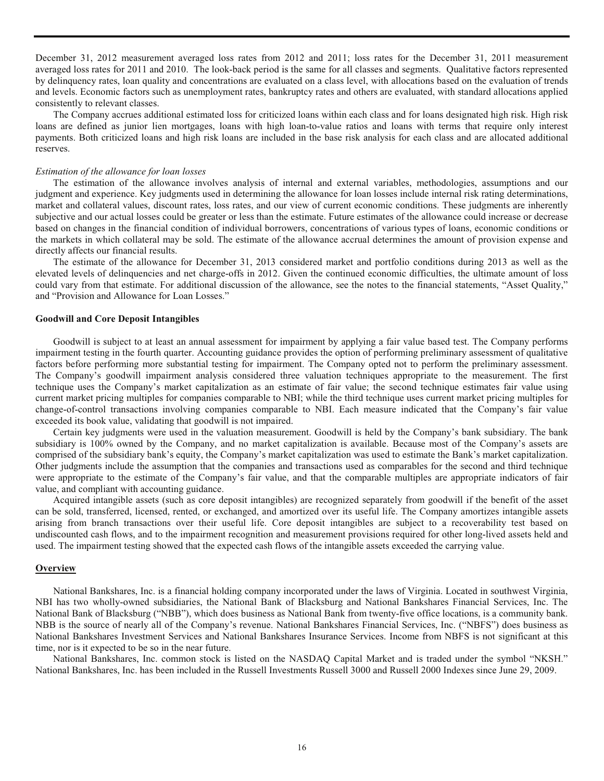December 31, 2012 measurement averaged loss rates from 2012 and 2011; loss rates for the December 31, 2011 measurement averaged loss rates for 2011 and 2010. The look-back period is the same for all classes and segments. Qualitative factors represented by delinquency rates, loan quality and concentrations are evaluated on a class level, with allocations based on the evaluation of trends and levels. Economic factors such as unemployment rates, bankruptcy rates and others are evaluated, with standard allocations applied consistently to relevant classes.

 The Company accrues additional estimated loss for criticized loans within each class and for loans designated high risk. High risk loans are defined as junior lien mortgages, loans with high loan-to-value ratios and loans with terms that require only interest payments. Both criticized loans and high risk loans are included in the base risk analysis for each class and are allocated additional reserves.

#### *Estimation of the allowance for loan losses*

 The estimation of the allowance involves analysis of internal and external variables, methodologies, assumptions and our judgment and experience. Key judgments used in determining the allowance for loan losses include internal risk rating determinations, market and collateral values, discount rates, loss rates, and our view of current economic conditions. These judgments are inherently subjective and our actual losses could be greater or less than the estimate. Future estimates of the allowance could increase or decrease based on changes in the financial condition of individual borrowers, concentrations of various types of loans, economic conditions or the markets in which collateral may be sold. The estimate of the allowance accrual determines the amount of provision expense and directly affects our financial results.

 The estimate of the allowance for December 31, 2013 considered market and portfolio conditions during 2013 as well as the elevated levels of delinquencies and net charge-offs in 2012. Given the continued economic difficulties, the ultimate amount of loss could vary from that estimate. For additional discussion of the allowance, see the notes to the financial statements, "Asset Quality," and "Provision and Allowance for Loan Losses."

#### **Goodwill and Core Deposit Intangibles**

 Goodwill is subject to at least an annual assessment for impairment by applying a fair value based test. The Company performs impairment testing in the fourth quarter. Accounting guidance provides the option of performing preliminary assessment of qualitative factors before performing more substantial testing for impairment. The Company opted not to perform the preliminary assessment. The Company's goodwill impairment analysis considered three valuation techniques appropriate to the measurement. The first technique uses the Company's market capitalization as an estimate of fair value; the second technique estimates fair value using current market pricing multiples for companies comparable to NBI; while the third technique uses current market pricing multiples for change-of-control transactions involving companies comparable to NBI. Each measure indicated that the Company's fair value exceeded its book value, validating that goodwill is not impaired.

 Certain key judgments were used in the valuation measurement. Goodwill is held by the Company's bank subsidiary. The bank subsidiary is 100% owned by the Company, and no market capitalization is available. Because most of the Company's assets are comprised of the subsidiary bank's equity, the Company's market capitalization was used to estimate the Bank's market capitalization. Other judgments include the assumption that the companies and transactions used as comparables for the second and third technique were appropriate to the estimate of the Company's fair value, and that the comparable multiples are appropriate indicators of fair value, and compliant with accounting guidance.

 Acquired intangible assets (such as core deposit intangibles) are recognized separately from goodwill if the benefit of the asset can be sold, transferred, licensed, rented, or exchanged, and amortized over its useful life. The Company amortizes intangible assets arising from branch transactions over their useful life. Core deposit intangibles are subject to a recoverability test based on undiscounted cash flows, and to the impairment recognition and measurement provisions required for other long-lived assets held and used. The impairment testing showed that the expected cash flows of the intangible assets exceeded the carrying value.

# **Overview**

 National Bankshares, Inc. is a financial holding company incorporated under the laws of Virginia. Located in southwest Virginia, NBI has two wholly-owned subsidiaries, the National Bank of Blacksburg and National Bankshares Financial Services, Inc. The National Bank of Blacksburg ("NBB"), which does business as National Bank from twenty-five office locations, is a community bank. NBB is the source of nearly all of the Company's revenue. National Bankshares Financial Services, Inc. ("NBFS") does business as National Bankshares Investment Services and National Bankshares Insurance Services. Income from NBFS is not significant at this time, nor is it expected to be so in the near future.

 National Bankshares, Inc. common stock is listed on the NASDAQ Capital Market and is traded under the symbol "NKSH." National Bankshares, Inc. has been included in the Russell Investments Russell 3000 and Russell 2000 Indexes since June 29, 2009.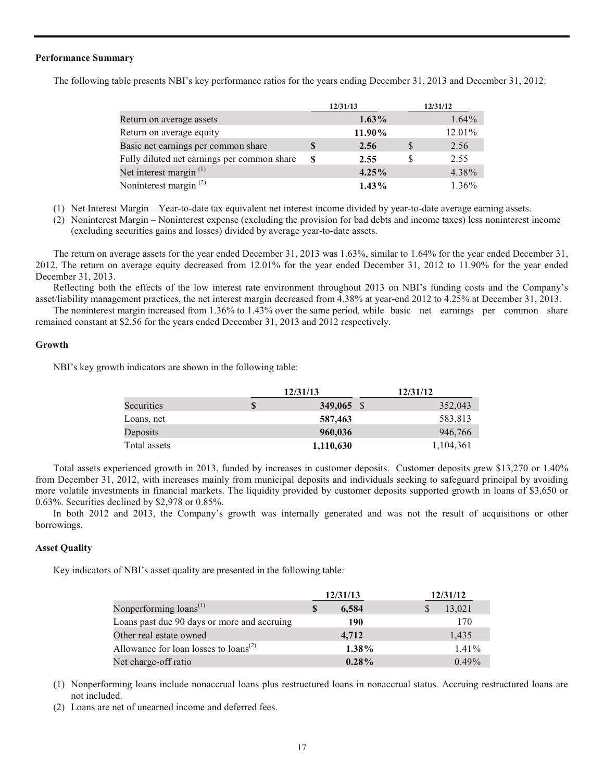# **Performance Summary**

The following table presents NBI's key performance ratios for the years ending December 31, 2013 and December 31, 2012:

|                                             |   | 12/31/13 | 12/31/12 |
|---------------------------------------------|---|----------|----------|
| Return on average assets                    |   | $1.63\%$ | $1.64\%$ |
| Return on average equity                    |   | 11.90%   | 12.01%   |
| Basic net earnings per common share         |   | 2.56     | 2.56     |
| Fully diluted net earnings per common share | S | 2.55     | 2.55     |
| Net interest margin $^{(1)}$                |   | $4.25\%$ | 4.38%    |
| Noninterest margin $^{(2)}$                 |   | $1.43\%$ | 1.36%    |

- (1) Net Interest Margin Year-to-date tax equivalent net interest income divided by year-to-date average earning assets.
- (2) Noninterest Margin Noninterest expense (excluding the provision for bad debts and income taxes) less noninterest income (excluding securities gains and losses) divided by average year-to-date assets.

 The return on average assets for the year ended December 31, 2013 was 1.63%, similar to 1.64% for the year ended December 31, 2012. The return on average equity decreased from 12.01% for the year ended December 31, 2012 to 11.90% for the year ended December 31, 2013.

 Reflecting both the effects of the low interest rate environment throughout 2013 on NBI's funding costs and the Company's asset/liability management practices, the net interest margin decreased from 4.38% at year-end 2012 to 4.25% at December 31, 2013.

 The noninterest margin increased from 1.36% to 1.43% over the same period, while basic net earnings per common share remained constant at \$2.56 for the years ended December 31, 2013 and 2012 respectively.

# **Growth**

NBI's key growth indicators are shown in the following table:

|                   |   | 12/31/13   | 12/31/12  |
|-------------------|---|------------|-----------|
| <b>Securities</b> | S | 349,065 \$ | 352,043   |
| Loans, net        |   | 587,463    | 583,813   |
| Deposits          |   | 960.036    | 946,766   |
| Total assets      |   | 1,110,630  | 1,104,361 |

Total assets experienced growth in 2013, funded by increases in customer deposits. Customer deposits grew \$13,270 or 1.40% from December 31, 2012, with increases mainly from municipal deposits and individuals seeking to safeguard principal by avoiding more volatile investments in financial markets. The liquidity provided by customer deposits supported growth in loans of \$3,650 or 0.63%. Securities declined by \$2,978 or 0.85%.

 In both 2012 and 2013, the Company's growth was internally generated and was not the result of acquisitions or other borrowings.

# **Asset Quality**

Key indicators of NBI's asset quality are presented in the following table:

|                                                   |   | 12/31/13 | 12/31/12 |
|---------------------------------------------------|---|----------|----------|
| Nonperforming $\{loans^{(1)}\}$                   | S | 6,584    | 13,021   |
| Loans past due 90 days or more and accruing       |   | 190      | 170      |
| Other real estate owned                           |   | 4,712    | 1,435    |
| Allowance for loan losses to loans <sup>(2)</sup> |   | $1.38\%$ | $1.41\%$ |
| Net charge-off ratio                              |   | $0.28\%$ | $0.49\%$ |

(1) Nonperforming loans include nonaccrual loans plus restructured loans in nonaccrual status. Accruing restructured loans are not included.

(2) Loans are net of unearned income and deferred fees.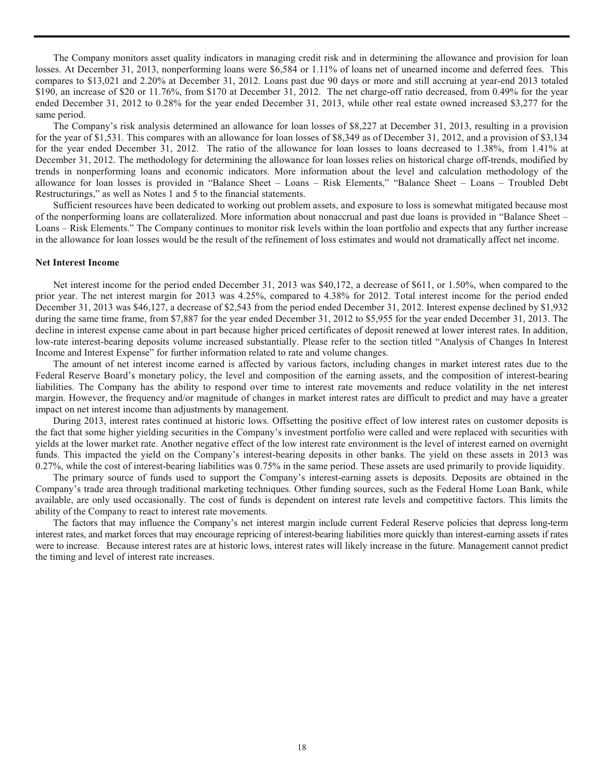The Company monitors asset quality indicators in managing credit risk and in determining the allowance and provision for loan losses. At December 31, 2013, nonperforming loans were \$6,584 or 1.11% of loans net of unearned income and deferred fees. This compares to \$13,021 and 2.20% at December 31, 2012. Loans past due 90 days or more and still accruing at year-end 2013 totaled \$190, an increase of \$20 or 11.76%, from \$170 at December 31, 2012. The net charge-off ratio decreased, from 0.49% for the year ended December 31, 2012 to 0.28% for the year ended December 31, 2013, while other real estate owned increased \$3,277 for the same period.

 The Company's risk analysis determined an allowance for loan losses of \$8,227 at December 31, 2013, resulting in a provision for the year of \$1,531. This compares with an allowance for loan losses of \$8,349 as of December 31, 2012, and a provision of \$3,134 for the year ended December 31, 2012. The ratio of the allowance for loan losses to loans decreased to 1.38%, from 1.41% at December 31, 2012. The methodology for determining the allowance for loan losses relies on historical charge off-trends, modified by trends in nonperforming loans and economic indicators. More information about the level and calculation methodology of the allowance for loan losses is provided in "Balance Sheet – Loans – Risk Elements," "Balance Sheet – Loans – Troubled Debt Restructurings," as well as Notes 1 and 5 to the financial statements.

 Sufficient resources have been dedicated to working out problem assets, and exposure to loss is somewhat mitigated because most of the nonperforming loans are collateralized. More information about nonaccrual and past due loans is provided in "Balance Sheet – Loans – Risk Elements." The Company continues to monitor risk levels within the loan portfolio and expects that any further increase in the allowance for loan losses would be the result of the refinement of loss estimates and would not dramatically affect net income.

#### **Net Interest Income**

 Net interest income for the period ended December 31, 2013 was \$40,172, a decrease of \$611, or 1.50%, when compared to the prior year. The net interest margin for 2013 was 4.25%, compared to 4.38% for 2012. Total interest income for the period ended December 31, 2013 was \$46,127, a decrease of \$2,543 from the period ended December 31, 2012. Interest expense declined by \$1,932 during the same time frame, from \$7,887 for the year ended December 31, 2012 to \$5,955 for the year ended December 31, 2013. The decline in interest expense came about in part because higher priced certificates of deposit renewed at lower interest rates. In addition, low-rate interest-bearing deposits volume increased substantially. Please refer to the section titled "Analysis of Changes In Interest Income and Interest Expense" for further information related to rate and volume changes.

 The amount of net interest income earned is affected by various factors, including changes in market interest rates due to the Federal Reserve Board's monetary policy, the level and composition of the earning assets, and the composition of interest-bearing liabilities. The Company has the ability to respond over time to interest rate movements and reduce volatility in the net interest margin. However, the frequency and/or magnitude of changes in market interest rates are difficult to predict and may have a greater impact on net interest income than adjustments by management.

 During 2013, interest rates continued at historic lows. Offsetting the positive effect of low interest rates on customer deposits is the fact that some higher yielding securities in the Company's investment portfolio were called and were replaced with securities with yields at the lower market rate. Another negative effect of the low interest rate environment is the level of interest earned on overnight funds. This impacted the yield on the Company's interest-bearing deposits in other banks. The yield on these assets in 2013 was 0.27%, while the cost of interest-bearing liabilities was 0.75% in the same period. These assets are used primarily to provide liquidity.

 The primary source of funds used to support the Company's interest-earning assets is deposits. Deposits are obtained in the Company's trade area through traditional marketing techniques. Other funding sources, such as the Federal Home Loan Bank, while available, are only used occasionally. The cost of funds is dependent on interest rate levels and competitive factors. This limits the ability of the Company to react to interest rate movements.

 The factors that may influence the Company's net interest margin include current Federal Reserve policies that depress long-term interest rates, and market forces that may encourage repricing of interest-bearing liabilities more quickly than interest-earning assets if rates were to increase. Because interest rates are at historic lows, interest rates will likely increase in the future. Management cannot predict the timing and level of interest rate increases.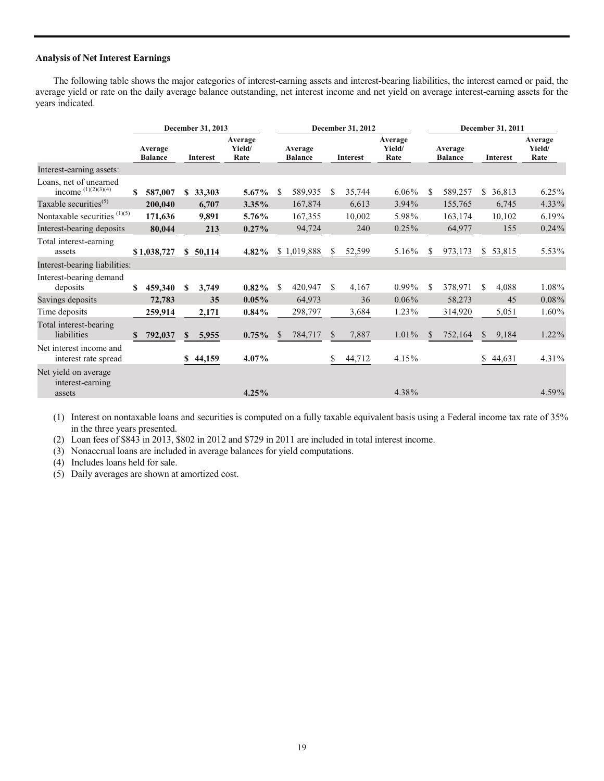# **Analysis of Net Interest Earnings**

 The following table shows the major categories of interest-earning assets and interest-bearing liabilities, the interest earned or paid, the average yield or rate on the daily average balance outstanding, net interest income and net yield on average interest-earning assets for the years indicated.

|                                                    |                           | December 31, 2013 |                           |                           |             |               | December 31, 2012 |                                       | December 31, 2011 |         |              |                           |          |          |                           |
|----------------------------------------------------|---------------------------|-------------------|---------------------------|---------------------------|-------------|---------------|-------------------|---------------------------------------|-------------------|---------|--------------|---------------------------|----------|----------|---------------------------|
|                                                    | Average<br><b>Balance</b> | Interest          | Average<br>Yield/<br>Rate | Average<br><b>Balance</b> |             |               |                   | Average<br>Yield/<br>Rate<br>Interest |                   |         |              | Average<br><b>Balance</b> |          | Interest | Average<br>Yield/<br>Rate |
| Interest-earning assets:                           |                           |                   |                           |                           |             |               |                   |                                       |                   |         |              |                           |          |          |                           |
| Loans, net of unearned<br>income $(1)(2)(3)(4)$    | \$<br>587,007             | 33,303<br>S       | $5.67\%$                  | <sup>\$</sup>             | 589,935     | S             | 35,744            | $6.06\%$                              | S                 | 589,257 | \$           | 36,813                    | 6.25%    |          |                           |
| Taxable securities <sup>(5)</sup>                  | 200,040                   | 6,707             | $3.35\%$                  |                           | 167,874     |               | 6,613             | 3.94%                                 |                   | 155,765 |              | 6,745                     | 4.33%    |          |                           |
| Nontaxable securities $(1)(5)$                     | 171,636                   | 9,891             | $5.76\%$                  |                           | 167,355     |               | 10,002            | 5.98%                                 |                   | 163,174 |              | 10,102                    | 6.19%    |          |                           |
| Interest-bearing deposits                          | 80,044                    | 213               | $0.27\%$                  |                           | 94,724      |               | 240               | $0.25\%$                              |                   | 64,977  |              | 155                       | 0.24%    |          |                           |
| Total interest-earning<br>assets                   | \$1,038,727               | \$50,114          | 4.82%                     |                           | \$1,019,888 | S.            | 52,599            | 5.16%                                 | S                 | 973,173 |              | \$53,815                  | 5.53%    |          |                           |
| Interest-bearing liabilities:                      |                           |                   |                           |                           |             |               |                   |                                       |                   |         |              |                           |          |          |                           |
| Interest-bearing demand<br>deposits                | \$<br>459,340             | S<br>3,749        | $0.82\%$                  | -S                        | 420,947     | <sup>\$</sup> | 4,167             | $0.99\%$                              | \$.               | 378,971 | \$           | 4,088                     | 1.08%    |          |                           |
| Savings deposits                                   | 72,783                    | 35                | $0.05\%$                  |                           | 64,973      |               | 36                | $0.06\%$                              |                   | 58,273  |              | 45                        | $0.08\%$ |          |                           |
| Time deposits                                      | 259,914                   | 2,171             | $0.84\%$                  |                           | 298,797     |               | 3,684             | 1.23%                                 |                   | 314,920 |              | 5,051                     | 1.60%    |          |                           |
| Total interest-bearing<br>liabilities              | 792,037<br>S.             | 5,955<br>S,       | $0.75\%$                  | -S                        | 784,717     | <sup>\$</sup> | 7,887             | $1.01\%$                              | S.                | 752,164 | <sup>S</sup> | 9,184                     | 1.22%    |          |                           |
| Net interest income and<br>interest rate spread    |                           | \$44,159          | $4.07\%$                  |                           |             | S.            | 44,712            | 4.15%                                 |                   |         |              | \$44,631                  | 4.31%    |          |                           |
| Net yield on average<br>interest-earning<br>assets |                           |                   | $4.25\%$                  |                           |             |               |                   | 4.38%                                 |                   |         |              |                           | 4.59%    |          |                           |

(1) Interest on nontaxable loans and securities is computed on a fully taxable equivalent basis using a Federal income tax rate of 35% in the three years presented.

(2) Loan fees of \$843 in 2013, \$802 in 2012 and \$729 in 2011 are included in total interest income.

(3) Nonaccrual loans are included in average balances for yield computations.

(4) Includes loans held for sale.

(5) Daily averages are shown at amortized cost.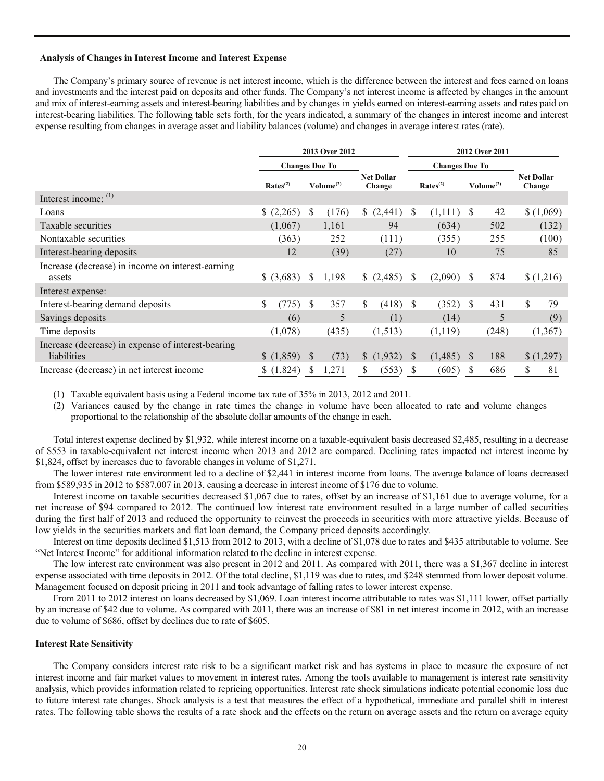## **Analysis of Changes in Interest Income and Interest Expense**

 The Company's primary source of revenue is net interest income, which is the difference between the interest and fees earned on loans and investments and the interest paid on deposits and other funds. The Company's net interest income is affected by changes in the amount and mix of interest-earning assets and interest-bearing liabilities and by changes in yields earned on interest-earning assets and rates paid on interest-bearing liabilities. The following table sets forth, for the years indicated, a summary of the changes in interest income and interest expense resulting from changes in average asset and liability balances (volume) and changes in average interest rates (rate).

|                                                                   |                        | 2013 Over 2012                                       |       |    |                       |              |                       |                             |       |           |  |
|-------------------------------------------------------------------|------------------------|------------------------------------------------------|-------|----|-----------------------|--------------|-----------------------|-----------------------------|-------|-----------|--|
|                                                                   | <b>Changes Due To</b>  |                                                      |       |    |                       |              | <b>Changes Due To</b> |                             |       |           |  |
|                                                                   | $Rate2$ <sup>(2)</sup> | <b>Net Dollar</b><br>Volume <sup>(2)</sup><br>Change |       |    | $\text{ Rates}^{(2)}$ |              | Volume <sup>(2)</sup> | <b>Net Dollar</b><br>Change |       |           |  |
| Interest income: (1)                                              |                        |                                                      |       |    |                       |              |                       |                             |       |           |  |
| Loans                                                             | (2,265)                | S                                                    | (176) |    | (2,441)               | S            | (1,111)               | S                           | 42    | \$(1,069) |  |
| Taxable securities                                                | (1,067)                |                                                      | 1,161 |    | 94                    |              | (634)                 |                             | 502   | (132)     |  |
| Nontaxable securities                                             | (363)                  |                                                      | 252   |    | (111)                 |              | (355)                 |                             | 255   | (100)     |  |
| Interest-bearing deposits                                         | 12                     |                                                      | (39)  |    | (27)                  |              | 10                    |                             | 75    | 85        |  |
| Increase (decrease) in income on interest-earning<br>assets       | \$ (3,683)             | S.                                                   | 1,198 | \$ | (2,485)               | S            | (2,090)               | \$.                         | 874   | \$(1,216) |  |
| Interest expense:                                                 |                        |                                                      |       |    |                       |              |                       |                             |       |           |  |
| Interest-bearing demand deposits                                  | \$<br>(775)            | <sup>S</sup>                                         | 357   | \$ | (418)                 | \$           | (352)                 | S                           | 431   | 79<br>\$  |  |
| Savings deposits                                                  | (6)                    |                                                      | 5     |    | (1)                   |              | (14)                  |                             | 5     | (9)       |  |
| Time deposits                                                     | (1,078)                |                                                      | (435) |    | (1,513)               |              | (1, 119)              |                             | (248) | (1,367)   |  |
| Increase (decrease) in expense of interest-bearing<br>liabilities | (1,859)                | S                                                    | (73)  | S. | (1,932)               | <sup>S</sup> | (1,485)               | <sup>S</sup>                | 188   | \$(1,297) |  |
| Increase (decrease) in net interest income                        | \$(1,824)              |                                                      | 1,271 | \$ | (553)                 | \$           | (605)                 | \$                          | 686   | 81<br>\$  |  |

(1) Taxable equivalent basis using a Federal income tax rate of 35% in 2013, 2012 and 2011.

(2) Variances caused by the change in rate times the change in volume have been allocated to rate and volume changes proportional to the relationship of the absolute dollar amounts of the change in each.

Total interest expense declined by \$1,932, while interest income on a taxable-equivalent basis decreased \$2,485, resulting in a decrease of \$553 in taxable-equivalent net interest income when 2013 and 2012 are compared. Declining rates impacted net interest income by \$1,824, offset by increases due to favorable changes in volume of \$1,271.

 The lower interest rate environment led to a decline of \$2,441 in interest income from loans. The average balance of loans decreased from \$589,935 in 2012 to \$587,007 in 2013, causing a decrease in interest income of \$176 due to volume.

 Interest income on taxable securities decreased \$1,067 due to rates, offset by an increase of \$1,161 due to average volume, for a net increase of \$94 compared to 2012. The continued low interest rate environment resulted in a large number of called securities during the first half of 2013 and reduced the opportunity to reinvest the proceeds in securities with more attractive yields. Because of low yields in the securities markets and flat loan demand, the Company priced deposits accordingly.

 Interest on time deposits declined \$1,513 from 2012 to 2013, with a decline of \$1,078 due to rates and \$435 attributable to volume. See "Net Interest Income" for additional information related to the decline in interest expense.

 The low interest rate environment was also present in 2012 and 2011. As compared with 2011, there was a \$1,367 decline in interest expense associated with time deposits in 2012. Of the total decline, \$1,119 was due to rates, and \$248 stemmed from lower deposit volume. Management focused on deposit pricing in 2011 and took advantage of falling rates to lower interest expense.

 From 2011 to 2012 interest on loans decreased by \$1,069. Loan interest income attributable to rates was \$1,111 lower, offset partially by an increase of \$42 due to volume. As compared with 2011, there was an increase of \$81 in net interest income in 2012, with an increase due to volume of \$686, offset by declines due to rate of \$605.

# **Interest Rate Sensitivity**

 The Company considers interest rate risk to be a significant market risk and has systems in place to measure the exposure of net interest income and fair market values to movement in interest rates. Among the tools available to management is interest rate sensitivity analysis, which provides information related to repricing opportunities. Interest rate shock simulations indicate potential economic loss due to future interest rate changes. Shock analysis is a test that measures the effect of a hypothetical, immediate and parallel shift in interest rates. The following table shows the results of a rate shock and the effects on the return on average assets and the return on average equity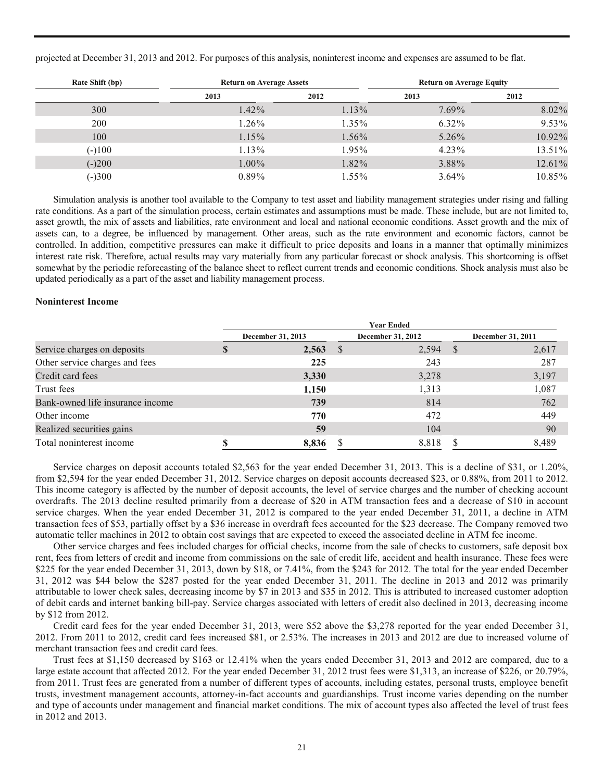projected at December 31, 2013 and 2012. For purposes of this analysis, noninterest income and expenses are assumed to be flat.

| Rate Shift (bp) | <b>Return on Average Assets</b> |          | <b>Return on Average Equity</b> |          |  |  |  |  |
|-----------------|---------------------------------|----------|---------------------------------|----------|--|--|--|--|
|                 | 2013                            | 2012     | 2013                            | 2012     |  |  |  |  |
| 300             | 1.42%                           | 1.13%    | 7.69%                           | 8.02%    |  |  |  |  |
| 200             | 1.26%                           | $1.35\%$ | $6.32\%$                        | $9.53\%$ |  |  |  |  |
| 100             | 1.15%                           | 1.56%    | $5.26\%$                        | 10.92%   |  |  |  |  |
| $(-100)$        | 1.13%                           | 1.95%    | $4.23\%$                        | 13.51%   |  |  |  |  |
| $(-)200$        | $1.00\%$                        | 1.82%    | 3.88%                           | 12.61%   |  |  |  |  |
| $(-)300$        | $0.89\%$                        | 1.55%    | $3.64\%$                        | 10.85%   |  |  |  |  |

 Simulation analysis is another tool available to the Company to test asset and liability management strategies under rising and falling rate conditions. As a part of the simulation process, certain estimates and assumptions must be made. These include, but are not limited to, asset growth, the mix of assets and liabilities, rate environment and local and national economic conditions. Asset growth and the mix of assets can, to a degree, be influenced by management. Other areas, such as the rate environment and economic factors, cannot be controlled. In addition, competitive pressures can make it difficult to price deposits and loans in a manner that optimally minimizes interest rate risk. Therefore, actual results may vary materially from any particular forecast or shock analysis. This shortcoming is offset somewhat by the periodic reforecasting of the balance sheet to reflect current trends and economic conditions. Shock analysis must also be updated periodically as a part of the asset and liability management process.

# **Noninterest Income**

|                                  | <b>Year Ended</b> |                   |          |                   |                   |       |  |  |  |  |  |
|----------------------------------|-------------------|-------------------|----------|-------------------|-------------------|-------|--|--|--|--|--|
|                                  |                   | December 31, 2013 |          | December 31, 2012 | December 31, 2011 |       |  |  |  |  |  |
| Service charges on deposits      |                   | 2,563             | <b>S</b> | 2,594             | - S               | 2,617 |  |  |  |  |  |
| Other service charges and fees   |                   | 225               |          | 243               |                   | 287   |  |  |  |  |  |
| Credit card fees                 |                   | 3,330             |          | 3,278             |                   | 3,197 |  |  |  |  |  |
| Trust fees                       |                   | 1,150             |          | 1,313             |                   | 1,087 |  |  |  |  |  |
| Bank-owned life insurance income |                   | 739               |          | 814               |                   | 762   |  |  |  |  |  |
| Other income                     |                   | 770               |          | 472               |                   | 449   |  |  |  |  |  |
| Realized securities gains        |                   | 59                |          | 104               |                   | 90    |  |  |  |  |  |
| Total noninterest income         |                   | 8,836             |          | 8,818             |                   | 8,489 |  |  |  |  |  |

 Service charges on deposit accounts totaled \$2,563 for the year ended December 31, 2013. This is a decline of \$31, or 1.20%, from \$2,594 for the year ended December 31, 2012. Service charges on deposit accounts decreased \$23, or 0.88%, from 2011 to 2012. This income category is affected by the number of deposit accounts, the level of service charges and the number of checking account overdrafts. The 2013 decline resulted primarily from a decrease of \$20 in ATM transaction fees and a decrease of \$10 in account service charges. When the year ended December 31, 2012 is compared to the year ended December 31, 2011, a decline in ATM transaction fees of \$53, partially offset by a \$36 increase in overdraft fees accounted for the \$23 decrease. The Company removed two automatic teller machines in 2012 to obtain cost savings that are expected to exceed the associated decline in ATM fee income.

 Other service charges and fees included charges for official checks, income from the sale of checks to customers, safe deposit box rent, fees from letters of credit and income from commissions on the sale of credit life, accident and health insurance. These fees were \$225 for the year ended December 31, 2013, down by \$18, or 7.41%, from the \$243 for 2012. The total for the year ended December 31, 2012 was \$44 below the \$287 posted for the year ended December 31, 2011. The decline in 2013 and 2012 was primarily attributable to lower check sales, decreasing income by \$7 in 2013 and \$35 in 2012. This is attributed to increased customer adoption of debit cards and internet banking bill-pay. Service charges associated with letters of credit also declined in 2013, decreasing income by \$12 from 2012.

 Credit card fees for the year ended December 31, 2013, were \$52 above the \$3,278 reported for the year ended December 31, 2012. From 2011 to 2012, credit card fees increased \$81, or 2.53%. The increases in 2013 and 2012 are due to increased volume of merchant transaction fees and credit card fees.

 Trust fees at \$1,150 decreased by \$163 or 12.41% when the years ended December 31, 2013 and 2012 are compared, due to a large estate account that affected 2012. For the year ended December 31, 2012 trust fees were \$1,313, an increase of \$226, or 20.79%, from 2011. Trust fees are generated from a number of different types of accounts, including estates, personal trusts, employee benefit trusts, investment management accounts, attorney-in-fact accounts and guardianships. Trust income varies depending on the number and type of accounts under management and financial market conditions. The mix of account types also affected the level of trust fees in 2012 and 2013.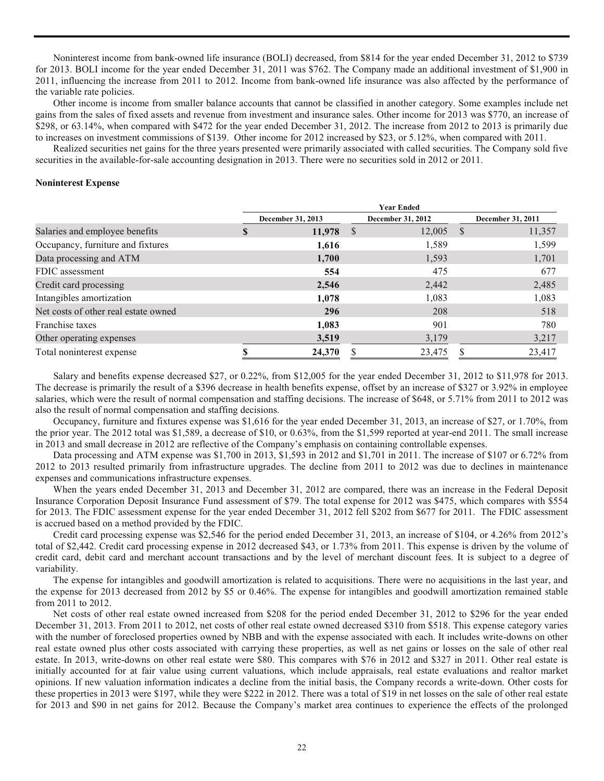Noninterest income from bank-owned life insurance (BOLI) decreased, from \$814 for the year ended December 31, 2012 to \$739 for 2013. BOLI income for the year ended December 31, 2011 was \$762. The Company made an additional investment of \$1,900 in 2011, influencing the increase from 2011 to 2012. Income from bank-owned life insurance was also affected by the performance of the variable rate policies.

 Other income is income from smaller balance accounts that cannot be classified in another category. Some examples include net gains from the sales of fixed assets and revenue from investment and insurance sales. Other income for 2013 was \$770, an increase of \$298, or 63.14%, when compared with \$472 for the year ended December 31, 2012. The increase from 2012 to 2013 is primarily due to increases on investment commissions of \$139. Other income for 2012 increased by \$23, or 5.12%, when compared with 2011.

 Realized securities net gains for the three years presented were primarily associated with called securities. The Company sold five securities in the available-for-sale accounting designation in 2013. There were no securities sold in 2012 or 2011.

#### **Noninterest Expense**

|                                      | <b>Year Ended</b> |                   |     |                   |      |                   |  |  |  |  |  |
|--------------------------------------|-------------------|-------------------|-----|-------------------|------|-------------------|--|--|--|--|--|
|                                      |                   | December 31, 2013 |     | December 31, 2012 |      | December 31, 2011 |  |  |  |  |  |
| Salaries and employee benefits       |                   | 11,978            | - S | 12,005            | - \$ | 11,357            |  |  |  |  |  |
| Occupancy, furniture and fixtures    |                   | 1,616             |     | 1,589             |      | 1,599             |  |  |  |  |  |
| Data processing and ATM              |                   | 1,700             |     | 1,593             |      | 1,701             |  |  |  |  |  |
| FDIC assessment                      |                   | 554               |     | 475               |      | 677               |  |  |  |  |  |
| Credit card processing               |                   | 2,546             |     | 2,442             |      | 2,485             |  |  |  |  |  |
| Intangibles amortization             |                   | 1,078             |     | 1,083             |      | 1,083             |  |  |  |  |  |
| Net costs of other real estate owned |                   | 296               |     | 208               |      | 518               |  |  |  |  |  |
| Franchise taxes                      |                   | 1,083             |     | 901               |      | 780               |  |  |  |  |  |
| Other operating expenses             |                   | 3,519             |     | 3,179             |      | 3,217             |  |  |  |  |  |
| Total noninterest expense            |                   | 24,370            |     | 23,475            |      | 23,417            |  |  |  |  |  |

Salary and benefits expense decreased \$27, or 0.22%, from \$12,005 for the year ended December 31, 2012 to \$11,978 for 2013. The decrease is primarily the result of a \$396 decrease in health benefits expense, offset by an increase of \$327 or 3.92% in employee salaries, which were the result of normal compensation and staffing decisions. The increase of \$648, or 5.71% from 2011 to 2012 was also the result of normal compensation and staffing decisions.

 Occupancy, furniture and fixtures expense was \$1,616 for the year ended December 31, 2013, an increase of \$27, or 1.70%, from the prior year. The 2012 total was \$1,589, a decrease of \$10, or 0.63%, from the \$1,599 reported at year-end 2011. The small increase in 2013 and small decrease in 2012 are reflective of the Company's emphasis on containing controllable expenses.

 Data processing and ATM expense was \$1,700 in 2013, \$1,593 in 2012 and \$1,701 in 2011. The increase of \$107 or 6.72% from 2012 to 2013 resulted primarily from infrastructure upgrades. The decline from 2011 to 2012 was due to declines in maintenance expenses and communications infrastructure expenses.

 When the years ended December 31, 2013 and December 31, 2012 are compared, there was an increase in the Federal Deposit Insurance Corporation Deposit Insurance Fund assessment of \$79. The total expense for 2012 was \$475, which compares with \$554 for 2013. The FDIC assessment expense for the year ended December 31, 2012 fell \$202 from \$677 for 2011. The FDIC assessment is accrued based on a method provided by the FDIC.

 Credit card processing expense was \$2,546 for the period ended December 31, 2013, an increase of \$104, or 4.26% from 2012's total of \$2,442. Credit card processing expense in 2012 decreased \$43, or 1.73% from 2011. This expense is driven by the volume of credit card, debit card and merchant account transactions and by the level of merchant discount fees. It is subject to a degree of variability.

 The expense for intangibles and goodwill amortization is related to acquisitions. There were no acquisitions in the last year, and the expense for 2013 decreased from 2012 by \$5 or 0.46%. The expense for intangibles and goodwill amortization remained stable from 2011 to 2012.

 Net costs of other real estate owned increased from \$208 for the period ended December 31, 2012 to \$296 for the year ended December 31, 2013. From 2011 to 2012, net costs of other real estate owned decreased \$310 from \$518. This expense category varies with the number of foreclosed properties owned by NBB and with the expense associated with each. It includes write-downs on other real estate owned plus other costs associated with carrying these properties, as well as net gains or losses on the sale of other real estate. In 2013, write-downs on other real estate were \$80. This compares with \$76 in 2012 and \$327 in 2011. Other real estate is initially accounted for at fair value using current valuations, which include appraisals, real estate evaluations and realtor market opinions. If new valuation information indicates a decline from the initial basis, the Company records a write-down. Other costs for these properties in 2013 were \$197, while they were \$222 in 2012. There was a total of \$19 in net losses on the sale of other real estate for 2013 and \$90 in net gains for 2012. Because the Company's market area continues to experience the effects of the prolonged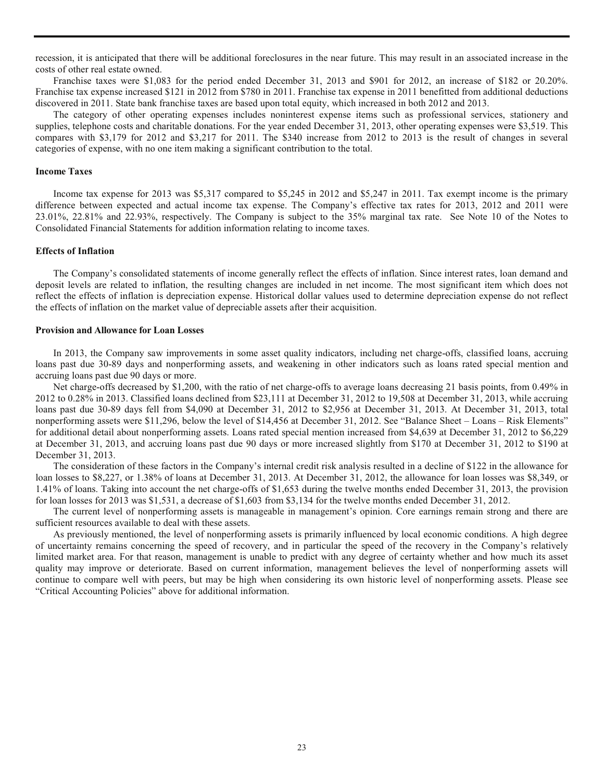recession, it is anticipated that there will be additional foreclosures in the near future. This may result in an associated increase in the costs of other real estate owned.

 Franchise taxes were \$1,083 for the period ended December 31, 2013 and \$901 for 2012, an increase of \$182 or 20.20%. Franchise tax expense increased \$121 in 2012 from \$780 in 2011. Franchise tax expense in 2011 benefitted from additional deductions discovered in 2011. State bank franchise taxes are based upon total equity, which increased in both 2012 and 2013.

 The category of other operating expenses includes noninterest expense items such as professional services, stationery and supplies, telephone costs and charitable donations. For the year ended December 31, 2013, other operating expenses were \$3,519. This compares with \$3,179 for 2012 and \$3,217 for 2011. The \$340 increase from 2012 to 2013 is the result of changes in several categories of expense, with no one item making a significant contribution to the total.

#### **Income Taxes**

 Income tax expense for 2013 was \$5,317 compared to \$5,245 in 2012 and \$5,247 in 2011. Tax exempt income is the primary difference between expected and actual income tax expense. The Company's effective tax rates for 2013, 2012 and 2011 were 23.01%, 22.81% and 22.93%, respectively. The Company is subject to the 35% marginal tax rate. See Note 10 of the Notes to Consolidated Financial Statements for addition information relating to income taxes.

## **Effects of Inflation**

 The Company's consolidated statements of income generally reflect the effects of inflation. Since interest rates, loan demand and deposit levels are related to inflation, the resulting changes are included in net income. The most significant item which does not reflect the effects of inflation is depreciation expense. Historical dollar values used to determine depreciation expense do not reflect the effects of inflation on the market value of depreciable assets after their acquisition.

#### **Provision and Allowance for Loan Losses**

 In 2013, the Company saw improvements in some asset quality indicators, including net charge-offs, classified loans, accruing loans past due 30-89 days and nonperforming assets, and weakening in other indicators such as loans rated special mention and accruing loans past due 90 days or more.

 Net charge-offs decreased by \$1,200, with the ratio of net charge-offs to average loans decreasing 21 basis points, from 0.49% in 2012 to 0.28% in 2013. Classified loans declined from \$23,111 at December 31, 2012 to 19,508 at December 31, 2013, while accruing loans past due 30-89 days fell from \$4,090 at December 31, 2012 to \$2,956 at December 31, 2013. At December 31, 2013, total nonperforming assets were \$11,296, below the level of \$14,456 at December 31, 2012. See "Balance Sheet – Loans – Risk Elements" for additional detail about nonperforming assets. Loans rated special mention increased from \$4,639 at December 31, 2012 to \$6,229 at December 31, 2013, and accruing loans past due 90 days or more increased slightly from \$170 at December 31, 2012 to \$190 at December 31, 2013.

 The consideration of these factors in the Company's internal credit risk analysis resulted in a decline of \$122 in the allowance for loan losses to \$8,227, or 1.38% of loans at December 31, 2013. At December 31, 2012, the allowance for loan losses was \$8,349, or 1.41% of loans. Taking into account the net charge-offs of \$1,653 during the twelve months ended December 31, 2013, the provision for loan losses for 2013 was \$1,531, a decrease of \$1,603 from \$3,134 for the twelve months ended December 31, 2012.

 The current level of nonperforming assets is manageable in management's opinion. Core earnings remain strong and there are sufficient resources available to deal with these assets.

 As previously mentioned, the level of nonperforming assets is primarily influenced by local economic conditions. A high degree of uncertainty remains concerning the speed of recovery, and in particular the speed of the recovery in the Company's relatively limited market area. For that reason, management is unable to predict with any degree of certainty whether and how much its asset quality may improve or deteriorate. Based on current information, management believes the level of nonperforming assets will continue to compare well with peers, but may be high when considering its own historic level of nonperforming assets. Please see "Critical Accounting Policies" above for additional information.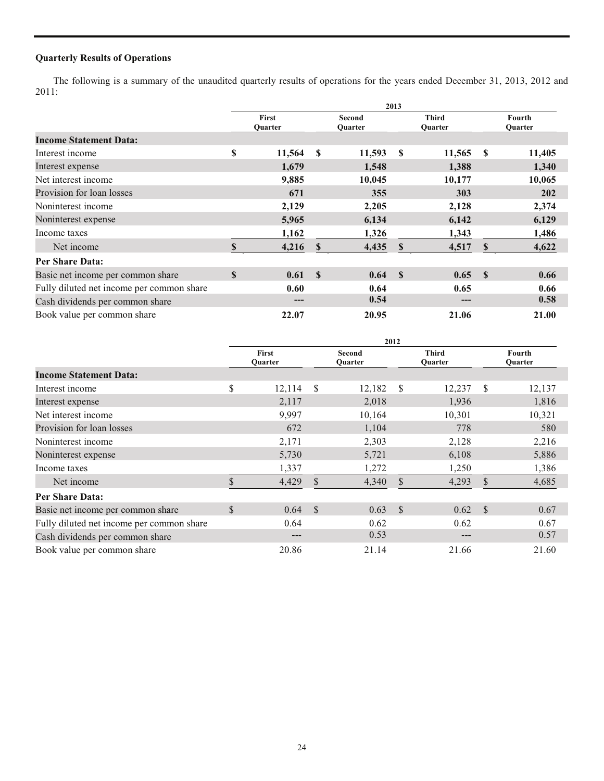# **Quarterly Results of Operations**

 The following is a summary of the unaudited quarterly results of operations for the years ended December 31, 2013, 2012 and 2011:

|                                           |    |                  |              |                   | 2013 |                         |                   |            |
|-------------------------------------------|----|------------------|--------------|-------------------|------|-------------------------|-------------------|------------|
|                                           |    | First<br>Quarter |              | Second<br>Quarter |      | <b>Third</b><br>Quarter | Fourth<br>Quarter |            |
| <b>Income Statement Data:</b>             |    |                  |              |                   |      |                         |                   |            |
| Interest income                           | S  | 11,564           | S            | 11,593            | -S   | 11,565                  | S                 | 11,405     |
| Interest expense                          |    | 1,679            |              | 1,548             |      | 1,388                   |                   | 1,340      |
| Net interest income                       |    | 9,885            |              | 10,045            |      | 10,177                  |                   | 10,065     |
| Provision for loan losses                 |    | 671              |              | 355               |      | 303                     |                   | <b>202</b> |
| Noninterest income                        |    | 2,129            |              | 2,205             |      | 2,128                   |                   | 2,374      |
| Noninterest expense                       |    | 5,965            |              | 6,134             |      | 6,142                   |                   | 6,129      |
| Income taxes                              |    | 1,162            |              | 1,326             |      | 1,343                   |                   | 1,486      |
| Net income                                | \$ | 4,216            | S            | 4,435             |      | 4,517                   |                   | 4,622      |
| Per Share Data:                           |    |                  |              |                   |      |                         |                   |            |
| Basic net income per common share         | \$ | 0.61             | $\mathbf{s}$ | 0.64              | - \$ | 0.65                    | - \$              | 0.66       |
| Fully diluted net income per common share |    | 0.60             |              | 0.64              |      | 0.65                    |                   | 0.66       |
| Cash dividends per common share           |    | ---              |              | 0.54              |      | ---                     |                   | 0.58       |
| Book value per common share               |    | 22.07            |              | 20.95             |      | 21.06                   |                   | 21.00      |

|                                           |               |                         |               |                   | 2012          |                         |               |                   |
|-------------------------------------------|---------------|-------------------------|---------------|-------------------|---------------|-------------------------|---------------|-------------------|
|                                           |               | <b>First</b><br>Quarter |               | Second<br>Quarter |               | <b>Third</b><br>Quarter |               | Fourth<br>Quarter |
| <b>Income Statement Data:</b>             |               |                         |               |                   |               |                         |               |                   |
| Interest income                           | S             | 12,114                  | <sup>\$</sup> | 12,182            | S             | 12,237                  | S             | 12,137            |
| Interest expense                          |               | 2,117                   |               | 2,018             |               | 1,936                   |               | 1,816             |
| Net interest income                       |               | 9,997                   |               | 10,164            |               | 10,301                  |               | 10,321            |
| Provision for loan losses                 |               | 672                     |               | 1,104             |               | 778                     |               | 580               |
| Noninterest income                        |               | 2,171                   |               | 2,303             |               | 2,128                   |               | 2,216             |
| Noninterest expense                       |               | 5,730                   |               | 5,721             |               | 6,108                   |               | 5,886             |
| Income taxes                              |               | 1,337                   |               | 1,272             |               | 1,250                   |               | 1,386             |
| Net income                                | $\mathcal{S}$ | 4,429                   |               | 4,340             | $\mathcal{S}$ | 4,293                   | \$            | 4,685             |
| Per Share Data:                           |               |                         |               |                   |               |                         |               |                   |
| Basic net income per common share         | <sup>\$</sup> | 0.64                    | <sup>\$</sup> | 0.63              | <sup>S</sup>  | 0.62                    | <sup>\$</sup> | 0.67              |
| Fully diluted net income per common share |               | 0.64                    |               | 0.62              |               | 0.62                    |               | 0.67              |
| Cash dividends per common share           |               | ---                     |               | 0.53              |               | ---                     |               | 0.57              |
| Book value per common share               |               | 20.86                   |               | 21.14             |               | 21.66                   |               | 21.60             |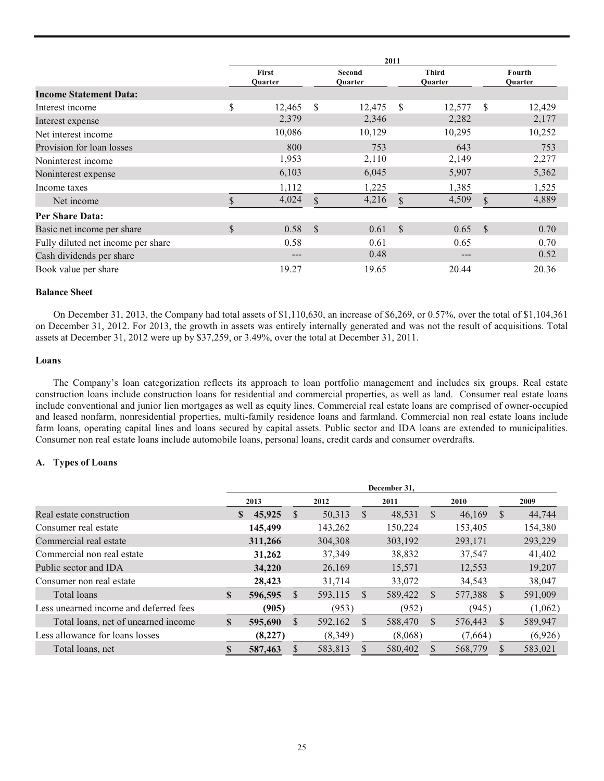|                                    |                  |               |                   | 2011          |                         |               |                   |
|------------------------------------|------------------|---------------|-------------------|---------------|-------------------------|---------------|-------------------|
|                                    | First<br>Quarter |               | Second<br>Quarter |               | <b>Third</b><br>Quarter |               | Fourth<br>Quarter |
| <b>Income Statement Data:</b>      |                  |               |                   |               |                         |               |                   |
| Interest income                    | \$<br>12,465     | S             | 12,475            | S             | 12,577                  | <sup>\$</sup> | 12,429            |
| Interest expense                   | 2,379            |               | 2,346             |               | 2,282                   |               | 2,177             |
| Net interest income                | 10,086           |               | 10,129            |               | 10,295                  |               | 10,252            |
| Provision for loan losses          | 800              |               | 753               |               | 643                     |               | 753               |
| Noninterest income                 | 1,953            |               | 2,110             |               | 2,149                   |               | 2,277             |
| Noninterest expense                | 6,103            |               | 6,045             |               | 5,907                   |               | 5,362             |
| Income taxes                       | 1,112            |               | 1,225             |               | 1,385                   |               | 1,525             |
| Net income                         | 4,024            | $\mathcal{S}$ | 4,216             | $\mathcal{S}$ | 4,509                   | $\mathcal{S}$ | 4,889             |
| Per Share Data:                    |                  |               |                   |               |                         |               |                   |
| Basic net income per share         | \$<br>0.58       | <sup>S</sup>  | 0.61              | <sup>S</sup>  | 0.65                    | $\mathbf S$   | 0.70              |
| Fully diluted net income per share | 0.58             |               | 0.61              |               | 0.65                    |               | 0.70              |
| Cash dividends per share           | ---              |               | 0.48              |               | ---                     |               | 0.52              |
| Book value per share               | 19.27            |               | 19.65             |               | 20.44                   |               | 20.36             |

# **Balance Sheet**

 On December 31, 2013, the Company had total assets of \$1,110,630, an increase of \$6,269, or 0.57%, over the total of \$1,104,361 on December 31, 2012. For 2013, the growth in assets was entirely internally generated and was not the result of acquisitions. Total assets at December 31, 2012 were up by \$37,259, or 3.49%, over the total at December 31, 2011.

# **Loans**

The Company's loan categorization reflects its approach to loan portfolio management and includes six groups. Real estate construction loans include construction loans for residential and commercial properties, as well as land. Consumer real estate loans include conventional and junior lien mortgages as well as equity lines. Commercial real estate loans are comprised of owner-occupied and leased nonfarm, nonresidential properties, multi-family residence loans and farmland. Commercial non real estate loans include farm loans, operating capital lines and loans secured by capital assets. Public sector and IDA loans are extended to municipalities. Consumer non real estate loans include automobile loans, personal loans, credit cards and consumer overdrafts.

# **A. Types of Loans**

|                                        |               |              |              |         |               | December 31. |               |         |               |         |
|----------------------------------------|---------------|--------------|--------------|---------|---------------|--------------|---------------|---------|---------------|---------|
|                                        |               | 2013         |              | 2012    |               | 2011         |               | 2010    |               | 2009    |
| Real estate construction               |               | 45,925<br>S. | <sup>S</sup> | 50,313  | S             | 48,531       | <sup>S</sup>  | 46,169  | <sup>S</sup>  | 44,744  |
| Consumer real estate                   |               | 145,499      |              | 143,262 |               | 150.224      |               | 153,405 |               | 154,380 |
| Commercial real estate                 |               | 311,266      |              | 304,308 |               | 303,192      |               | 293,171 |               | 293,229 |
| Commercial non real estate             |               | 31,262       |              | 37,349  |               | 38,832       |               | 37,547  |               | 41,402  |
| Public sector and IDA                  |               | 34,220       |              | 26,169  |               | 15,571       |               | 12,553  |               | 19,207  |
| Consumer non real estate               |               | 28,423       |              | 31,714  |               | 33,072       |               | 34,543  |               | 38,047  |
| Total loans                            | <sup>\$</sup> | 596,595      | <b>S</b>     | 593,115 | S             | 589,422      | <sup>\$</sup> | 577,388 | \$.           | 591,009 |
| Less unearned income and deferred fees |               | (905)        |              | (953)   |               | (952)        |               | (945)   |               | (1,062) |
| Total loans, net of unearned income    | S.            | 595.690      | <sup>S</sup> | 592,162 | <sup>\$</sup> | 588,470      | <sup>S</sup>  | 576,443 | <sup>\$</sup> | 589,947 |
| Less allowance for loans losses        |               | (8,227)      |              | (8,349) |               | (8,068)      |               | (7,664) |               | (6,926) |
| Total loans, net                       |               | 587,463      |              | 583,813 | S.            | 580,402      | \$.           | 568,779 | S             | 583,021 |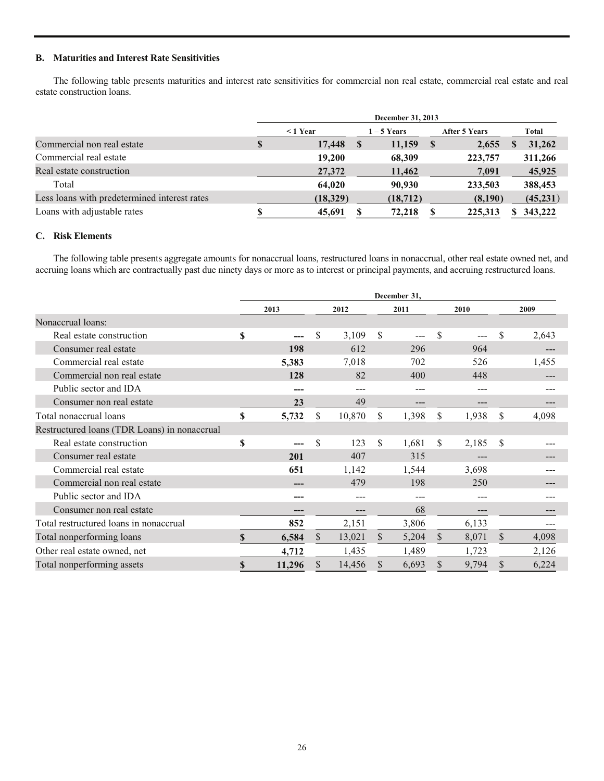# **B. Maturities and Interest Rate Sensitivities**

The following table presents maturities and interest rate sensitivities for commercial non real estate, commercial real estate and real estate construction loans.

|                                              | December 31, 2013 |               |  |               |      |                      |             |  |  |  |  |  |
|----------------------------------------------|-------------------|---------------|--|---------------|------|----------------------|-------------|--|--|--|--|--|
|                                              |                   | $\leq$ 1 Year |  | $1 - 5$ Years |      | <b>After 5 Years</b> | Total       |  |  |  |  |  |
| Commercial non real estate                   | S                 | 17,448        |  | 11,159        | - \$ | 2,655                | 31.262<br>S |  |  |  |  |  |
| Commercial real estate                       |                   | 19,200        |  | 68,309        |      | 223,757              | 311,266     |  |  |  |  |  |
| Real estate construction                     |                   | 27,372        |  | 11,462        |      | 7,091                | 45,925      |  |  |  |  |  |
| Total                                        |                   | 64,020        |  | 90,930        |      | 233,503              | 388,453     |  |  |  |  |  |
| Less loans with predetermined interest rates |                   | (18,329)      |  | (18, 712)     |      | (8,190)              | (45, 231)   |  |  |  |  |  |
| Loans with adjustable rates                  |                   | 45,691        |  | 72,218        |      | 225,313              | 343,222     |  |  |  |  |  |

# **C. Risk Elements**

 The following table presents aggregate amounts for nonaccrual loans, restructured loans in nonaccrual, other real estate owned net, and accruing loans which are contractually past due ninety days or more as to interest or principal payments, and accruing restructured loans.

|                                              | December 31, |        |    |        |              |       |              |       |               |       |
|----------------------------------------------|--------------|--------|----|--------|--------------|-------|--------------|-------|---------------|-------|
|                                              |              | 2013   |    | 2012   |              | 2011  |              | 2010  |               | 2009  |
| Nonaccrual loans:                            |              |        |    |        |              |       |              |       |               |       |
| Real estate construction                     | S            |        | \$ | 3,109  | S            | ---   | S            |       | \$            | 2,643 |
| Consumer real estate                         |              | 198    |    | 612    |              | 296   |              | 964   |               |       |
| Commercial real estate                       |              | 5,383  |    | 7,018  |              | 702   |              | 526   |               | 1,455 |
| Commercial non real estate                   |              | 128    |    | 82     |              | 400   |              | 448   |               |       |
| Public sector and IDA                        |              | ---    |    | ---    |              | ---   |              | ---   |               |       |
| Consumer non real estate                     |              | 23     |    | 49     |              | ---   |              |       |               |       |
| Total nonaccrual loans                       | \$           | 5,732  | \$ | 10,870 | S.           | 1,398 | \$           | 1,938 | \$.           | 4,098 |
| Restructured loans (TDR Loans) in nonaccrual |              |        |    |        |              |       |              |       |               |       |
| Real estate construction                     | \$           |        | \$ | 123    | \$.          | 1,681 | \$           | 2,185 | <sup>\$</sup> |       |
| Consumer real estate                         |              | 201    |    | 407    |              | 315   |              | $---$ |               |       |
| Commercial real estate                       |              | 651    |    | 1,142  |              | 1,544 |              | 3,698 |               |       |
| Commercial non real estate                   |              | ---    |    | 479    |              | 198   |              | 250   |               |       |
| Public sector and IDA                        |              |        |    |        |              |       |              |       |               |       |
| Consumer non real estate                     |              | ---    |    | ---    |              | 68    |              | $---$ |               |       |
| Total restructured loans in nonaccrual       |              | 852    |    | 2,151  |              | 3,806 |              | 6,133 |               |       |
| Total nonperforming loans                    | S.           | 6,584  | \$ | 13,021 | $\mathbb{S}$ | 5,204 | $\mathbb{S}$ | 8,071 | \$            | 4,098 |
| Other real estate owned, net                 |              | 4,712  |    | 1,435  |              | 1,489 |              | 1,723 |               | 2,126 |
| Total nonperforming assets                   | \$           | 11,296 | \$ | 14,456 | S            | 6,693 | \$           | 9,794 | \$            | 6,224 |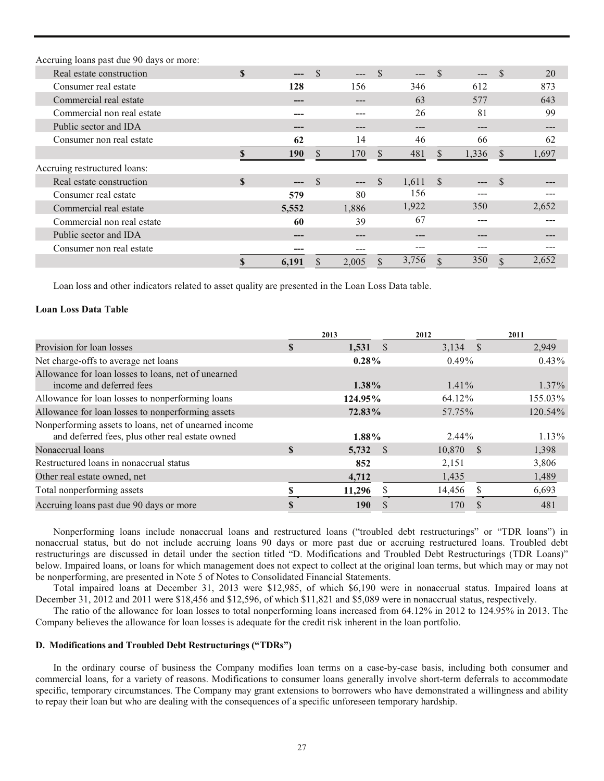| Accruing loans past due 90 days or more: |              |         |               |       |               |       |               |       |               |       |
|------------------------------------------|--------------|---------|---------------|-------|---------------|-------|---------------|-------|---------------|-------|
| Real estate construction                 | <b>S</b>     | $---$   | <sup>\$</sup> | ---   | $\mathcal{S}$ | ---   | <sup>\$</sup> | $---$ | <sup>\$</sup> | 20    |
| Consumer real estate                     |              | 128     |               | 156   |               | 346   |               | 612   |               | 873   |
| Commercial real estate                   |              | $- - -$ |               | ---   |               | 63    |               | 577   |               | 643   |
| Commercial non real estate               |              |         |               |       |               | 26    |               | 81    |               | 99    |
| Public sector and IDA                    |              | ---     |               | ---   |               | ---   |               | $---$ |               | ---   |
| Consumer non real estate                 |              | 62      |               | 14    |               | 46    |               | 66    |               | 62    |
|                                          | $\mathbf{s}$ | 190     | \$.           | 170   |               | 481   |               | 1,336 | \$            | 1,697 |
| Accruing restructured loans:             |              |         |               |       |               |       |               |       |               |       |
| Real estate construction                 | <b>S</b>     |         | \$            | ---   | $\mathbb{S}$  | 1,611 | <sup>S</sup>  | ---   | <b>S</b>      |       |
| Consumer real estate                     |              | 579     |               | 80    |               | 156   |               |       |               |       |
| Commercial real estate                   |              | 5,552   |               | 1,886 |               | 1,922 |               | 350   |               | 2,652 |
| Commercial non real estate               |              | 60      |               | 39    |               | 67    |               | --    |               | ---   |
| Public sector and IDA                    |              | ---     |               | ---   |               | ---   |               | ---   |               |       |
| Consumer non real estate                 |              | ---     |               | ---   |               | ---   |               | ---   |               |       |
|                                          |              | 6,191   | \$            | 2,005 | \$            | 3,756 | $\mathcal{S}$ | 350   | $\mathcal{S}$ | 2,652 |

Loan loss and other indicators related to asset quality are presented in the Loan Loss Data table.

# **Loan Loss Data Table**

|                                                                                                          | 2013       |          | 2012      |      | 2011     |
|----------------------------------------------------------------------------------------------------------|------------|----------|-----------|------|----------|
| Provision for loan losses                                                                                | 1,531      | <b>S</b> | 3,134     | - \$ | 2,949    |
| Net charge-offs to average net loans                                                                     | $0.28\%$   |          | $0.49\%$  |      | $0.43\%$ |
| Allowance for loan losses to loans, net of unearned<br>income and deferred fees                          | $1.38\%$   |          | $1.41\%$  |      | $1.37\%$ |
| Allowance for loan losses to nonperforming loans                                                         | 124.95%    |          | 64.12%    |      | 155.03%  |
| Allowance for loan losses to nonperforming assets                                                        | 72.83%     |          | 57.75%    |      | 120.54%  |
| Nonperforming assets to loans, net of unearned income<br>and deferred fees, plus other real estate owned | 1.88%      |          | 2.44%     |      | $1.13\%$ |
| Nonaccrual loans                                                                                         | $5,732$ \$ |          | 10,870 \$ |      | 1,398    |
| Restructured loans in nonaccrual status                                                                  | 852        |          | 2,151     |      | 3,806    |
| Other real estate owned, net                                                                             | 4,712      |          | 1,435     |      | 1,489    |
| Total nonperforming assets                                                                               | 11,296     |          | 14,456    |      | 6,693    |
| Accruing loans past due 90 days or more                                                                  | 190        |          | 170       |      | 481      |

 Nonperforming loans include nonaccrual loans and restructured loans ("troubled debt restructurings" or "TDR loans") in nonaccrual status, but do not include accruing loans 90 days or more past due or accruing restructured loans. Troubled debt restructurings are discussed in detail under the section titled "D. Modifications and Troubled Debt Restructurings (TDR Loans)" below. Impaired loans, or loans for which management does not expect to collect at the original loan terms, but which may or may not be nonperforming, are presented in Note 5 of Notes to Consolidated Financial Statements.

 Total impaired loans at December 31, 2013 were \$12,985, of which \$6,190 were in nonaccrual status. Impaired loans at December 31, 2012 and 2011 were \$18,456 and \$12,596, of which \$11,821 and \$5,089 were in nonaccrual status, respectively.

 The ratio of the allowance for loan losses to total nonperforming loans increased from 64.12% in 2012 to 124.95% in 2013. The Company believes the allowance for loan losses is adequate for the credit risk inherent in the loan portfolio.

# **D. Modifications and Troubled Debt Restructurings ("TDRs")**

 In the ordinary course of business the Company modifies loan terms on a case-by-case basis, including both consumer and commercial loans, for a variety of reasons. Modifications to consumer loans generally involve short-term deferrals to accommodate specific, temporary circumstances. The Company may grant extensions to borrowers who have demonstrated a willingness and ability to repay their loan but who are dealing with the consequences of a specific unforeseen temporary hardship.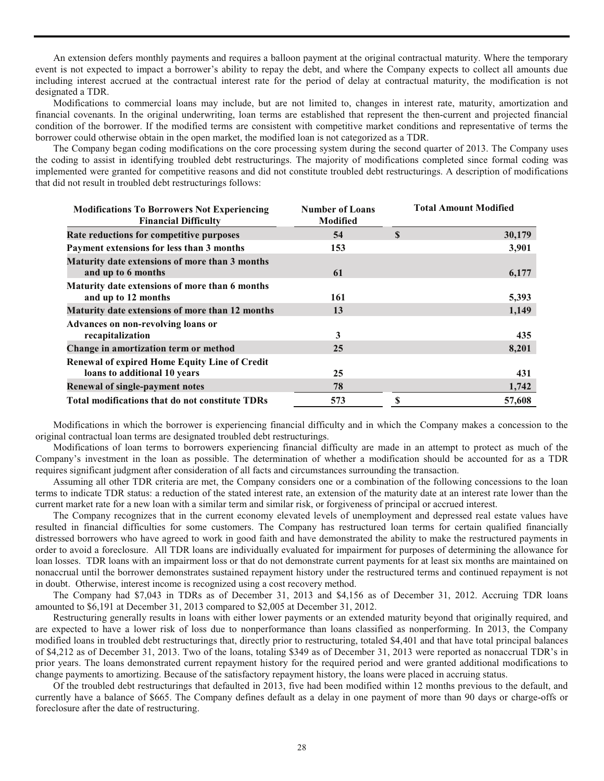An extension defers monthly payments and requires a balloon payment at the original contractual maturity. Where the temporary event is not expected to impact a borrower's ability to repay the debt, and where the Company expects to collect all amounts due including interest accrued at the contractual interest rate for the period of delay at contractual maturity, the modification is not designated a TDR.

 Modifications to commercial loans may include, but are not limited to, changes in interest rate, maturity, amortization and financial covenants. In the original underwriting, loan terms are established that represent the then-current and projected financial condition of the borrower. If the modified terms are consistent with competitive market conditions and representative of terms the borrower could otherwise obtain in the open market, the modified loan is not categorized as a TDR.

 The Company began coding modifications on the core processing system during the second quarter of 2013. The Company uses the coding to assist in identifying troubled debt restructurings. The majority of modifications completed since formal coding was implemented were granted for competitive reasons and did not constitute troubled debt restructurings. A description of modifications that did not result in troubled debt restructurings follows:

| <b>Modifications To Borrowers Not Experiencing</b><br><b>Financial Difficulty</b> | <b>Number of Loans</b><br><b>Modified</b> |              | <b>Total Amount Modified</b> |
|-----------------------------------------------------------------------------------|-------------------------------------------|--------------|------------------------------|
| Rate reductions for competitive purposes                                          | 54                                        | $\mathbf{s}$ | 30,179                       |
| Payment extensions for less than 3 months                                         | 153                                       |              | 3,901                        |
| Maturity date extensions of more than 3 months<br>and up to 6 months              | 61                                        |              | 6,177                        |
| Maturity date extensions of more than 6 months<br>and up to 12 months             | 161                                       |              | 5,393                        |
| Maturity date extensions of more than 12 months                                   | 13                                        |              | 1,149                        |
| Advances on non-revolving loans or<br>recapitalization                            | 3                                         |              | 435                          |
| Change in amortization term or method                                             | 25                                        |              | 8,201                        |
| Renewal of expired Home Equity Line of Credit<br>loans to additional 10 years     | 25                                        |              | 431                          |
| <b>Renewal of single-payment notes</b>                                            | 78                                        |              | 1,742                        |
| Total modifications that do not constitute TDRs                                   | 573                                       | S            | 57,608                       |

 Modifications in which the borrower is experiencing financial difficulty and in which the Company makes a concession to the original contractual loan terms are designated troubled debt restructurings.

 Modifications of loan terms to borrowers experiencing financial difficulty are made in an attempt to protect as much of the Company's investment in the loan as possible. The determination of whether a modification should be accounted for as a TDR requires significant judgment after consideration of all facts and circumstances surrounding the transaction.

 Assuming all other TDR criteria are met, the Company considers one or a combination of the following concessions to the loan terms to indicate TDR status: a reduction of the stated interest rate, an extension of the maturity date at an interest rate lower than the current market rate for a new loan with a similar term and similar risk, or forgiveness of principal or accrued interest.

 The Company recognizes that in the current economy elevated levels of unemployment and depressed real estate values have resulted in financial difficulties for some customers. The Company has restructured loan terms for certain qualified financially distressed borrowers who have agreed to work in good faith and have demonstrated the ability to make the restructured payments in order to avoid a foreclosure. All TDR loans are individually evaluated for impairment for purposes of determining the allowance for loan losses. TDR loans with an impairment loss or that do not demonstrate current payments for at least six months are maintained on nonaccrual until the borrower demonstrates sustained repayment history under the restructured terms and continued repayment is not in doubt. Otherwise, interest income is recognized using a cost recovery method.

 The Company had \$7,043 in TDRs as of December 31, 2013 and \$4,156 as of December 31, 2012. Accruing TDR loans amounted to \$6,191 at December 31, 2013 compared to \$2,005 at December 31, 2012.

 Restructuring generally results in loans with either lower payments or an extended maturity beyond that originally required, and are expected to have a lower risk of loss due to nonperformance than loans classified as nonperforming. In 2013, the Company modified loans in troubled debt restructurings that, directly prior to restructuring, totaled \$4,401 and that have total principal balances of \$4,212 as of December 31, 2013. Two of the loans, totaling \$349 as of December 31, 2013 were reported as nonaccrual TDR's in prior years. The loans demonstrated current repayment history for the required period and were granted additional modifications to change payments to amortizing. Because of the satisfactory repayment history, the loans were placed in accruing status.

 Of the troubled debt restructurings that defaulted in 2013, five had been modified within 12 months previous to the default, and currently have a balance of \$665. The Company defines default as a delay in one payment of more than 90 days or charge-offs or foreclosure after the date of restructuring.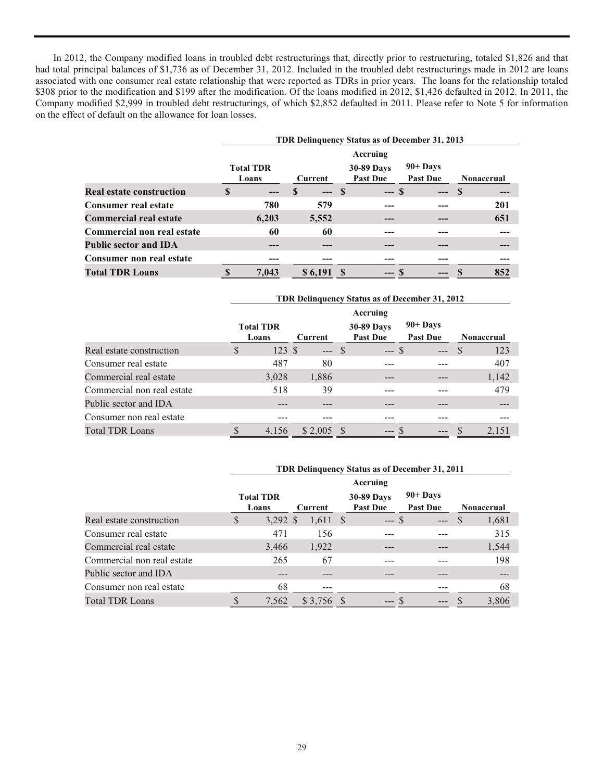In 2012, the Company modified loans in troubled debt restructurings that, directly prior to restructuring, totaled \$1,826 and that had total principal balances of \$1,736 as of December 31, 2012. Included in the troubled debt restructurings made in 2012 are loans associated with one consumer real estate relationship that were reported as TDRs in prior years. The loans for the relationship totaled \$308 prior to the modification and \$199 after the modification. Of the loans modified in 2012, \$1,426 defaulted in 2012. In 2011, the Company modified \$2,999 in troubled debt restructurings, of which \$2,852 defaulted in 2011. Please refer to Note 5 for information on the effect of default on the allowance for loan losses.

|                                 |                  |          |                 |        |                   | TDR Delinquency Status as of December 31, 2013 |                   |     |  |  |  |  |  |
|---------------------------------|------------------|----------|-----------------|--------|-------------------|------------------------------------------------|-------------------|-----|--|--|--|--|--|
|                                 |                  | Accruing |                 |        |                   |                                                |                   |     |  |  |  |  |  |
|                                 | <b>Total TDR</b> |          |                 |        | <b>30-89 Days</b> | $90+$ Days                                     |                   |     |  |  |  |  |  |
|                                 | Loans            |          | Current         |        | <b>Past Due</b>   | <b>Past Due</b>                                | <b>Nonaccrual</b> |     |  |  |  |  |  |
| <b>Real estate construction</b> | <b>S</b>         | $---$    | <b>S</b>        | $--$ S | $--$ \$           | $---$                                          | - \$              |     |  |  |  |  |  |
| <b>Consumer real estate</b>     |                  | 780      | 579             |        |                   | ---                                            |                   | 201 |  |  |  |  |  |
| Commercial real estate          |                  | 6,203    | 5,552           |        | ---               | ---                                            |                   | 651 |  |  |  |  |  |
| Commercial non real estate      |                  | 60       |                 | 60     | ---               | ---                                            |                   |     |  |  |  |  |  |
| <b>Public sector and IDA</b>    |                  | ---      |                 | ---    |                   | ---                                            |                   |     |  |  |  |  |  |
| Consumer non real estate        |                  | ---      |                 | ---    | ---               | ---                                            |                   |     |  |  |  |  |  |
| <b>Total TDR Loans</b>          | S                | 7,043    | $$6,191$ \, $$$ |        | --- S             | ---                                            |                   | 852 |  |  |  |  |  |

|                            | TDR Delinquency Status as of December 31, 2012 |                  |                     |    |                   |                 |  |                   |  |  |  |  |
|----------------------------|------------------------------------------------|------------------|---------------------|----|-------------------|-----------------|--|-------------------|--|--|--|--|
|                            |                                                |                  |                     |    | Accruing          |                 |  |                   |  |  |  |  |
|                            |                                                | <b>Total TDR</b> |                     |    | <b>30-89 Days</b> | $90+$ Days      |  |                   |  |  |  |  |
|                            |                                                | Loans            | Current             |    | <b>Past Due</b>   | <b>Past Due</b> |  | <b>Nonaccrual</b> |  |  |  |  |
| Real estate construction   | \$                                             | 123S             | $\qquad \qquad - -$ | -S | $--$ \$           | $---$           |  | 123               |  |  |  |  |
| Consumer real estate       |                                                | 487              | 80                  |    |                   |                 |  | 407               |  |  |  |  |
| Commercial real estate     |                                                | 3,028            | 1,886               |    | ---               | ---             |  | 1,142             |  |  |  |  |
| Commercial non real estate |                                                | 518              | 39                  |    |                   |                 |  | 479               |  |  |  |  |
| Public sector and IDA      |                                                | ---              |                     |    | ---               |                 |  | ---               |  |  |  |  |
| Consumer non real estate   |                                                |                  |                     |    |                   |                 |  |                   |  |  |  |  |
| <b>Total TDR Loans</b>     | \$                                             | 4.156            | \$2,005             |    | $---$             |                 |  | 2.151             |  |  |  |  |

|                            | TDR Delinquency Status as of December 31, 2011 |                  |  |            |  |                 |                 |       |              |                   |  |  |
|----------------------------|------------------------------------------------|------------------|--|------------|--|-----------------|-----------------|-------|--------------|-------------------|--|--|
|                            |                                                |                  |  |            |  | Accruing        |                 |       |              |                   |  |  |
|                            |                                                | <b>Total TDR</b> |  |            |  | 30-89 Days      | $90+$ Days      |       |              |                   |  |  |
|                            |                                                | Loans            |  | Current    |  | <b>Past Due</b> | <b>Past Due</b> |       |              | <b>Nonaccrual</b> |  |  |
| Real estate construction   | S                                              | 3,292 \$         |  | $1,611$ \$ |  | $--$ S          |                 | $---$ | <sup>S</sup> | 1,681             |  |  |
| Consumer real estate       |                                                | 471              |  | 156        |  |                 |                 |       |              | 315               |  |  |
| Commercial real estate     |                                                | 3,466            |  | 1,922      |  |                 |                 |       |              | 1,544             |  |  |
| Commercial non real estate |                                                | 265              |  | 67         |  |                 |                 |       |              | 198               |  |  |
| Public sector and IDA      |                                                | ---              |  |            |  |                 |                 |       |              | $- - -$           |  |  |
| Consumer non real estate   |                                                | 68               |  | ---        |  |                 |                 |       |              | 68                |  |  |
| <b>Total TDR Loans</b>     |                                                | 7,562            |  | \$ 3.756   |  | $---$           |                 |       |              | 3,806             |  |  |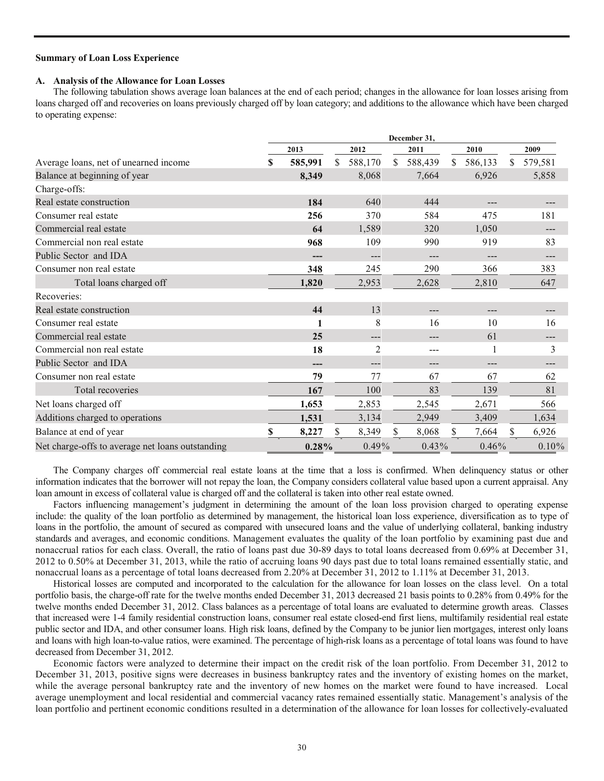## **Summary of Loan Loss Experience**

# **A. Analysis of the Allowance for Loan Losses**

 The following tabulation shows average loan balances at the end of each period; changes in the allowance for loan losses arising from loans charged off and recoveries on loans previously charged off by loan category; and additions to the allowance which have been charged to operating expense:

|                                                  | December 31, |         |    |                |     |         |    |              |    |         |  |
|--------------------------------------------------|--------------|---------|----|----------------|-----|---------|----|--------------|----|---------|--|
|                                                  |              | 2013    |    | 2012           |     | 2011    |    | 2010         |    | 2009    |  |
| Average loans, net of unearned income            | \$           | 585,991 | \$ | 588,170        | \$. | 588,439 | \$ | 586,133      | \$ | 579,581 |  |
| Balance at beginning of year                     |              | 8,349   |    | 8,068          |     | 7,664   |    | 6,926        |    | 5,858   |  |
| Charge-offs:                                     |              |         |    |                |     |         |    |              |    |         |  |
| Real estate construction                         |              | 184     |    | 640            |     | 444     |    | ---          |    |         |  |
| Consumer real estate                             |              | 256     |    | 370            |     | 584     |    | 475          |    | 181     |  |
| Commercial real estate                           |              | 64      |    | 1,589          |     | 320     |    | 1,050        |    |         |  |
| Commercial non real estate                       |              | 968     |    | 109            |     | 990     |    | 919          |    | 83      |  |
| Public Sector and IDA                            |              |         |    |                |     |         |    | ---          |    |         |  |
| Consumer non real estate                         |              | 348     |    | 245            |     | 290     |    | 366          |    | 383     |  |
| Total loans charged off                          |              | 1,820   |    | 2,953          |     | 2,628   |    | 2,810        |    | 647     |  |
| Recoveries:                                      |              |         |    |                |     |         |    |              |    |         |  |
| Real estate construction                         |              | 44      |    | 13             |     | ---     |    | ---          |    |         |  |
| Consumer real estate                             |              | 1       |    | 8              |     | 16      |    | 10           |    | 16      |  |
| Commercial real estate                           |              | 25      |    | ---            |     |         |    | 61           |    |         |  |
| Commercial non real estate                       |              | 18      |    | $\overline{2}$ |     | ---     |    | $\mathbf{1}$ |    | 3       |  |
| Public Sector and IDA                            |              | ---     |    | ---            |     | ---     |    | ---          |    |         |  |
| Consumer non real estate                         |              | 79      |    | 77             |     | 67      |    | 67           |    | 62      |  |
| Total recoveries                                 |              | 167     |    | 100            |     | 83      |    | 139          |    | 81      |  |
| Net loans charged off                            |              | 1,653   |    | 2,853          |     | 2,545   |    | 2,671        |    | 566     |  |
| Additions charged to operations                  |              | 1,531   |    | 3,134          |     | 2,949   |    | 3,409        |    | 1,634   |  |
| Balance at end of year                           | \$           | 8,227   | \$ | 8,349          | S.  | 8,068   | \$ | 7,664        | S. | 6,926   |  |
| Net charge-offs to average net loans outstanding |              | 0.28%   |    | 0.49%          |     | 0.43%   |    | 0.46%        |    | 0.10%   |  |

 The Company charges off commercial real estate loans at the time that a loss is confirmed. When delinquency status or other information indicates that the borrower will not repay the loan, the Company considers collateral value based upon a current appraisal. Any loan amount in excess of collateral value is charged off and the collateral is taken into other real estate owned.

 Factors influencing management's judgment in determining the amount of the loan loss provision charged to operating expense include: the quality of the loan portfolio as determined by management, the historical loan loss experience, diversification as to type of loans in the portfolio, the amount of secured as compared with unsecured loans and the value of underlying collateral, banking industry standards and averages, and economic conditions. Management evaluates the quality of the loan portfolio by examining past due and nonaccrual ratios for each class. Overall, the ratio of loans past due 30-89 days to total loans decreased from 0.69% at December 31, 2012 to 0.50% at December 31, 2013, while the ratio of accruing loans 90 days past due to total loans remained essentially static, and nonaccrual loans as a percentage of total loans decreased from 2.20% at December 31, 2012 to 1.11% at December 31, 2013.

 Historical losses are computed and incorporated to the calculation for the allowance for loan losses on the class level. On a total portfolio basis, the charge-off rate for the twelve months ended December 31, 2013 decreased 21 basis points to 0.28% from 0.49% for the twelve months ended December 31, 2012. Class balances as a percentage of total loans are evaluated to determine growth areas. Classes that increased were 1-4 family residential construction loans, consumer real estate closed-end first liens, multifamily residential real estate public sector and IDA, and other consumer loans. High risk loans, defined by the Company to be junior lien mortgages, interest only loans and loans with high loan-to-value ratios, were examined. The percentage of high-risk loans as a percentage of total loans was found to have decreased from December 31, 2012.

 Economic factors were analyzed to determine their impact on the credit risk of the loan portfolio. From December 31, 2012 to December 31, 2013, positive signs were decreases in business bankruptcy rates and the inventory of existing homes on the market, while the average personal bankruptcy rate and the inventory of new homes on the market were found to have increased. Local average unemployment and local residential and commercial vacancy rates remained essentially static. Management's analysis of the loan portfolio and pertinent economic conditions resulted in a determination of the allowance for loan losses for collectively-evaluated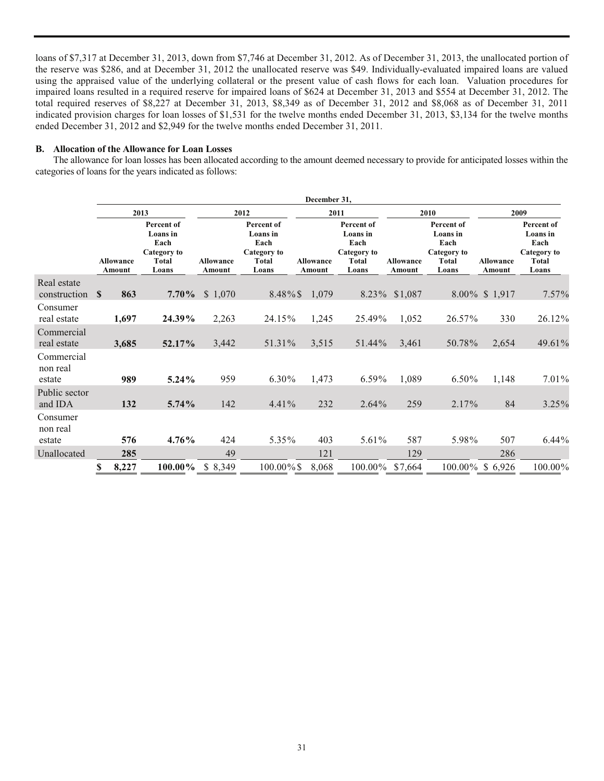loans of \$7,317 at December 31, 2013, down from \$7,746 at December 31, 2012. As of December 31, 2013, the unallocated portion of the reserve was \$286, and at December 31, 2012 the unallocated reserve was \$49. Individually-evaluated impaired loans are valued using the appraised value of the underlying collateral or the present value of cash flows for each loan. Valuation procedures for impaired loans resulted in a required reserve for impaired loans of \$624 at December 31, 2013 and \$554 at December 31, 2012. The total required reserves of \$8,227 at December 31, 2013, \$8,349 as of December 31, 2012 and \$8,068 as of December 31, 2011 indicated provision charges for loan losses of \$1,531 for the twelve months ended December 31, 2013, \$3,134 for the twelve months ended December 31, 2012 and \$2,949 for the twelve months ended December 31, 2011.

# **B. Allocation of the Allowance for Loan Losses**

 The allowance for loan losses has been allocated according to the amount deemed necessary to provide for anticipated losses within the categories of loans for the years indicated as follows:

|                                  |                            |            |                                                                 |                            |                                                                        | December 31.                      |                                                                        |                            |                                                                        |                            |                                                                 |
|----------------------------------|----------------------------|------------|-----------------------------------------------------------------|----------------------------|------------------------------------------------------------------------|-----------------------------------|------------------------------------------------------------------------|----------------------------|------------------------------------------------------------------------|----------------------------|-----------------------------------------------------------------|
|                                  |                            | 2013       |                                                                 |                            | 2012                                                                   |                                   | 2011                                                                   |                            | 2010                                                                   |                            | 2009                                                            |
|                                  | <b>Allowance</b><br>Amount |            | Percent of<br>Loans in<br>Each<br>Category to<br>Total<br>Loans | <b>Allowance</b><br>Amount | Percent of<br>Loans in<br>Each<br>Category to<br><b>Total</b><br>Loans | <b>Allowance</b><br><b>Amount</b> | Percent of<br>Loans in<br>Each<br>Category to<br><b>Total</b><br>Loans | <b>Allowance</b><br>Amount | Percent of<br>Loans in<br>Each<br>Category to<br><b>Total</b><br>Loans | <b>Allowance</b><br>Amount | Percent of<br>Loans in<br>Each<br>Category to<br>Total<br>Loans |
| Real estate<br>construction      | $\mathbf{s}$               | 863        | $7.70\%$                                                        | \$1,070                    | $8.48\%$                                                               | 1,079                             |                                                                        | 8.23% \$1,087              |                                                                        | 8.00% \$1,917              | 7.57%                                                           |
| Consumer<br>real estate          |                            | 1,697      | 24.39%                                                          | 2,263                      | 24.15%                                                                 | 1,245                             | 25.49%                                                                 | 1,052                      | 26.57%                                                                 | 330                        | 26.12%                                                          |
| Commercial<br>real estate        |                            | 3,685      | 52.17%                                                          | 3,442                      | 51.31%                                                                 | 3,515                             | 51.44%                                                                 | 3,461                      | 50.78%                                                                 | 2,654                      | 49.61%                                                          |
| Commercial<br>non real<br>estate |                            | 989        | $5.24\%$                                                        | 959                        | 6.30%                                                                  | 1,473                             | 6.59%                                                                  | 1,089                      | 6.50%                                                                  | 1,148                      | 7.01%                                                           |
| Public sector<br>and IDA         |                            | 132        | $5.74\%$                                                        | 142                        | 4.41%                                                                  | 232                               | 2.64%                                                                  | 259                        | 2.17%                                                                  | 84                         | 3.25%                                                           |
| Consumer<br>non real             |                            |            |                                                                 |                            |                                                                        |                                   |                                                                        |                            |                                                                        |                            |                                                                 |
| estate<br>Unallocated            |                            | 576<br>285 | $4.76\%$                                                        | 424<br>49                  | 5.35%                                                                  | 403<br>121                        | 5.61%                                                                  | 587<br>129                 | 5.98%                                                                  | 507<br>286                 | $6.44\%$                                                        |
|                                  |                            | 8,227      | 100.00%                                                         | \$8,349                    | $100.00\%$ \$                                                          | 8,068                             | $100.00\%$                                                             | \$7,664                    |                                                                        | 100.00% \$6,926            | 100.00%                                                         |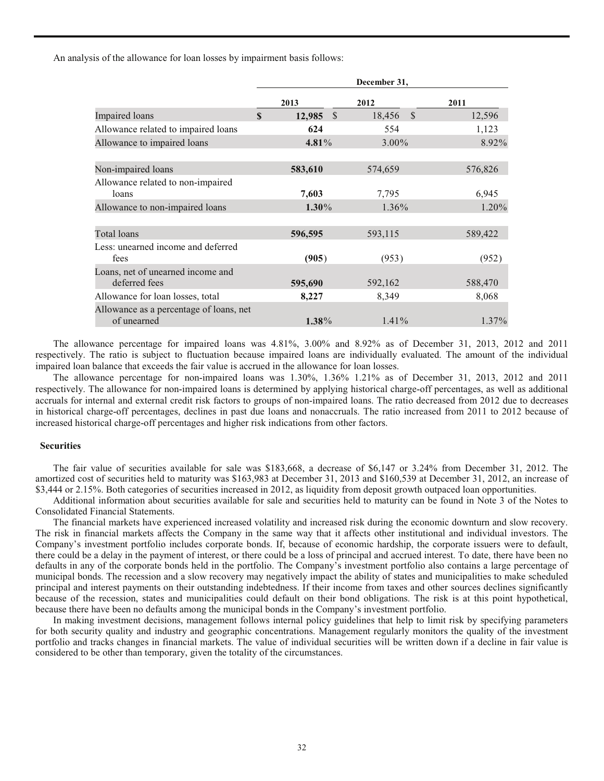An analysis of the allowance for loan losses by impairment basis follows:

|                                                        |                        | December 31,            |          |
|--------------------------------------------------------|------------------------|-------------------------|----------|
|                                                        | 2013                   | 2012                    | 2011     |
| Impaired loans<br>\$                                   | 12,985<br><sup>S</sup> | <sup>\$</sup><br>18,456 | 12,596   |
| Allowance related to impaired loans                    | 624                    | 554                     | 1,123    |
| Allowance to impaired loans                            | 4.81%                  | $3.00\%$                | 8.92%    |
|                                                        |                        |                         |          |
| Non-impaired loans                                     | 583,610                | 574,659                 | 576,826  |
| Allowance related to non-impaired<br>loans             | 7,603                  | 7,795                   | 6,945    |
| Allowance to non-impaired loans                        | $1.30\%$               | $1.36\%$                | $1.20\%$ |
| Total loans                                            | 596,595                | 593,115                 | 589,422  |
| Less: unearned income and deferred<br>fees             | (905)                  | (953)                   | (952)    |
| Loans, net of unearned income and<br>deferred fees     | 595,690                | 592,162                 | 588,470  |
| Allowance for loan losses, total                       | 8,227                  | 8,349                   | 8,068    |
| Allowance as a percentage of loans, net<br>of unearned | 1.38%                  | $1.41\%$                | $1.37\%$ |

 The allowance percentage for impaired loans was 4.81%, 3.00% and 8.92% as of December 31, 2013, 2012 and 2011 respectively. The ratio is subject to fluctuation because impaired loans are individually evaluated. The amount of the individual impaired loan balance that exceeds the fair value is accrued in the allowance for loan losses.

 The allowance percentage for non-impaired loans was 1.30%, 1.36% 1.21% as of December 31, 2013, 2012 and 2011 respectively. The allowance for non-impaired loans is determined by applying historical charge-off percentages, as well as additional accruals for internal and external credit risk factors to groups of non-impaired loans. The ratio decreased from 2012 due to decreases in historical charge-off percentages, declines in past due loans and nonaccruals. The ratio increased from 2011 to 2012 because of increased historical charge-off percentages and higher risk indications from other factors.

#### **Securities**

 The fair value of securities available for sale was \$183,668, a decrease of \$6,147 or 3.24% from December 31, 2012. The amortized cost of securities held to maturity was \$163,983 at December 31, 2013 and \$160,539 at December 31, 2012, an increase of \$3,444 or 2.15%. Both categories of securities increased in 2012, as liquidity from deposit growth outpaced loan opportunities.

 Additional information about securities available for sale and securities held to maturity can be found in Note 3 of the Notes to Consolidated Financial Statements.

 The financial markets have experienced increased volatility and increased risk during the economic downturn and slow recovery. The risk in financial markets affects the Company in the same way that it affects other institutional and individual investors. The Company's investment portfolio includes corporate bonds. If, because of economic hardship, the corporate issuers were to default, there could be a delay in the payment of interest, or there could be a loss of principal and accrued interest. To date, there have been no defaults in any of the corporate bonds held in the portfolio. The Company's investment portfolio also contains a large percentage of municipal bonds. The recession and a slow recovery may negatively impact the ability of states and municipalities to make scheduled principal and interest payments on their outstanding indebtedness. If their income from taxes and other sources declines significantly because of the recession, states and municipalities could default on their bond obligations. The risk is at this point hypothetical, because there have been no defaults among the municipal bonds in the Company's investment portfolio.

 In making investment decisions, management follows internal policy guidelines that help to limit risk by specifying parameters for both security quality and industry and geographic concentrations. Management regularly monitors the quality of the investment portfolio and tracks changes in financial markets. The value of individual securities will be written down if a decline in fair value is considered to be other than temporary, given the totality of the circumstances.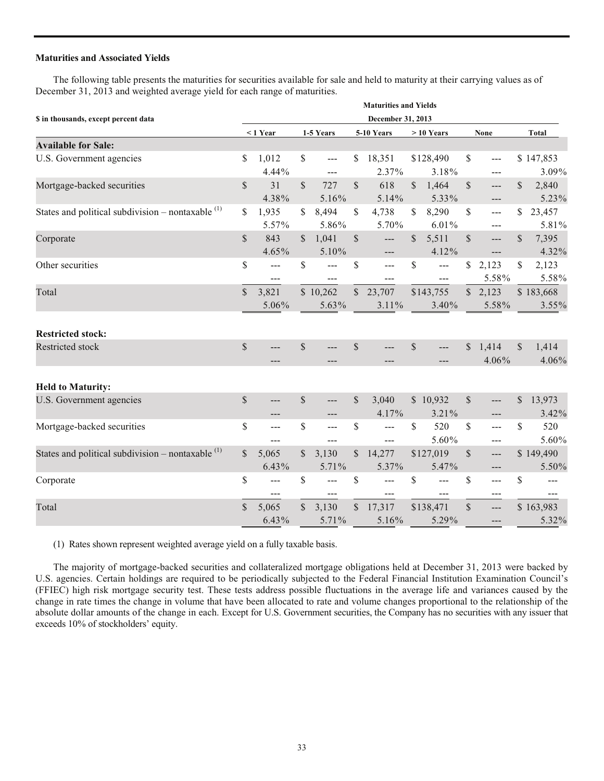# **Maturities and Associated Yields**

 The following table presents the maturities for securities available for sale and held to maturity at their carrying values as of December 31, 2013 and weighted average yield for each range of maturities.

|                                                     |                   |          |               |          |              | <b>Maturities and Yields</b> |               |             |               |         |               |              |
|-----------------------------------------------------|-------------------|----------|---------------|----------|--------------|------------------------------|---------------|-------------|---------------|---------|---------------|--------------|
| \$ in thousands, except percent data                | December 31, 2013 |          |               |          |              |                              |               |             |               |         |               |              |
|                                                     | $< 1$ Year        |          | 1-5 Years     |          |              | 5-10 Years                   |               | $>10$ Years | None          |         |               | <b>Total</b> |
| <b>Available for Sale:</b>                          |                   |          |               |          |              |                              |               |             |               |         |               |              |
| U.S. Government agencies                            | \$                | 1,012    | \$            | $---$    | \$           | 18,351                       |               | \$128,490   | \$            | ---     |               | \$147,853    |
|                                                     |                   | 4.44%    |               | $---$    |              | 2.37%                        |               | 3.18%       |               | ---     |               | 3.09%        |
| Mortgage-backed securities                          | $\mathbb{S}$      | 31       | $\mathbb{S}$  | 727      | $\mathbb{S}$ | 618                          | $\mathbb{S}$  | 1,464       | $\mathbb{S}$  | ---     | \$            | 2,840        |
|                                                     |                   | 4.38%    |               | 5.16%    |              | 5.14%                        |               | 5.33%       |               | ---     |               | 5.23%        |
| States and political subdivision – nontaxable $(1)$ | \$                | 1,935    | \$            | 8,494    | \$           | 4,738                        | $\mathcal{S}$ | 8,290       | \$            | ---     | \$            | 23,457       |
|                                                     |                   | 5.57%    |               | 5.86%    |              | 5.70%                        |               | 6.01%       |               | ---     |               | 5.81%        |
| Corporate                                           | $\mathbb{S}$      | 843      | $\mathbb{S}$  | 1,041    | $\mathbb{S}$ | ---                          | $\mathbb{S}$  | 5,511       | $\mathbb{S}$  |         | $\mathbb{S}$  | 7,395        |
|                                                     |                   | $4.65\%$ |               | 5.10%    |              | $---$                        |               | 4.12%       |               | $---$   |               | 4.32%        |
| Other securities                                    | \$                | ---      | \$            | ---      | \$           | ---                          | \$            | ---         | $\mathbb{S}$  | 2,123   | \$            | 2,123        |
|                                                     |                   | $---$    |               | $---$    |              | ---                          |               | $---$       |               | 5.58%   |               | 5.58%        |
| Total                                               | $\mathcal{S}$     | 3,821    |               | \$10,262 | $\mathbb{S}$ | 23,707                       |               | \$143,755   |               | \$2,123 |               | \$183,668    |
|                                                     |                   | 5.06%    |               | 5.63%    |              | 3.11%                        |               | 3.40%       |               | 5.58%   |               | 3.55%        |
|                                                     |                   |          |               |          |              |                              |               |             |               |         |               |              |
| <b>Restricted stock:</b>                            |                   |          |               |          |              |                              |               |             |               |         |               |              |
| Restricted stock                                    | $\mathbb{S}$      |          | $\mathcal{S}$ |          | \$           |                              | $\mathbb{S}$  |             | $\mathbb{S}$  | 1,414   | \$            | 1,414        |
|                                                     |                   |          |               |          |              |                              |               |             |               | 4.06%   |               | 4.06%        |
| <b>Held to Maturity:</b>                            |                   |          |               |          |              |                              |               |             |               |         |               |              |
| U.S. Government agencies                            | $\mathbb{S}$      |          | $\mathcal{S}$ |          | \$           | 3,040                        |               | \$10,932    | $\mathcal{S}$ |         | $\mathcal{S}$ | 13,973       |
|                                                     |                   | ---      |               |          |              | 4.17%                        |               | 3.21%       |               | ---     |               | 3.42%        |
| Mortgage-backed securities                          | \$                | ---      | \$            | ---      | \$           | ---                          | \$            | 520         | \$            | ---     | \$            | 520          |
|                                                     |                   | ---      |               | ---      |              | ---                          |               | 5.60%       |               | $---$   |               | 5.60%        |
| States and political subdivision – nontaxable $(1)$ | \$                | 5,065    | <sup>\$</sup> | 3,130    | $\mathbb{S}$ | 14,277                       |               | \$127,019   | $\mathcal{S}$ | ---     |               | \$149,490    |
|                                                     |                   | 6.43%    |               | 5.71%    |              | 5.37%                        |               | 5.47%       |               | $---$   |               | 5.50%        |
| Corporate                                           | \$                | ---      | \$            |          | \$           |                              | \$            | ---         | \$            | ---     | \$            |              |
|                                                     |                   | ---      |               | ---      |              | ---                          |               | $--$        |               | $---$   |               |              |
| Total                                               | $\mathbb{S}$      | 5,065    | $\mathcal{S}$ | 3,130    | $\mathbb{S}$ | 17,317                       |               | \$138,471   | $\mathbb{S}$  | $---$   |               | \$163,983    |
|                                                     |                   | 6.43%    |               | 5.71%    |              | 5.16%                        |               | 5.29%       |               | ---     |               | 5.32%        |

(1) Rates shown represent weighted average yield on a fully taxable basis.

 The majority of mortgage-backed securities and collateralized mortgage obligations held at December 31, 2013 were backed by U.S. agencies. Certain holdings are required to be periodically subjected to the Federal Financial Institution Examination Council's (FFIEC) high risk mortgage security test. These tests address possible fluctuations in the average life and variances caused by the change in rate times the change in volume that have been allocated to rate and volume changes proportional to the relationship of the absolute dollar amounts of the change in each. Except for U.S. Government securities, the Company has no securities with any issuer that exceeds 10% of stockholders' equity.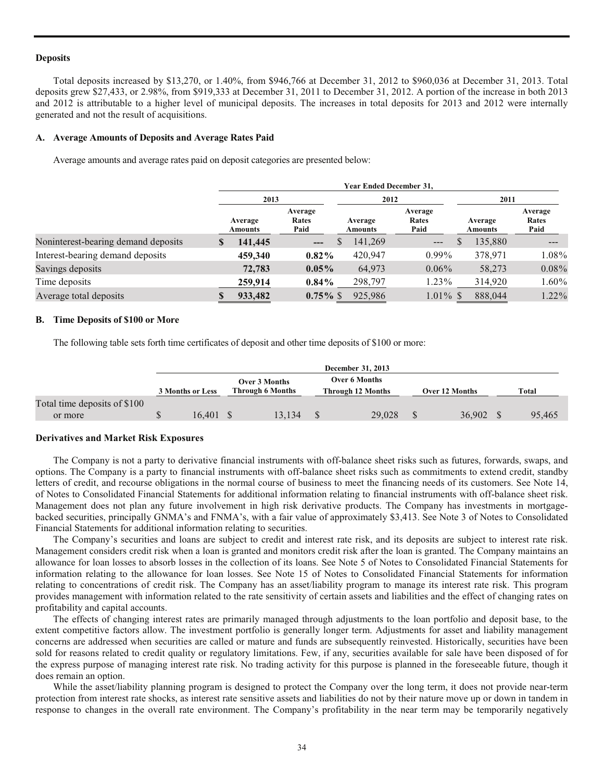## **Deposits**

 Total deposits increased by \$13,270, or 1.40%, from \$946,766 at December 31, 2012 to \$960,036 at December 31, 2013. Total deposits grew \$27,433, or 2.98%, from \$919,333 at December 31, 2011 to December 31, 2012. A portion of the increase in both 2013 and 2012 is attributable to a higher level of municipal deposits. The increases in total deposits for 2013 and 2012 were internally generated and not the result of acquisitions.

#### **A. Average Amounts of Deposits and Average Rates Paid**

Average amounts and average rates paid on deposit categories are presented below:

|                                     |   |                    |                          |                    | <b>Year Ended December 31,</b> |                    |                          |  |
|-------------------------------------|---|--------------------|--------------------------|--------------------|--------------------------------|--------------------|--------------------------|--|
|                                     |   | 2013               |                          |                    | 2012                           | 2011               |                          |  |
|                                     |   | Average<br>Amounts | Average<br>Rates<br>Paid | Average<br>Amounts | Average<br>Rates<br>Paid       | Average<br>Amounts | Average<br>Rates<br>Paid |  |
| Noninterest-bearing demand deposits | S | 141,445            | $---$                    | 141,269            | $---$                          | 135,880            | ---                      |  |
| Interest-bearing demand deposits    |   | 459,340            | $0.82\%$                 | 420,947            | $0.99\%$                       | 378,971            | 1.08%                    |  |
| Savings deposits                    |   | 72,783             | $0.05\%$                 | 64,973             | $0.06\%$                       | 58,273             | $0.08\%$                 |  |
| Time deposits                       |   | 259,914            | $0.84\%$                 | 298,797            | 1.23%                          | 314,920            | 1.60%                    |  |
| Average total deposits              |   | 933,482            | $0.75\%$ \$              | 925,986            | $1.01\%$ \$                    | 888.044            | 1.22%                    |  |

# **B. Time Deposits of \$100 or More**

The following table sets forth time certificates of deposit and other time deposits of \$100 or more:

|                                         | <b>December 31, 2013</b> |  |                                          |  |                                           |  |                |  |        |  |  |  |
|-----------------------------------------|--------------------------|--|------------------------------------------|--|-------------------------------------------|--|----------------|--|--------|--|--|--|
|                                         | 3 Months or Less         |  | Over 3 Months<br><b>Through 6 Months</b> |  | Over 6 Months<br><b>Through 12 Months</b> |  | Over 12 Months |  | Total  |  |  |  |
| Total time deposits of \$100<br>or more | 16.401                   |  | 13.134                                   |  | 29,028                                    |  | 36,902         |  | 95,465 |  |  |  |

# **Derivatives and Market Risk Exposures**

 The Company is not a party to derivative financial instruments with off-balance sheet risks such as futures, forwards, swaps, and options. The Company is a party to financial instruments with off-balance sheet risks such as commitments to extend credit, standby letters of credit, and recourse obligations in the normal course of business to meet the financing needs of its customers. See Note 14, of Notes to Consolidated Financial Statements for additional information relating to financial instruments with off-balance sheet risk. Management does not plan any future involvement in high risk derivative products. The Company has investments in mortgagebacked securities, principally GNMA's and FNMA's, with a fair value of approximately \$3,413. See Note 3 of Notes to Consolidated Financial Statements for additional information relating to securities.

 The Company's securities and loans are subject to credit and interest rate risk, and its deposits are subject to interest rate risk. Management considers credit risk when a loan is granted and monitors credit risk after the loan is granted. The Company maintains an allowance for loan losses to absorb losses in the collection of its loans. See Note 5 of Notes to Consolidated Financial Statements for information relating to the allowance for loan losses. See Note 15 of Notes to Consolidated Financial Statements for information relating to concentrations of credit risk. The Company has an asset/liability program to manage its interest rate risk. This program provides management with information related to the rate sensitivity of certain assets and liabilities and the effect of changing rates on profitability and capital accounts.

 The effects of changing interest rates are primarily managed through adjustments to the loan portfolio and deposit base, to the extent competitive factors allow. The investment portfolio is generally longer term. Adjustments for asset and liability management concerns are addressed when securities are called or mature and funds are subsequently reinvested. Historically, securities have been sold for reasons related to credit quality or regulatory limitations. Few, if any, securities available for sale have been disposed of for the express purpose of managing interest rate risk. No trading activity for this purpose is planned in the foreseeable future, though it does remain an option.

 While the asset/liability planning program is designed to protect the Company over the long term, it does not provide near-term protection from interest rate shocks, as interest rate sensitive assets and liabilities do not by their nature move up or down in tandem in response to changes in the overall rate environment. The Company's profitability in the near term may be temporarily negatively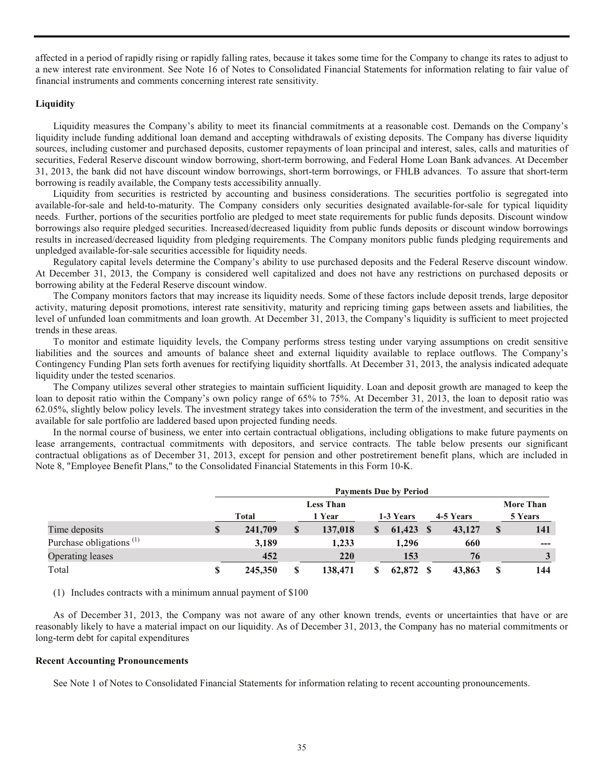affected in a period of rapidly rising or rapidly falling rates, because it takes some time for the Company to change its rates to adjust to a new interest rate environment. See Note 16 of Notes to Consolidated Financial Statements for information relating to fair value of financial instruments and comments concerning interest rate sensitivity.

# **Liquidity**

 Liquidity measures the Company's ability to meet its financial commitments at a reasonable cost. Demands on the Company's liquidity include funding additional loan demand and accepting withdrawals of existing deposits. The Company has diverse liquidity sources, including customer and purchased deposits, customer repayments of loan principal and interest, sales, calls and maturities of securities, Federal Reserve discount window borrowing, short-term borrowing, and Federal Home Loan Bank advances. At December 31, 2013, the bank did not have discount window borrowings, short-term borrowings, or FHLB advances. To assure that short-term borrowing is readily available, the Company tests accessibility annually.

 Liquidity from securities is restricted by accounting and business considerations. The securities portfolio is segregated into available-for-sale and held-to-maturity. The Company considers only securities designated available-for-sale for typical liquidity needs. Further, portions of the securities portfolio are pledged to meet state requirements for public funds deposits. Discount window borrowings also require pledged securities. Increased/decreased liquidity from public funds deposits or discount window borrowings results in increased/decreased liquidity from pledging requirements. The Company monitors public funds pledging requirements and unpledged available-for-sale securities accessible for liquidity needs.

 Regulatory capital levels determine the Company's ability to use purchased deposits and the Federal Reserve discount window. At December 31, 2013, the Company is considered well capitalized and does not have any restrictions on purchased deposits or borrowing ability at the Federal Reserve discount window.

 The Company monitors factors that may increase its liquidity needs. Some of these factors include deposit trends, large depositor activity, maturing deposit promotions, interest rate sensitivity, maturity and repricing timing gaps between assets and liabilities, the level of unfunded loan commitments and loan growth. At December 31, 2013, the Company's liquidity is sufficient to meet projected trends in these areas.

 To monitor and estimate liquidity levels, the Company performs stress testing under varying assumptions on credit sensitive liabilities and the sources and amounts of balance sheet and external liquidity available to replace outflows. The Company's Contingency Funding Plan sets forth avenues for rectifying liquidity shortfalls. At December 31, 2013, the analysis indicated adequate liquidity under the tested scenarios.

 The Company utilizes several other strategies to maintain sufficient liquidity. Loan and deposit growth are managed to keep the loan to deposit ratio within the Company's own policy range of 65% to 75%. At December 31, 2013, the loan to deposit ratio was 62.05%, slightly below policy levels. The investment strategy takes into consideration the term of the investment, and securities in the available for sale portfolio are laddered based upon projected funding needs.

 In the normal course of business, we enter into certain contractual obligations, including obligations to make future payments on lease arrangements, contractual commitments with depositors, and service contracts. The table below presents our significant contractual obligations as of December 31, 2013, except for pension and other postretirement benefit plans, which are included in Note 8, "Employee Benefit Plans," to the Consolidated Financial Statements in this Form 10-K.

|                                     |   | <b>Payments Due by Period</b> |              |                  |   |           |          |           |          |                  |  |  |
|-------------------------------------|---|-------------------------------|--------------|------------------|---|-----------|----------|-----------|----------|------------------|--|--|
|                                     |   |                               |              | <b>Less Than</b> |   |           |          |           |          | <b>More Than</b> |  |  |
|                                     |   | <b>Total</b>                  |              | 1 Year           |   | 1-3 Years |          | 4-5 Years |          | 5 Years          |  |  |
| Time deposits                       | S | 241,709                       | $\mathbf{s}$ | 137,018          | S | 61,423    | <b>S</b> | 43,127    | <b>S</b> | 141              |  |  |
| Purchase obligations <sup>(1)</sup> |   | 3,189                         |              | 1,233            |   | 1,296     |          | 660       |          |                  |  |  |
| Operating leases                    |   | 452                           |              | 220              |   | 153       |          | 76        |          |                  |  |  |
| Total                               |   | 245,350                       |              | 138,471          |   | 62.872    |          | 43,863    | S        | 144              |  |  |

(1) Includes contracts with a minimum annual payment of \$100

 As of December 31, 2013, the Company was not aware of any other known trends, events or uncertainties that have or are reasonably likely to have a material impact on our liquidity. As of December 31, 2013, the Company has no material commitments or long-term debt for capital expenditures

#### **Recent Accounting Pronouncements**

See Note 1 of Notes to Consolidated Financial Statements for information relating to recent accounting pronouncements.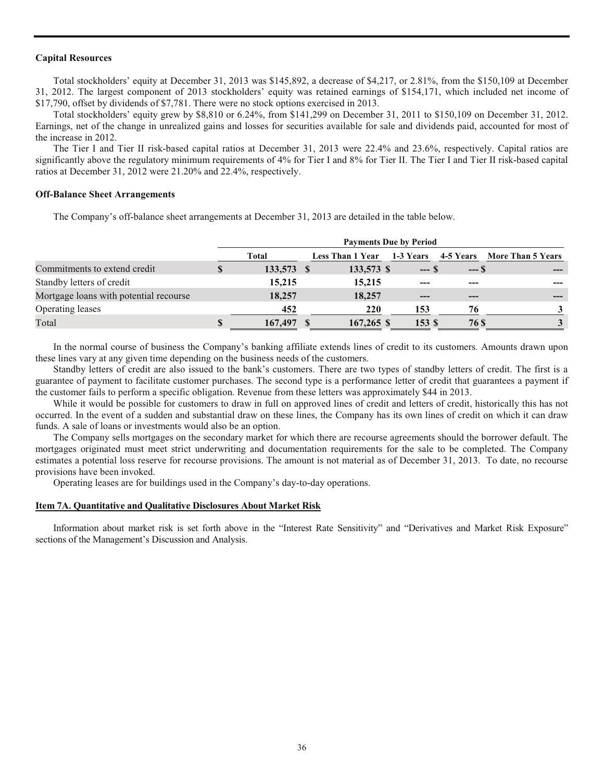## **Capital Resources**

 Total stockholders' equity at December 31, 2013 was \$145,892, a decrease of \$4,217, or 2.81%, from the \$150,109 at December 31, 2012. The largest component of 2013 stockholders' equity was retained earnings of \$154,171, which included net income of \$17,790, offset by dividends of \$7,781. There were no stock options exercised in 2013.

 Total stockholders' equity grew by \$8,810 or 6.24%, from \$141,299 on December 31, 2011 to \$150,109 on December 31, 2012. Earnings, net of the change in unrealized gains and losses for securities available for sale and dividends paid, accounted for most of the increase in 2012.

 The Tier I and Tier II risk-based capital ratios at December 31, 2013 were 22.4% and 23.6%, respectively. Capital ratios are significantly above the regulatory minimum requirements of 4% for Tier I and 8% for Tier II. The Tier I and Tier II risk-based capital ratios at December 31, 2012 were 21.20% and 22.4%, respectively.

# **Off-Balance Sheet Arrangements**

The Company's off-balance sheet arrangements at December 31, 2013 are detailed in the table below.

|                                        | <b>Payments Due by Period</b> |              |  |                         |  |           |              |                          |  |  |  |
|----------------------------------------|-------------------------------|--------------|--|-------------------------|--|-----------|--------------|--------------------------|--|--|--|
|                                        |                               | <b>Total</b> |  | <b>Less Than 1 Year</b> |  | 1-3 Years | 4-5 Years    | <b>More Than 5 Years</b> |  |  |  |
| Commitments to extend credit           | S                             | 133,573      |  | 133,573 \$              |  | $--$ \$   | $--$ \$      |                          |  |  |  |
| Standby letters of credit              |                               | 15,215       |  | 15,215                  |  | ---       | ---          |                          |  |  |  |
| Mortgage loans with potential recourse |                               | 18,257       |  | 18,257                  |  | $---$     | ---          |                          |  |  |  |
| Operating leases                       |                               | 452          |  | 220                     |  | 153       | 76           |                          |  |  |  |
| Total                                  |                               | 167,497      |  | $167.265$ \$            |  | 153 \$    | <b>76 \$</b> |                          |  |  |  |

 In the normal course of business the Company's banking affiliate extends lines of credit to its customers. Amounts drawn upon these lines vary at any given time depending on the business needs of the customers.

 Standby letters of credit are also issued to the bank's customers. There are two types of standby letters of credit. The first is a guarantee of payment to facilitate customer purchases. The second type is a performance letter of credit that guarantees a payment if the customer fails to perform a specific obligation. Revenue from these letters was approximately \$44 in 2013.

While it would be possible for customers to draw in full on approved lines of credit and letters of credit, historically this has not occurred. In the event of a sudden and substantial draw on these lines, the Company has its own lines of credit on which it can draw funds. A sale of loans or investments would also be an option.

 The Company sells mortgages on the secondary market for which there are recourse agreements should the borrower default. The mortgages originated must meet strict underwriting and documentation requirements for the sale to be completed. The Company estimates a potential loss reserve for recourse provisions. The amount is not material as of December 31, 2013. To date, no recourse provisions have been invoked.

Operating leases are for buildings used in the Company's day-to-day operations.

#### **Item 7A. Quantitative and Qualitative Disclosures About Market Risk**

 Information about market risk is set forth above in the "Interest Rate Sensitivity" and "Derivatives and Market Risk Exposure" sections of the Management's Discussion and Analysis.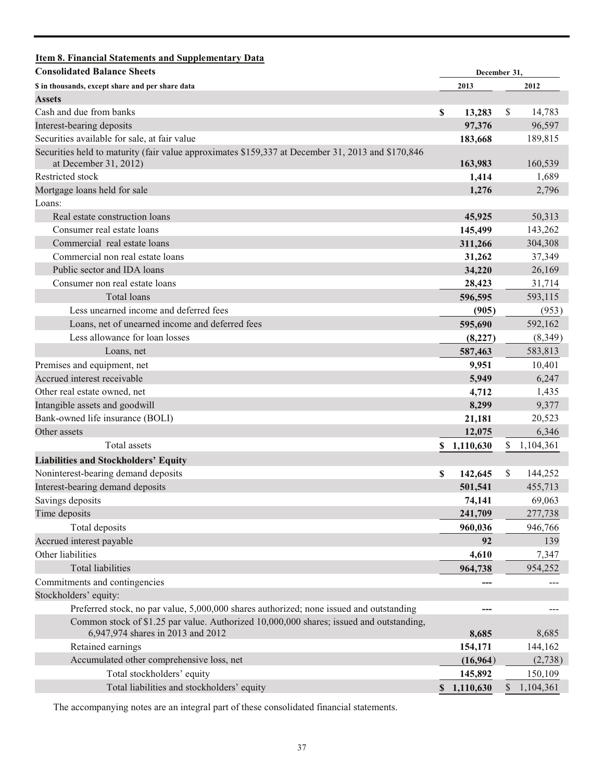# **Item 8. Financial Statements and Supplementary Data**

| \$ in thousands, except share and per share data<br>2013<br>2012<br><b>Assets</b><br>Cash and due from banks<br>14,783<br>\$<br>13,283<br>\$<br>Interest-bearing deposits<br>96,597<br>97,376<br>Securities available for sale, at fair value<br>189,815<br>183,668<br>Securities held to maturity (fair value approximates \$159,337 at December 31, 2013 and \$170,846<br>at December 31, 2012)<br>160,539<br>163,983<br>Restricted stock<br>1,414<br>1,689<br>Mortgage loans held for sale<br>2,796<br>1,276<br>Loans:<br>Real estate construction loans<br>50,313<br>45,925<br>Consumer real estate loans<br>145,499<br>143,262<br>Commercial real estate loans<br>311,266<br>304,308<br>Commercial non real estate loans<br>31,262<br>37,349<br>Public sector and IDA loans<br>26,169<br>34,220<br>Consumer non real estate loans<br>28,423<br>31,714<br><b>Total loans</b><br>593,115<br>596,595<br>Less unearned income and deferred fees<br>(905)<br>(953)<br>Loans, net of unearned income and deferred fees<br>592,162<br>595,690<br>Less allowance for loan losses<br>(8,227)<br>(8,349)<br>587,463<br>583,813<br>Loans, net<br>Premises and equipment, net<br>9,951<br>10,401<br>Accrued interest receivable<br>5,949<br>6,247<br>Other real estate owned, net<br>4,712<br>1,435<br>Intangible assets and goodwill<br>8,299<br>9,377<br>Bank-owned life insurance (BOLI)<br>20,523<br>21,181<br>Other assets<br>6,346<br>12,075<br>Total assets<br>$\mathbb{S}$<br>1,104,361<br>\$1,110,630<br><b>Liabilities and Stockholders' Equity</b><br>Noninterest-bearing demand deposits<br>\$<br>142,645<br>\$<br>144,252<br>Interest-bearing demand deposits<br>455,713<br>501,541<br>Savings deposits<br>74,141<br>69,063<br>Time deposits<br>241,709<br>277,738<br>Total deposits<br>946,766<br>960,036<br>Accrued interest payable<br>139<br>92<br>Other liabilities<br>4,610<br>7,347<br><b>Total liabilities</b><br>964,738<br>954,252<br>Commitments and contingencies<br>Stockholders' equity:<br>Preferred stock, no par value, 5,000,000 shares authorized; none issued and outstanding<br>---<br>Common stock of \$1.25 par value. Authorized 10,000,000 shares; issued and outstanding,<br>6,947,974 shares in 2013 and 2012<br>8,685<br>8,685<br>Retained earnings<br>154,171<br>144,162<br>Accumulated other comprehensive loss, net<br>(16,964)<br>(2,738)<br>Total stockholders' equity<br>145,892<br>150,109<br>\$1,110,630 | <b>Consolidated Balance Sheets</b>         |  | December 31, |              |           |  |
|----------------------------------------------------------------------------------------------------------------------------------------------------------------------------------------------------------------------------------------------------------------------------------------------------------------------------------------------------------------------------------------------------------------------------------------------------------------------------------------------------------------------------------------------------------------------------------------------------------------------------------------------------------------------------------------------------------------------------------------------------------------------------------------------------------------------------------------------------------------------------------------------------------------------------------------------------------------------------------------------------------------------------------------------------------------------------------------------------------------------------------------------------------------------------------------------------------------------------------------------------------------------------------------------------------------------------------------------------------------------------------------------------------------------------------------------------------------------------------------------------------------------------------------------------------------------------------------------------------------------------------------------------------------------------------------------------------------------------------------------------------------------------------------------------------------------------------------------------------------------------------------------------------------------------------------------------------------------------------------------------------------------------------------------------------------------------------------------------------------------------------------------------------------------------------------------------------------------------------------------------------------------------------------------------------------------------------------------------------------------------------------------------------------------------------------------------|--------------------------------------------|--|--------------|--------------|-----------|--|
|                                                                                                                                                                                                                                                                                                                                                                                                                                                                                                                                                                                                                                                                                                                                                                                                                                                                                                                                                                                                                                                                                                                                                                                                                                                                                                                                                                                                                                                                                                                                                                                                                                                                                                                                                                                                                                                                                                                                                                                                                                                                                                                                                                                                                                                                                                                                                                                                                                                    |                                            |  |              |              |           |  |
|                                                                                                                                                                                                                                                                                                                                                                                                                                                                                                                                                                                                                                                                                                                                                                                                                                                                                                                                                                                                                                                                                                                                                                                                                                                                                                                                                                                                                                                                                                                                                                                                                                                                                                                                                                                                                                                                                                                                                                                                                                                                                                                                                                                                                                                                                                                                                                                                                                                    |                                            |  |              |              |           |  |
|                                                                                                                                                                                                                                                                                                                                                                                                                                                                                                                                                                                                                                                                                                                                                                                                                                                                                                                                                                                                                                                                                                                                                                                                                                                                                                                                                                                                                                                                                                                                                                                                                                                                                                                                                                                                                                                                                                                                                                                                                                                                                                                                                                                                                                                                                                                                                                                                                                                    |                                            |  |              |              |           |  |
|                                                                                                                                                                                                                                                                                                                                                                                                                                                                                                                                                                                                                                                                                                                                                                                                                                                                                                                                                                                                                                                                                                                                                                                                                                                                                                                                                                                                                                                                                                                                                                                                                                                                                                                                                                                                                                                                                                                                                                                                                                                                                                                                                                                                                                                                                                                                                                                                                                                    |                                            |  |              |              |           |  |
|                                                                                                                                                                                                                                                                                                                                                                                                                                                                                                                                                                                                                                                                                                                                                                                                                                                                                                                                                                                                                                                                                                                                                                                                                                                                                                                                                                                                                                                                                                                                                                                                                                                                                                                                                                                                                                                                                                                                                                                                                                                                                                                                                                                                                                                                                                                                                                                                                                                    |                                            |  |              |              |           |  |
|                                                                                                                                                                                                                                                                                                                                                                                                                                                                                                                                                                                                                                                                                                                                                                                                                                                                                                                                                                                                                                                                                                                                                                                                                                                                                                                                                                                                                                                                                                                                                                                                                                                                                                                                                                                                                                                                                                                                                                                                                                                                                                                                                                                                                                                                                                                                                                                                                                                    |                                            |  |              |              |           |  |
|                                                                                                                                                                                                                                                                                                                                                                                                                                                                                                                                                                                                                                                                                                                                                                                                                                                                                                                                                                                                                                                                                                                                                                                                                                                                                                                                                                                                                                                                                                                                                                                                                                                                                                                                                                                                                                                                                                                                                                                                                                                                                                                                                                                                                                                                                                                                                                                                                                                    |                                            |  |              |              |           |  |
|                                                                                                                                                                                                                                                                                                                                                                                                                                                                                                                                                                                                                                                                                                                                                                                                                                                                                                                                                                                                                                                                                                                                                                                                                                                                                                                                                                                                                                                                                                                                                                                                                                                                                                                                                                                                                                                                                                                                                                                                                                                                                                                                                                                                                                                                                                                                                                                                                                                    |                                            |  |              |              |           |  |
|                                                                                                                                                                                                                                                                                                                                                                                                                                                                                                                                                                                                                                                                                                                                                                                                                                                                                                                                                                                                                                                                                                                                                                                                                                                                                                                                                                                                                                                                                                                                                                                                                                                                                                                                                                                                                                                                                                                                                                                                                                                                                                                                                                                                                                                                                                                                                                                                                                                    |                                            |  |              |              |           |  |
|                                                                                                                                                                                                                                                                                                                                                                                                                                                                                                                                                                                                                                                                                                                                                                                                                                                                                                                                                                                                                                                                                                                                                                                                                                                                                                                                                                                                                                                                                                                                                                                                                                                                                                                                                                                                                                                                                                                                                                                                                                                                                                                                                                                                                                                                                                                                                                                                                                                    |                                            |  |              |              |           |  |
|                                                                                                                                                                                                                                                                                                                                                                                                                                                                                                                                                                                                                                                                                                                                                                                                                                                                                                                                                                                                                                                                                                                                                                                                                                                                                                                                                                                                                                                                                                                                                                                                                                                                                                                                                                                                                                                                                                                                                                                                                                                                                                                                                                                                                                                                                                                                                                                                                                                    |                                            |  |              |              |           |  |
|                                                                                                                                                                                                                                                                                                                                                                                                                                                                                                                                                                                                                                                                                                                                                                                                                                                                                                                                                                                                                                                                                                                                                                                                                                                                                                                                                                                                                                                                                                                                                                                                                                                                                                                                                                                                                                                                                                                                                                                                                                                                                                                                                                                                                                                                                                                                                                                                                                                    |                                            |  |              |              |           |  |
|                                                                                                                                                                                                                                                                                                                                                                                                                                                                                                                                                                                                                                                                                                                                                                                                                                                                                                                                                                                                                                                                                                                                                                                                                                                                                                                                                                                                                                                                                                                                                                                                                                                                                                                                                                                                                                                                                                                                                                                                                                                                                                                                                                                                                                                                                                                                                                                                                                                    |                                            |  |              |              |           |  |
|                                                                                                                                                                                                                                                                                                                                                                                                                                                                                                                                                                                                                                                                                                                                                                                                                                                                                                                                                                                                                                                                                                                                                                                                                                                                                                                                                                                                                                                                                                                                                                                                                                                                                                                                                                                                                                                                                                                                                                                                                                                                                                                                                                                                                                                                                                                                                                                                                                                    |                                            |  |              |              |           |  |
|                                                                                                                                                                                                                                                                                                                                                                                                                                                                                                                                                                                                                                                                                                                                                                                                                                                                                                                                                                                                                                                                                                                                                                                                                                                                                                                                                                                                                                                                                                                                                                                                                                                                                                                                                                                                                                                                                                                                                                                                                                                                                                                                                                                                                                                                                                                                                                                                                                                    |                                            |  |              |              |           |  |
|                                                                                                                                                                                                                                                                                                                                                                                                                                                                                                                                                                                                                                                                                                                                                                                                                                                                                                                                                                                                                                                                                                                                                                                                                                                                                                                                                                                                                                                                                                                                                                                                                                                                                                                                                                                                                                                                                                                                                                                                                                                                                                                                                                                                                                                                                                                                                                                                                                                    |                                            |  |              |              |           |  |
|                                                                                                                                                                                                                                                                                                                                                                                                                                                                                                                                                                                                                                                                                                                                                                                                                                                                                                                                                                                                                                                                                                                                                                                                                                                                                                                                                                                                                                                                                                                                                                                                                                                                                                                                                                                                                                                                                                                                                                                                                                                                                                                                                                                                                                                                                                                                                                                                                                                    |                                            |  |              |              |           |  |
|                                                                                                                                                                                                                                                                                                                                                                                                                                                                                                                                                                                                                                                                                                                                                                                                                                                                                                                                                                                                                                                                                                                                                                                                                                                                                                                                                                                                                                                                                                                                                                                                                                                                                                                                                                                                                                                                                                                                                                                                                                                                                                                                                                                                                                                                                                                                                                                                                                                    |                                            |  |              |              |           |  |
|                                                                                                                                                                                                                                                                                                                                                                                                                                                                                                                                                                                                                                                                                                                                                                                                                                                                                                                                                                                                                                                                                                                                                                                                                                                                                                                                                                                                                                                                                                                                                                                                                                                                                                                                                                                                                                                                                                                                                                                                                                                                                                                                                                                                                                                                                                                                                                                                                                                    |                                            |  |              |              |           |  |
|                                                                                                                                                                                                                                                                                                                                                                                                                                                                                                                                                                                                                                                                                                                                                                                                                                                                                                                                                                                                                                                                                                                                                                                                                                                                                                                                                                                                                                                                                                                                                                                                                                                                                                                                                                                                                                                                                                                                                                                                                                                                                                                                                                                                                                                                                                                                                                                                                                                    |                                            |  |              |              |           |  |
|                                                                                                                                                                                                                                                                                                                                                                                                                                                                                                                                                                                                                                                                                                                                                                                                                                                                                                                                                                                                                                                                                                                                                                                                                                                                                                                                                                                                                                                                                                                                                                                                                                                                                                                                                                                                                                                                                                                                                                                                                                                                                                                                                                                                                                                                                                                                                                                                                                                    |                                            |  |              |              |           |  |
|                                                                                                                                                                                                                                                                                                                                                                                                                                                                                                                                                                                                                                                                                                                                                                                                                                                                                                                                                                                                                                                                                                                                                                                                                                                                                                                                                                                                                                                                                                                                                                                                                                                                                                                                                                                                                                                                                                                                                                                                                                                                                                                                                                                                                                                                                                                                                                                                                                                    |                                            |  |              |              |           |  |
|                                                                                                                                                                                                                                                                                                                                                                                                                                                                                                                                                                                                                                                                                                                                                                                                                                                                                                                                                                                                                                                                                                                                                                                                                                                                                                                                                                                                                                                                                                                                                                                                                                                                                                                                                                                                                                                                                                                                                                                                                                                                                                                                                                                                                                                                                                                                                                                                                                                    |                                            |  |              |              |           |  |
|                                                                                                                                                                                                                                                                                                                                                                                                                                                                                                                                                                                                                                                                                                                                                                                                                                                                                                                                                                                                                                                                                                                                                                                                                                                                                                                                                                                                                                                                                                                                                                                                                                                                                                                                                                                                                                                                                                                                                                                                                                                                                                                                                                                                                                                                                                                                                                                                                                                    |                                            |  |              |              |           |  |
|                                                                                                                                                                                                                                                                                                                                                                                                                                                                                                                                                                                                                                                                                                                                                                                                                                                                                                                                                                                                                                                                                                                                                                                                                                                                                                                                                                                                                                                                                                                                                                                                                                                                                                                                                                                                                                                                                                                                                                                                                                                                                                                                                                                                                                                                                                                                                                                                                                                    |                                            |  |              |              |           |  |
|                                                                                                                                                                                                                                                                                                                                                                                                                                                                                                                                                                                                                                                                                                                                                                                                                                                                                                                                                                                                                                                                                                                                                                                                                                                                                                                                                                                                                                                                                                                                                                                                                                                                                                                                                                                                                                                                                                                                                                                                                                                                                                                                                                                                                                                                                                                                                                                                                                                    |                                            |  |              |              |           |  |
|                                                                                                                                                                                                                                                                                                                                                                                                                                                                                                                                                                                                                                                                                                                                                                                                                                                                                                                                                                                                                                                                                                                                                                                                                                                                                                                                                                                                                                                                                                                                                                                                                                                                                                                                                                                                                                                                                                                                                                                                                                                                                                                                                                                                                                                                                                                                                                                                                                                    |                                            |  |              |              |           |  |
|                                                                                                                                                                                                                                                                                                                                                                                                                                                                                                                                                                                                                                                                                                                                                                                                                                                                                                                                                                                                                                                                                                                                                                                                                                                                                                                                                                                                                                                                                                                                                                                                                                                                                                                                                                                                                                                                                                                                                                                                                                                                                                                                                                                                                                                                                                                                                                                                                                                    |                                            |  |              |              |           |  |
|                                                                                                                                                                                                                                                                                                                                                                                                                                                                                                                                                                                                                                                                                                                                                                                                                                                                                                                                                                                                                                                                                                                                                                                                                                                                                                                                                                                                                                                                                                                                                                                                                                                                                                                                                                                                                                                                                                                                                                                                                                                                                                                                                                                                                                                                                                                                                                                                                                                    |                                            |  |              |              |           |  |
|                                                                                                                                                                                                                                                                                                                                                                                                                                                                                                                                                                                                                                                                                                                                                                                                                                                                                                                                                                                                                                                                                                                                                                                                                                                                                                                                                                                                                                                                                                                                                                                                                                                                                                                                                                                                                                                                                                                                                                                                                                                                                                                                                                                                                                                                                                                                                                                                                                                    |                                            |  |              |              |           |  |
|                                                                                                                                                                                                                                                                                                                                                                                                                                                                                                                                                                                                                                                                                                                                                                                                                                                                                                                                                                                                                                                                                                                                                                                                                                                                                                                                                                                                                                                                                                                                                                                                                                                                                                                                                                                                                                                                                                                                                                                                                                                                                                                                                                                                                                                                                                                                                                                                                                                    |                                            |  |              |              |           |  |
|                                                                                                                                                                                                                                                                                                                                                                                                                                                                                                                                                                                                                                                                                                                                                                                                                                                                                                                                                                                                                                                                                                                                                                                                                                                                                                                                                                                                                                                                                                                                                                                                                                                                                                                                                                                                                                                                                                                                                                                                                                                                                                                                                                                                                                                                                                                                                                                                                                                    |                                            |  |              |              |           |  |
|                                                                                                                                                                                                                                                                                                                                                                                                                                                                                                                                                                                                                                                                                                                                                                                                                                                                                                                                                                                                                                                                                                                                                                                                                                                                                                                                                                                                                                                                                                                                                                                                                                                                                                                                                                                                                                                                                                                                                                                                                                                                                                                                                                                                                                                                                                                                                                                                                                                    |                                            |  |              |              |           |  |
|                                                                                                                                                                                                                                                                                                                                                                                                                                                                                                                                                                                                                                                                                                                                                                                                                                                                                                                                                                                                                                                                                                                                                                                                                                                                                                                                                                                                                                                                                                                                                                                                                                                                                                                                                                                                                                                                                                                                                                                                                                                                                                                                                                                                                                                                                                                                                                                                                                                    |                                            |  |              |              |           |  |
|                                                                                                                                                                                                                                                                                                                                                                                                                                                                                                                                                                                                                                                                                                                                                                                                                                                                                                                                                                                                                                                                                                                                                                                                                                                                                                                                                                                                                                                                                                                                                                                                                                                                                                                                                                                                                                                                                                                                                                                                                                                                                                                                                                                                                                                                                                                                                                                                                                                    |                                            |  |              |              |           |  |
|                                                                                                                                                                                                                                                                                                                                                                                                                                                                                                                                                                                                                                                                                                                                                                                                                                                                                                                                                                                                                                                                                                                                                                                                                                                                                                                                                                                                                                                                                                                                                                                                                                                                                                                                                                                                                                                                                                                                                                                                                                                                                                                                                                                                                                                                                                                                                                                                                                                    |                                            |  |              |              |           |  |
|                                                                                                                                                                                                                                                                                                                                                                                                                                                                                                                                                                                                                                                                                                                                                                                                                                                                                                                                                                                                                                                                                                                                                                                                                                                                                                                                                                                                                                                                                                                                                                                                                                                                                                                                                                                                                                                                                                                                                                                                                                                                                                                                                                                                                                                                                                                                                                                                                                                    |                                            |  |              |              |           |  |
|                                                                                                                                                                                                                                                                                                                                                                                                                                                                                                                                                                                                                                                                                                                                                                                                                                                                                                                                                                                                                                                                                                                                                                                                                                                                                                                                                                                                                                                                                                                                                                                                                                                                                                                                                                                                                                                                                                                                                                                                                                                                                                                                                                                                                                                                                                                                                                                                                                                    |                                            |  |              |              |           |  |
|                                                                                                                                                                                                                                                                                                                                                                                                                                                                                                                                                                                                                                                                                                                                                                                                                                                                                                                                                                                                                                                                                                                                                                                                                                                                                                                                                                                                                                                                                                                                                                                                                                                                                                                                                                                                                                                                                                                                                                                                                                                                                                                                                                                                                                                                                                                                                                                                                                                    |                                            |  |              |              |           |  |
|                                                                                                                                                                                                                                                                                                                                                                                                                                                                                                                                                                                                                                                                                                                                                                                                                                                                                                                                                                                                                                                                                                                                                                                                                                                                                                                                                                                                                                                                                                                                                                                                                                                                                                                                                                                                                                                                                                                                                                                                                                                                                                                                                                                                                                                                                                                                                                                                                                                    |                                            |  |              |              |           |  |
|                                                                                                                                                                                                                                                                                                                                                                                                                                                                                                                                                                                                                                                                                                                                                                                                                                                                                                                                                                                                                                                                                                                                                                                                                                                                                                                                                                                                                                                                                                                                                                                                                                                                                                                                                                                                                                                                                                                                                                                                                                                                                                                                                                                                                                                                                                                                                                                                                                                    |                                            |  |              |              |           |  |
|                                                                                                                                                                                                                                                                                                                                                                                                                                                                                                                                                                                                                                                                                                                                                                                                                                                                                                                                                                                                                                                                                                                                                                                                                                                                                                                                                                                                                                                                                                                                                                                                                                                                                                                                                                                                                                                                                                                                                                                                                                                                                                                                                                                                                                                                                                                                                                                                                                                    |                                            |  |              |              |           |  |
|                                                                                                                                                                                                                                                                                                                                                                                                                                                                                                                                                                                                                                                                                                                                                                                                                                                                                                                                                                                                                                                                                                                                                                                                                                                                                                                                                                                                                                                                                                                                                                                                                                                                                                                                                                                                                                                                                                                                                                                                                                                                                                                                                                                                                                                                                                                                                                                                                                                    |                                            |  |              |              |           |  |
|                                                                                                                                                                                                                                                                                                                                                                                                                                                                                                                                                                                                                                                                                                                                                                                                                                                                                                                                                                                                                                                                                                                                                                                                                                                                                                                                                                                                                                                                                                                                                                                                                                                                                                                                                                                                                                                                                                                                                                                                                                                                                                                                                                                                                                                                                                                                                                                                                                                    |                                            |  |              |              |           |  |
|                                                                                                                                                                                                                                                                                                                                                                                                                                                                                                                                                                                                                                                                                                                                                                                                                                                                                                                                                                                                                                                                                                                                                                                                                                                                                                                                                                                                                                                                                                                                                                                                                                                                                                                                                                                                                                                                                                                                                                                                                                                                                                                                                                                                                                                                                                                                                                                                                                                    | Total liabilities and stockholders' equity |  |              | $\mathbb{S}$ | 1,104,361 |  |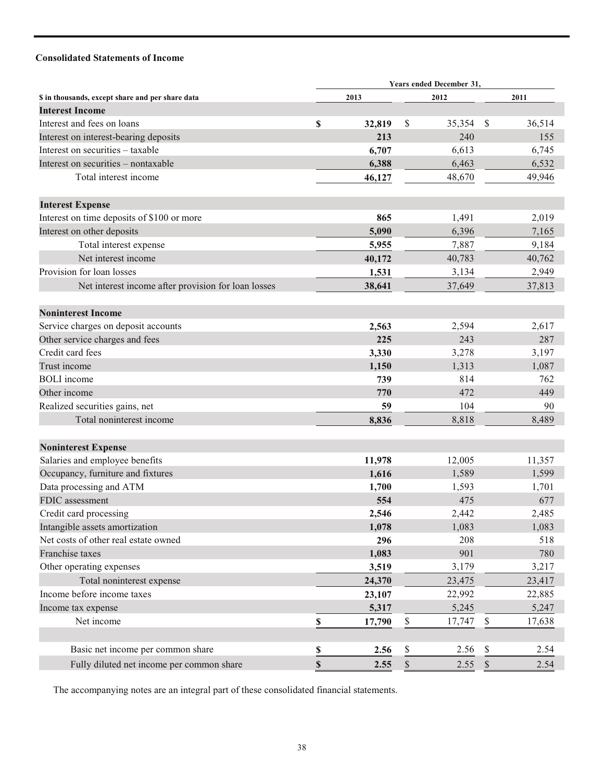## **Consolidated Statements of Income**

|                                                     | Years ended December 31, |        |                       |               |        |
|-----------------------------------------------------|--------------------------|--------|-----------------------|---------------|--------|
| \$ in thousands, except share and per share data    |                          | 2013   | 2012                  |               | 2011   |
| <b>Interest Income</b>                              |                          |        |                       |               |        |
| Interest and fees on loans                          | \$                       | 32,819 | \$<br>35,354          | $\mathcal{S}$ | 36,514 |
| Interest on interest-bearing deposits               |                          | 213    | 240                   |               | 155    |
| Interest on securities – taxable                    |                          | 6,707  | 6,613                 |               | 6,745  |
| Interest on securities - nontaxable                 |                          | 6,388  | 6,463                 |               | 6,532  |
| Total interest income                               |                          | 46,127 | 48,670                |               | 49,946 |
| <b>Interest Expense</b>                             |                          |        |                       |               |        |
| Interest on time deposits of \$100 or more          |                          | 865    | 1,491                 |               | 2,019  |
| Interest on other deposits                          |                          | 5,090  | 6,396                 |               | 7,165  |
| Total interest expense                              |                          | 5,955  | 7,887                 |               | 9,184  |
| Net interest income                                 |                          | 40,172 | 40,783                |               | 40,762 |
| Provision for loan losses                           |                          | 1,531  | 3,134                 |               | 2,949  |
| Net interest income after provision for loan losses |                          | 38,641 | 37,649                |               | 37,813 |
| <b>Noninterest Income</b>                           |                          |        |                       |               |        |
| Service charges on deposit accounts                 |                          | 2,563  | 2,594                 |               | 2,617  |
| Other service charges and fees                      |                          | 225    | 243                   |               | 287    |
| Credit card fees                                    |                          | 3,330  | 3,278                 |               | 3,197  |
| Trust income                                        |                          | 1,150  | 1,313                 |               | 1,087  |
| <b>BOLI</b> income                                  |                          | 739    | 814                   |               | 762    |
| Other income                                        |                          | 770    | 472                   |               | 449    |
| Realized securities gains, net                      |                          | 59     | 104                   |               | 90     |
| Total noninterest income                            |                          | 8,836  | 8,818                 |               | 8,489  |
| <b>Noninterest Expense</b>                          |                          |        |                       |               |        |
| Salaries and employee benefits                      |                          | 11,978 | 12,005                |               | 11,357 |
| Occupancy, furniture and fixtures                   |                          | 1,616  | 1,589                 |               | 1,599  |
| Data processing and ATM                             |                          | 1,700  | 1,593                 |               | 1,701  |
| FDIC assessment                                     |                          | 554    | 475                   |               | 677    |
| Credit card processing                              |                          | 2,546  | 2,442                 |               | 2,485  |
| Intangible assets amortization                      |                          | 1,078  | 1,083                 |               | 1,083  |
| Net costs of other real estate owned                |                          | 296    | 208                   |               | 518    |
| Franchise taxes                                     |                          | 1,083  | 901                   |               | 780    |
| Other operating expenses                            |                          | 3,519  | 3,179                 |               | 3,217  |
| Total noninterest expense                           |                          | 24,370 | 23,475                |               | 23,417 |
| Income before income taxes                          |                          | 23,107 | 22,992                |               | 22,885 |
| Income tax expense                                  |                          | 5,317  | 5,245                 |               | 5,247  |
| Net income                                          | $\mathbb S$              | 17,790 | $\mathbb S$<br>17,747 | $\mathbb{S}$  | 17,638 |
|                                                     |                          |        |                       |               |        |
| Basic net income per common share                   | \$                       | 2.56   | \$<br>2.56            | \$            | 2.54   |
| Fully diluted net income per common share           | \$                       | 2.55   | $\mathbb S$<br>2.55   | $\mathbb{S}$  | 2.54   |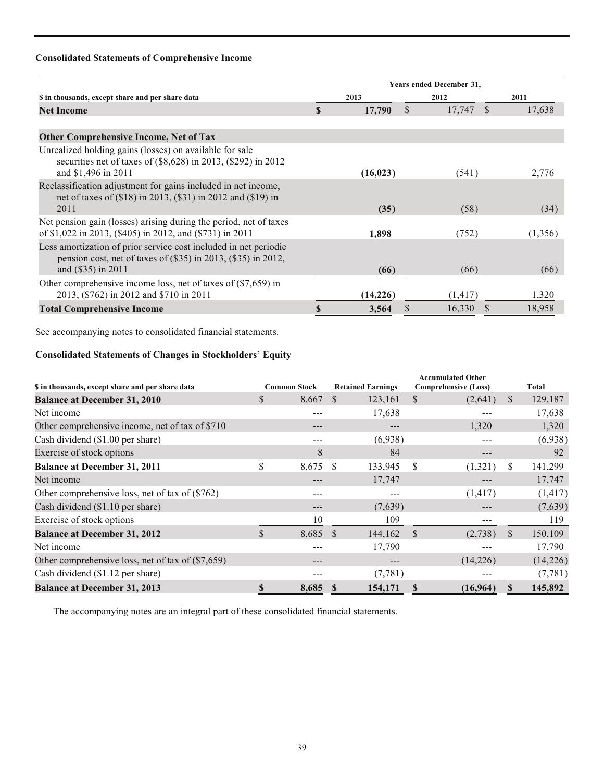## **Consolidated Statements of Comprehensive Income**

|                                                                                                                                                         | Years ended December 31, |           |     |          |               |         |  |  |  |  |
|---------------------------------------------------------------------------------------------------------------------------------------------------------|--------------------------|-----------|-----|----------|---------------|---------|--|--|--|--|
| \$ in thousands, except share and per share data                                                                                                        |                          | 2013      |     | 2012     | 2011          |         |  |  |  |  |
| <b>Net Income</b>                                                                                                                                       | \$                       | 17,790    | \$. | 17,747   | <sup>\$</sup> | 17,638  |  |  |  |  |
| <b>Other Comprehensive Income, Net of Tax</b>                                                                                                           |                          |           |     |          |               |         |  |  |  |  |
| Unrealized holding gains (losses) on available for sale<br>securities net of taxes of (\$8,628) in 2013, (\$292) in 2012<br>and \$1,496 in 2011         |                          | (16, 023) |     | (541)    |               | 2,776   |  |  |  |  |
| Reclassification adjustment for gains included in net income,<br>net of taxes of (\$18) in 2013, (\$31) in 2012 and (\$19) in<br>2011                   |                          | (35)      |     | (58)     |               | (34)    |  |  |  |  |
| Net pension gain (losses) arising during the period, net of taxes<br>of \$1,022 in 2013, (\$405) in 2012, and (\$731) in 2011                           |                          | 1,898     |     | (752)    |               | (1,356) |  |  |  |  |
| Less amortization of prior service cost included in net periodic<br>pension cost, net of taxes of (\$35) in 2013, (\$35) in 2012,<br>and (\$35) in 2011 |                          | (66)      |     | (66)     |               | (66)    |  |  |  |  |
| Other comprehensive income loss, net of taxes of $(\$7,659)$ in<br>2013, (\$762) in 2012 and \$710 in 2011                                              |                          | (14,226)  |     | (1, 417) |               | 1,320   |  |  |  |  |
| <b>Total Comprehensive Income</b>                                                                                                                       | \$                       | 3,564     |     | 16,330   |               | 18,958  |  |  |  |  |

See accompanying notes to consolidated financial statements.

## **Consolidated Statements of Changes in Stockholders' Equity**

| \$ in thousands, except share and per share data    |               | <b>Common Stock</b> |               | <b>Retained Earnings</b> |               | <b>Comprehensive (Loss)</b> |               | Total    |
|-----------------------------------------------------|---------------|---------------------|---------------|--------------------------|---------------|-----------------------------|---------------|----------|
| <b>Balance at December 31, 2010</b>                 | S             | 8,667               | <sup>\$</sup> | 123,161                  | <sup>\$</sup> | (2,641)                     | <sup>\$</sup> | 129,187  |
| Net income                                          |               |                     |               | 17,638                   |               |                             |               | 17,638   |
| Other comprehensive income, net of tax of \$710     |               |                     |               | ---                      |               | 1,320                       |               | 1,320    |
| Cash dividend (\$1.00 per share)                    |               |                     |               | (6,938)                  |               | ---                         |               | (6,938)  |
| Exercise of stock options                           |               | 8                   |               | 84                       |               |                             |               | 92       |
| <b>Balance at December 31, 2011</b>                 | \$            | 8,675               | \$.           | 133,945                  | \$            | (1,321)                     | S             | 141,299  |
| Net income                                          |               | ---                 |               | 17,747                   |               | $---$                       |               | 17,747   |
| Other comprehensive loss, net of tax of (\$762)     |               |                     |               |                          |               | (1, 417)                    |               | (1, 417) |
| Cash dividend (\$1.10 per share)                    |               | ---                 |               | (7,639)                  |               | ---                         |               | (7,639)  |
| Exercise of stock options                           |               | 10                  |               | 109                      |               | ---                         |               | 119      |
| <b>Balance at December 31, 2012</b>                 | $\mathcal{S}$ | 8,685 \$            |               | 144,162                  | <b>S</b>      | (2,738)                     | <sup>\$</sup> | 150,109  |
| Net income                                          |               |                     |               | 17,790                   |               |                             |               | 17,790   |
| Other comprehensive loss, net of tax of $(\$7,659)$ |               | ---                 |               | ---                      |               | (14,226)                    |               | (14,226) |
| Cash dividend (\$1.12 per share)                    |               |                     |               | (7, 781)                 |               |                             |               | (7, 781) |
| <b>Balance at December 31, 2013</b>                 |               | 8,685               |               | 154,171                  |               | (16,964)                    |               | 145,892  |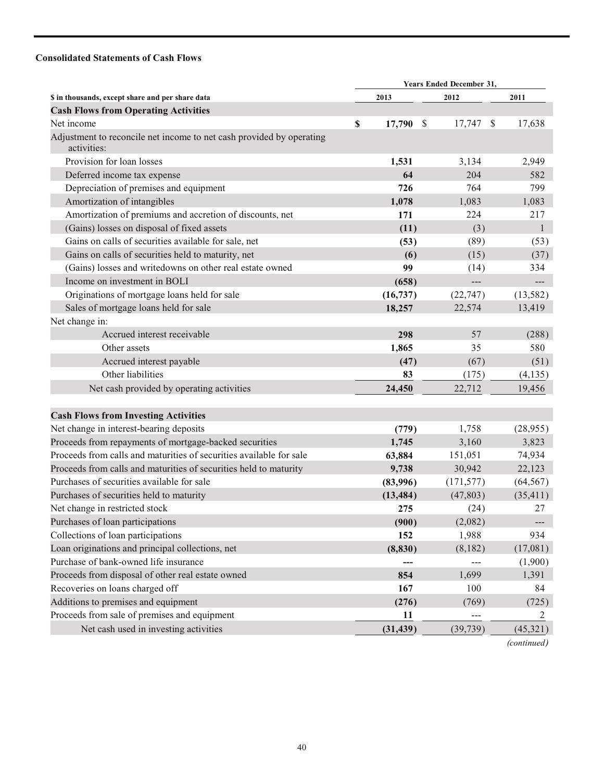## **Consolidated Statements of Cash Flows**

|                                                                                     |    | Years Ended December 31, |                    |    |           |
|-------------------------------------------------------------------------------------|----|--------------------------|--------------------|----|-----------|
| \$ in thousands, except share and per share data                                    |    | 2013                     | 2012               |    | 2011      |
| <b>Cash Flows from Operating Activities</b>                                         |    |                          |                    |    |           |
| Net income                                                                          | \$ | 17,790                   | <b>S</b><br>17,747 | -S | 17,638    |
| Adjustment to reconcile net income to net cash provided by operating<br>activities: |    |                          |                    |    |           |
| Provision for loan losses                                                           |    | 1,531                    | 3,134              |    | 2,949     |
| Deferred income tax expense                                                         |    | 64                       | 204                |    | 582       |
| Depreciation of premises and equipment                                              |    | 726                      | 764                |    | 799       |
| Amortization of intangibles                                                         |    | 1,078                    | 1,083              |    | 1,083     |
| Amortization of premiums and accretion of discounts, net                            |    | 171                      | 224                |    | 217       |
| (Gains) losses on disposal of fixed assets                                          |    | (11)                     | (3)                |    | 1         |
| Gains on calls of securities available for sale, net                                |    | (53)                     | (89)               |    | (53)      |
| Gains on calls of securities held to maturity, net                                  |    | (6)                      | (15)               |    | (37)      |
| (Gains) losses and writedowns on other real estate owned                            |    | 99                       | (14)               |    | 334       |
| Income on investment in BOLI                                                        |    | (658)                    |                    |    |           |
| Originations of mortgage loans held for sale                                        |    | (16, 737)                | (22, 747)          |    | (13, 582) |
| Sales of mortgage loans held for sale                                               |    | 18,257                   | 22,574             |    | 13,419    |
| Net change in:                                                                      |    |                          |                    |    |           |
| Accrued interest receivable                                                         |    | 298                      | 57                 |    | (288)     |
| Other assets                                                                        |    | 1,865                    | 35                 |    | 580       |
| Accrued interest payable                                                            |    | (47)                     | (67)               |    | (51)      |
| Other liabilities                                                                   |    | 83                       | (175)              |    | (4, 135)  |
| Net cash provided by operating activities                                           |    | 24,450                   | 22,712             |    | 19,456    |
|                                                                                     |    |                          |                    |    |           |
| <b>Cash Flows from Investing Activities</b>                                         |    |                          |                    |    |           |
| Net change in interest-bearing deposits                                             |    | (779)                    | 1,758              |    | (28, 955) |
| Proceeds from repayments of mortgage-backed securities                              |    | 1,745                    | 3,160              |    | 3,823     |
| Proceeds from calls and maturities of securities available for sale                 |    | 63,884                   | 151,051            |    | 74,934    |
| Proceeds from calls and maturities of securities held to maturity                   |    | 9,738                    | 30,942             |    | 22,123    |
| Purchases of securities available for sale                                          |    | (83,996)                 | (171, 577)         |    | (64, 567) |
| Purchases of securities held to maturity                                            |    | (13, 484)                | (47, 803)          |    | (35, 411) |
| Net change in restricted stock                                                      |    | 275                      | (24)               |    | 27        |
| Purchases of loan participations                                                    |    | (900)                    | (2,082)            |    | $---$     |
| Collections of loan participations                                                  |    | 152                      | 1,988              |    | 934       |
| Loan originations and principal collections, net                                    |    | (8, 830)                 | (8,182)            |    | (17,081)  |
| Purchase of bank-owned life insurance                                               |    | ---                      |                    |    | (1,900)   |
| Proceeds from disposal of other real estate owned                                   |    | 854                      | 1,699              |    | 1,391     |
| Recoveries on loans charged off                                                     |    | 167                      | 100                |    | 84        |
| Additions to premises and equipment                                                 |    | (276)                    | (769)              |    | (725)     |
| Proceeds from sale of premises and equipment                                        |    | 11                       |                    |    | 2         |
| Net cash used in investing activities                                               |    | (31, 439)                | (39, 739)          |    | (45,321)  |
|                                                                                     |    |                          |                    |    |           |

*(continued)*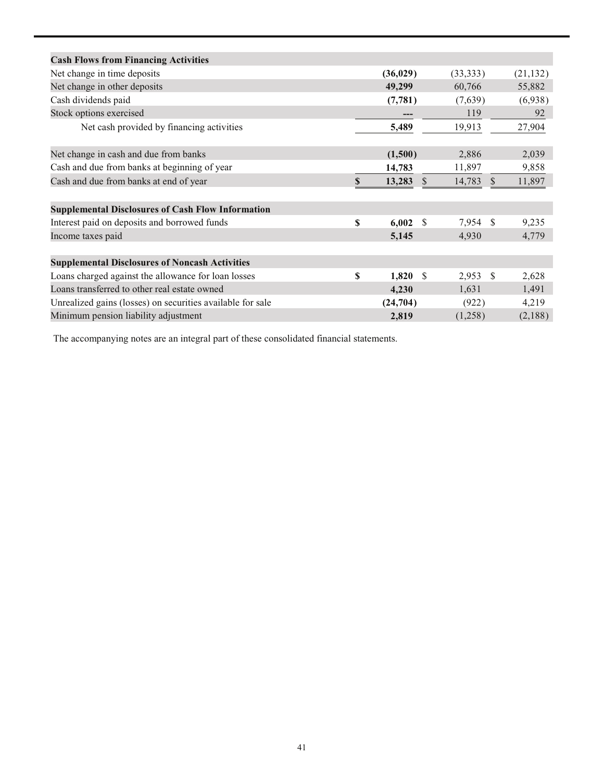| <b>Cash Flows from Financing Activities</b>                |             |            |               |            |               |           |
|------------------------------------------------------------|-------------|------------|---------------|------------|---------------|-----------|
| Net change in time deposits                                |             | (36, 029)  |               | (33, 333)  |               | (21, 132) |
| Net change in other deposits                               |             | 49,299     |               | 60,766     |               | 55,882    |
| Cash dividends paid                                        |             | (7, 781)   |               | (7,639)    |               | (6,938)   |
| Stock options exercised                                    |             | ---        |               | 119        |               | 92        |
| Net cash provided by financing activities                  |             | 5,489      |               | 19,913     |               | 27,904    |
| Net change in cash and due from banks                      |             | (1,500)    |               | 2,886      |               | 2,039     |
| Cash and due from banks at beginning of year               |             | 14,783     |               | 11,897     |               | 9,858     |
| Cash and due from banks at end of year                     | $\mathbf S$ | 13,283     | $\mathcal{S}$ | 14,783     | $\mathcal{S}$ | 11,897    |
| <b>Supplemental Disclosures of Cash Flow Information</b>   |             |            |               |            |               |           |
| Interest paid on deposits and borrowed funds               | \$          | $6,002$ \$ |               | 7,954 \$   |               | 9,235     |
| Income taxes paid                                          |             | 5,145      |               | 4,930      |               | 4,779     |
| <b>Supplemental Disclosures of Noncash Activities</b>      |             |            |               |            |               |           |
| Loans charged against the allowance for loan losses        | \$          | 1,820      | <b>S</b>      | $2,953$ \$ |               | 2,628     |
| Loans transferred to other real estate owned               |             | 4,230      |               | 1,631      |               | 1,491     |
| Unrealized gains (losses) on securities available for sale |             | (24,704)   |               | (922)      |               | 4,219     |
| Minimum pension liability adjustment                       |             | 2,819      |               | (1,258)    |               | (2,188)   |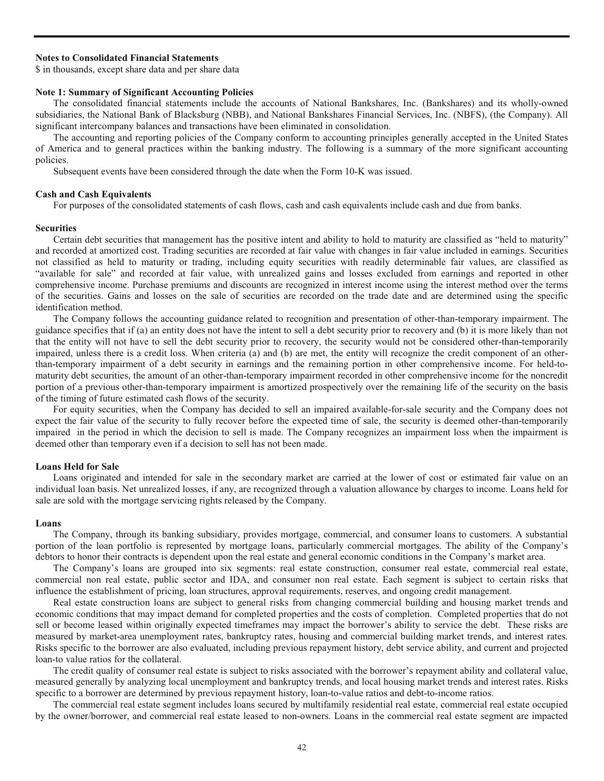## **Notes to Consolidated Financial Statements**

\$ in thousands, except share data and per share data

#### **Note 1: Summary of Significant Accounting Policies**

 The consolidated financial statements include the accounts of National Bankshares, Inc. (Bankshares) and its wholly-owned subsidiaries, the National Bank of Blacksburg (NBB), and National Bankshares Financial Services, Inc. (NBFS), (the Company). All significant intercompany balances and transactions have been eliminated in consolidation.

 The accounting and reporting policies of the Company conform to accounting principles generally accepted in the United States of America and to general practices within the banking industry. The following is a summary of the more significant accounting policies.

Subsequent events have been considered through the date when the Form 10-K was issued.

#### **Cash and Cash Equivalents**

For purposes of the consolidated statements of cash flows, cash and cash equivalents include cash and due from banks.

#### **Securities**

 Certain debt securities that management has the positive intent and ability to hold to maturity are classified as "held to maturity" and recorded at amortized cost. Trading securities are recorded at fair value with changes in fair value included in earnings. Securities not classified as held to maturity or trading, including equity securities with readily determinable fair values, are classified as "available for sale" and recorded at fair value, with unrealized gains and losses excluded from earnings and reported in other comprehensive income. Purchase premiums and discounts are recognized in interest income using the interest method over the terms of the securities. Gains and losses on the sale of securities are recorded on the trade date and are determined using the specific identification method.

 The Company follows the accounting guidance related to recognition and presentation of other-than-temporary impairment. The guidance specifies that if (a) an entity does not have the intent to sell a debt security prior to recovery and (b) it is more likely than not that the entity will not have to sell the debt security prior to recovery, the security would not be considered other-than-temporarily impaired, unless there is a credit loss. When criteria (a) and (b) are met, the entity will recognize the credit component of an otherthan-temporary impairment of a debt security in earnings and the remaining portion in other comprehensive income. For held-tomaturity debt securities, the amount of an other-than-temporary impairment recorded in other comprehensive income for the noncredit portion of a previous other-than-temporary impairment is amortized prospectively over the remaining life of the security on the basis of the timing of future estimated cash flows of the security.

 For equity securities, when the Company has decided to sell an impaired available-for-sale security and the Company does not expect the fair value of the security to fully recover before the expected time of sale, the security is deemed other-than-temporarily impaired in the period in which the decision to sell is made. The Company recognizes an impairment loss when the impairment is deemed other than temporary even if a decision to sell has not been made.

## **Loans Held for Sale**

 Loans originated and intended for sale in the secondary market are carried at the lower of cost or estimated fair value on an individual loan basis. Net unrealized losses, if any, are recognized through a valuation allowance by charges to income. Loans held for sale are sold with the mortgage servicing rights released by the Company.

#### **Loans**

 The Company, through its banking subsidiary, provides mortgage, commercial, and consumer loans to customers. A substantial portion of the loan portfolio is represented by mortgage loans, particularly commercial mortgages. The ability of the Company's debtors to honor their contracts is dependent upon the real estate and general economic conditions in the Company's market area.

 The Company's loans are grouped into six segments: real estate construction, consumer real estate, commercial real estate, commercial non real estate, public sector and IDA, and consumer non real estate. Each segment is subject to certain risks that influence the establishment of pricing, loan structures, approval requirements, reserves, and ongoing credit management.

 Real estate construction loans are subject to general risks from changing commercial building and housing market trends and economic conditions that may impact demand for completed properties and the costs of completion. Completed properties that do not sell or become leased within originally expected timeframes may impact the borrower's ability to service the debt. These risks are measured by market-area unemployment rates, bankruptcy rates, housing and commercial building market trends, and interest rates. Risks specific to the borrower are also evaluated, including previous repayment history, debt service ability, and current and projected loan-to value ratios for the collateral.

 The credit quality of consumer real estate is subject to risks associated with the borrower's repayment ability and collateral value, measured generally by analyzing local unemployment and bankruptcy trends, and local housing market trends and interest rates. Risks specific to a borrower are determined by previous repayment history, loan-to-value ratios and debt-to-income ratios.

 The commercial real estate segment includes loans secured by multifamily residential real estate, commercial real estate occupied by the owner/borrower, and commercial real estate leased to non-owners. Loans in the commercial real estate segment are impacted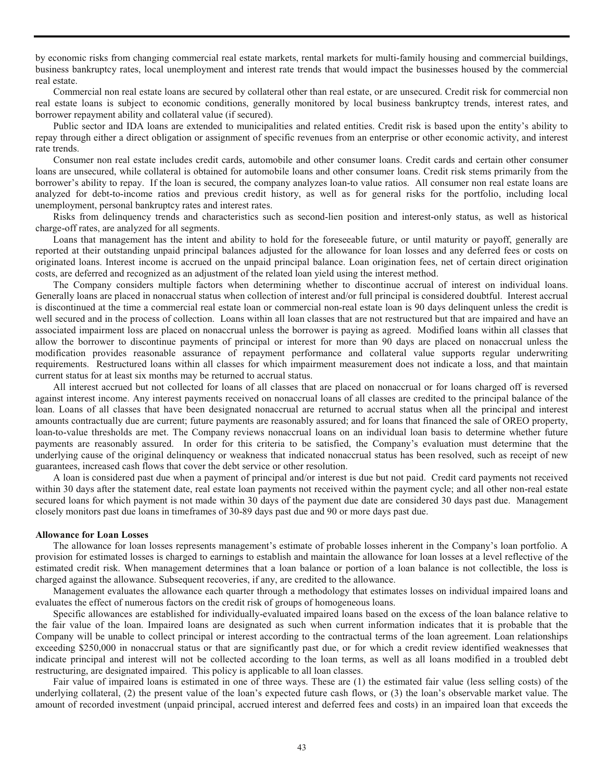by economic risks from changing commercial real estate markets, rental markets for multi-family housing and commercial buildings, business bankruptcy rates, local unemployment and interest rate trends that would impact the businesses housed by the commercial real estate.

 Commercial non real estate loans are secured by collateral other than real estate, or are unsecured. Credit risk for commercial non real estate loans is subject to economic conditions, generally monitored by local business bankruptcy trends, interest rates, and borrower repayment ability and collateral value (if secured).

 Public sector and IDA loans are extended to municipalities and related entities. Credit risk is based upon the entity's ability to repay through either a direct obligation or assignment of specific revenues from an enterprise or other economic activity, and interest rate trends.

 Consumer non real estate includes credit cards, automobile and other consumer loans. Credit cards and certain other consumer loans are unsecured, while collateral is obtained for automobile loans and other consumer loans. Credit risk stems primarily from the borrower's ability to repay. If the loan is secured, the company analyzes loan-to value ratios. All consumer non real estate loans are analyzed for debt-to-income ratios and previous credit history, as well as for general risks for the portfolio, including local unemployment, personal bankruptcy rates and interest rates.

 Risks from delinquency trends and characteristics such as second-lien position and interest-only status, as well as historical charge-off rates, are analyzed for all segments.

 Loans that management has the intent and ability to hold for the foreseeable future, or until maturity or payoff, generally are reported at their outstanding unpaid principal balances adjusted for the allowance for loan losses and any deferred fees or costs on originated loans. Interest income is accrued on the unpaid principal balance. Loan origination fees, net of certain direct origination costs, are deferred and recognized as an adjustment of the related loan yield using the interest method.

 The Company considers multiple factors when determining whether to discontinue accrual of interest on individual loans. Generally loans are placed in nonaccrual status when collection of interest and/or full principal is considered doubtful. Interest accrual is discontinued at the time a commercial real estate loan or commercial non-real estate loan is 90 days delinquent unless the credit is well secured and in the process of collection. Loans within all loan classes that are not restructured but that are impaired and have an associated impairment loss are placed on nonaccrual unless the borrower is paying as agreed. Modified loans within all classes that allow the borrower to discontinue payments of principal or interest for more than 90 days are placed on nonaccrual unless the modification provides reasonable assurance of repayment performance and collateral value supports regular underwriting requirements. Restructured loans within all classes for which impairment measurement does not indicate a loss, and that maintain current status for at least six months may be returned to accrual status.

 All interest accrued but not collected for loans of all classes that are placed on nonaccrual or for loans charged off is reversed against interest income. Any interest payments received on nonaccrual loans of all classes are credited to the principal balance of the loan. Loans of all classes that have been designated nonaccrual are returned to accrual status when all the principal and interest amounts contractually due are current; future payments are reasonably assured; and for loans that financed the sale of OREO property, loan-to-value thresholds are met. The Company reviews nonaccrual loans on an individual loan basis to determine whether future payments are reasonably assured. In order for this criteria to be satisfied, the Company's evaluation must determine that the underlying cause of the original delinquency or weakness that indicated nonaccrual status has been resolved, such as receipt of new guarantees, increased cash flows that cover the debt service or other resolution.

 A loan is considered past due when a payment of principal and/or interest is due but not paid. Credit card payments not received within 30 days after the statement date, real estate loan payments not received within the payment cycle; and all other non-real estate secured loans for which payment is not made within 30 days of the payment due date are considered 30 days past due. Management closely monitors past due loans in timeframes of 30-89 days past due and 90 or more days past due.

## **Allowance for Loan Losses**

 The allowance for loan losses represents management's estimate of probable losses inherent in the Company's loan portfolio. A provision for estimated losses is charged to earnings to establish and maintain the allowance for loan losses at a level reflective of the estimated credit risk. When management determines that a loan balance or portion of a loan balance is not collectible, the loss is charged against the allowance. Subsequent recoveries, if any, are credited to the allowance.

 Management evaluates the allowance each quarter through a methodology that estimates losses on individual impaired loans and evaluates the effect of numerous factors on the credit risk of groups of homogeneous loans.

 Specific allowances are established for individually-evaluated impaired loans based on the excess of the loan balance relative to the fair value of the loan. Impaired loans are designated as such when current information indicates that it is probable that the Company will be unable to collect principal or interest according to the contractual terms of the loan agreement. Loan relationships exceeding \$250,000 in nonaccrual status or that are significantly past due, or for which a credit review identified weaknesses that indicate principal and interest will not be collected according to the loan terms, as well as all loans modified in a troubled debt restructuring, are designated impaired. This policy is applicable to all loan classes.

 Fair value of impaired loans is estimated in one of three ways. These are (1) the estimated fair value (less selling costs) of the underlying collateral, (2) the present value of the loan's expected future cash flows, or (3) the loan's observable market value. The amount of recorded investment (unpaid principal, accrued interest and deferred fees and costs) in an impaired loan that exceeds the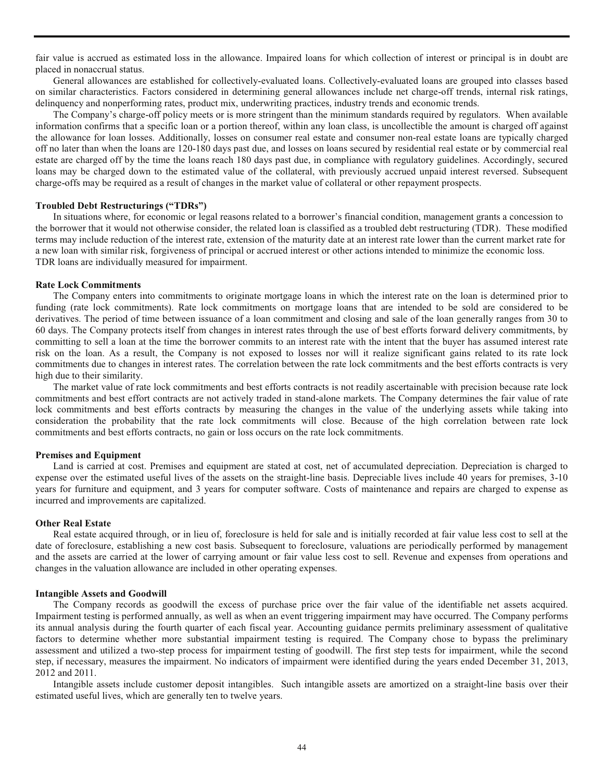fair value is accrued as estimated loss in the allowance. Impaired loans for which collection of interest or principal is in doubt are placed in nonaccrual status.

 General allowances are established for collectively-evaluated loans. Collectively-evaluated loans are grouped into classes based on similar characteristics. Factors considered in determining general allowances include net charge-off trends, internal risk ratings, delinquency and nonperforming rates, product mix, underwriting practices, industry trends and economic trends.

 The Company's charge-off policy meets or is more stringent than the minimum standards required by regulators. When available information confirms that a specific loan or a portion thereof, within any loan class, is uncollectible the amount is charged off against the allowance for loan losses. Additionally, losses on consumer real estate and consumer non-real estate loans are typically charged off no later than when the loans are 120-180 days past due, and losses on loans secured by residential real estate or by commercial real estate are charged off by the time the loans reach 180 days past due, in compliance with regulatory guidelines. Accordingly, secured loans may be charged down to the estimated value of the collateral, with previously accrued unpaid interest reversed. Subsequent charge-offs may be required as a result of changes in the market value of collateral or other repayment prospects.

#### **Troubled Debt Restructurings ("TDRs")**

 In situations where, for economic or legal reasons related to a borrower's financial condition, management grants a concession to the borrower that it would not otherwise consider, the related loan is classified as a troubled debt restructuring (TDR). These modified terms may include reduction of the interest rate, extension of the maturity date at an interest rate lower than the current market rate for a new loan with similar risk, forgiveness of principal or accrued interest or other actions intended to minimize the economic loss. TDR loans are individually measured for impairment.

#### **Rate Lock Commitments**

 The Company enters into commitments to originate mortgage loans in which the interest rate on the loan is determined prior to funding (rate lock commitments). Rate lock commitments on mortgage loans that are intended to be sold are considered to be derivatives. The period of time between issuance of a loan commitment and closing and sale of the loan generally ranges from 30 to 60 days. The Company protects itself from changes in interest rates through the use of best efforts forward delivery commitments, by committing to sell a loan at the time the borrower commits to an interest rate with the intent that the buyer has assumed interest rate risk on the loan. As a result, the Company is not exposed to losses nor will it realize significant gains related to its rate lock commitments due to changes in interest rates. The correlation between the rate lock commitments and the best efforts contracts is very high due to their similarity.

 The market value of rate lock commitments and best efforts contracts is not readily ascertainable with precision because rate lock commitments and best effort contracts are not actively traded in stand-alone markets. The Company determines the fair value of rate lock commitments and best efforts contracts by measuring the changes in the value of the underlying assets while taking into consideration the probability that the rate lock commitments will close. Because of the high correlation between rate lock commitments and best efforts contracts, no gain or loss occurs on the rate lock commitments.

#### **Premises and Equipment**

 Land is carried at cost. Premises and equipment are stated at cost, net of accumulated depreciation. Depreciation is charged to expense over the estimated useful lives of the assets on the straight-line basis. Depreciable lives include 40 years for premises, 3-10 years for furniture and equipment, and 3 years for computer software. Costs of maintenance and repairs are charged to expense as incurred and improvements are capitalized.

## **Other Real Estate**

 Real estate acquired through, or in lieu of, foreclosure is held for sale and is initially recorded at fair value less cost to sell at the date of foreclosure, establishing a new cost basis. Subsequent to foreclosure, valuations are periodically performed by management and the assets are carried at the lower of carrying amount or fair value less cost to sell. Revenue and expenses from operations and changes in the valuation allowance are included in other operating expenses.

#### **Intangible Assets and Goodwill**

The Company records as goodwill the excess of purchase price over the fair value of the identifiable net assets acquired. Impairment testing is performed annually, as well as when an event triggering impairment may have occurred. The Company performs its annual analysis during the fourth quarter of each fiscal year. Accounting guidance permits preliminary assessment of qualitative factors to determine whether more substantial impairment testing is required. The Company chose to bypass the preliminary assessment and utilized a two-step process for impairment testing of goodwill. The first step tests for impairment, while the second step, if necessary, measures the impairment. No indicators of impairment were identified during the years ended December 31, 2013, 2012 and 2011.

 Intangible assets include customer deposit intangibles. Such intangible assets are amortized on a straight-line basis over their estimated useful lives, which are generally ten to twelve years.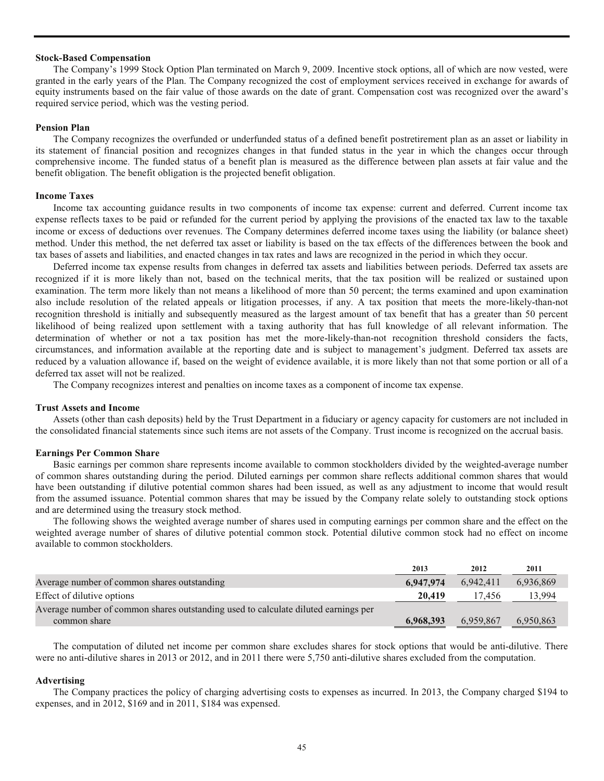## **Stock-Based Compensation**

 The Company's 1999 Stock Option Plan terminated on March 9, 2009. Incentive stock options, all of which are now vested, were granted in the early years of the Plan. The Company recognized the cost of employment services received in exchange for awards of equity instruments based on the fair value of those awards on the date of grant. Compensation cost was recognized over the award's required service period, which was the vesting period.

#### **Pension Plan**

 The Company recognizes the overfunded or underfunded status of a defined benefit postretirement plan as an asset or liability in its statement of financial position and recognizes changes in that funded status in the year in which the changes occur through comprehensive income. The funded status of a benefit plan is measured as the difference between plan assets at fair value and the benefit obligation. The benefit obligation is the projected benefit obligation.

## **Income Taxes**

 Income tax accounting guidance results in two components of income tax expense: current and deferred. Current income tax expense reflects taxes to be paid or refunded for the current period by applying the provisions of the enacted tax law to the taxable income or excess of deductions over revenues. The Company determines deferred income taxes using the liability (or balance sheet) method. Under this method, the net deferred tax asset or liability is based on the tax effects of the differences between the book and tax bases of assets and liabilities, and enacted changes in tax rates and laws are recognized in the period in which they occur.

 Deferred income tax expense results from changes in deferred tax assets and liabilities between periods. Deferred tax assets are recognized if it is more likely than not, based on the technical merits, that the tax position will be realized or sustained upon examination. The term more likely than not means a likelihood of more than 50 percent; the terms examined and upon examination also include resolution of the related appeals or litigation processes, if any. A tax position that meets the more-likely-than-not recognition threshold is initially and subsequently measured as the largest amount of tax benefit that has a greater than 50 percent likelihood of being realized upon settlement with a taxing authority that has full knowledge of all relevant information. The determination of whether or not a tax position has met the more-likely-than-not recognition threshold considers the facts, circumstances, and information available at the reporting date and is subject to management's judgment. Deferred tax assets are reduced by a valuation allowance if, based on the weight of evidence available, it is more likely than not that some portion or all of a deferred tax asset will not be realized.

The Company recognizes interest and penalties on income taxes as a component of income tax expense.

#### **Trust Assets and Income**

 Assets (other than cash deposits) held by the Trust Department in a fiduciary or agency capacity for customers are not included in the consolidated financial statements since such items are not assets of the Company. Trust income is recognized on the accrual basis.

#### **Earnings Per Common Share**

 Basic earnings per common share represents income available to common stockholders divided by the weighted-average number of common shares outstanding during the period. Diluted earnings per common share reflects additional common shares that would have been outstanding if dilutive potential common shares had been issued, as well as any adjustment to income that would result from the assumed issuance. Potential common shares that may be issued by the Company relate solely to outstanding stock options and are determined using the treasury stock method.

 The following shows the weighted average number of shares used in computing earnings per common share and the effect on the weighted average number of shares of dilutive potential common stock. Potential dilutive common stock had no effect on income available to common stockholders.

|                                                                                    | 2013      | 2012      | 2011      |
|------------------------------------------------------------------------------------|-----------|-----------|-----------|
| Average number of common shares outstanding                                        | 6,947,974 | 6.942.411 | 6,936,869 |
| Effect of dilutive options                                                         | 20.419    | 17.456    | 13,994    |
| Average number of common shares outstanding used to calculate diluted earnings per |           |           |           |
| common share                                                                       | 6,968,393 | 6,959,867 | 6,950,863 |

The computation of diluted net income per common share excludes shares for stock options that would be anti-dilutive. There were no anti-dilutive shares in 2013 or 2012, and in 2011 there were 5,750 anti-dilutive shares excluded from the computation.

#### **Advertising**

 The Company practices the policy of charging advertising costs to expenses as incurred. In 2013, the Company charged \$194 to expenses, and in 2012, \$169 and in 2011, \$184 was expensed.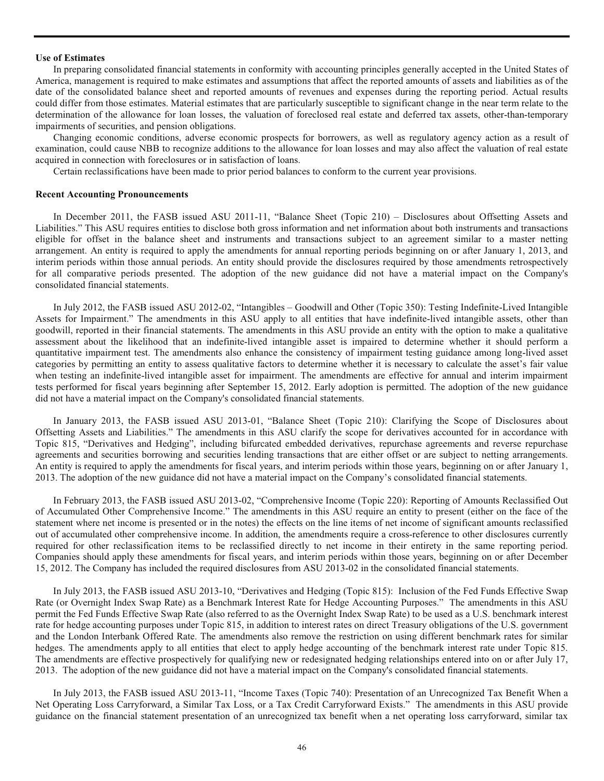#### **Use of Estimates**

 In preparing consolidated financial statements in conformity with accounting principles generally accepted in the United States of America, management is required to make estimates and assumptions that affect the reported amounts of assets and liabilities as of the date of the consolidated balance sheet and reported amounts of revenues and expenses during the reporting period. Actual results could differ from those estimates. Material estimates that are particularly susceptible to significant change in the near term relate to the determination of the allowance for loan losses, the valuation of foreclosed real estate and deferred tax assets, other-than-temporary impairments of securities, and pension obligations.

Changing economic conditions, adverse economic prospects for borrowers, as well as regulatory agency action as a result of examination, could cause NBB to recognize additions to the allowance for loan losses and may also affect the valuation of real estate acquired in connection with foreclosures or in satisfaction of loans.

Certain reclassifications have been made to prior period balances to conform to the current year provisions.

## **Recent Accounting Pronouncements**

 In December 2011, the FASB issued ASU 2011-11, "Balance Sheet (Topic 210) – Disclosures about Offsetting Assets and Liabilities." This ASU requires entities to disclose both gross information and net information about both instruments and transactions eligible for offset in the balance sheet and instruments and transactions subject to an agreement similar to a master netting arrangement. An entity is required to apply the amendments for annual reporting periods beginning on or after January 1, 2013, and interim periods within those annual periods. An entity should provide the disclosures required by those amendments retrospectively for all comparative periods presented. The adoption of the new guidance did not have a material impact on the Company's consolidated financial statements.

 In July 2012, the FASB issued ASU 2012-02, "Intangibles – Goodwill and Other (Topic 350): Testing Indefinite-Lived Intangible Assets for Impairment." The amendments in this ASU apply to all entities that have indefinite-lived intangible assets, other than goodwill, reported in their financial statements. The amendments in this ASU provide an entity with the option to make a qualitative assessment about the likelihood that an indefinite-lived intangible asset is impaired to determine whether it should perform a quantitative impairment test. The amendments also enhance the consistency of impairment testing guidance among long-lived asset categories by permitting an entity to assess qualitative factors to determine whether it is necessary to calculate the asset's fair value when testing an indefinite-lived intangible asset for impairment. The amendments are effective for annual and interim impairment tests performed for fiscal years beginning after September 15, 2012. Early adoption is permitted. The adoption of the new guidance did not have a material impact on the Company's consolidated financial statements.

 In January 2013, the FASB issued ASU 2013-01, "Balance Sheet (Topic 210): Clarifying the Scope of Disclosures about Offsetting Assets and Liabilities." The amendments in this ASU clarify the scope for derivatives accounted for in accordance with Topic 815, "Derivatives and Hedging", including bifurcated embedded derivatives, repurchase agreements and reverse repurchase agreements and securities borrowing and securities lending transactions that are either offset or are subject to netting arrangements. An entity is required to apply the amendments for fiscal years, and interim periods within those years, beginning on or after January 1, 2013. The adoption of the new guidance did not have a material impact on the Company's consolidated financial statements.

 In February 2013, the FASB issued ASU 2013-02, "Comprehensive Income (Topic 220): Reporting of Amounts Reclassified Out of Accumulated Other Comprehensive Income." The amendments in this ASU require an entity to present (either on the face of the statement where net income is presented or in the notes) the effects on the line items of net income of significant amounts reclassified out of accumulated other comprehensive income. In addition, the amendments require a cross-reference to other disclosures currently required for other reclassification items to be reclassified directly to net income in their entirety in the same reporting period. Companies should apply these amendments for fiscal years, and interim periods within those years, beginning on or after December 15, 2012. The Company has included the required disclosures from ASU 2013-02 in the consolidated financial statements.

 In July 2013, the FASB issued ASU 2013-10, "Derivatives and Hedging (Topic 815): Inclusion of the Fed Funds Effective Swap Rate (or Overnight Index Swap Rate) as a Benchmark Interest Rate for Hedge Accounting Purposes." The amendments in this ASU permit the Fed Funds Effective Swap Rate (also referred to as the Overnight Index Swap Rate) to be used as a U.S. benchmark interest rate for hedge accounting purposes under Topic 815, in addition to interest rates on direct Treasury obligations of the U.S. government and the London Interbank Offered Rate. The amendments also remove the restriction on using different benchmark rates for similar hedges. The amendments apply to all entities that elect to apply hedge accounting of the benchmark interest rate under Topic 815. The amendments are effective prospectively for qualifying new or redesignated hedging relationships entered into on or after July 17, 2013. The adoption of the new guidance did not have a material impact on the Company's consolidated financial statements.

 In July 2013, the FASB issued ASU 2013-11, "Income Taxes (Topic 740): Presentation of an Unrecognized Tax Benefit When a Net Operating Loss Carryforward, a Similar Tax Loss, or a Tax Credit Carryforward Exists." The amendments in this ASU provide guidance on the financial statement presentation of an unrecognized tax benefit when a net operating loss carryforward, similar tax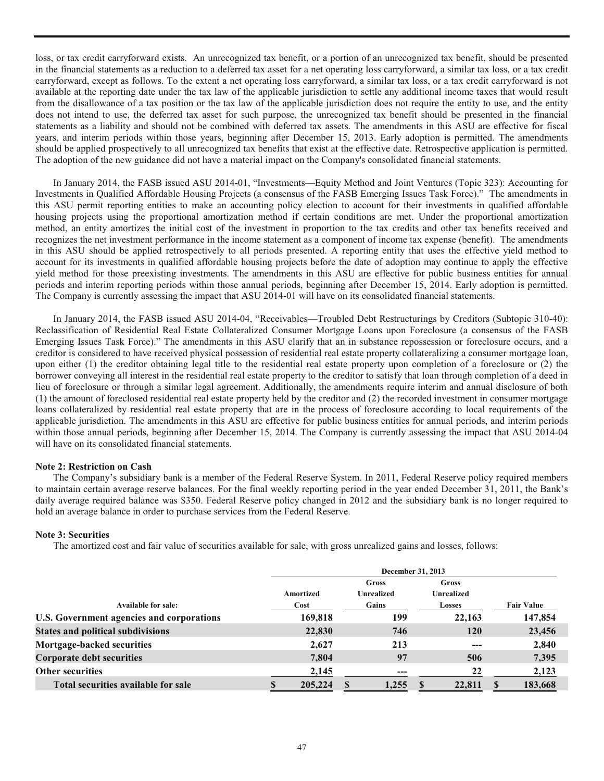loss, or tax credit carryforward exists. An unrecognized tax benefit, or a portion of an unrecognized tax benefit, should be presented in the financial statements as a reduction to a deferred tax asset for a net operating loss carryforward, a similar tax loss, or a tax credit carryforward, except as follows. To the extent a net operating loss carryforward, a similar tax loss, or a tax credit carryforward is not available at the reporting date under the tax law of the applicable jurisdiction to settle any additional income taxes that would result from the disallowance of a tax position or the tax law of the applicable jurisdiction does not require the entity to use, and the entity does not intend to use, the deferred tax asset for such purpose, the unrecognized tax benefit should be presented in the financial statements as a liability and should not be combined with deferred tax assets. The amendments in this ASU are effective for fiscal years, and interim periods within those years, beginning after December 15, 2013. Early adoption is permitted. The amendments should be applied prospectively to all unrecognized tax benefits that exist at the effective date. Retrospective application is permitted. The adoption of the new guidance did not have a material impact on the Company's consolidated financial statements.

 In January 2014, the FASB issued ASU 2014-01, "Investments—Equity Method and Joint Ventures (Topic 323): Accounting for Investments in Qualified Affordable Housing Projects (a consensus of the FASB Emerging Issues Task Force)." The amendments in this ASU permit reporting entities to make an accounting policy election to account for their investments in qualified affordable housing projects using the proportional amortization method if certain conditions are met. Under the proportional amortization method, an entity amortizes the initial cost of the investment in proportion to the tax credits and other tax benefits received and recognizes the net investment performance in the income statement as a component of income tax expense (benefit). The amendments in this ASU should be applied retrospectively to all periods presented. A reporting entity that uses the effective yield method to account for its investments in qualified affordable housing projects before the date of adoption may continue to apply the effective yield method for those preexisting investments. The amendments in this ASU are effective for public business entities for annual periods and interim reporting periods within those annual periods, beginning after December 15, 2014. Early adoption is permitted. The Company is currently assessing the impact that ASU 2014-01 will have on its consolidated financial statements.

 In January 2014, the FASB issued ASU 2014-04, "Receivables—Troubled Debt Restructurings by Creditors (Subtopic 310-40): Reclassification of Residential Real Estate Collateralized Consumer Mortgage Loans upon Foreclosure (a consensus of the FASB Emerging Issues Task Force)." The amendments in this ASU clarify that an in substance repossession or foreclosure occurs, and a creditor is considered to have received physical possession of residential real estate property collateralizing a consumer mortgage loan, upon either (1) the creditor obtaining legal title to the residential real estate property upon completion of a foreclosure or (2) the borrower conveying all interest in the residential real estate property to the creditor to satisfy that loan through completion of a deed in lieu of foreclosure or through a similar legal agreement. Additionally, the amendments require interim and annual disclosure of both (1) the amount of foreclosed residential real estate property held by the creditor and (2) the recorded investment in consumer mortgage loans collateralized by residential real estate property that are in the process of foreclosure according to local requirements of the applicable jurisdiction. The amendments in this ASU are effective for public business entities for annual periods, and interim periods within those annual periods, beginning after December 15, 2014. The Company is currently assessing the impact that ASU 2014-04 will have on its consolidated financial statements.

## **Note 2: Restriction on Cash**

 The Company's subsidiary bank is a member of the Federal Reserve System. In 2011, Federal Reserve policy required members to maintain certain average reserve balances. For the final weekly reporting period in the year ended December 31, 2011, the Bank's daily average required balance was \$350. Federal Reserve policy changed in 2012 and the subsidiary bank is no longer required to hold an average balance in order to purchase services from the Federal Reserve.

## **Note 3: Securities**

The amortized cost and fair value of securities available for sale, with gross unrealized gains and losses, follows:

|                                           | December 31, 2013 |                            |       |                            |  |                   |  |  |
|-------------------------------------------|-------------------|----------------------------|-------|----------------------------|--|-------------------|--|--|
|                                           | Amortized         | Gross<br><b>Unrealized</b> |       | Gross<br><b>Unrealized</b> |  |                   |  |  |
| Available for sale:                       | Cost              | Gains                      |       | <b>Losses</b>              |  | <b>Fair Value</b> |  |  |
| U.S. Government agencies and corporations | 169,818           |                            | 199   | 22,163                     |  | 147,854           |  |  |
| <b>States and political subdivisions</b>  | 22,830            |                            | 746   | <b>120</b>                 |  | 23,456            |  |  |
| Mortgage-backed securities                | 2,627             |                            | 213   | ---                        |  | 2,840             |  |  |
| <b>Corporate debt securities</b>          | 7,804             |                            | 97    | 506                        |  | 7,395             |  |  |
| <b>Other securities</b>                   | 2,145             |                            | $---$ | 22                         |  | 2,123             |  |  |
| Total securities available for sale       | 205,224           | 1,255<br>S                 |       | 22,811<br><b>S</b>         |  | 183,668           |  |  |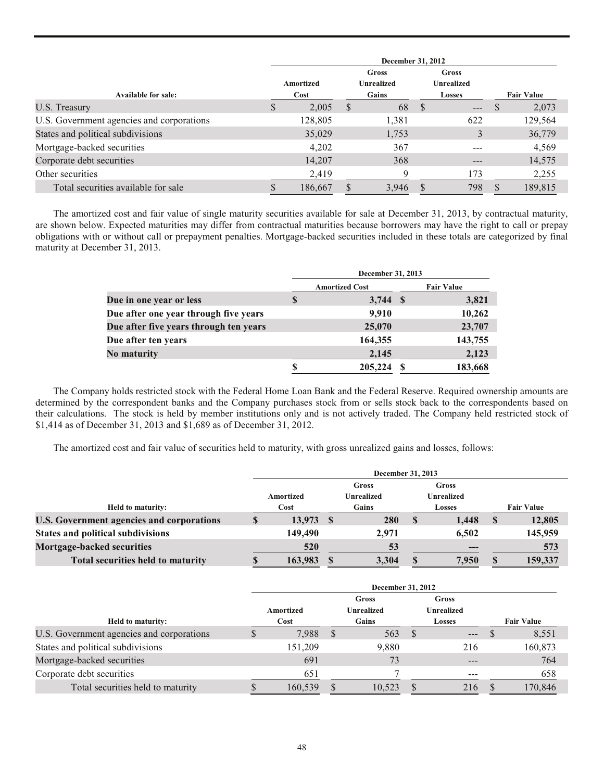|                                           |   | December 31, 2012 |   |                              |              |                                             |  |                   |  |  |  |  |
|-------------------------------------------|---|-------------------|---|------------------------------|--------------|---------------------------------------------|--|-------------------|--|--|--|--|
| <b>Available for sale:</b>                |   | Amortized<br>Cost |   | Gross<br>Unrealized<br>Gains |              | Gross<br><b>Unrealized</b><br><b>Losses</b> |  | <b>Fair Value</b> |  |  |  |  |
| U.S. Treasury                             | D | 2,005             | S | 68                           | <sup>S</sup> | $---$                                       |  | 2,073             |  |  |  |  |
| U.S. Government agencies and corporations |   | 128,805           |   | 1,381                        |              | 622                                         |  | 129,564           |  |  |  |  |
| States and political subdivisions         |   | 35,029            |   | 1,753                        |              | 3                                           |  | 36,779            |  |  |  |  |
| Mortgage-backed securities                |   | 4,202             |   | 367                          |              | ---                                         |  | 4,569             |  |  |  |  |
| Corporate debt securities                 |   | 14,207            |   | 368                          |              | ---                                         |  | 14,575            |  |  |  |  |
| Other securities                          |   | 2,419             |   | 9                            |              | 173                                         |  | 2,255             |  |  |  |  |
| Total securities available for sale       |   | 186,667           |   | 3,946                        |              | 798                                         |  | 189,815           |  |  |  |  |

The amortized cost and fair value of single maturity securities available for sale at December 31, 2013, by contractual maturity, are shown below. Expected maturities may differ from contractual maturities because borrowers may have the right to call or prepay obligations with or without call or prepayment penalties. Mortgage-backed securities included in these totals are categorized by final maturity at December 31, 2013.

|                                        |   | December 31, 2013     |                   |         |  |  |
|----------------------------------------|---|-----------------------|-------------------|---------|--|--|
|                                        |   | <b>Amortized Cost</b> | <b>Fair Value</b> |         |  |  |
| Due in one year or less                | S | 3,744 S               |                   | 3,821   |  |  |
| Due after one year through five years  |   | 9,910                 |                   | 10,262  |  |  |
| Due after five years through ten years |   | 25,070                |                   | 23,707  |  |  |
| Due after ten years                    |   | 164,355               |                   | 143,755 |  |  |
| <b>No maturity</b>                     |   | 2,145                 |                   | 2,123   |  |  |
|                                        |   | 205,224               |                   | 183,668 |  |  |

 The Company holds restricted stock with the Federal Home Loan Bank and the Federal Reserve. Required ownership amounts are determined by the correspondent banks and the Company purchases stock from or sells stock back to the correspondents based on their calculations. The stock is held by member institutions only and is not actively traded. The Company held restricted stock of \$1,414 as of December 31, 2013 and \$1,689 as of December 31, 2012.

The amortized cost and fair value of securities held to maturity, with gross unrealized gains and losses, follows:

|                                                  | December 31, 2013 |  |            |               |       |                   |         |  |  |
|--------------------------------------------------|-------------------|--|------------|---------------|-------|-------------------|---------|--|--|
|                                                  | Gross             |  |            |               | Gross |                   |         |  |  |
|                                                  | Amortized         |  | Unrealized | Unrealized    |       |                   |         |  |  |
| <b>Held to maturity:</b>                         | Cost              |  | Gains      | <b>Losses</b> |       | <b>Fair Value</b> |         |  |  |
| <b>U.S. Government agencies and corporations</b> | 13,973            |  | 280        |               | 1,448 | -S                | 12,805  |  |  |
| <b>States and political subdivisions</b>         | 149.490           |  | 2,971      |               | 6.502 |                   | 145,959 |  |  |
| Mortgage-backed securities                       | 520               |  | 53         |               | $---$ |                   | 573     |  |  |
| Total securities held to maturity                | 163,983           |  | 3,304      |               | 7,950 |                   | 159,337 |  |  |

|                                               |  | <b>December 31, 2012</b> |   |                                     |              |                                             |   |                   |  |  |  |  |
|-----------------------------------------------|--|--------------------------|---|-------------------------------------|--------------|---------------------------------------------|---|-------------------|--|--|--|--|
| Amortized<br><b>Held to maturity:</b><br>Cost |  |                          |   | Gross<br><b>Unrealized</b><br>Gains |              | Gross<br><b>Unrealized</b><br><b>Losses</b> |   | <b>Fair Value</b> |  |  |  |  |
| U.S. Government agencies and corporations     |  | 7,988                    | S | 563                                 | <sup>S</sup> | $---$                                       | S | 8,551             |  |  |  |  |
| States and political subdivisions             |  | 151,209                  |   | 9,880                               |              | 216                                         |   | 160,873           |  |  |  |  |
| Mortgage-backed securities                    |  | 691                      |   | 73                                  |              | $---$                                       |   | 764               |  |  |  |  |
| Corporate debt securities                     |  | 651                      |   |                                     |              | ---                                         |   | 658               |  |  |  |  |
| Total securities held to maturity             |  | 160,539                  |   | 10,523                              |              | 216                                         |   | 170,846           |  |  |  |  |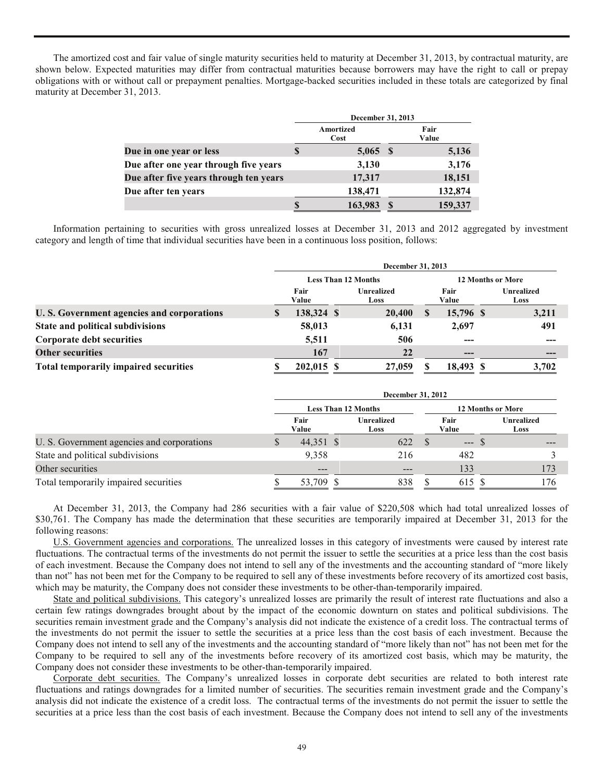The amortized cost and fair value of single maturity securities held to maturity at December 31, 2013, by contractual maturity, are shown below. Expected maturities may differ from contractual maturities because borrowers may have the right to call or prepay obligations with or without call or prepayment penalties. Mortgage-backed securities included in these totals are categorized by final maturity at December 31, 2013.

|                                        |          | December 31, 2013 |               |
|----------------------------------------|----------|-------------------|---------------|
|                                        |          | Amortized<br>Cost | Fair<br>Value |
| Due in one year or less                | <b>S</b> | $5,065$ \$        | 5,136         |
| Due after one year through five years  |          | 3,130             | 3,176         |
| Due after five years through ten years |          | 17,317            | 18,151        |
| Due after ten years                    |          | 138,471           | 132,874       |
|                                        | S        | 163,983           | 159,337       |

 Information pertaining to securities with gross unrealized losses at December 31, 2013 and 2012 aggregated by investment category and length of time that individual securities have been in a continuous loss position, follows:

|                                           |   |               | December 31, 2013          |               |                           |
|-------------------------------------------|---|---------------|----------------------------|---------------|---------------------------|
|                                           |   |               | <b>Less Than 12 Months</b> |               | <b>12 Months or More</b>  |
|                                           |   | Fair<br>Value | Unrealized<br>Loss         | Fair<br>Value | <b>Unrealized</b><br>Loss |
| U.S. Government agencies and corporations | S | 138,324 \$    | 20,400                     | 15,796 \$     | 3,211                     |
| State and political subdivisions          |   | 58,013        | 6,131                      | 2,697         | 491                       |
| Corporate debt securities                 |   | 5,511         | 506                        |               |                           |
| <b>Other securities</b>                   |   | 167           | 22                         | $- - -$       |                           |
| Total temporarily impaired securities     |   | 202,015 \$    | 27,059                     | 18.493 \$     | 3.702                     |

|                                            |               | December 31, 2012          |               |                          |
|--------------------------------------------|---------------|----------------------------|---------------|--------------------------|
|                                            |               | <b>Less Than 12 Months</b> |               | <b>12 Months or More</b> |
|                                            | Fair<br>Value | Unrealized<br>Loss         | Fair<br>Value | Unrealized<br>Loss       |
| U. S. Government agencies and corporations | 44,351 \$     | 622                        | $- S$         | ---                      |
| State and political subdivisions           | 9.358         | 216                        | 482           |                          |
| Other securities                           | $---$         | $---$                      | 133           | 173                      |
| Total temporarily impaired securities      | 53,709        | 838                        | 615           | 76                       |

At December 31, 2013, the Company had 286 securities with a fair value of \$220,508 which had total unrealized losses of \$30,761. The Company has made the determination that these securities are temporarily impaired at December 31, 2013 for the following reasons:

 U.S. Government agencies and corporations. The unrealized losses in this category of investments were caused by interest rate fluctuations. The contractual terms of the investments do not permit the issuer to settle the securities at a price less than the cost basis of each investment. Because the Company does not intend to sell any of the investments and the accounting standard of "more likely than not" has not been met for the Company to be required to sell any of these investments before recovery of its amortized cost basis, which may be maturity, the Company does not consider these investments to be other-than-temporarily impaired.

 State and political subdivisions. This category's unrealized losses are primarily the result of interest rate fluctuations and also a certain few ratings downgrades brought about by the impact of the economic downturn on states and political subdivisions. The securities remain investment grade and the Company's analysis did not indicate the existence of a credit loss. The contractual terms of the investments do not permit the issuer to settle the securities at a price less than the cost basis of each investment. Because the Company does not intend to sell any of the investments and the accounting standard of "more likely than not" has not been met for the Company to be required to sell any of the investments before recovery of its amortized cost basis, which may be maturity, the Company does not consider these investments to be other-than-temporarily impaired.

 Corporate debt securities. The Company's unrealized losses in corporate debt securities are related to both interest rate fluctuations and ratings downgrades for a limited number of securities. The securities remain investment grade and the Company's analysis did not indicate the existence of a credit loss. The contractual terms of the investments do not permit the issuer to settle the securities at a price less than the cost basis of each investment. Because the Company does not intend to sell any of the investments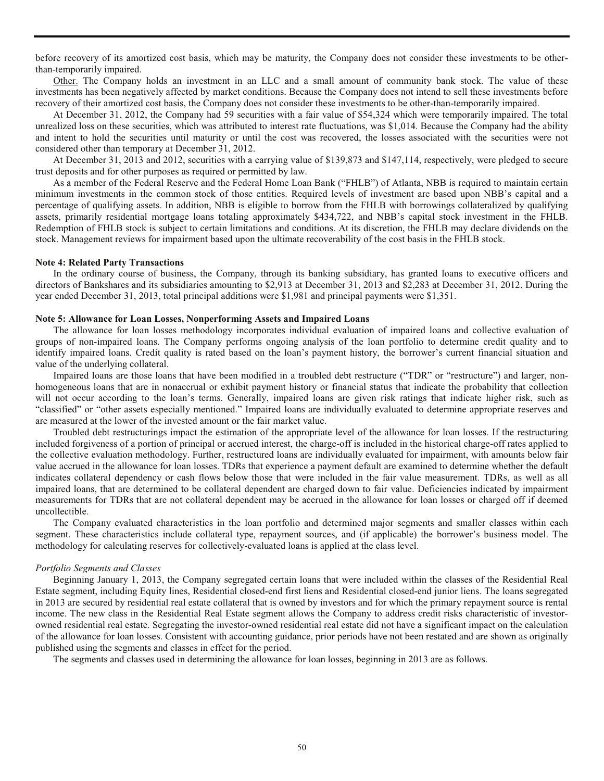before recovery of its amortized cost basis, which may be maturity, the Company does not consider these investments to be otherthan-temporarily impaired.

 Other. The Company holds an investment in an LLC and a small amount of community bank stock. The value of these investments has been negatively affected by market conditions. Because the Company does not intend to sell these investments before recovery of their amortized cost basis, the Company does not consider these investments to be other-than-temporarily impaired.

 At December 31, 2012, the Company had 59 securities with a fair value of \$54,324 which were temporarily impaired. The total unrealized loss on these securities, which was attributed to interest rate fluctuations, was \$1,014. Because the Company had the ability and intent to hold the securities until maturity or until the cost was recovered, the losses associated with the securities were not considered other than temporary at December 31, 2012.

 At December 31, 2013 and 2012, securities with a carrying value of \$139,873 and \$147,114, respectively, were pledged to secure trust deposits and for other purposes as required or permitted by law.

 As a member of the Federal Reserve and the Federal Home Loan Bank ("FHLB") of Atlanta, NBB is required to maintain certain minimum investments in the common stock of those entities. Required levels of investment are based upon NBB's capital and a percentage of qualifying assets. In addition, NBB is eligible to borrow from the FHLB with borrowings collateralized by qualifying assets, primarily residential mortgage loans totaling approximately \$434,722, and NBB's capital stock investment in the FHLB. Redemption of FHLB stock is subject to certain limitations and conditions. At its discretion, the FHLB may declare dividends on the stock. Management reviews for impairment based upon the ultimate recoverability of the cost basis in the FHLB stock.

#### **Note 4: Related Party Transactions**

 In the ordinary course of business, the Company, through its banking subsidiary, has granted loans to executive officers and directors of Bankshares and its subsidiaries amounting to \$2,913 at December 31, 2013 and \$2,283 at December 31, 2012. During the year ended December 31, 2013, total principal additions were \$1,981 and principal payments were \$1,351.

## **Note 5: Allowance for Loan Losses, Nonperforming Assets and Impaired Loans**

 The allowance for loan losses methodology incorporates individual evaluation of impaired loans and collective evaluation of groups of non-impaired loans. The Company performs ongoing analysis of the loan portfolio to determine credit quality and to identify impaired loans. Credit quality is rated based on the loan's payment history, the borrower's current financial situation and value of the underlying collateral.

 Impaired loans are those loans that have been modified in a troubled debt restructure ("TDR" or "restructure") and larger, nonhomogeneous loans that are in nonaccrual or exhibit payment history or financial status that indicate the probability that collection will not occur according to the loan's terms. Generally, impaired loans are given risk ratings that indicate higher risk, such as "classified" or "other assets especially mentioned." Impaired loans are individually evaluated to determine appropriate reserves and are measured at the lower of the invested amount or the fair market value.

 Troubled debt restructurings impact the estimation of the appropriate level of the allowance for loan losses. If the restructuring included forgiveness of a portion of principal or accrued interest, the charge-off is included in the historical charge-off rates applied to the collective evaluation methodology. Further, restructured loans are individually evaluated for impairment, with amounts below fair value accrued in the allowance for loan losses. TDRs that experience a payment default are examined to determine whether the default indicates collateral dependency or cash flows below those that were included in the fair value measurement. TDRs, as well as all impaired loans, that are determined to be collateral dependent are charged down to fair value. Deficiencies indicated by impairment measurements for TDRs that are not collateral dependent may be accrued in the allowance for loan losses or charged off if deemed uncollectible.

 The Company evaluated characteristics in the loan portfolio and determined major segments and smaller classes within each segment. These characteristics include collateral type, repayment sources, and (if applicable) the borrower's business model. The methodology for calculating reserves for collectively-evaluated loans is applied at the class level.

## *Portfolio Segments and Classes*

 Beginning January 1, 2013, the Company segregated certain loans that were included within the classes of the Residential Real Estate segment, including Equity lines, Residential closed-end first liens and Residential closed-end junior liens. The loans segregated in 2013 are secured by residential real estate collateral that is owned by investors and for which the primary repayment source is rental income. The new class in the Residential Real Estate segment allows the Company to address credit risks characteristic of investorowned residential real estate. Segregating the investor-owned residential real estate did not have a significant impact on the calculation of the allowance for loan losses. Consistent with accounting guidance, prior periods have not been restated and are shown as originally published using the segments and classes in effect for the period.

The segments and classes used in determining the allowance for loan losses, beginning in 2013 are as follows.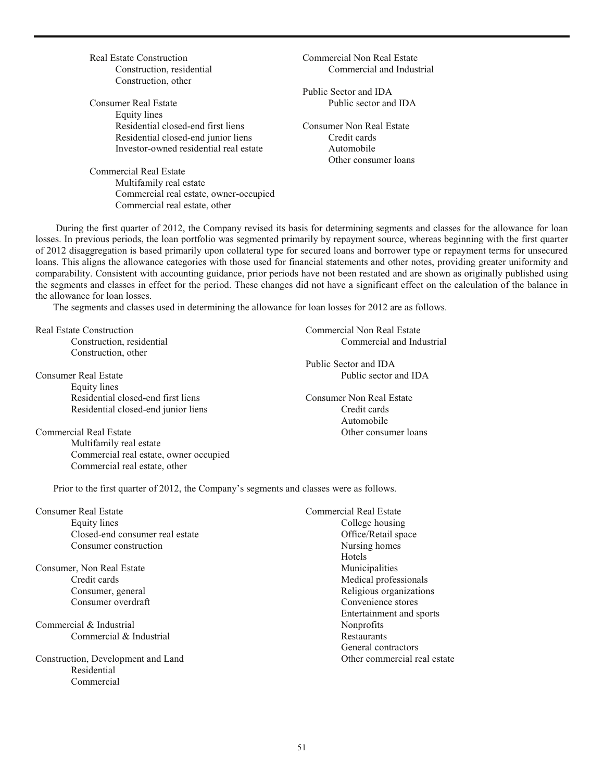| Real Estate Construction               | Commercial Non Real Estate      |
|----------------------------------------|---------------------------------|
| Construction, residential              | Commercial and Industrial       |
| Construction, other                    |                                 |
|                                        | Public Sector and IDA           |
| <b>Consumer Real Estate</b>            | Public sector and IDA           |
| Equity lines                           |                                 |
| Residential closed-end first liens     | <b>Consumer Non Real Estate</b> |
| Residential closed-end junior liens    | Credit cards                    |
| Investor-owned residential real estate | Automobile                      |
|                                        | Other consumer loans            |
| Commercial Real Estate                 |                                 |
| Multifamily real estate                |                                 |
| Commercial real estate, owner-occupied |                                 |
| Commercial real estate, other          |                                 |

 During the first quarter of 2012, the Company revised its basis for determining segments and classes for the allowance for loan losses. In previous periods, the loan portfolio was segmented primarily by repayment source, whereas beginning with the first quarter of 2012 disaggregation is based primarily upon collateral type for secured loans and borrower type or repayment terms for unsecured loans. This aligns the allowance categories with those used for financial statements and other notes, providing greater uniformity and comparability. Consistent with accounting guidance, prior periods have not been restated and are shown as originally published using the segments and classes in effect for the period. These changes did not have a significant effect on the calculation of the balance in the allowance for loan losses.

The segments and classes used in determining the allowance for loan losses for 2012 are as follows.

Real Estate Construction Construction, residential Construction, other

Commercial

Consumer Real Estate Equity lines Residential closed-end first liens Residential closed-end junior liens Commercial Non Real Estate Commercial and Industrial

Public Sector and IDA Public sector and IDA

Consumer Non Real Estate Credit cards Automobile Other consumer loans

Commercial Real Estate Multifamily real estate Commercial real estate, owner occupied Commercial real estate, other

Prior to the first quarter of 2012, the Company's segments and classes were as follows.

| <b>Consumer Real Estate</b>                       | <b>Commercial Real Estate</b> |
|---------------------------------------------------|-------------------------------|
| Equity lines                                      | College housing               |
| Closed-end consumer real estate                   | Office/Retail space           |
| Consumer construction                             | Nursing homes                 |
|                                                   | Hotels                        |
| Consumer, Non Real Estate                         | Municipalities                |
| Credit cards                                      | Medical professionals         |
| Consumer, general                                 | Religious organizations       |
| Consumer overdraft                                | Convenience stores            |
|                                                   | Entertainment and sports      |
| Commercial & Industrial                           | Nonprofits                    |
| Commercial & Industrial                           | Restaurants                   |
|                                                   | General contractors           |
| Construction, Development and Land<br>Residential | Other commercial real estate  |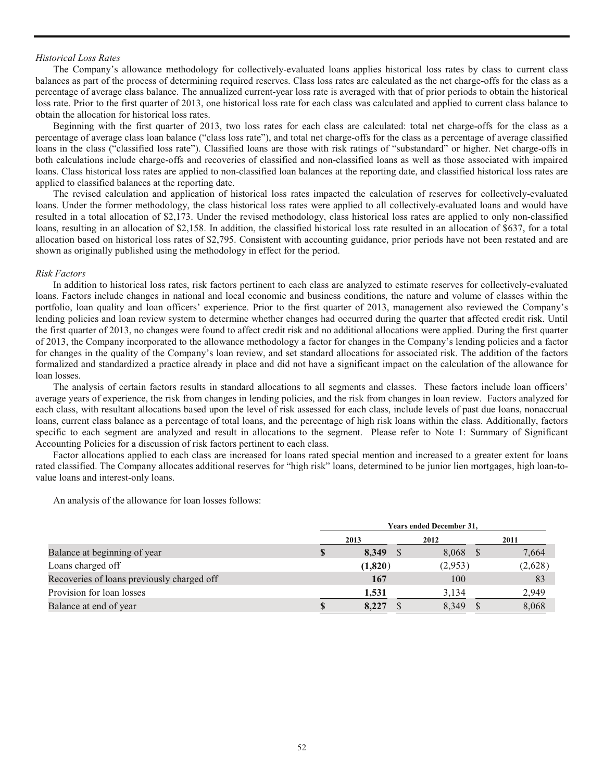## *Historical Loss Rates*

 The Company's allowance methodology for collectively-evaluated loans applies historical loss rates by class to current class balances as part of the process of determining required reserves. Class loss rates are calculated as the net charge-offs for the class as a percentage of average class balance. The annualized current-year loss rate is averaged with that of prior periods to obtain the historical loss rate. Prior to the first quarter of 2013, one historical loss rate for each class was calculated and applied to current class balance to obtain the allocation for historical loss rates.

 Beginning with the first quarter of 2013, two loss rates for each class are calculated: total net charge-offs for the class as a percentage of average class loan balance ("class loss rate"), and total net charge-offs for the class as a percentage of average classified loans in the class ("classified loss rate"). Classified loans are those with risk ratings of "substandard" or higher. Net charge-offs in both calculations include charge-offs and recoveries of classified and non-classified loans as well as those associated with impaired loans. Class historical loss rates are applied to non-classified loan balances at the reporting date, and classified historical loss rates are applied to classified balances at the reporting date.

 The revised calculation and application of historical loss rates impacted the calculation of reserves for collectively-evaluated loans. Under the former methodology, the class historical loss rates were applied to all collectively-evaluated loans and would have resulted in a total allocation of \$2,173. Under the revised methodology, class historical loss rates are applied to only non-classified loans, resulting in an allocation of \$2,158. In addition, the classified historical loss rate resulted in an allocation of \$637, for a total allocation based on historical loss rates of \$2,795. Consistent with accounting guidance, prior periods have not been restated and are shown as originally published using the methodology in effect for the period.

#### *Risk Factors*

 In addition to historical loss rates, risk factors pertinent to each class are analyzed to estimate reserves for collectively-evaluated loans. Factors include changes in national and local economic and business conditions, the nature and volume of classes within the portfolio, loan quality and loan officers' experience. Prior to the first quarter of 2013, management also reviewed the Company's lending policies and loan review system to determine whether changes had occurred during the quarter that affected credit risk. Until the first quarter of 2013, no changes were found to affect credit risk and no additional allocations were applied. During the first quarter of 2013, the Company incorporated to the allowance methodology a factor for changes in the Company's lending policies and a factor for changes in the quality of the Company's loan review, and set standard allocations for associated risk. The addition of the factors formalized and standardized a practice already in place and did not have a significant impact on the calculation of the allowance for loan losses.

 The analysis of certain factors results in standard allocations to all segments and classes. These factors include loan officers' average years of experience, the risk from changes in lending policies, and the risk from changes in loan review. Factors analyzed for each class, with resultant allocations based upon the level of risk assessed for each class, include levels of past due loans, nonaccrual loans, current class balance as a percentage of total loans, and the percentage of high risk loans within the class. Additionally, factors specific to each segment are analyzed and result in allocations to the segment. Please refer to Note 1: Summary of Significant Accounting Policies for a discussion of risk factors pertinent to each class.

 Factor allocations applied to each class are increased for loans rated special mention and increased to a greater extent for loans rated classified. The Company allocates additional reserves for "high risk" loans, determined to be junior lien mortgages, high loan-tovalue loans and interest-only loans.

An analysis of the allowance for loan losses follows:

|                                            |   |          | <b>Years ended December 31,</b> |         |
|--------------------------------------------|---|----------|---------------------------------|---------|
|                                            |   | 2013     | 2012                            | 2011    |
| Balance at beginning of year               | D | 8,349    | 8,068                           | 7,664   |
| Loans charged off                          |   | (1, 820) | (2,953)                         | (2,628) |
| Recoveries of loans previously charged off |   | 167      | 100                             | 83      |
| Provision for loan losses                  |   | 1,531    | 3,134                           | 2,949   |
| Balance at end of year                     |   | 8,227    | 8,349                           | 8,068   |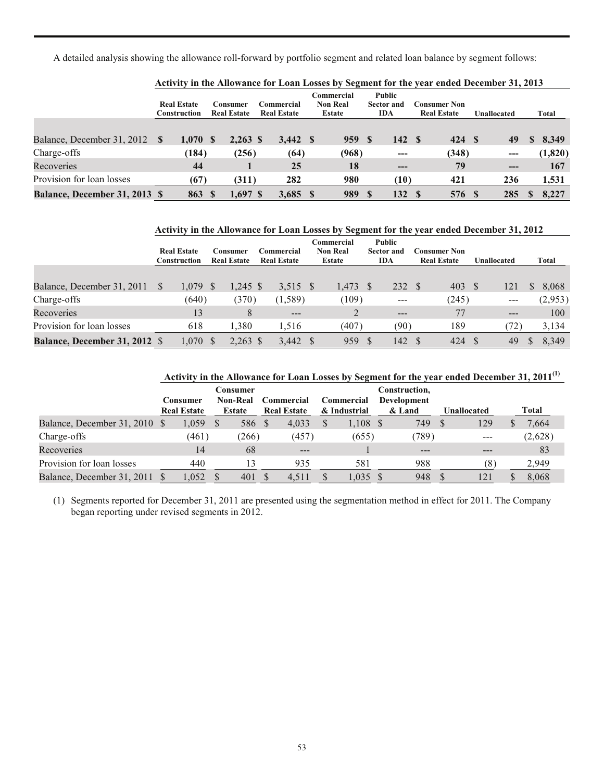A detailed analysis showing the allowance roll-forward by portfolio segment and related loan balance by segment follows:

|                                      |                                    |      |                                |                                  | Activity in the Allowance for Loan Losses by Segment for the year ended December 31, 2013 |                                           |                                           |             |          |         |
|--------------------------------------|------------------------------------|------|--------------------------------|----------------------------------|-------------------------------------------------------------------------------------------|-------------------------------------------|-------------------------------------------|-------------|----------|---------|
|                                      | <b>Real Estate</b><br>Construction |      | Consumer<br><b>Real Estate</b> | Commercial<br><b>Real Estate</b> | Commercial<br><b>Non Real</b><br>Estate                                                   | <b>Public</b><br>Sector and<br><b>IDA</b> | <b>Consumer Non</b><br><b>Real Estate</b> | Unallocated |          | Total   |
| Balance, December 31, 2012 \$        | 1.070                              | -S   | $2.263$ \$                     | 3.442 S                          | 959 \$                                                                                    | 142 S                                     | 424 S                                     | 49          |          | 8,349   |
| Charge-offs                          | (184)                              |      | (256)                          | (64)                             | (968)                                                                                     | ---                                       | (348)                                     | ---         |          | (1,820) |
| Recoveries                           | 44                                 |      |                                | 25                               | 18                                                                                        | ---                                       | 79                                        | $---$       |          | 167     |
| Provision for loan losses            | (67)                               |      | (311)                          | 282                              | 980                                                                                       | (10)                                      | 421                                       | 236         |          | 1,531   |
| <b>Balance, December 31, 2013 \$</b> | 863                                | - \$ | $1.697$ \$                     | $3,685$ \$                       | 989                                                                                       | 132                                       | 576 S                                     | 285         | <b>S</b> | 8.227   |

# **Activity in the Allowance for Loan Losses by Segment for the year ended December 31, 2013**

## **Activity in the Allowance for Loan Losses by Segment for the year ended December 31, 2012**

|                                                                   |               | <b>Real Estate</b><br>Construction |     | Consumer<br><b>Real Estate</b> | Commercial<br><b>Real Estate</b> | Commercial<br><b>Non Real</b><br>Estate |    | Public<br>Sector and<br><b>IDA</b> |    | <b>Consumer Non</b><br><b>Real Estate</b> | Unallocated |   | Total          |
|-------------------------------------------------------------------|---------------|------------------------------------|-----|--------------------------------|----------------------------------|-----------------------------------------|----|------------------------------------|----|-------------------------------------------|-------------|---|----------------|
| Balance, December 31, 2011                                        | <sup>\$</sup> | 1,079                              | - S | $1,245$ \$                     | 3,515 \$                         | $1,473$ \$                              |    | 232 \$                             |    | 403                                       | 121         | S | 8,068          |
| Charge-offs                                                       |               | (640)                              |     | (370)                          | (1,589)                          | (109)                                   |    | $- - -$                            |    | (245)                                     | $---$       |   | (2,953)        |
| Recoveries                                                        |               | 13                                 |     | 8                              | $---$                            |                                         |    | $\qquad \qquad - \qquad -$         |    | 77                                        | $---$       |   | 100            |
| Provision for loan losses<br><b>Balance, December 31, 2012</b> \$ |               | 618<br>1.070                       | -S  | 1.380<br>2.263 \$              | 1.516<br>3.442 S                 | (407)<br>959                            | -8 | (90)<br>142.                       | -8 | 189<br>424                                | 72)<br>49   |   | 3,134<br>8.349 |

# **Activity in the Allowance for Loan Losses by Segment for the year ended December 31, 2011(1)**

|                               | Consumer<br><b>Real Estate</b> | Consumer<br><b>Non-Real</b><br><b>Estate</b> | Commercial<br><b>Real Estate</b> | Commercial<br>& Industrial | Construction,<br>Development<br>& Land | <b>Unallocated</b> | <b>Total</b> |
|-------------------------------|--------------------------------|----------------------------------------------|----------------------------------|----------------------------|----------------------------------------|--------------------|--------------|
| Balance, December 31, 2010 \$ | 1,059                          | 586                                          | 4.033                            | $1,108$ \$                 | 749                                    | 129                | 7,664        |
| Charge-offs                   | (461)                          | (266)                                        | (457)                            | (655)                      | (789)                                  | $---$              | (2,628)      |
| Recoveries                    | 14                             | 68                                           | $\qquad \qquad - \qquad -$       |                            | $- - -$                                | $- - -$            | 83           |
| Provision for loan losses     | 440                            | 13                                           | 935                              | 581                        | 988                                    | (8)                | 2,949        |
| Balance, December 31, 2011 \$ | 1,052                          | 401                                          | 4.511                            | $1,035$ \$                 | 948                                    | 121                | 8,068        |

(1) Segments reported for December 31, 2011 are presented using the segmentation method in effect for 2011. The Company began reporting under revised segments in 2012.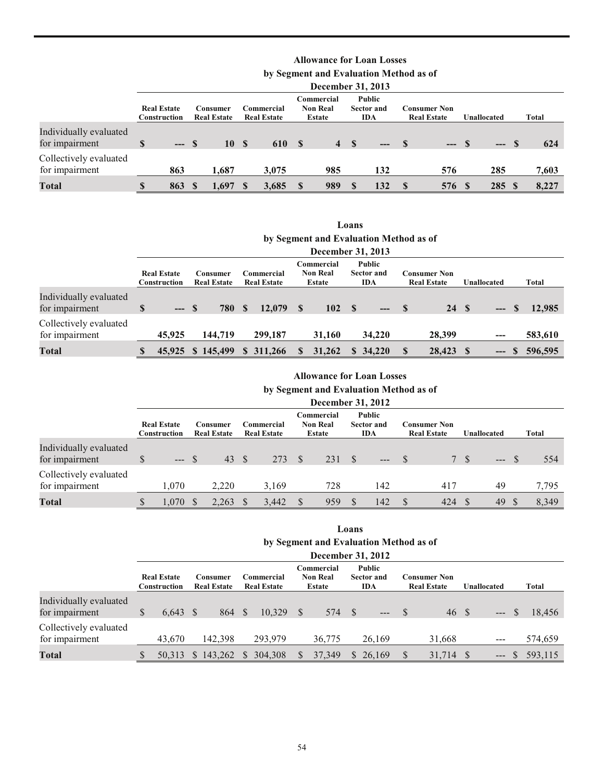# **Allowance for Loan Losses by Segment and Evaluation Method as of**

**Loans** 

|                                          |   |                                    |                                |      |                                  |      | December 31, 2013                       |      |                                    |          |                                           |             |              |
|------------------------------------------|---|------------------------------------|--------------------------------|------|----------------------------------|------|-----------------------------------------|------|------------------------------------|----------|-------------------------------------------|-------------|--------------|
|                                          |   | <b>Real Estate</b><br>Construction | Consumer<br><b>Real Estate</b> |      | Commercial<br><b>Real Estate</b> |      | Commercial<br><b>Non Real</b><br>Estate |      | Public<br>Sector and<br><b>IDA</b> |          | <b>Consumer Non</b><br><b>Real Estate</b> | Unallocated | <b>Total</b> |
| Individually evaluated<br>for impairment | S | $--$ \$                            | 10                             | - \$ | 610                              | - \$ | $\overline{4}$                          | - \$ | $---$                              |          | $---$                                     | $---$       | 624          |
| Collectively evaluated<br>for impairment |   | 863                                | 1.687                          |      | 3,075                            |      | 985                                     |      | 132                                |          | 576                                       | 285         | 7,603        |
| <b>Total</b>                             |   | 863                                | 1,697                          |      | 3,685                            |      | 989                                     |      | 132                                | <b>S</b> | 576                                       | 285S        | 8,227        |

|                                          |   |                                    |                                |      |                                  |   | by Segment and Evaluation Method as of         |                                           |          |                                           |             |   |         |
|------------------------------------------|---|------------------------------------|--------------------------------|------|----------------------------------|---|------------------------------------------------|-------------------------------------------|----------|-------------------------------------------|-------------|---|---------|
|                                          |   |                                    |                                |      |                                  |   | December 31, 2013                              |                                           |          |                                           |             |   |         |
|                                          |   | <b>Real Estate</b><br>Construction | Consumer<br><b>Real Estate</b> |      | Commercial<br><b>Real Estate</b> |   | Commercial<br><b>Non Real</b><br><b>Estate</b> | Public<br><b>Sector and</b><br><b>IDA</b> |          | <b>Consumer Non</b><br><b>Real Estate</b> | Unallocated |   | Total   |
| Individually evaluated<br>for impairment | S | $--$ \$                            | 780                            | - \$ | 12,079                           | S | 102 S                                          | ---                                       |          | 24S                                       | $---$       | S | 12,985  |
| Collectively evaluated<br>for impairment |   | 45,925                             | 144,719                        |      | 299,187                          |   | 31,160                                         | 34,220                                    |          | 28,399                                    | $---$       |   | 583,610 |
| <b>Total</b>                             | S |                                    | 45,925 \$ 145,499              |      | \$ 311,266                       | S | 31,262                                         | \$ 34,220                                 | <b>S</b> | 28,423                                    | ---         |   | 596,595 |

# **Allowance for Loan Losses**

**by Segment and Evaluation Method as of** 

|                                          |    |                                    |    |                                |     |                                  |              | December 31, 2012                       |                             |   |                                           |    |             |       |
|------------------------------------------|----|------------------------------------|----|--------------------------------|-----|----------------------------------|--------------|-----------------------------------------|-----------------------------|---|-------------------------------------------|----|-------------|-------|
|                                          |    | <b>Real Estate</b><br>Construction |    | Consumer<br><b>Real Estate</b> |     | Commercial<br><b>Real Estate</b> |              | Commercial<br><b>Non Real</b><br>Estate | Public<br>Sector and<br>IDA |   | <b>Consumer Non</b><br><b>Real Estate</b> |    | Unallocated | Total |
| Individually evaluated<br>for impairment | \$ | $--$ \$                            |    | 43                             | - S | 273                              | <sup>S</sup> | 231                                     | $---$                       |   |                                           | 7S | $---$       | 554   |
| Collectively evaluated<br>for impairment |    | 1,070                              |    | 2,220                          |     | 3,169                            |              | 728                                     | 142                         |   | 417                                       |    | 49          | 7,795 |
| <b>Total</b>                             | S  | 1,070                              | S. | 2,263                          |     | 3,442                            |              | 959                                     | 142                         | S | 424                                       |    | 49 \$       | 8,349 |

|                                          |                                                                    |                                    |  |                                       |               |                                  |          |                                                | Loans |                                                  |            |                                           |                          |          |         |
|------------------------------------------|--------------------------------------------------------------------|------------------------------------|--|---------------------------------------|---------------|----------------------------------|----------|------------------------------------------------|-------|--------------------------------------------------|------------|-------------------------------------------|--------------------------|----------|---------|
|                                          | by Segment and Evaluation Method as of<br><b>December 31, 2012</b> |                                    |  |                                       |               |                                  |          |                                                |       |                                                  |            |                                           |                          |          |         |
|                                          |                                                                    | <b>Real Estate</b><br>Construction |  | <b>Consumer</b><br><b>Real Estate</b> |               | Commercial<br><b>Real Estate</b> |          | Commercial<br><b>Non Real</b><br><b>Estate</b> |       | <b>Public</b><br><b>Sector and</b><br><b>IDA</b> |            | <b>Consumer Non</b><br><b>Real Estate</b> | Unallocated              |          | Total   |
| Individually evaluated<br>for impairment | \$                                                                 | $6,643$ \$                         |  | 864                                   | <sup>\$</sup> | 10,329                           | <b>S</b> | 574                                            | - S   | $---$                                            | $^{\circ}$ | 46 \$                                     | $---$                    | <b>S</b> | 18,456  |
| Collectively evaluated<br>for impairment |                                                                    | 43,670                             |  | 142,398                               |               | 293,979                          |          | 36,775                                         |       | 26,169                                           |            | 31,668                                    | $\qquad \qquad \qquad -$ |          | 574,659 |
| <b>Total</b>                             |                                                                    | 50,313                             |  | \$143,262                             | S.            | 304,308                          | S        | 37,349                                         |       | \$26,169                                         | S          | 31,714 \$                                 | $---$                    |          | 593,115 |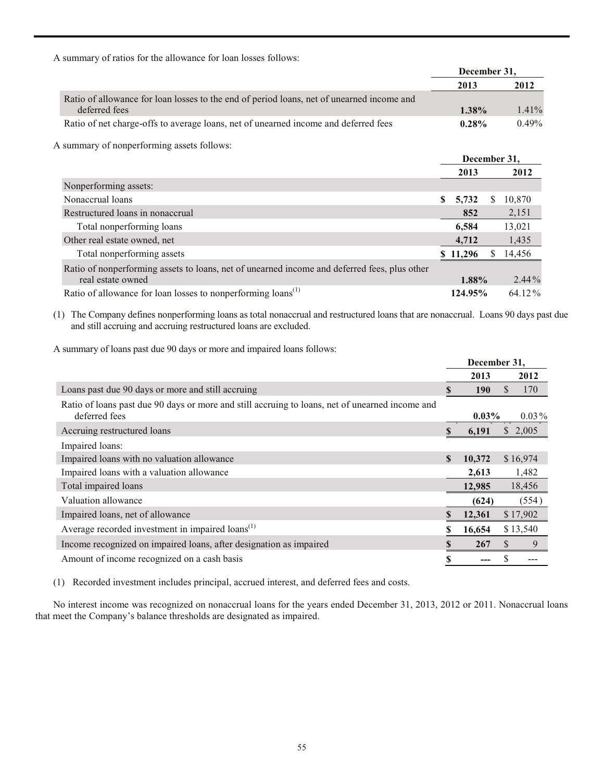A summary of ratios for the allowance for loan losses follows:

|                                                                                           | December 31, |          |
|-------------------------------------------------------------------------------------------|--------------|----------|
|                                                                                           | 2013         | 2012     |
| Ratio of allowance for loan losses to the end of period loans, net of unearned income and |              |          |
| deferred fees                                                                             | 1.38%        | $1.41\%$ |
| Ratio of net charge-offs to average loans, net of unearned income and deferred fees       | $0.28\%$     | $0.49\%$ |

A summary of nonperforming assets follows:

|                                                                                              |    | December 31, |    |          |
|----------------------------------------------------------------------------------------------|----|--------------|----|----------|
|                                                                                              |    | 2013         |    | 2012     |
| Nonperforming assets:                                                                        |    |              |    |          |
| Nonaccrual loans                                                                             | S. | 5,732        | Ъ. | 10,870   |
| Restructured loans in nonaccrual                                                             |    | 852          |    | 2,151    |
| Total nonperforming loans                                                                    |    | 6,584        |    | 13,021   |
| Other real estate owned, net                                                                 |    | 4,712        |    | 1,435    |
| Total nonperforming assets                                                                   |    | \$11,296     |    | 14,456   |
| Ratio of nonperforming assets to loans, net of unearned income and deferred fees, plus other |    |              |    |          |
| real estate owned                                                                            |    | 1.88%        |    | $2.44\%$ |
| Ratio of allowance for loan losses to nonperforming loans <sup>(1)</sup>                     |    | 124.95%      |    | 64.12%   |

(1) The Company defines nonperforming loans as total nonaccrual and restructured loans that are nonaccrual. Loans 90 days past due and still accruing and accruing restructured loans are excluded.

A summary of loans past due 90 days or more and impaired loans follows:

|                                                                                                                  |   | December 31, |            |
|------------------------------------------------------------------------------------------------------------------|---|--------------|------------|
|                                                                                                                  |   | 2013         | 2012       |
| Loans past due 90 days or more and still accruing                                                                |   | <b>190</b>   | 170<br>\$. |
| Ratio of loans past due 90 days or more and still accruing to loans, net of unearned income and<br>deferred fees |   | $0.03\%$     | $0.03\%$   |
| Accruing restructured loans                                                                                      |   | 6,191        | \$2,005    |
| Impaired loans:                                                                                                  |   |              |            |
| Impaired loans with no valuation allowance                                                                       | S | 10,372       | \$16,974   |
| Impaired loans with a valuation allowance                                                                        |   | 2.613        | 1,482      |
| Total impaired loans                                                                                             |   | 12,985       | 18,456     |
| Valuation allowance                                                                                              |   | (624)        | (554)      |
| Impaired loans, net of allowance                                                                                 |   | 12,361       | \$17,902   |
| Average recorded investment in impaired loans <sup>(1)</sup>                                                     |   | 16,654       | \$13,540   |
| Income recognized on impaired loans, after designation as impaired                                               |   | 267          | \$<br>9    |
| Amount of income recognized on a cash basis                                                                      |   |              |            |

(1) Recorded investment includes principal, accrued interest, and deferred fees and costs.

 No interest income was recognized on nonaccrual loans for the years ended December 31, 2013, 2012 or 2011. Nonaccrual loans that meet the Company's balance thresholds are designated as impaired.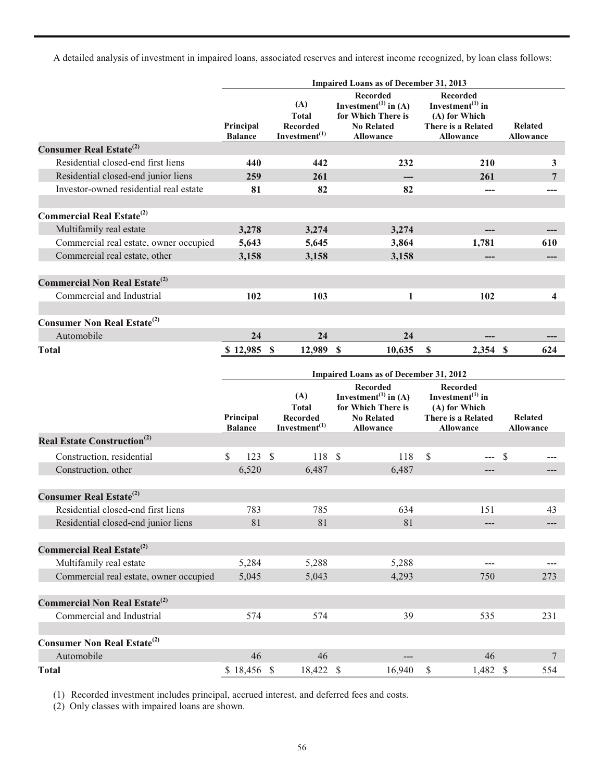A detailed analysis of investment in impaired loans, associated reserves and interest income recognized, by loan class follows:

|                                                              | <b>Impaired Loans as of December 31, 2013</b>             |                                                                     |                                                                                                      |                                                                                                      |                                    |  |  |  |  |
|--------------------------------------------------------------|-----------------------------------------------------------|---------------------------------------------------------------------|------------------------------------------------------------------------------------------------------|------------------------------------------------------------------------------------------------------|------------------------------------|--|--|--|--|
|                                                              | Principal<br><b>Balance</b>                               | (A)<br><b>Total</b><br><b>Recorded</b><br>Investment <sup>(1)</sup> | Recorded<br>Investment <sup>(1)</sup> in (A)<br>for Which There is<br><b>No Related</b><br>Allowance | <b>Recorded</b><br>Investment $^{(1)}$ in<br>(A) for Which<br>There is a Related<br><b>Allowance</b> | <b>Related</b><br><b>Allowance</b> |  |  |  |  |
| <b>Consumer Real Estate</b> <sup>(2)</sup>                   |                                                           |                                                                     |                                                                                                      |                                                                                                      |                                    |  |  |  |  |
| Residential closed-end first liens                           | 440                                                       | 442                                                                 | 232                                                                                                  | 210                                                                                                  | $\mathbf{3}$                       |  |  |  |  |
| Residential closed-end junior liens                          | 259                                                       | 261                                                                 | ---                                                                                                  | 261                                                                                                  | 7                                  |  |  |  |  |
| Investor-owned residential real estate                       | 81                                                        | 82                                                                  | 82                                                                                                   |                                                                                                      |                                    |  |  |  |  |
| <b>Commercial Real Estate</b> <sup>(2)</sup>                 |                                                           |                                                                     |                                                                                                      |                                                                                                      |                                    |  |  |  |  |
| Multifamily real estate                                      | 3,278                                                     | 3,274                                                               | 3,274                                                                                                |                                                                                                      |                                    |  |  |  |  |
| Commercial real estate, owner occupied                       | 5,643                                                     | 5,645                                                               | 3,864                                                                                                | 1,781                                                                                                | 610                                |  |  |  |  |
| Commercial real estate, other                                | 3,158                                                     | 3,158                                                               | 3,158                                                                                                |                                                                                                      |                                    |  |  |  |  |
| <b>Commercial Non Real Estate</b> <sup>(2)</sup>             |                                                           |                                                                     |                                                                                                      |                                                                                                      |                                    |  |  |  |  |
| Commercial and Industrial                                    | 102                                                       | 103                                                                 | 1                                                                                                    | 102                                                                                                  | 4                                  |  |  |  |  |
|                                                              |                                                           |                                                                     |                                                                                                      |                                                                                                      |                                    |  |  |  |  |
| <b>Consumer Non Real Estate</b> <sup>(2)</sup>               |                                                           |                                                                     |                                                                                                      |                                                                                                      |                                    |  |  |  |  |
| Automobile                                                   | 24                                                        | 24                                                                  | 24                                                                                                   |                                                                                                      |                                    |  |  |  |  |
| <b>Total</b>                                                 | \$12,985                                                  | $\boldsymbol{\mathsf{s}}$<br>12,989 \$                              | 10,635                                                                                               | $\mathbb{S}$<br>$2,354$ \$                                                                           | 624                                |  |  |  |  |
|                                                              |                                                           |                                                                     |                                                                                                      |                                                                                                      |                                    |  |  |  |  |
|                                                              | Impaired Loans as of December 31, 2012<br><b>Recorded</b> |                                                                     |                                                                                                      |                                                                                                      |                                    |  |  |  |  |
|                                                              |                                                           | (A)                                                                 | Investment <sup>(1)</sup> in (A)                                                                     | <b>Recorded</b><br>Investment $^{(1)}$ in                                                            |                                    |  |  |  |  |
|                                                              | Principal                                                 | <b>Total</b><br>Recorded                                            | for Which There is<br><b>No Related</b>                                                              | (A) for Which<br>There is a Related                                                                  | <b>Related</b>                     |  |  |  |  |
| <b>Real Estate Construction</b> <sup>(2)</sup>               | <b>Balance</b>                                            | Investment $(1)$                                                    | Allowance                                                                                            | <b>Allowance</b>                                                                                     | <b>Allowance</b>                   |  |  |  |  |
|                                                              |                                                           |                                                                     |                                                                                                      |                                                                                                      |                                    |  |  |  |  |
| Construction, residential                                    | $\mathbb{S}$<br>123                                       | 118 \$<br>$\mathcal{S}$                                             | 118                                                                                                  | $\mathbb S$<br>---                                                                                   | \$                                 |  |  |  |  |
| Construction, other                                          | 6,520                                                     | 6,487                                                               | 6,487                                                                                                |                                                                                                      |                                    |  |  |  |  |
| <b>Consumer Real Estate</b> <sup>(2)</sup>                   |                                                           |                                                                     |                                                                                                      |                                                                                                      |                                    |  |  |  |  |
| Residential closed-end first liens                           | 783                                                       | 785                                                                 | 634                                                                                                  | 151                                                                                                  | 43                                 |  |  |  |  |
| Residential closed-end junior liens                          | 81                                                        | 81                                                                  | 81                                                                                                   |                                                                                                      |                                    |  |  |  |  |
| Commercial Real Estate <sup>(2)</sup>                        |                                                           |                                                                     |                                                                                                      |                                                                                                      |                                    |  |  |  |  |
| Multifamily real estate                                      | 5,284                                                     | 5,288                                                               | 5,288                                                                                                | ---                                                                                                  |                                    |  |  |  |  |
| Commercial real estate, owner occupied                       | 5,045                                                     | 5,043                                                               | 4,293                                                                                                | 750                                                                                                  | 273                                |  |  |  |  |
| <b>Commercial Non Real Estate</b> <sup>(2)</sup>             |                                                           |                                                                     |                                                                                                      |                                                                                                      |                                    |  |  |  |  |
| Commercial and Industrial                                    | 574                                                       | 574                                                                 | 39                                                                                                   | 535                                                                                                  | 231                                |  |  |  |  |
|                                                              |                                                           |                                                                     |                                                                                                      |                                                                                                      |                                    |  |  |  |  |
| <b>Consumer Non Real Estate</b> <sup>(2)</sup><br>Automobile | 46                                                        | 46                                                                  |                                                                                                      | 46                                                                                                   | 7                                  |  |  |  |  |

(1) Recorded investment includes principal, accrued interest, and deferred fees and costs.

(2) Only classes with impaired loans are shown.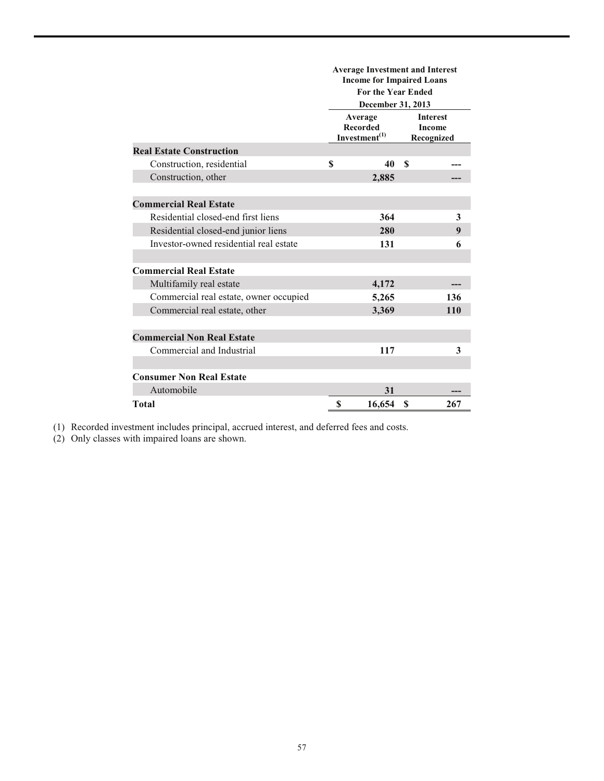|                                        | <b>Average Investment and Interest</b><br><b>Income for Impaired Loans</b><br><b>For the Year Ended</b> |                                                |    |                                                |  |
|----------------------------------------|---------------------------------------------------------------------------------------------------------|------------------------------------------------|----|------------------------------------------------|--|
|                                        | December 31, 2013                                                                                       |                                                |    |                                                |  |
|                                        |                                                                                                         | Average<br><b>Recorded</b><br>Investment $(1)$ |    | <b>Interest</b><br><b>Income</b><br>Recognized |  |
| <b>Real Estate Construction</b>        |                                                                                                         |                                                |    |                                                |  |
| Construction, residential              | \$                                                                                                      | 40                                             | S  |                                                |  |
| Construction, other                    |                                                                                                         | 2,885                                          |    |                                                |  |
| <b>Commercial Real Estate</b>          |                                                                                                         |                                                |    |                                                |  |
| Residential closed-end first liens     |                                                                                                         | 364                                            |    | 3                                              |  |
| Residential closed-end junior liens    |                                                                                                         | 280                                            |    | 9                                              |  |
| Investor-owned residential real estate |                                                                                                         | 131                                            |    | 6                                              |  |
| <b>Commercial Real Estate</b>          |                                                                                                         |                                                |    |                                                |  |
| Multifamily real estate                |                                                                                                         | 4,172                                          |    |                                                |  |
| Commercial real estate, owner occupied |                                                                                                         | 5,265                                          |    | 136                                            |  |
| Commercial real estate, other          |                                                                                                         | 3,369                                          |    | 110                                            |  |
| <b>Commercial Non Real Estate</b>      |                                                                                                         |                                                |    |                                                |  |
| Commercial and Industrial              |                                                                                                         | 117                                            |    | 3                                              |  |
| <b>Consumer Non Real Estate</b>        |                                                                                                         |                                                |    |                                                |  |
| Automobile                             |                                                                                                         | 31                                             |    |                                                |  |
| <b>Total</b>                           | \$                                                                                                      | 16,654                                         | \$ | 267                                            |  |

(1) Recorded investment includes principal, accrued interest, and deferred fees and costs.

(2) Only classes with impaired loans are shown.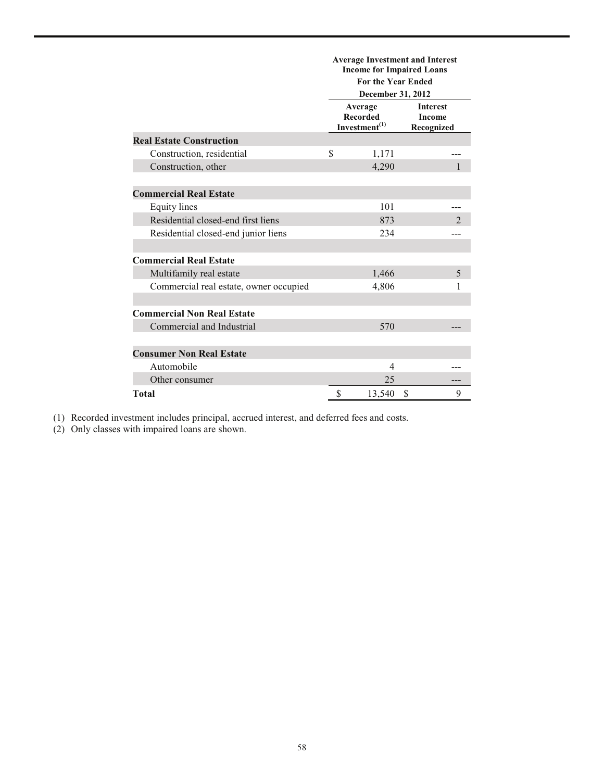|                                        | <b>Average Investment and Interest</b><br><b>Income for Impaired Loans</b><br><b>For the Year Ended</b><br>December 31, 2012 |                                                         |                                                |  |  |
|----------------------------------------|------------------------------------------------------------------------------------------------------------------------------|---------------------------------------------------------|------------------------------------------------|--|--|
|                                        |                                                                                                                              | Average<br><b>Recorded</b><br>Investment <sup>(1)</sup> | <b>Interest</b><br><b>Income</b><br>Recognized |  |  |
| <b>Real Estate Construction</b>        |                                                                                                                              |                                                         |                                                |  |  |
| Construction, residential              | \$                                                                                                                           | 1,171                                                   |                                                |  |  |
| Construction, other                    |                                                                                                                              | 4,290                                                   | 1                                              |  |  |
| <b>Commercial Real Estate</b>          |                                                                                                                              |                                                         |                                                |  |  |
| <b>Equity</b> lines                    |                                                                                                                              | 101                                                     |                                                |  |  |
| Residential closed-end first liens     |                                                                                                                              | 873                                                     | $\mathfrak{D}$                                 |  |  |
| Residential closed-end junior liens    |                                                                                                                              | 234                                                     |                                                |  |  |
| <b>Commercial Real Estate</b>          |                                                                                                                              |                                                         |                                                |  |  |
| Multifamily real estate                |                                                                                                                              | 1,466                                                   | 5                                              |  |  |
| Commercial real estate, owner occupied |                                                                                                                              | 4,806                                                   | 1                                              |  |  |
| <b>Commercial Non Real Estate</b>      |                                                                                                                              |                                                         |                                                |  |  |
| Commercial and Industrial              |                                                                                                                              | 570                                                     |                                                |  |  |
|                                        |                                                                                                                              |                                                         |                                                |  |  |
| <b>Consumer Non Real Estate</b>        |                                                                                                                              |                                                         |                                                |  |  |
| Automobile                             |                                                                                                                              | $\overline{4}$                                          |                                                |  |  |
| Other consumer                         |                                                                                                                              | 25                                                      |                                                |  |  |
| <b>Total</b>                           | \$                                                                                                                           | 13,540                                                  | \$<br>9                                        |  |  |

- (1) Recorded investment includes principal, accrued interest, and deferred fees and costs.
- (2) Only classes with impaired loans are shown.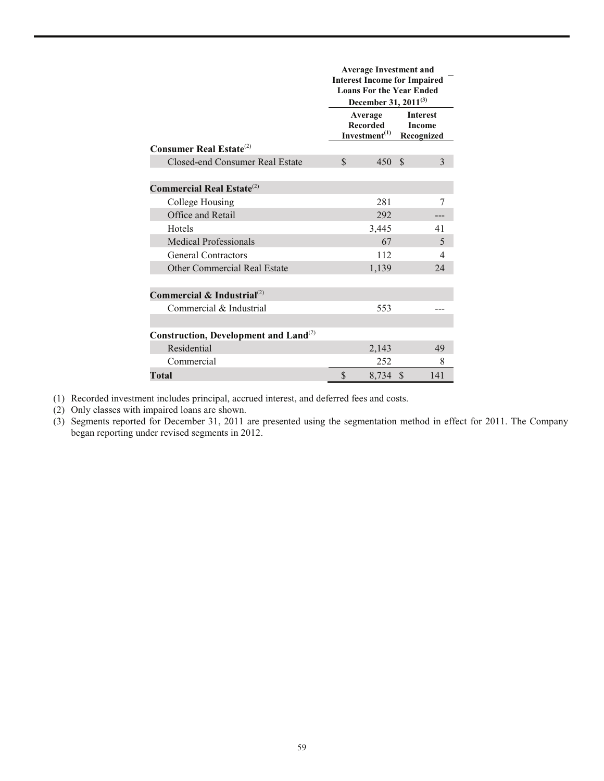|                                                   | <b>Average Investment and</b>                                          |       |               |                                                |  |  |
|---------------------------------------------------|------------------------------------------------------------------------|-------|---------------|------------------------------------------------|--|--|
|                                                   | <b>Interest Income for Impaired</b><br><b>Loans For the Year Ended</b> |       |               |                                                |  |  |
|                                                   | December 31, 2011 <sup>(3)</sup>                                       |       |               |                                                |  |  |
|                                                   | Average<br><b>Recorded</b><br>Investment <sup>(1)</sup>                |       |               | <b>Interest</b><br><b>Income</b><br>Recognized |  |  |
| <b>Consumer Real Estate</b> <sup>(2)</sup>        |                                                                        |       |               |                                                |  |  |
| Closed-end Consumer Real Estate                   | $\mathcal{S}$                                                          | 450   | <sup>\$</sup> | 3                                              |  |  |
|                                                   |                                                                        |       |               |                                                |  |  |
| <b>Commercial Real Estate</b> <sup>(2)</sup>      |                                                                        |       |               |                                                |  |  |
| College Housing                                   |                                                                        | 281   |               | 7                                              |  |  |
| Office and Retail                                 |                                                                        | 292   |               |                                                |  |  |
| Hotels                                            |                                                                        | 3,445 |               | 41                                             |  |  |
| <b>Medical Professionals</b>                      |                                                                        | 67    |               | 5                                              |  |  |
| <b>General Contractors</b>                        |                                                                        | 112   |               | 4                                              |  |  |
| Other Commercial Real Estate                      |                                                                        | 1,139 |               | 24                                             |  |  |
|                                                   |                                                                        |       |               |                                                |  |  |
| Commercial & Industrial <sup>(2)</sup>            |                                                                        |       |               |                                                |  |  |
| Commercial & Industrial                           |                                                                        | 553   |               |                                                |  |  |
|                                                   |                                                                        |       |               |                                                |  |  |
| Construction, Development and Land <sup>(2)</sup> |                                                                        |       |               |                                                |  |  |
| Residential                                       |                                                                        | 2,143 |               | 49                                             |  |  |
| Commercial                                        |                                                                        | 252   |               | 8                                              |  |  |
| Total                                             | $\mathbb{S}$                                                           | 8,734 | <sup>\$</sup> | 141                                            |  |  |

(1) Recorded investment includes principal, accrued interest, and deferred fees and costs.

(2) Only classes with impaired loans are shown.

(3) Segments reported for December 31, 2011 are presented using the segmentation method in effect for 2011. The Company began reporting under revised segments in 2012.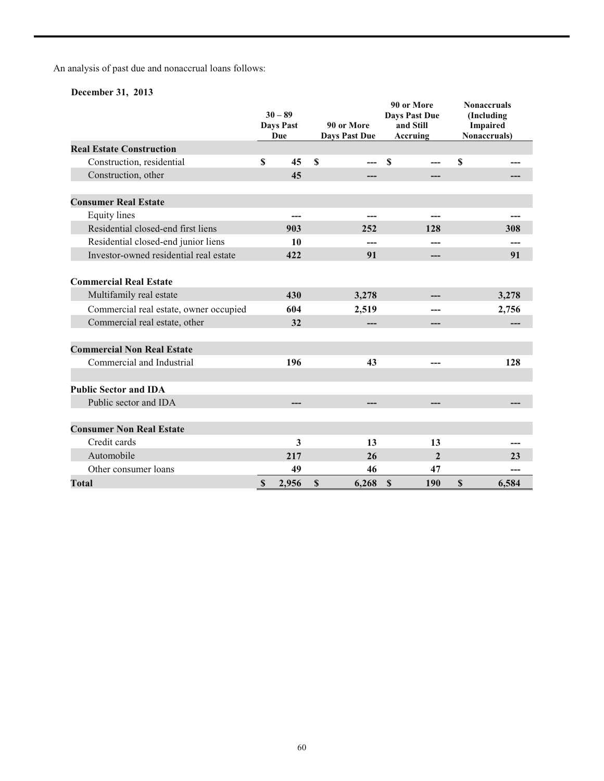An analysis of past due and nonaccrual loans follows:

# **December 31, 2013**

|                                        | $30 - 89$        |             |                      |                                   | 90 or More   |                               | <b>Nonaccruals</b> |
|----------------------------------------|------------------|-------------|----------------------|-----------------------------------|--------------|-------------------------------|--------------------|
|                                        | <b>Days Past</b> |             | 90 or More           | <b>Days Past Due</b><br>and Still |              | (Including<br><b>Impaired</b> |                    |
|                                        | Due              |             | <b>Days Past Due</b> |                                   | Accruing     |                               | Nonaccruals)       |
| <b>Real Estate Construction</b>        |                  |             |                      |                                   |              |                               |                    |
| Construction, residential              | \$<br>45         | $\mathbf S$ |                      | $\mathbf{s}$                      |              | \$                            |                    |
| Construction, other                    | 45               |             |                      |                                   | ---          |                               |                    |
| <b>Consumer Real Estate</b>            |                  |             |                      |                                   |              |                               |                    |
| <b>Equity</b> lines                    | ---              |             |                      |                                   | ---          |                               |                    |
| Residential closed-end first liens     | 903              |             | 252                  |                                   | 128          |                               | 308                |
| Residential closed-end junior liens    | 10               |             | ---                  |                                   | ---          |                               |                    |
| Investor-owned residential real estate | 422              |             | 91                   |                                   | ---          |                               | 91                 |
|                                        |                  |             |                      |                                   |              |                               |                    |
| <b>Commercial Real Estate</b>          |                  |             |                      |                                   |              |                               |                    |
| Multifamily real estate                | 430              |             | 3,278                |                                   | ---          |                               | 3,278              |
| Commercial real estate, owner occupied | 604              |             | 2,519                |                                   | ---          |                               | 2,756              |
| Commercial real estate, other          | 32               |             |                      |                                   |              |                               |                    |
|                                        |                  |             |                      |                                   |              |                               |                    |
| <b>Commercial Non Real Estate</b>      |                  |             |                      |                                   |              |                               |                    |
| Commercial and Industrial              | 196              |             | 43                   |                                   | ---          |                               | 128                |
|                                        |                  |             |                      |                                   |              |                               |                    |
| <b>Public Sector and IDA</b>           |                  |             |                      |                                   |              |                               |                    |
| Public sector and IDA                  | ---              |             | ---                  |                                   | ---          |                               |                    |
|                                        |                  |             |                      |                                   |              |                               |                    |
| <b>Consumer Non Real Estate</b>        |                  |             |                      |                                   |              |                               |                    |
| Credit cards                           | 3                |             | 13                   |                                   | 13           |                               |                    |
| Automobile                             | 217              |             | 26                   |                                   | $\mathbf{2}$ |                               | 23                 |
| Other consumer loans                   | 49               |             | 46                   |                                   | 47           |                               |                    |
| <b>Total</b>                           | \$<br>2,956      | \$          | 6,268                | $\mathbf S$                       | 190          | $\mathbf S$                   | 6,584              |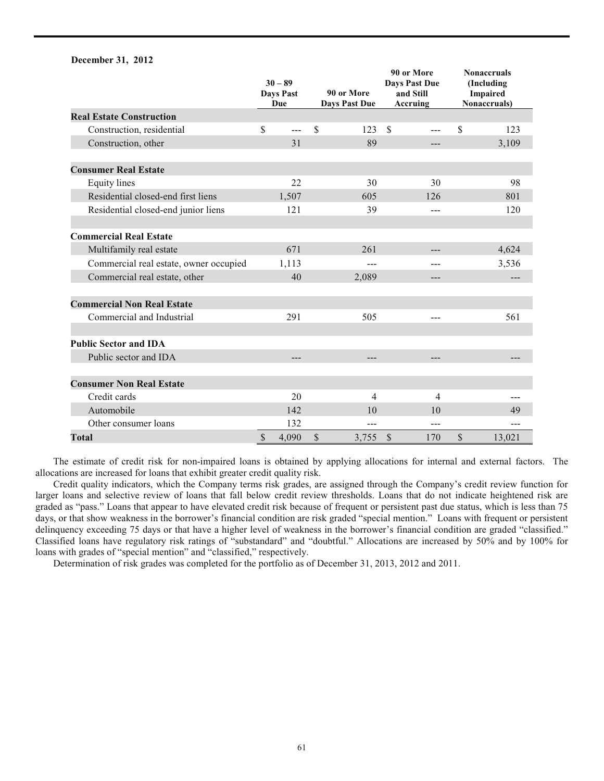## **December 31, 2012**

|                                        |              | $30 - 89$<br><b>Days Past</b><br>Due |              | 90 or More<br><b>Days Past Due</b> | 90 or More<br><b>Days Past Due</b><br>and Still<br>Accruing |         |    |        | <b>Nonaccruals</b><br>(Including<br><b>Impaired</b><br>Nonaccruals) |
|----------------------------------------|--------------|--------------------------------------|--------------|------------------------------------|-------------------------------------------------------------|---------|----|--------|---------------------------------------------------------------------|
| <b>Real Estate Construction</b>        |              |                                      |              |                                    |                                                             |         |    |        |                                                                     |
| Construction, residential              | $\mathbb{S}$ | $---$                                | \$           | 123                                | $\mathcal{S}$                                               |         | \$ | 123    |                                                                     |
| Construction, other                    |              | 31                                   |              | 89                                 |                                                             |         |    | 3,109  |                                                                     |
| <b>Consumer Real Estate</b>            |              |                                      |              |                                    |                                                             |         |    |        |                                                                     |
| <b>Equity</b> lines                    |              | 22                                   |              | 30                                 |                                                             | 30      |    | 98     |                                                                     |
| Residential closed-end first liens     |              | 1,507                                |              | 605                                |                                                             | 126     |    | 801    |                                                                     |
| Residential closed-end junior liens    |              | 121                                  |              | 39                                 |                                                             | $---$   |    | 120    |                                                                     |
|                                        |              |                                      |              |                                    |                                                             |         |    |        |                                                                     |
| <b>Commercial Real Estate</b>          |              |                                      |              |                                    |                                                             |         |    |        |                                                                     |
| Multifamily real estate                |              | 671                                  |              | 261                                |                                                             | ---     |    | 4,624  |                                                                     |
| Commercial real estate, owner occupied |              | 1,113                                |              | ---                                |                                                             | ---     |    | 3,536  |                                                                     |
| Commercial real estate, other          |              | 40                                   |              | 2,089                              |                                                             | ---     |    |        |                                                                     |
|                                        |              |                                      |              |                                    |                                                             |         |    |        |                                                                     |
| <b>Commercial Non Real Estate</b>      |              |                                      |              |                                    |                                                             |         |    |        |                                                                     |
| Commercial and Industrial              |              | 291                                  |              | 505                                |                                                             | $- - -$ |    | 561    |                                                                     |
| <b>Public Sector and IDA</b>           |              |                                      |              |                                    |                                                             |         |    |        |                                                                     |
| Public sector and IDA                  |              | $---$                                |              |                                    |                                                             |         |    |        |                                                                     |
|                                        |              |                                      |              |                                    |                                                             |         |    |        |                                                                     |
| <b>Consumer Non Real Estate</b>        |              |                                      |              |                                    |                                                             |         |    |        |                                                                     |
| Credit cards                           |              | 20                                   |              | 4                                  |                                                             | 4       |    |        |                                                                     |
| Automobile                             |              | 142                                  |              | 10                                 |                                                             | 10      |    | 49     |                                                                     |
| Other consumer loans                   |              | 132                                  |              | ---                                |                                                             | $---$   |    |        |                                                                     |
| <b>Total</b>                           | $\mathbb{S}$ | 4,090                                | $\mathbb{S}$ | 3,755                              | \$                                                          | 170     | \$ | 13,021 |                                                                     |

The estimate of credit risk for non-impaired loans is obtained by applying allocations for internal and external factors. The allocations are increased for loans that exhibit greater credit quality risk.

 Credit quality indicators, which the Company terms risk grades, are assigned through the Company's credit review function for larger loans and selective review of loans that fall below credit review thresholds. Loans that do not indicate heightened risk are graded as "pass." Loans that appear to have elevated credit risk because of frequent or persistent past due status, which is less than 75 days, or that show weakness in the borrower's financial condition are risk graded "special mention." Loans with frequent or persistent delinquency exceeding 75 days or that have a higher level of weakness in the borrower's financial condition are graded "classified." Classified loans have regulatory risk ratings of "substandard" and "doubtful." Allocations are increased by 50% and by 100% for loans with grades of "special mention" and "classified," respectively.

Determination of risk grades was completed for the portfolio as of December 31, 2013, 2012 and 2011.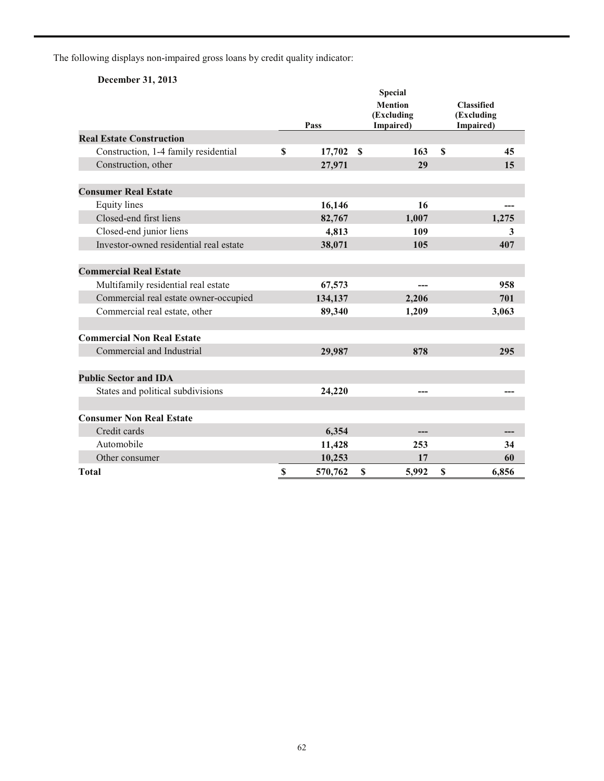The following displays non-impaired gross loans by credit quality indicator:

# **December 31, 2013**

|                                        |             |                              |             | <b>Special</b> |    |                                 |
|----------------------------------------|-------------|------------------------------|-------------|----------------|----|---------------------------------|
|                                        |             | <b>Mention</b><br>(Excluding |             |                |    | <b>Classified</b><br>(Excluding |
|                                        |             | Pass                         |             | Impaired)      |    | Impaired)                       |
| <b>Real Estate Construction</b>        |             |                              |             |                |    |                                 |
| Construction, 1-4 family residential   | \$          | 17,702                       | $\mathbf S$ | 163            | \$ | 45                              |
| Construction, other                    |             | 27,971                       |             | 29             |    | 15                              |
| <b>Consumer Real Estate</b>            |             |                              |             |                |    |                                 |
| <b>Equity</b> lines                    |             | 16,146                       |             | 16             |    |                                 |
| Closed-end first liens                 |             | 82,767                       |             | 1,007          |    | 1,275                           |
| Closed-end junior liens                |             | 4,813                        |             | 109            |    | 3                               |
| Investor-owned residential real estate |             | 38,071                       |             | 105            |    | 407                             |
| <b>Commercial Real Estate</b>          |             |                              |             |                |    |                                 |
| Multifamily residential real estate    |             | 67,573                       |             | ---            |    | 958                             |
| Commercial real estate owner-occupied  |             | 134,137                      |             | 2,206          |    | 701                             |
| Commercial real estate, other          |             | 89,340                       |             | 1,209          |    | 3,063                           |
| <b>Commercial Non Real Estate</b>      |             |                              |             |                |    |                                 |
| Commercial and Industrial              |             | 29,987                       |             | 878            |    | 295                             |
| <b>Public Sector and IDA</b>           |             |                              |             |                |    |                                 |
| States and political subdivisions      |             | 24,220                       |             |                |    |                                 |
| <b>Consumer Non Real Estate</b>        |             |                              |             |                |    |                                 |
| Credit cards                           |             | 6,354                        |             | ---            |    |                                 |
| Automobile                             |             | 11,428                       |             | 253            |    | 34                              |
| Other consumer                         |             | 10,253                       |             | 17             |    | 60                              |
| <b>Total</b>                           | $\mathbb S$ | 570,762                      | \$          | 5,992          | \$ | 6,856                           |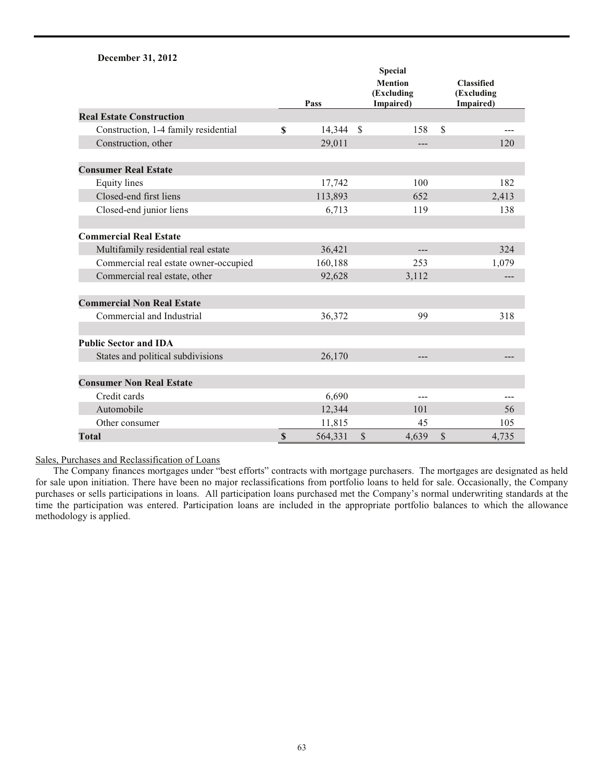## **December 31, 2012**

|                                       |                    | <b>Special</b> |                         |              |                         |  |  |  |
|---------------------------------------|--------------------|----------------|-------------------------|--------------|-------------------------|--|--|--|
|                                       |                    |                | <b>Mention</b>          |              | <b>Classified</b>       |  |  |  |
|                                       |                    | Pass           | (Excluding<br>Impaired) |              | (Excluding<br>Impaired) |  |  |  |
| <b>Real Estate Construction</b>       |                    |                |                         |              |                         |  |  |  |
| Construction, 1-4 family residential  | $\mathbf{\hat{S}}$ | 14,344         | <sup>\$</sup><br>158    | $\mathbb{S}$ |                         |  |  |  |
| Construction, other                   |                    | 29,011         | ---                     |              | 120                     |  |  |  |
| <b>Consumer Real Estate</b>           |                    |                |                         |              |                         |  |  |  |
| <b>Equity</b> lines                   |                    | 17,742         | 100                     |              | 182                     |  |  |  |
| Closed-end first liens                |                    | 113,893        | 652                     |              | 2,413                   |  |  |  |
| Closed-end junior liens               |                    | 6,713          | 119                     |              | 138                     |  |  |  |
|                                       |                    |                |                         |              |                         |  |  |  |
| <b>Commercial Real Estate</b>         |                    |                |                         |              |                         |  |  |  |
| Multifamily residential real estate   |                    | 36,421         | $---$                   |              | 324                     |  |  |  |
| Commercial real estate owner-occupied |                    | 160,188        | 253                     |              | 1,079                   |  |  |  |
| Commercial real estate, other         |                    | 92,628         | 3,112                   |              |                         |  |  |  |
| <b>Commercial Non Real Estate</b>     |                    |                |                         |              |                         |  |  |  |
| Commercial and Industrial             |                    | 36,372         | 99                      |              | 318                     |  |  |  |
| <b>Public Sector and IDA</b>          |                    |                |                         |              |                         |  |  |  |
| States and political subdivisions     |                    | 26,170         |                         |              |                         |  |  |  |
|                                       |                    |                |                         |              |                         |  |  |  |
| <b>Consumer Non Real Estate</b>       |                    |                |                         |              |                         |  |  |  |
| Credit cards                          |                    | 6,690          | ---                     |              |                         |  |  |  |
| Automobile                            |                    | 12,344         | 101                     |              | 56                      |  |  |  |
| Other consumer                        |                    | 11,815         | 45                      |              | 105                     |  |  |  |
| <b>Total</b>                          | $\mathbf S$        | 564,331        | \$<br>4,639             | $\mathbb{S}$ | 4,735                   |  |  |  |

Sales, Purchases and Reclassification of Loans

 The Company finances mortgages under "best efforts" contracts with mortgage purchasers. The mortgages are designated as held for sale upon initiation. There have been no major reclassifications from portfolio loans to held for sale. Occasionally, the Company purchases or sells participations in loans. All participation loans purchased met the Company's normal underwriting standards at the time the participation was entered. Participation loans are included in the appropriate portfolio balances to which the allowance methodology is applied.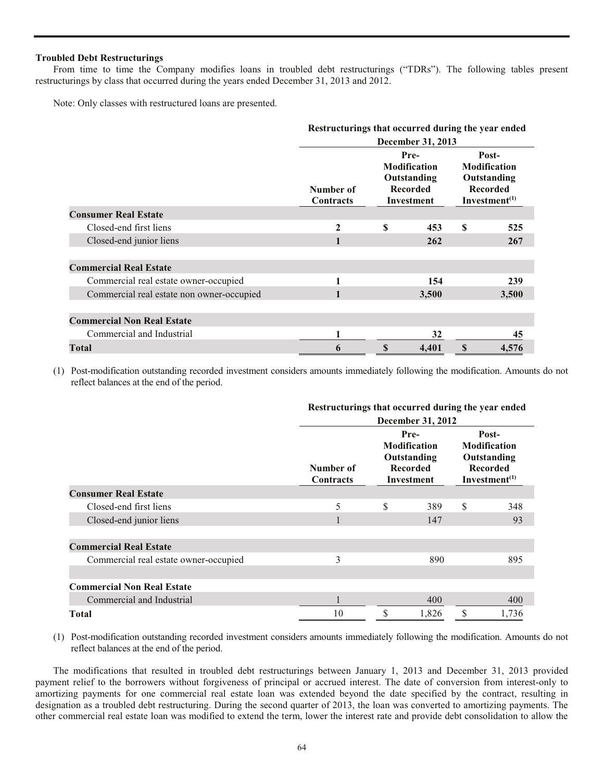## **Troubled Debt Restructurings**

 From time to time the Company modifies loans in troubled debt restructurings ("TDRs"). The following tables present restructurings by class that occurred during the years ended December 31, 2013 and 2012.

Note: Only classes with restructured loans are presented.

|                                           | Restructurings that occurred during the year ended |    |                                                               |                  |                                                                |  |  |  |
|-------------------------------------------|----------------------------------------------------|----|---------------------------------------------------------------|------------------|----------------------------------------------------------------|--|--|--|
|                                           | December 31, 2013                                  |    |                                                               |                  |                                                                |  |  |  |
|                                           | Number of                                          |    | Pre-<br><b>Modification</b><br>Outstanding<br><b>Recorded</b> |                  | Post-<br><b>Modification</b><br>Outstanding<br><b>Recorded</b> |  |  |  |
|                                           | Contracts                                          |    | Investment                                                    | Investment $(1)$ |                                                                |  |  |  |
| <b>Consumer Real Estate</b>               |                                                    |    |                                                               |                  |                                                                |  |  |  |
| Closed-end first liens                    | $\mathbf{2}$                                       | \$ | 453                                                           | \$               | 525                                                            |  |  |  |
| Closed-end junior liens                   | 1                                                  |    | 262                                                           |                  | 267                                                            |  |  |  |
|                                           |                                                    |    |                                                               |                  |                                                                |  |  |  |
| <b>Commercial Real Estate</b>             |                                                    |    |                                                               |                  |                                                                |  |  |  |
| Commercial real estate owner-occupied     |                                                    |    | 154                                                           |                  | 239                                                            |  |  |  |
| Commercial real estate non owner-occupied |                                                    |    | 3,500                                                         |                  | 3,500                                                          |  |  |  |
|                                           |                                                    |    |                                                               |                  |                                                                |  |  |  |
| <b>Commercial Non Real Estate</b>         |                                                    |    |                                                               |                  |                                                                |  |  |  |
| Commercial and Industrial                 | 1                                                  |    | 32                                                            |                  | 45                                                             |  |  |  |
| Total                                     | 6                                                  | \$ | 4,401                                                         | \$               | 4,576                                                          |  |  |  |

(1) Post-modification outstanding recorded investment considers amounts immediately following the modification. Amounts do not reflect balances at the end of the period.

|                                       |                        | Restructurings that occurred during the year ended |                                                                             |                                                                                    |       |  |  |  |  |
|---------------------------------------|------------------------|----------------------------------------------------|-----------------------------------------------------------------------------|------------------------------------------------------------------------------------|-------|--|--|--|--|
|                                       |                        | December 31, 2012                                  |                                                                             |                                                                                    |       |  |  |  |  |
|                                       | Number of<br>Contracts |                                                    | Pre-<br><b>Modification</b><br>Outstanding<br><b>Recorded</b><br>Investment | Post-<br><b>Modification</b><br>Outstanding<br><b>Recorded</b><br>Investment $(1)$ |       |  |  |  |  |
| <b>Consumer Real Estate</b>           |                        |                                                    |                                                                             |                                                                                    |       |  |  |  |  |
| Closed-end first liens                | 5                      | \$                                                 | 389                                                                         | <sup>\$</sup>                                                                      | 348   |  |  |  |  |
| Closed-end junior liens               |                        |                                                    | 147                                                                         |                                                                                    | 93    |  |  |  |  |
|                                       |                        |                                                    |                                                                             |                                                                                    |       |  |  |  |  |
| <b>Commercial Real Estate</b>         |                        |                                                    |                                                                             |                                                                                    |       |  |  |  |  |
| Commercial real estate owner-occupied | 3                      |                                                    | 890                                                                         |                                                                                    | 895   |  |  |  |  |
|                                       |                        |                                                    |                                                                             |                                                                                    |       |  |  |  |  |
| <b>Commercial Non Real Estate</b>     |                        |                                                    |                                                                             |                                                                                    |       |  |  |  |  |
| Commercial and Industrial             |                        |                                                    | 400                                                                         |                                                                                    | 400   |  |  |  |  |
| <b>Total</b>                          | 10                     | \$                                                 | 1,826                                                                       | \$                                                                                 | 1,736 |  |  |  |  |

(1) Post-modification outstanding recorded investment considers amounts immediately following the modification. Amounts do not reflect balances at the end of the period.

The modifications that resulted in troubled debt restructurings between January 1, 2013 and December 31, 2013 provided payment relief to the borrowers without forgiveness of principal or accrued interest. The date of conversion from interest-only to amortizing payments for one commercial real estate loan was extended beyond the date specified by the contract, resulting in designation as a troubled debt restructuring. During the second quarter of 2013, the loan was converted to amortizing payments. The other commercial real estate loan was modified to extend the term, lower the interest rate and provide debt consolidation to allow the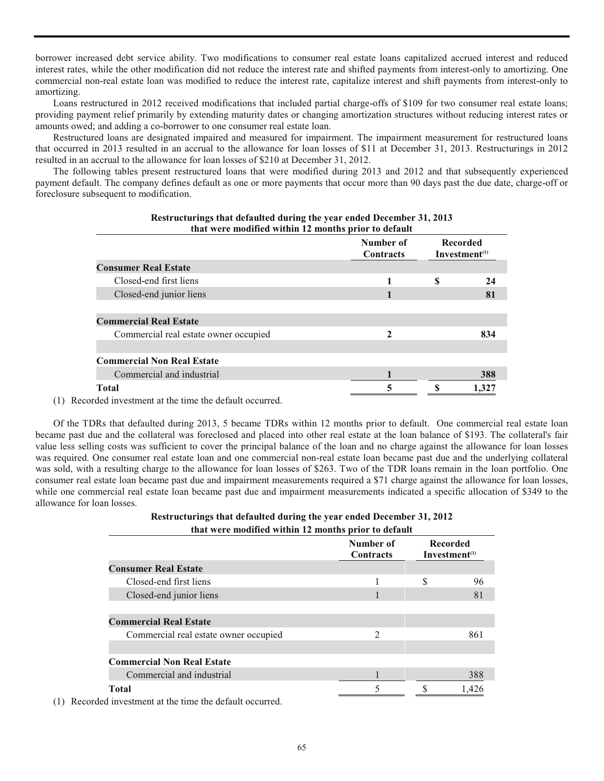borrower increased debt service ability. Two modifications to consumer real estate loans capitalized accrued interest and reduced interest rates, while the other modification did not reduce the interest rate and shifted payments from interest-only to amortizing. One commercial non-real estate loan was modified to reduce the interest rate, capitalize interest and shift payments from interest-only to amortizing.

Loans restructured in 2012 received modifications that included partial charge-offs of \$109 for two consumer real estate loans; providing payment relief primarily by extending maturity dates or changing amortization structures without reducing interest rates or amounts owed; and adding a co-borrower to one consumer real estate loan.

 Restructured loans are designated impaired and measured for impairment. The impairment measurement for restructured loans that occurred in 2013 resulted in an accrual to the allowance for loan losses of \$11 at December 31, 2013. Restructurings in 2012 resulted in an accrual to the allowance for loan losses of \$210 at December 31, 2012.

 The following tables present restructured loans that were modified during 2013 and 2012 and that subsequently experienced payment default. The company defines default as one or more payments that occur more than 90 days past the due date, charge-off or foreclosure subsequent to modification.

| that were modified within 12 months prior to default |                        |                                              |
|------------------------------------------------------|------------------------|----------------------------------------------|
|                                                      | Number of<br>Contracts | <b>Recorded</b><br>Investment <sup>(1)</sup> |
| <b>Consumer Real Estate</b>                          |                        |                                              |
| Closed-end first liens                               |                        | \$<br>24                                     |
| Closed-end junior liens                              |                        | 81                                           |
|                                                      |                        |                                              |
| <b>Commercial Real Estate</b>                        |                        |                                              |
| Commercial real estate owner occupied                | $\overline{2}$         | 834                                          |
|                                                      |                        |                                              |
| <b>Commercial Non Real Estate</b>                    |                        |                                              |
| Commercial and industrial                            |                        | 388                                          |
| <b>Total</b>                                         |                        | 1.32′                                        |

# **Restructurings that defaulted during the year ended December 31, 2013**

(1) Recorded investment at the time the default occurred.

 Of the TDRs that defaulted during 2013, 5 became TDRs within 12 months prior to default. One commercial real estate loan became past due and the collateral was foreclosed and placed into other real estate at the loan balance of \$193. The collateral's fair value less selling costs was sufficient to cover the principal balance of the loan and no charge against the allowance for loan losses was required. One consumer real estate loan and one commercial non-real estate loan became past due and the underlying collateral was sold, with a resulting charge to the allowance for loan losses of \$263. Two of the TDR loans remain in the loan portfolio. One consumer real estate loan became past due and impairment measurements required a \$71 charge against the allowance for loan losses, while one commercial real estate loan became past due and impairment measurements indicated a specific allocation of \$349 to the allowance for loan losses.

**Restructurings that defaulted during the year ended December 31, 2012 that were modified within 12 months prior to default**

| that were modified within 12 months prior to detault |  |                                              |  |  |  |  |  |  |
|------------------------------------------------------|--|----------------------------------------------|--|--|--|--|--|--|
| Number of<br><b>Contracts</b>                        |  | <b>Recorded</b><br>Investment <sup>(1)</sup> |  |  |  |  |  |  |
|                                                      |  |                                              |  |  |  |  |  |  |
|                                                      |  | 96                                           |  |  |  |  |  |  |
|                                                      |  | 81                                           |  |  |  |  |  |  |
|                                                      |  |                                              |  |  |  |  |  |  |
|                                                      |  |                                              |  |  |  |  |  |  |
| 2                                                    |  | 861                                          |  |  |  |  |  |  |
|                                                      |  |                                              |  |  |  |  |  |  |
|                                                      |  |                                              |  |  |  |  |  |  |
|                                                      |  | 388                                          |  |  |  |  |  |  |
|                                                      |  | 1,426                                        |  |  |  |  |  |  |
|                                                      |  |                                              |  |  |  |  |  |  |

(1) Recorded investment at the time the default occurred.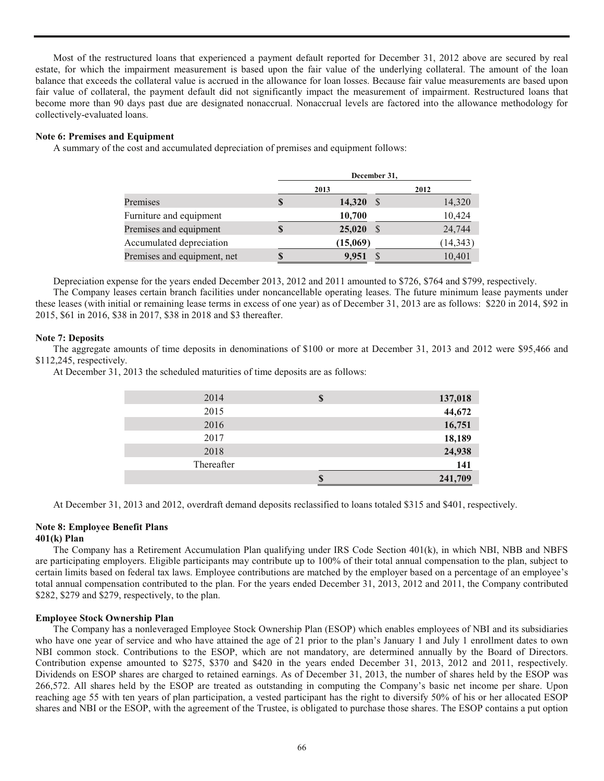Most of the restructured loans that experienced a payment default reported for December 31, 2012 above are secured by real estate, for which the impairment measurement is based upon the fair value of the underlying collateral. The amount of the loan balance that exceeds the collateral value is accrued in the allowance for loan losses. Because fair value measurements are based upon fair value of collateral, the payment default did not significantly impact the measurement of impairment. Restructured loans that become more than 90 days past due are designated nonaccrual. Nonaccrual levels are factored into the allowance methodology for collectively-evaluated loans.

## **Note 6: Premises and Equipment**

A summary of the cost and accumulated depreciation of premises and equipment follows:

|                             | December 31, |          |      |           |  |  |  |
|-----------------------------|--------------|----------|------|-----------|--|--|--|
|                             |              | 2013     | 2012 |           |  |  |  |
| Premises                    |              | 14,320   |      | 14,320    |  |  |  |
| Furniture and equipment     |              | 10,700   |      | 10,424    |  |  |  |
| Premises and equipment      |              | 25,020   |      | 24,744    |  |  |  |
| Accumulated depreciation    |              | (15,069) |      | (14, 343) |  |  |  |
| Premises and equipment, net |              | 9,951    |      | 10,401    |  |  |  |

Depreciation expense for the years ended December 2013, 2012 and 2011 amounted to \$726, \$764 and \$799, respectively.

 The Company leases certain branch facilities under noncancellable operating leases. The future minimum lease payments under these leases (with initial or remaining lease terms in excess of one year) as of December 31, 2013 are as follows: \$220 in 2014, \$92 in 2015, \$61 in 2016, \$38 in 2017, \$38 in 2018 and \$3 thereafter.

## **Note 7: Deposits**

 The aggregate amounts of time deposits in denominations of \$100 or more at December 31, 2013 and 2012 were \$95,466 and \$112,245, respectively.

At December 31, 2013 the scheduled maturities of time deposits are as follows:

| 2014       | S | 137,018 |
|------------|---|---------|
| 2015       |   | 44,672  |
| 2016       |   | 16,751  |
| 2017       |   | 18,189  |
| 2018       |   | 24,938  |
| Thereafter |   | 141     |
|            |   | 241,709 |

At December 31, 2013 and 2012, overdraft demand deposits reclassified to loans totaled \$315 and \$401, respectively.

## **Note 8: Employee Benefit Plans**

#### **401(k) Plan**

The Company has a Retirement Accumulation Plan qualifying under IRS Code Section 401(k), in which NBI, NBB and NBFS are participating employers. Eligible participants may contribute up to 100% of their total annual compensation to the plan, subject to certain limits based on federal tax laws. Employee contributions are matched by the employer based on a percentage of an employee's total annual compensation contributed to the plan. For the years ended December 31, 2013, 2012 and 2011, the Company contributed \$282, \$279 and \$279, respectively, to the plan.

## **Employee Stock Ownership Plan**

 The Company has a nonleveraged Employee Stock Ownership Plan (ESOP) which enables employees of NBI and its subsidiaries who have one year of service and who have attained the age of 21 prior to the plan's January 1 and July 1 enrollment dates to own NBI common stock. Contributions to the ESOP, which are not mandatory, are determined annually by the Board of Directors. Contribution expense amounted to \$275, \$370 and \$420 in the years ended December 31, 2013, 2012 and 2011, respectively. Dividends on ESOP shares are charged to retained earnings. As of December 31, 2013, the number of shares held by the ESOP was 266,572. All shares held by the ESOP are treated as outstanding in computing the Company's basic net income per share. Upon reaching age 55 with ten years of plan participation, a vested participant has the right to diversify 50% of his or her allocated ESOP shares and NBI or the ESOP, with the agreement of the Trustee, is obligated to purchase those shares. The ESOP contains a put option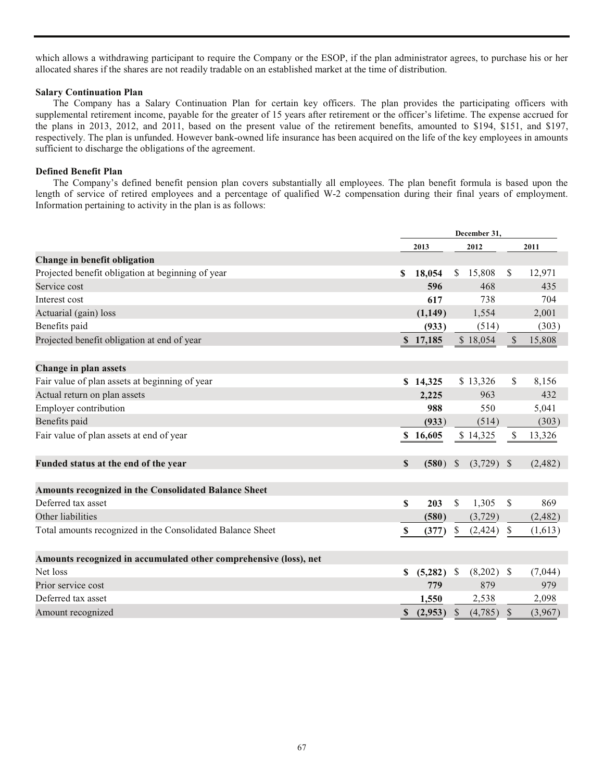which allows a withdrawing participant to require the Company or the ESOP, if the plan administrator agrees, to purchase his or her allocated shares if the shares are not readily tradable on an established market at the time of distribution.

## **Salary Continuation Plan**

 The Company has a Salary Continuation Plan for certain key officers. The plan provides the participating officers with supplemental retirement income, payable for the greater of 15 years after retirement or the officer's lifetime. The expense accrued for the plans in 2013, 2012, and 2011, based on the present value of the retirement benefits, amounted to \$194, \$151, and \$197, respectively. The plan is unfunded. However bank-owned life insurance has been acquired on the life of the key employees in amounts sufficient to discharge the obligations of the agreement.

## **Defined Benefit Plan**

 The Company's defined benefit pension plan covers substantially all employees. The plan benefit formula is based upon the length of service of retired employees and a percentage of qualified W-2 compensation during their final years of employment. Information pertaining to activity in the plan is as follows:

|                                                                   | December 31,              |          |               |              |               |          |
|-------------------------------------------------------------------|---------------------------|----------|---------------|--------------|---------------|----------|
|                                                                   | 2012<br>2013              |          | 2011          |              |               |          |
| Change in benefit obligation                                      |                           |          |               |              |               |          |
| Projected benefit obligation at beginning of year                 | \$                        | 18,054   | <sup>\$</sup> | 15,808       | \$            | 12,971   |
| Service cost                                                      |                           | 596      |               | 468          |               | 435      |
| Interest cost                                                     |                           | 617      |               | 738          |               | 704      |
| Actuarial (gain) loss                                             |                           | (1,149)  |               | 1,554        |               | 2,001    |
| Benefits paid                                                     |                           | (933)    |               | (514)        |               | (303)    |
| Projected benefit obligation at end of year                       |                           | \$17,185 |               | \$18,054     | $\mathcal{S}$ | 15,808   |
| Change in plan assets                                             |                           |          |               |              |               |          |
| Fair value of plan assets at beginning of year                    |                           | \$14,325 |               | \$13,326     | \$            | 8,156    |
| Actual return on plan assets                                      |                           | 2,225    |               | 963          |               | 432      |
| Employer contribution                                             |                           | 988      |               | 550          |               | 5,041    |
| Benefits paid                                                     |                           | (933)    |               | (514)        |               | (303)    |
| Fair value of plan assets at end of year                          |                           | \$16,605 |               | \$14,325     | \$            | 13,326   |
| Funded status at the end of the year                              | $\mathbf S$               | (580)    | <sup>\$</sup> | (3,729)      | <sup>S</sup>  | (2,482)  |
| Amounts recognized in the Consolidated Balance Sheet              |                           |          |               |              |               |          |
| Deferred tax asset                                                | \$                        | 203      | $\mathbb{S}$  | 1,305        | $\mathbb{S}$  | 869      |
| Other liabilities                                                 |                           | (580)    |               | (3,729)      |               | (2, 482) |
| Total amounts recognized in the Consolidated Balance Sheet        | $\boldsymbol{\mathsf{S}}$ | (377)    | \$            | (2, 424)     | \$            | (1,613)  |
| Amounts recognized in accumulated other comprehensive (loss), net |                           |          |               |              |               |          |
| Net loss                                                          | \$                        | (5,282)  | $\mathbb{S}$  | $(8,202)$ \$ |               | (7,044)  |
| Prior service cost                                                |                           | 779      |               | 879          |               | 979      |
| Deferred tax asset                                                |                           | 1,550    |               | 2,538        |               | 2,098    |
| Amount recognized                                                 |                           | (2,953)  | $\mathbb{S}$  | (4,785)      | \$            | (3,967)  |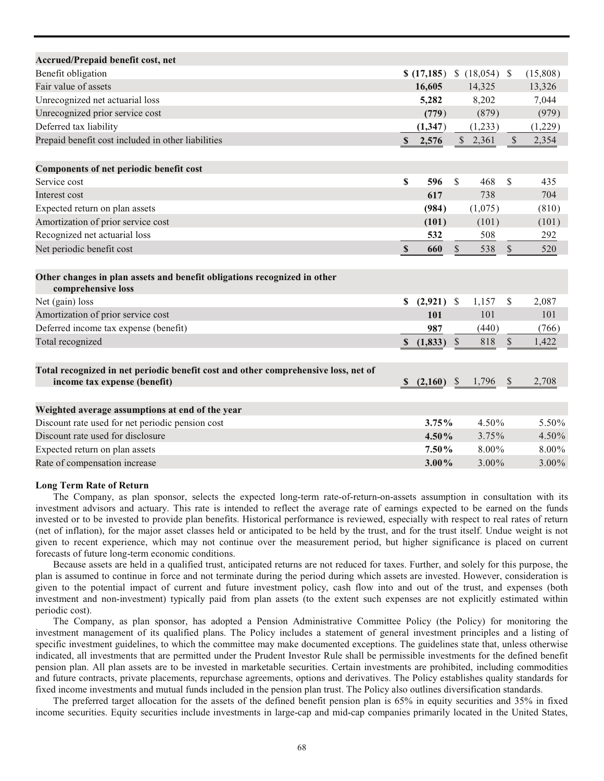| <b>Accrued/Prepaid benefit cost, net</b>                                                       |               |               |               |                          |              |          |
|------------------------------------------------------------------------------------------------|---------------|---------------|---------------|--------------------------|--------------|----------|
| Benefit obligation                                                                             |               |               |               | \$(17,185) \$(18,054) \$ |              | (15,808) |
| Fair value of assets                                                                           |               | 16,605        |               | 14,325                   |              | 13,326   |
| Unrecognized net actuarial loss                                                                |               | 5,282         |               | 8,202                    |              | 7,044    |
| Unrecognized prior service cost                                                                |               | (779)         |               | (879)                    |              | (979)    |
| Deferred tax liability                                                                         |               | (1, 347)      |               | (1,233)                  |              | (1,229)  |
| Prepaid benefit cost included in other liabilities                                             | $\mathbf{\$}$ | 2,576         |               | \$2,361                  | $\mathbb{S}$ | 2,354    |
|                                                                                                |               |               |               |                          |              |          |
| Components of net periodic benefit cost                                                        |               |               |               |                          |              |          |
| Service cost                                                                                   | \$            | 596           | \$            | 468                      | S            | 435      |
| Interest cost                                                                                  |               | 617           |               | 738                      |              | 704      |
| Expected return on plan assets                                                                 |               | (984)         |               | (1,075)                  |              | (810)    |
| Amortization of prior service cost                                                             |               | (101)         |               | (101)                    |              | (101)    |
| Recognized net actuarial loss                                                                  |               | 532           |               | 508                      |              | 292      |
| Net periodic benefit cost                                                                      | $\mathbf S$   | 660           | $\mathbb{S}$  | 538                      | $\mathbb{S}$ | 520      |
|                                                                                                |               |               |               |                          |              |          |
| Other changes in plan assets and benefit obligations recognized in other<br>comprehensive loss |               |               |               |                          |              |          |
| Net (gain) loss                                                                                | \$            | $(2,921)$ \$  |               | 1,157                    | \$           | 2,087    |
| Amortization of prior service cost                                                             |               | 101           |               | 101                      |              | 101      |
| Deferred income tax expense (benefit)                                                          |               | 987           |               | (440)                    |              | (766)    |
| Total recognized                                                                               |               | \$(1,833)     | $\mathcal{S}$ | 818                      | $\mathbb{S}$ | 1,422    |
|                                                                                                |               |               |               |                          |              |          |
| Total recognized in net periodic benefit cost and other comprehensive loss, net of             |               |               |               |                          |              |          |
| income tax expense (benefit)                                                                   |               | \$ (2,160) \$ |               | 1,796                    | $\mathbb{S}$ | 2,708    |
|                                                                                                |               |               |               |                          |              |          |
| Weighted average assumptions at end of the year                                                |               |               |               |                          |              |          |
| Discount rate used for net periodic pension cost                                               |               | 3.75%         |               | 4.50%                    |              | 5.50%    |
| Discount rate used for disclosure                                                              |               | 4.50%         |               | 3.75%                    |              | 4.50%    |
| Expected return on plan assets                                                                 |               | 7.50%         |               | 8.00%                    |              | 8.00%    |
| Rate of compensation increase                                                                  |               | 3.00%         |               | 3.00%                    |              | 3.00%    |

#### **Long Term Rate of Return**

 The Company, as plan sponsor, selects the expected long-term rate-of-return-on-assets assumption in consultation with its investment advisors and actuary. This rate is intended to reflect the average rate of earnings expected to be earned on the funds invested or to be invested to provide plan benefits. Historical performance is reviewed, especially with respect to real rates of return (net of inflation), for the major asset classes held or anticipated to be held by the trust, and for the trust itself. Undue weight is not given to recent experience, which may not continue over the measurement period, but higher significance is placed on current forecasts of future long-term economic conditions.

 Because assets are held in a qualified trust, anticipated returns are not reduced for taxes. Further, and solely for this purpose, the plan is assumed to continue in force and not terminate during the period during which assets are invested. However, consideration is given to the potential impact of current and future investment policy, cash flow into and out of the trust, and expenses (both investment and non-investment) typically paid from plan assets (to the extent such expenses are not explicitly estimated within periodic cost).

 The Company, as plan sponsor, has adopted a Pension Administrative Committee Policy (the Policy) for monitoring the investment management of its qualified plans. The Policy includes a statement of general investment principles and a listing of specific investment guidelines, to which the committee may make documented exceptions. The guidelines state that, unless otherwise indicated, all investments that are permitted under the Prudent Investor Rule shall be permissible investments for the defined benefit pension plan. All plan assets are to be invested in marketable securities. Certain investments are prohibited, including commodities and future contracts, private placements, repurchase agreements, options and derivatives. The Policy establishes quality standards for fixed income investments and mutual funds included in the pension plan trust. The Policy also outlines diversification standards.

 The preferred target allocation for the assets of the defined benefit pension plan is 65% in equity securities and 35% in fixed income securities. Equity securities include investments in large-cap and mid-cap companies primarily located in the United States,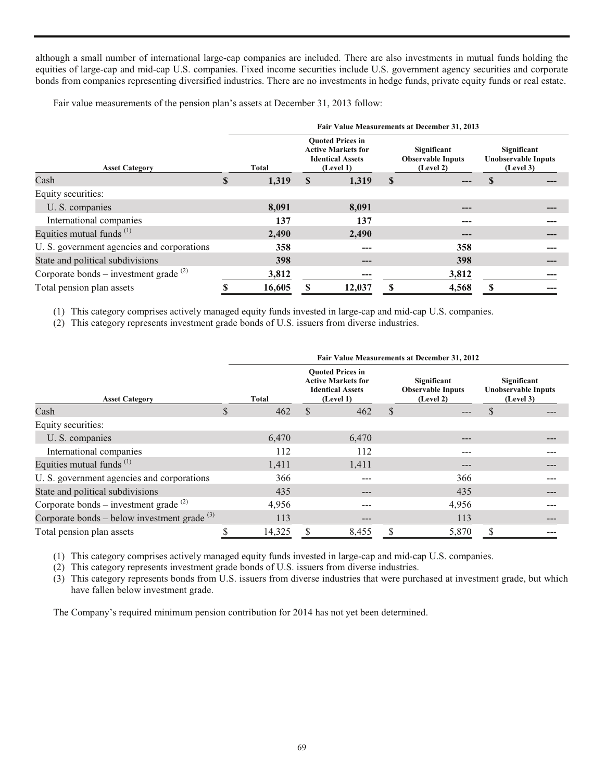although a small number of international large-cap companies are included. There are also investments in mutual funds holding the equities of large-cap and mid-cap U.S. companies. Fixed income securities include U.S. government agency securities and corporate bonds from companies representing diversified industries. There are no investments in hedge funds, private equity funds or real estate.

Fair value measurements of the pension plan's assets at December 31, 2013 follow:

|                                             | Fair Value Measurements at December 31, 2013 |        |                                                                                              |        |   |                                                      |    |                                                        |  |
|---------------------------------------------|----------------------------------------------|--------|----------------------------------------------------------------------------------------------|--------|---|------------------------------------------------------|----|--------------------------------------------------------|--|
| <b>Asset Category</b>                       |                                              | Total  | <b>Ouoted Prices in</b><br><b>Active Markets for</b><br><b>Identical Assets</b><br>(Level 1) |        |   | Significant<br><b>Observable Inputs</b><br>(Level 2) |    | Significant<br><b>Unobservable Inputs</b><br>(Level 3) |  |
| Cash                                        | <b>S</b>                                     | 1,319  | <sup>\$</sup>                                                                                | 1,319  | S |                                                      | S  |                                                        |  |
| Equity securities:                          |                                              |        |                                                                                              |        |   |                                                      |    |                                                        |  |
| U. S. companies                             |                                              | 8,091  |                                                                                              | 8,091  |   | ---                                                  |    |                                                        |  |
| International companies                     |                                              | 137    |                                                                                              | 137    |   |                                                      |    |                                                        |  |
| Equities mutual funds $^{(1)}$              |                                              | 2.490  |                                                                                              | 2,490  |   |                                                      |    |                                                        |  |
| U. S. government agencies and corporations  |                                              | 358    |                                                                                              | ---    |   | 358                                                  |    |                                                        |  |
| State and political subdivisions            |                                              | 398    |                                                                                              | $---$  |   | 398                                                  |    | ---                                                    |  |
| Corporate bonds – investment grade $^{(2)}$ |                                              | 3,812  |                                                                                              | ---    |   | 3,812                                                |    |                                                        |  |
| Total pension plan assets                   |                                              | 16,605 | S                                                                                            | 12,037 | S | 4,568                                                | \$ |                                                        |  |

(1) This category comprises actively managed equity funds invested in large-cap and mid-cap U.S. companies.

(2) This category represents investment grade bonds of U.S. issuers from diverse industries.

|                                                | Fair Value Measurements at December 31, 2012 |        |               |                                                                                              |   |                                                      |                                                        |     |  |  |
|------------------------------------------------|----------------------------------------------|--------|---------------|----------------------------------------------------------------------------------------------|---|------------------------------------------------------|--------------------------------------------------------|-----|--|--|
| <b>Asset Category</b>                          |                                              | Total  |               | <b>Ouoted Prices in</b><br><b>Active Markets for</b><br><b>Identical Assets</b><br>(Level 1) |   | Significant<br><b>Observable Inputs</b><br>(Level 2) | Significant<br><b>Unobservable Inputs</b><br>(Level 3) |     |  |  |
| Cash                                           | \$.                                          | 462    | <sup>\$</sup> | 462                                                                                          | S | ---                                                  |                                                        |     |  |  |
| Equity securities:                             |                                              |        |               |                                                                                              |   |                                                      |                                                        |     |  |  |
| U. S. companies                                |                                              | 6,470  |               | 6,470                                                                                        |   | ---                                                  |                                                        |     |  |  |
| International companies                        |                                              | 112    |               | 112                                                                                          |   |                                                      |                                                        |     |  |  |
| Equities mutual funds $^{(1)}$                 |                                              | 1,411  |               | 1,411                                                                                        |   | ---                                                  |                                                        |     |  |  |
| U. S. government agencies and corporations     |                                              | 366    |               | ---                                                                                          |   | 366                                                  |                                                        |     |  |  |
| State and political subdivisions               |                                              | 435    |               | ---                                                                                          |   | 435                                                  |                                                        | --- |  |  |
| Corporate bonds – investment grade $^{(2)}$    |                                              | 4,956  |               |                                                                                              |   | 4,956                                                |                                                        |     |  |  |
| Corporate bonds – below investment grade $(3)$ |                                              | 113    |               | ---                                                                                          |   | 113                                                  |                                                        | --- |  |  |
| Total pension plan assets                      |                                              | 14,325 |               | 8,455                                                                                        |   | 5,870                                                |                                                        |     |  |  |

(1) This category comprises actively managed equity funds invested in large-cap and mid-cap U.S. companies.

(2) This category represents investment grade bonds of U.S. issuers from diverse industries.

(3) This category represents bonds from U.S. issuers from diverse industries that were purchased at investment grade, but which have fallen below investment grade.

The Company's required minimum pension contribution for 2014 has not yet been determined.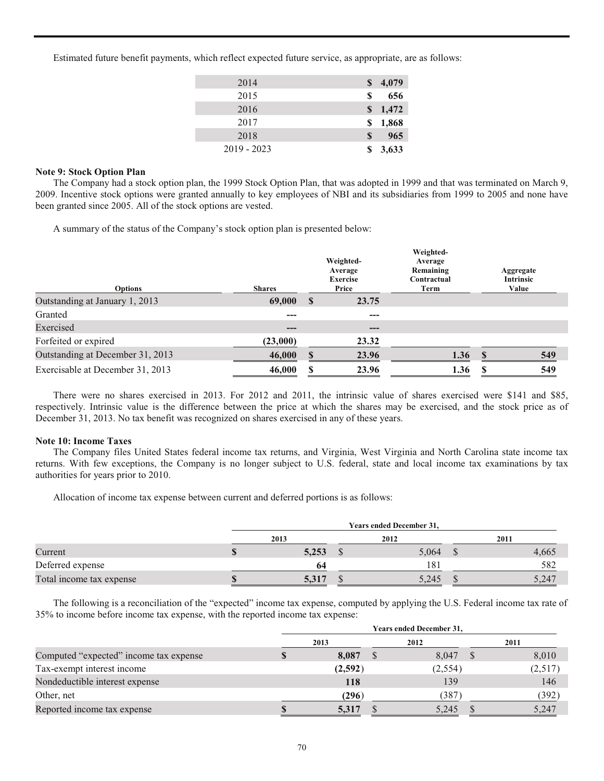Estimated future benefit payments, which reflect expected future service, as appropriate, are as follows:

| 2014          | \$<br>4,079 |
|---------------|-------------|
| 2015          | 656<br>S    |
| 2016          | 1,472<br>S  |
| 2017          | 1,868<br>\$ |
| 2018          | 965<br>\$   |
| $2019 - 2023$ | 3,633       |

## **Note 9: Stock Option Plan**

 The Company had a stock option plan, the 1999 Stock Option Plan, that was adopted in 1999 and that was terminated on March 9, 2009. Incentive stock options were granted annually to key employees of NBI and its subsidiaries from 1999 to 2005 and none have been granted since 2005. All of the stock options are vested.

A summary of the status of the Company's stock option plan is presented below:

| <b>Options</b>                   | Weighted-<br>Average<br><b>Exercise</b><br><b>Shares</b><br>Price |              |       | Weighted-<br>Average<br>Remaining<br>Contractual<br>Term | Aggregate<br>Intrinsic<br>Value |     |  |
|----------------------------------|-------------------------------------------------------------------|--------------|-------|----------------------------------------------------------|---------------------------------|-----|--|
| Outstanding at January 1, 2013   | 69,000                                                            | <sup>S</sup> | 23.75 |                                                          |                                 |     |  |
| Granted                          | ---                                                               |              | ---   |                                                          |                                 |     |  |
| Exercised                        | ---                                                               |              | ---   |                                                          |                                 |     |  |
| Forfeited or expired             | (23,000)                                                          |              | 23.32 |                                                          |                                 |     |  |
| Outstanding at December 31, 2013 | 46,000                                                            |              | 23.96 | 1.36                                                     |                                 | 549 |  |
| Exercisable at December 31, 2013 | 46,000                                                            |              | 23.96 | 1.36                                                     |                                 | 549 |  |

There were no shares exercised in 2013. For 2012 and 2011, the intrinsic value of shares exercised were \$141 and \$85, respectively. Intrinsic value is the difference between the price at which the shares may be exercised, and the stock price as of December 31, 2013. No tax benefit was recognized on shares exercised in any of these years.

## **Note 10: Income Taxes**

 The Company files United States federal income tax returns, and Virginia, West Virginia and North Carolina state income tax returns. With few exceptions, the Company is no longer subject to U.S. federal, state and local income tax examinations by tax authorities for years prior to 2010.

Allocation of income tax expense between current and deferred portions is as follows:

|                          | Years ended December 31, |  |       |  |       |  |  |
|--------------------------|--------------------------|--|-------|--|-------|--|--|
|                          | 2013                     |  | 2012  |  | 2011  |  |  |
| Current                  | 5,253                    |  | 5,064 |  | 4,665 |  |  |
| Deferred expense         | 64                       |  | 181   |  | 582   |  |  |
| Total income tax expense | 5,317                    |  | 5,245 |  | 5,247 |  |  |

 The following is a reconciliation of the "expected" income tax expense, computed by applying the U.S. Federal income tax rate of 35% to income before income tax expense, with the reported income tax expense:

|                                        | <b>Years ended December 31,</b> |            |  |          |  |         |
|----------------------------------------|---------------------------------|------------|--|----------|--|---------|
|                                        |                                 | 2013       |  | 2012     |  | 2011    |
| Computed "expected" income tax expense |                                 | 8,087      |  | 8,047    |  | 8,010   |
| Tax-exempt interest income             |                                 | (2,592)    |  | (2, 554) |  | (2,517) |
| Nondeductible interest expense         |                                 | <b>118</b> |  | 139      |  | 146     |
| Other, net                             |                                 | (296)      |  | (387`    |  | (392)   |
| Reported income tax expense            |                                 | 5,317      |  | 5,245    |  | 5,247   |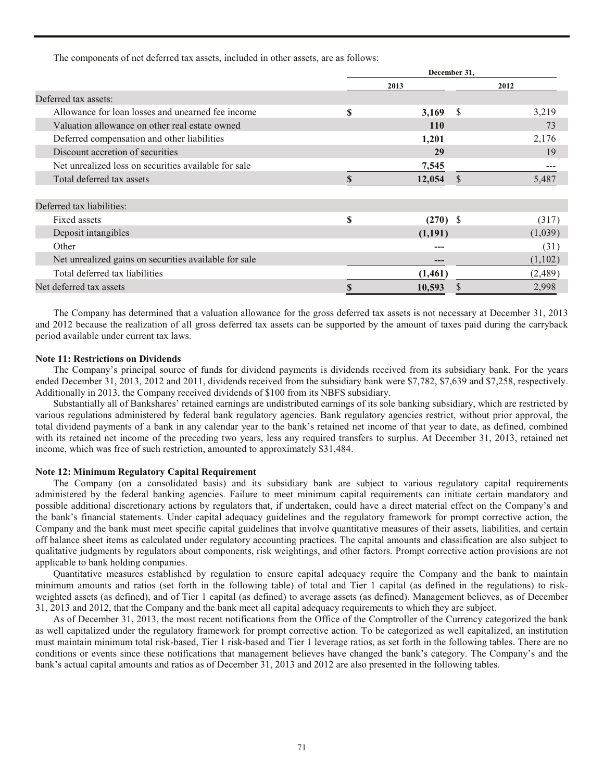The components of net deferred tax assets, included in other assets, are as follows:

|                                                       | December 31, |            |   |          |  |
|-------------------------------------------------------|--------------|------------|---|----------|--|
|                                                       | 2013         |            |   | 2012     |  |
| Deferred tax assets:                                  |              |            |   |          |  |
| Allowance for loan losses and unearned fee income     | \$           | 3,169      | S | 3,219    |  |
| Valuation allowance on other real estate owned        |              | <b>110</b> |   | 73       |  |
| Deferred compensation and other liabilities           |              | 1,201      |   | 2,176    |  |
| Discount accretion of securities                      |              | 29         |   | 19       |  |
| Net unrealized loss on securities available for sale  |              | 7,545      |   |          |  |
| Total deferred tax assets                             | \$           | 12,054     | S | 5,487    |  |
| Deferred tax liabilities:                             |              |            |   |          |  |
| Fixed assets                                          | \$           | $(270)$ \$ |   | (317)    |  |
| Deposit intangibles                                   |              | (1,191)    |   | (1,039)  |  |
| Other                                                 |              | ---        |   | (31)     |  |
| Net unrealized gains on securities available for sale |              | ---        |   | (1,102)  |  |
| Total deferred tax liabilities                        |              | (1,461)    |   | (2, 489) |  |
| Net deferred tax assets                               |              | 10,593     |   | 2,998    |  |

The Company has determined that a valuation allowance for the gross deferred tax assets is not necessary at December 31, 2013 and 2012 because the realization of all gross deferred tax assets can be supported by the amount of taxes paid during the carryback period available under current tax laws.

## **Note 11: Restrictions on Dividends**

 The Company's principal source of funds for dividend payments is dividends received from its subsidiary bank. For the years ended December 31, 2013, 2012 and 2011, dividends received from the subsidiary bank were \$7,782, \$7,639 and \$7,258, respectively. Additionally in 2013, the Company received dividends of \$100 from its NBFS subsidiary.

Substantially all of Bankshares' retained earnings are undistributed earnings of its sole banking subsidiary, which are restricted by various regulations administered by federal bank regulatory agencies. Bank regulatory agencies restrict, without prior approval, the total dividend payments of a bank in any calendar year to the bank's retained net income of that year to date, as defined, combined with its retained net income of the preceding two years, less any required transfers to surplus. At December 31, 2013, retained net income, which was free of such restriction, amounted to approximately \$31,484.

## **Note 12: Minimum Regulatory Capital Requirement**

 The Company (on a consolidated basis) and its subsidiary bank are subject to various regulatory capital requirements administered by the federal banking agencies. Failure to meet minimum capital requirements can initiate certain mandatory and possible additional discretionary actions by regulators that, if undertaken, could have a direct material effect on the Company's and the bank's financial statements. Under capital adequacy guidelines and the regulatory framework for prompt corrective action, the Company and the bank must meet specific capital guidelines that involve quantitative measures of their assets, liabilities, and certain off balance sheet items as calculated under regulatory accounting practices. The capital amounts and classification are also subject to qualitative judgments by regulators about components, risk weightings, and other factors. Prompt corrective action provisions are not applicable to bank holding companies.

 Quantitative measures established by regulation to ensure capital adequacy require the Company and the bank to maintain minimum amounts and ratios (set forth in the following table) of total and Tier 1 capital (as defined in the regulations) to riskweighted assets (as defined), and of Tier 1 capital (as defined) to average assets (as defined). Management believes, as of December 31, 2013 and 2012, that the Company and the bank meet all capital adequacy requirements to which they are subject.

 As of December 31, 2013, the most recent notifications from the Office of the Comptroller of the Currency categorized the bank as well capitalized under the regulatory framework for prompt corrective action. To be categorized as well capitalized, an institution must maintain minimum total risk-based, Tier 1 risk-based and Tier 1 leverage ratios, as set forth in the following tables. There are no conditions or events since these notifications that management believes have changed the bank's category. The Company's and the bank's actual capital amounts and ratios as of December 31, 2013 and 2012 are also presented in the following tables.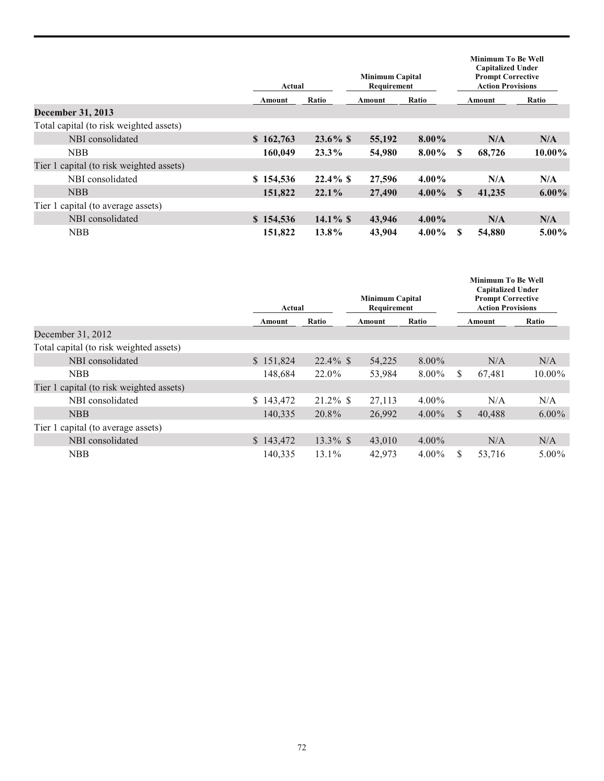|                                          | Actual    |                          | <b>Minimum Capital</b><br>Requirement |          |        | Minimum To Be Well<br><b>Capitalized Under</b><br><b>Prompt Corrective</b><br><b>Action Provisions</b> |          |  |
|------------------------------------------|-----------|--------------------------|---------------------------------------|----------|--------|--------------------------------------------------------------------------------------------------------|----------|--|
|                                          | Amount    | Ratio<br>Ratio<br>Amount |                                       |          | Amount |                                                                                                        | Ratio    |  |
| <b>December 31, 2013</b>                 |           |                          |                                       |          |        |                                                                                                        |          |  |
| Total capital (to risk weighted assets)  |           |                          |                                       |          |        |                                                                                                        |          |  |
| NBI consolidated                         | \$162,763 | $23.6\%$ \$              | 55,192                                | $8.00\%$ |        | N/A                                                                                                    | N/A      |  |
| <b>NBB</b>                               | 160,049   | $23.3\%$                 | 54,980                                | $8.00\%$ | \$.    | 68,726                                                                                                 | 10.00%   |  |
| Tier 1 capital (to risk weighted assets) |           |                          |                                       |          |        |                                                                                                        |          |  |
| NBI consolidated                         | \$154,536 | $22.4\%$ \$              | 27,596                                | $4.00\%$ |        | N/A                                                                                                    | N/A      |  |
| <b>NBB</b>                               | 151,822   | $22.1\%$                 | 27,490                                | $4.00\%$ | S      | 41,235                                                                                                 | $6.00\%$ |  |
| Tier 1 capital (to average assets)       |           |                          |                                       |          |        |                                                                                                        |          |  |
| NBI consolidated                         | \$154,536 | $14.1\%$ \$              | 43,946                                | $4.00\%$ |        | N/A                                                                                                    | N/A      |  |
| <b>NBB</b>                               | 151,822   | 13.8%                    | 43,904                                | $4.00\%$ | S      | 54,880                                                                                                 | $5.00\%$ |  |

|                                          |           | Actual      |        | <b>Minimum Capital</b><br>Requirement |     | Minimum To Be Well<br><b>Capitalized Under</b><br><b>Prompt Corrective</b><br><b>Action Provisions</b> |           |  |
|------------------------------------------|-----------|-------------|--------|---------------------------------------|-----|--------------------------------------------------------------------------------------------------------|-----------|--|
|                                          | Amount    | Ratio       | Amount | Ratio                                 |     | Amount                                                                                                 | Ratio     |  |
| December 31, 2012                        |           |             |        |                                       |     |                                                                                                        |           |  |
| Total capital (to risk weighted assets)  |           |             |        |                                       |     |                                                                                                        |           |  |
| NBI consolidated                         | \$151,824 | $22.4\%$ \$ | 54,225 | $8.00\%$                              |     | N/A                                                                                                    | N/A       |  |
| <b>NBB</b>                               | 148,684   | 22.0%       | 53,984 | $8.00\%$                              | S   | 67,481                                                                                                 | $10.00\%$ |  |
| Tier 1 capital (to risk weighted assets) |           |             |        |                                       |     |                                                                                                        |           |  |
| NBI consolidated                         | \$143,472 | $21.2\%$ \$ | 27,113 | $4.00\%$                              |     | N/A                                                                                                    | N/A       |  |
| <b>NBB</b>                               | 140,335   | 20.8%       | 26,992 | $4.00\%$                              | S   | 40,488                                                                                                 | $6.00\%$  |  |
| Tier 1 capital (to average assets)       |           |             |        |                                       |     |                                                                                                        |           |  |
| NBI consolidated                         | \$143,472 | $13.3\%$ \$ | 43,010 | $4.00\%$                              |     | N/A                                                                                                    | N/A       |  |
| <b>NBB</b>                               | 140.335   | $13.1\%$    | 42,973 | $4.00\%$                              | \$. | 53,716                                                                                                 | $5.00\%$  |  |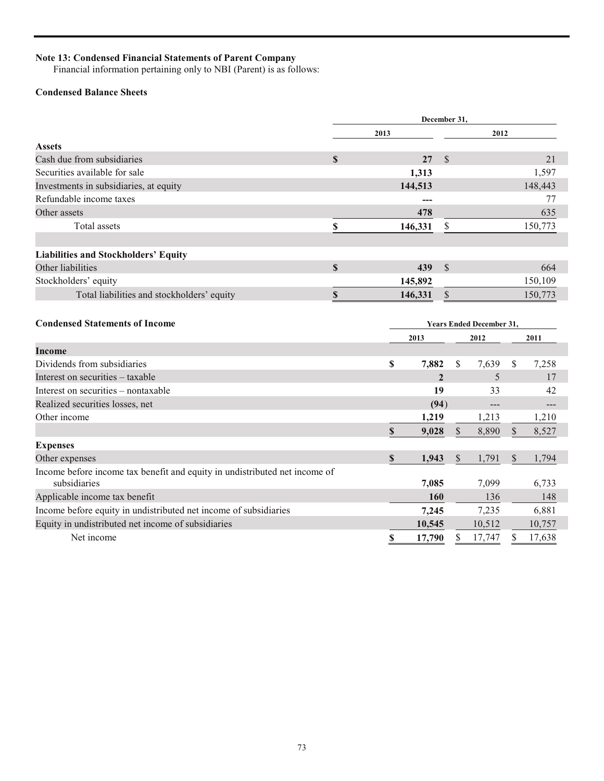### **Note 13: Condensed Financial Statements of Parent Company**

Financial information pertaining only to NBI (Parent) is as follows:

# **Condensed Balance Sheets**

|                                            | December 31, |         |               |         |  |
|--------------------------------------------|--------------|---------|---------------|---------|--|
|                                            | 2013         |         |               | 2012    |  |
| <b>Assets</b>                              |              |         |               |         |  |
| Cash due from subsidiaries                 | \$           | 27      | $\mathcal{S}$ | 21      |  |
| Securities available for sale              |              | 1,313   |               | 1,597   |  |
| Investments in subsidiaries, at equity     |              | 144,513 |               | 148,443 |  |
| Refundable income taxes                    |              | ---     |               | 77      |  |
| Other assets                               |              | 478     |               | 635     |  |
| Total assets                               |              | 146,331 | S             | 150,773 |  |
| Liabilities and Stockholders' Equity       |              |         |               |         |  |
| Other liabilities                          | \$           | 439     | <sup>S</sup>  | 664     |  |
| Stockholders' equity                       |              | 145,892 |               | 150,109 |  |
| Total liabilities and stockholders' equity |              | 146,331 | S             | 150,773 |  |
|                                            |              |         |               |         |  |

| <b>Condensed Statements of Income</b>                                      | <b>Years Ended December 31,</b> |            |    |        |               |        |  |  |
|----------------------------------------------------------------------------|---------------------------------|------------|----|--------|---------------|--------|--|--|
|                                                                            |                                 | 2013       |    | 2012   | 2011          |        |  |  |
| Income                                                                     |                                 |            |    |        |               |        |  |  |
| Dividends from subsidiaries                                                | \$                              | 7,882      | S  | 7,639  | S.            | 7,258  |  |  |
| Interest on securities – taxable                                           |                                 |            |    | 5      |               | 17     |  |  |
| Interest on securities – nontaxable                                        |                                 | 19         |    | 33     |               | 42     |  |  |
| Realized securities losses, net                                            |                                 | (94)       |    | ---    |               |        |  |  |
| Other income                                                               |                                 | 1,219      |    | 1,213  |               | 1,210  |  |  |
|                                                                            | \$                              | 9,028      | \$ | 8,890  | <sup>S</sup>  | 8,527  |  |  |
| <b>Expenses</b>                                                            |                                 |            |    |        |               |        |  |  |
| Other expenses                                                             | \$                              | 1,943      | S  | 1,791  | <sup>\$</sup> | 1,794  |  |  |
| Income before income tax benefit and equity in undistributed net income of |                                 |            |    |        |               |        |  |  |
| subsidiaries                                                               |                                 | 7,085      |    | 7,099  |               | 6,733  |  |  |
| Applicable income tax benefit                                              |                                 | <b>160</b> |    | 136    |               | 148    |  |  |
| Income before equity in undistributed net income of subsidiaries           |                                 | 7,245      |    | 7,235  |               | 6,881  |  |  |
| Equity in undistributed net income of subsidiaries                         |                                 | 10,545     |    | 10,512 |               | 10,757 |  |  |
| Net income                                                                 | \$                              | 17,790     | S  | 17,747 | S.            | 17,638 |  |  |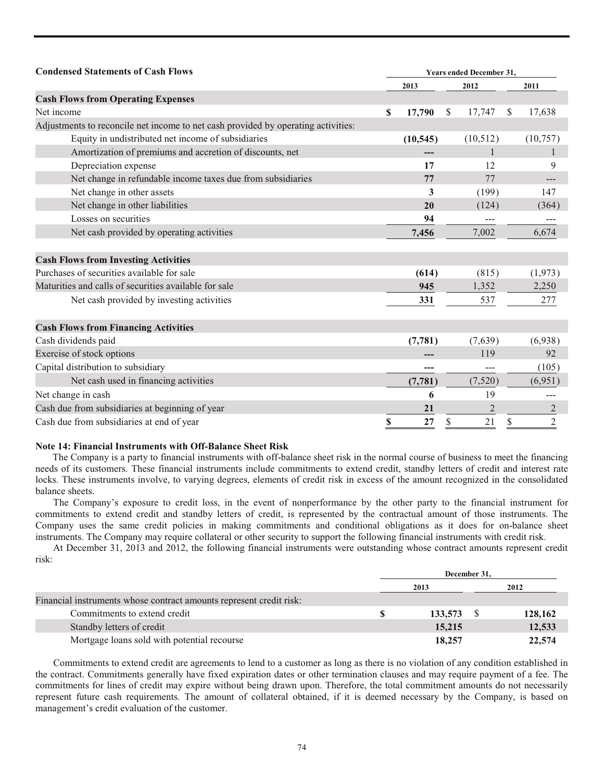| <b>Condensed Statements of Cash Flows</b>                                         |    | <b>Years ended December 31,</b> |              |                |    |                |  |  |
|-----------------------------------------------------------------------------------|----|---------------------------------|--------------|----------------|----|----------------|--|--|
|                                                                                   |    | 2012<br>2013                    |              |                |    | 2011           |  |  |
| <b>Cash Flows from Operating Expenses</b>                                         |    |                                 |              |                |    |                |  |  |
| Net income                                                                        | \$ | 17,790                          | $\mathbb{S}$ | 17,747         | \$ | 17,638         |  |  |
| Adjustments to reconcile net income to net cash provided by operating activities: |    |                                 |              |                |    |                |  |  |
| Equity in undistributed net income of subsidiaries                                |    | (10, 545)                       |              | (10,512)       |    | (10, 757)      |  |  |
| Amortization of premiums and accretion of discounts, net                          |    |                                 |              |                |    |                |  |  |
| Depreciation expense                                                              |    | 17                              |              | 12             |    | 9              |  |  |
| Net change in refundable income taxes due from subsidiaries                       |    | 77                              |              | 77             |    |                |  |  |
| Net change in other assets                                                        |    | 3                               |              | (199)          |    | 147            |  |  |
| Net change in other liabilities                                                   |    | 20                              |              | (124)          |    | (364)          |  |  |
| Losses on securities                                                              |    | 94                              |              |                |    |                |  |  |
| Net cash provided by operating activities                                         |    | 7,456                           |              | 7,002          |    | 6,674          |  |  |
| <b>Cash Flows from Investing Activities</b>                                       |    |                                 |              |                |    |                |  |  |
| Purchases of securities available for sale                                        |    | (614)                           |              | (815)          |    | (1, 973)       |  |  |
| Maturities and calls of securities available for sale                             |    | 945                             |              | 1,352          |    | 2,250          |  |  |
| Net cash provided by investing activities                                         |    | 331                             |              | 537            |    | 277            |  |  |
| <b>Cash Flows from Financing Activities</b>                                       |    |                                 |              |                |    |                |  |  |
| Cash dividends paid                                                               |    | (7, 781)                        |              | (7,639)        |    | (6,938)        |  |  |
| Exercise of stock options                                                         |    |                                 |              | 119            |    | 92             |  |  |
| Capital distribution to subsidiary                                                |    | ---                             |              | ---            |    | (105)          |  |  |
| Net cash used in financing activities                                             |    | (7, 781)                        |              | (7,520)        |    | (6,951)        |  |  |
| Net change in cash                                                                |    | 6                               |              | 19             |    | $---$          |  |  |
| Cash due from subsidiaries at beginning of year                                   |    | 21                              |              | $\overline{2}$ |    | 2              |  |  |
| Cash due from subsidiaries at end of year                                         | \$ | 27                              | \$           | 21             | \$ | $\overline{2}$ |  |  |

#### **Note 14: Financial Instruments with Off-Balance Sheet Risk**

 The Company is a party to financial instruments with off-balance sheet risk in the normal course of business to meet the financing needs of its customers. These financial instruments include commitments to extend credit, standby letters of credit and interest rate locks. These instruments involve, to varying degrees, elements of credit risk in excess of the amount recognized in the consolidated balance sheets.

 The Company's exposure to credit loss, in the event of nonperformance by the other party to the financial instrument for commitments to extend credit and standby letters of credit, is represented by the contractual amount of those instruments. The Company uses the same credit policies in making commitments and conditional obligations as it does for on-balance sheet instruments. The Company may require collateral or other security to support the following financial instruments with credit risk.

 At December 31, 2013 and 2012, the following financial instruments were outstanding whose contract amounts represent credit risk:

|                                                                     | December 31. |         |  |         |
|---------------------------------------------------------------------|--------------|---------|--|---------|
|                                                                     |              | 2013    |  | 2012    |
| Financial instruments whose contract amounts represent credit risk: |              |         |  |         |
| Commitments to extend credit                                        |              | 133,573 |  | 128,162 |
| Standby letters of credit                                           |              | 15,215  |  | 12,533  |
| Mortgage loans sold with potential recourse                         |              | 18,257  |  | 22,574  |

Commitments to extend credit are agreements to lend to a customer as long as there is no violation of any condition established in the contract. Commitments generally have fixed expiration dates or other termination clauses and may require payment of a fee. The commitments for lines of credit may expire without being drawn upon. Therefore, the total commitment amounts do not necessarily represent future cash requirements. The amount of collateral obtained, if it is deemed necessary by the Company, is based on management's credit evaluation of the customer.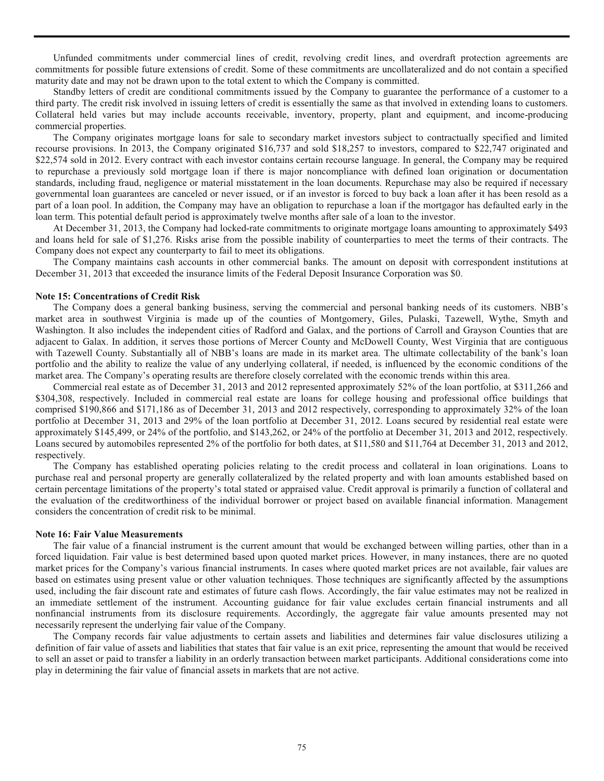Unfunded commitments under commercial lines of credit, revolving credit lines, and overdraft protection agreements are commitments for possible future extensions of credit. Some of these commitments are uncollateralized and do not contain a specified maturity date and may not be drawn upon to the total extent to which the Company is committed.

 Standby letters of credit are conditional commitments issued by the Company to guarantee the performance of a customer to a third party. The credit risk involved in issuing letters of credit is essentially the same as that involved in extending loans to customers. Collateral held varies but may include accounts receivable, inventory, property, plant and equipment, and income-producing commercial properties.

 The Company originates mortgage loans for sale to secondary market investors subject to contractually specified and limited recourse provisions. In 2013, the Company originated \$16,737 and sold \$18,257 to investors, compared to \$22,747 originated and \$22,574 sold in 2012. Every contract with each investor contains certain recourse language. In general, the Company may be required to repurchase a previously sold mortgage loan if there is major noncompliance with defined loan origination or documentation standards, including fraud, negligence or material misstatement in the loan documents. Repurchase may also be required if necessary governmental loan guarantees are canceled or never issued, or if an investor is forced to buy back a loan after it has been resold as a part of a loan pool. In addition, the Company may have an obligation to repurchase a loan if the mortgagor has defaulted early in the loan term. This potential default period is approximately twelve months after sale of a loan to the investor.

 At December 31, 2013, the Company had locked-rate commitments to originate mortgage loans amounting to approximately \$493 and loans held for sale of \$1,276. Risks arise from the possible inability of counterparties to meet the terms of their contracts. The Company does not expect any counterparty to fail to meet its obligations.

 The Company maintains cash accounts in other commercial banks. The amount on deposit with correspondent institutions at December 31, 2013 that exceeded the insurance limits of the Federal Deposit Insurance Corporation was \$0.

#### **Note 15: Concentrations of Credit Risk**

 The Company does a general banking business, serving the commercial and personal banking needs of its customers. NBB's market area in southwest Virginia is made up of the counties of Montgomery, Giles, Pulaski, Tazewell, Wythe, Smyth and Washington. It also includes the independent cities of Radford and Galax, and the portions of Carroll and Grayson Counties that are adjacent to Galax. In addition, it serves those portions of Mercer County and McDowell County, West Virginia that are contiguous with Tazewell County. Substantially all of NBB's loans are made in its market area. The ultimate collectability of the bank's loan portfolio and the ability to realize the value of any underlying collateral, if needed, is influenced by the economic conditions of the market area. The Company's operating results are therefore closely correlated with the economic trends within this area.

 Commercial real estate as of December 31, 2013 and 2012 represented approximately 52% of the loan portfolio, at \$311,266 and \$304,308, respectively. Included in commercial real estate are loans for college housing and professional office buildings that comprised \$190,866 and \$171,186 as of December 31, 2013 and 2012 respectively, corresponding to approximately 32% of the loan portfolio at December 31, 2013 and 29% of the loan portfolio at December 31, 2012. Loans secured by residential real estate were approximately \$145,499, or 24% of the portfolio, and \$143,262, or 24% of the portfolio at December 31, 2013 and 2012, respectively. Loans secured by automobiles represented 2% of the portfolio for both dates, at \$11,580 and \$11,764 at December 31, 2013 and 2012, respectively.

 The Company has established operating policies relating to the credit process and collateral in loan originations. Loans to purchase real and personal property are generally collateralized by the related property and with loan amounts established based on certain percentage limitations of the property's total stated or appraised value. Credit approval is primarily a function of collateral and the evaluation of the creditworthiness of the individual borrower or project based on available financial information. Management considers the concentration of credit risk to be minimal.

### **Note 16: Fair Value Measurements**

 The fair value of a financial instrument is the current amount that would be exchanged between willing parties, other than in a forced liquidation. Fair value is best determined based upon quoted market prices. However, in many instances, there are no quoted market prices for the Company's various financial instruments. In cases where quoted market prices are not available, fair values are based on estimates using present value or other valuation techniques. Those techniques are significantly affected by the assumptions used, including the fair discount rate and estimates of future cash flows. Accordingly, the fair value estimates may not be realized in an immediate settlement of the instrument. Accounting guidance for fair value excludes certain financial instruments and all nonfinancial instruments from its disclosure requirements. Accordingly, the aggregate fair value amounts presented may not necessarily represent the underlying fair value of the Company.

 The Company records fair value adjustments to certain assets and liabilities and determines fair value disclosures utilizing a definition of fair value of assets and liabilities that states that fair value is an exit price, representing the amount that would be received to sell an asset or paid to transfer a liability in an orderly transaction between market participants. Additional considerations come into play in determining the fair value of financial assets in markets that are not active.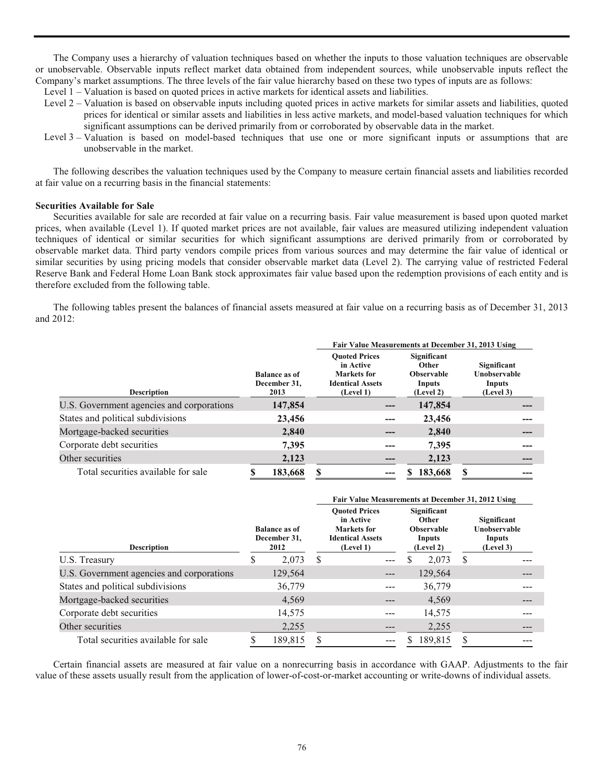The Company uses a hierarchy of valuation techniques based on whether the inputs to those valuation techniques are observable or unobservable. Observable inputs reflect market data obtained from independent sources, while unobservable inputs reflect the Company's market assumptions. The three levels of the fair value hierarchy based on these two types of inputs are as follows:

- Level 1 Valuation is based on quoted prices in active markets for identical assets and liabilities.
- Level 2 Valuation is based on observable inputs including quoted prices in active markets for similar assets and liabilities, quoted prices for identical or similar assets and liabilities in less active markets, and model-based valuation techniques for which significant assumptions can be derived primarily from or corroborated by observable data in the market.
- Level 3 Valuation is based on model-based techniques that use one or more significant inputs or assumptions that are unobservable in the market.

 The following describes the valuation techniques used by the Company to measure certain financial assets and liabilities recorded at fair value on a recurring basis in the financial statements:

#### **Securities Available for Sale**

 Securities available for sale are recorded at fair value on a recurring basis. Fair value measurement is based upon quoted market prices, when available (Level 1). If quoted market prices are not available, fair values are measured utilizing independent valuation techniques of identical or similar securities for which significant assumptions are derived primarily from or corroborated by observable market data. Third party vendors compile prices from various sources and may determine the fair value of identical or similar securities by using pricing models that consider observable market data (Level 2). The carrying value of restricted Federal Reserve Bank and Federal Home Loan Bank stock approximates fair value based upon the redemption provisions of each entity and is therefore excluded from the following table.

 The following tables present the balances of financial assets measured at fair value on a recurring basis as of December 31, 2013 and 2012:

|                                           |                                              | Fair Value Measurements at December 31, 2013 Using                                       |                                                                                |                                                    |  |  |  |  |
|-------------------------------------------|----------------------------------------------|------------------------------------------------------------------------------------------|--------------------------------------------------------------------------------|----------------------------------------------------|--|--|--|--|
| <b>Description</b>                        | <b>Balance as of</b><br>December 31,<br>2013 | <b>Ouoted Prices</b><br>in Active<br>Markets for<br><b>Identical Assets</b><br>(Level 1) | <b>Significant</b><br><b>Other</b><br><b>Observable</b><br>Inputs<br>(Level 2) | Significant<br>Unobservable<br>Inputs<br>(Level 3) |  |  |  |  |
| U.S. Government agencies and corporations | 147,854                                      | $---$                                                                                    | 147,854                                                                        | ---                                                |  |  |  |  |
| States and political subdivisions         | 23,456                                       | ---                                                                                      | 23,456                                                                         | ---                                                |  |  |  |  |
| Mortgage-backed securities                | 2,840                                        | ---                                                                                      | 2,840                                                                          | ---                                                |  |  |  |  |
| Corporate debt securities                 | 7,395                                        | ---                                                                                      | 7,395                                                                          |                                                    |  |  |  |  |
| Other securities                          | 2,123                                        | ---                                                                                      | 2,123                                                                          |                                                    |  |  |  |  |
| Total securities available for sale       | 183,668                                      |                                                                                          | 183,668                                                                        |                                                    |  |  |  |  |

|                                           |                                              |    | Fair Value Measurements at December 31, 2012 Using                                       |   |                                                                         |    |                                                    |
|-------------------------------------------|----------------------------------------------|----|------------------------------------------------------------------------------------------|---|-------------------------------------------------------------------------|----|----------------------------------------------------|
| <b>Description</b>                        | <b>Balance as of</b><br>December 31,<br>2012 |    | <b>Ouoted Prices</b><br>in Active<br>Markets for<br><b>Identical Assets</b><br>(Level 1) |   | Significant<br><b>Other</b><br><b>Observable</b><br>Inputs<br>(Level 2) |    | Significant<br>Unobservable<br>Inputs<br>(Level 3) |
| U.S. Treasury                             | \$<br>2,073                                  | S  |                                                                                          | S | 2,073                                                                   | -S |                                                    |
| U.S. Government agencies and corporations | 129,564                                      |    |                                                                                          |   | 129,564                                                                 |    |                                                    |
| States and political subdivisions         | 36,779                                       |    |                                                                                          |   | 36,779                                                                  |    |                                                    |
| Mortgage-backed securities                | 4,569                                        |    | ---                                                                                      |   | 4,569                                                                   |    |                                                    |
| Corporate debt securities                 | 14,575                                       |    |                                                                                          |   | 14,575                                                                  |    |                                                    |
| Other securities                          | 2,255                                        |    |                                                                                          |   | 2,255                                                                   |    |                                                    |
| Total securities available for sale       | 189,815                                      | \$ |                                                                                          |   | 189,815                                                                 |    |                                                    |

 Certain financial assets are measured at fair value on a nonrecurring basis in accordance with GAAP. Adjustments to the fair value of these assets usually result from the application of lower-of-cost-or-market accounting or write-downs of individual assets.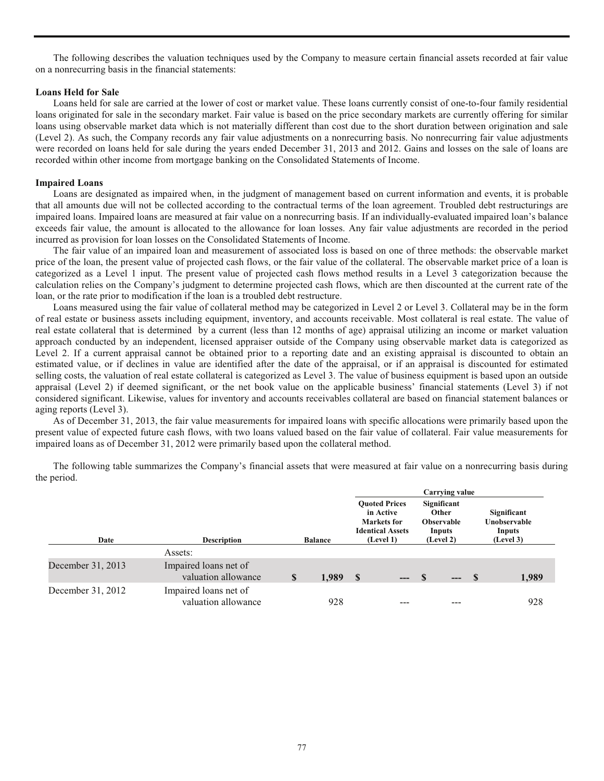The following describes the valuation techniques used by the Company to measure certain financial assets recorded at fair value on a nonrecurring basis in the financial statements:

### **Loans Held for Sale**

 Loans held for sale are carried at the lower of cost or market value. These loans currently consist of one-to-four family residential loans originated for sale in the secondary market. Fair value is based on the price secondary markets are currently offering for similar loans using observable market data which is not materially different than cost due to the short duration between origination and sale (Level 2). As such, the Company records any fair value adjustments on a nonrecurring basis. No nonrecurring fair value adjustments were recorded on loans held for sale during the years ended December 31, 2013 and 2012. Gains and losses on the sale of loans are recorded within other income from mortgage banking on the Consolidated Statements of Income.

#### **Impaired Loans**

 Loans are designated as impaired when, in the judgment of management based on current information and events, it is probable that all amounts due will not be collected according to the contractual terms of the loan agreement. Troubled debt restructurings are impaired loans. Impaired loans are measured at fair value on a nonrecurring basis. If an individually-evaluated impaired loan's balance exceeds fair value, the amount is allocated to the allowance for loan losses. Any fair value adjustments are recorded in the period incurred as provision for loan losses on the Consolidated Statements of Income.

 The fair value of an impaired loan and measurement of associated loss is based on one of three methods: the observable market price of the loan, the present value of projected cash flows, or the fair value of the collateral. The observable market price of a loan is categorized as a Level 1 input. The present value of projected cash flows method results in a Level 3 categorization because the calculation relies on the Company's judgment to determine projected cash flows, which are then discounted at the current rate of the loan, or the rate prior to modification if the loan is a troubled debt restructure.

 Loans measured using the fair value of collateral method may be categorized in Level 2 or Level 3. Collateral may be in the form of real estate or business assets including equipment, inventory, and accounts receivable. Most collateral is real estate. The value of real estate collateral that is determined by a current (less than 12 months of age) appraisal utilizing an income or market valuation approach conducted by an independent, licensed appraiser outside of the Company using observable market data is categorized as Level 2. If a current appraisal cannot be obtained prior to a reporting date and an existing appraisal is discounted to obtain an estimated value, or if declines in value are identified after the date of the appraisal, or if an appraisal is discounted for estimated selling costs, the valuation of real estate collateral is categorized as Level 3. The value of business equipment is based upon an outside appraisal (Level 2) if deemed significant, or the net book value on the applicable business' financial statements (Level 3) if not considered significant. Likewise, values for inventory and accounts receivables collateral are based on financial statement balances or aging reports (Level 3).

 As of December 31, 2013, the fair value measurements for impaired loans with specific allocations were primarily based upon the present value of expected future cash flows, with two loans valued based on the fair value of collateral. Fair value measurements for impaired loans as of December 31, 2012 were primarily based upon the collateral method.

 The following table summarizes the Company's financial assets that were measured at fair value on a nonrecurring basis during the period.

|                   |                                              |                |          |                                                                                          | Carrying value                                                          |          |                                                    |
|-------------------|----------------------------------------------|----------------|----------|------------------------------------------------------------------------------------------|-------------------------------------------------------------------------|----------|----------------------------------------------------|
| Date              | <b>Description</b>                           | <b>Balance</b> |          | <b>Ouoted Prices</b><br>in Active<br>Markets for<br><b>Identical Assets</b><br>(Level 1) | Significant<br><b>Other</b><br><b>Observable</b><br>Inputs<br>(Level 2) |          | Significant<br>Unobservable<br>Inputs<br>(Level 3) |
|                   | Assets:                                      |                |          |                                                                                          |                                                                         |          |                                                    |
| December 31, 2013 | Impaired loans net of<br>valuation allowance | \$<br>1,989    | <b>S</b> | $---$                                                                                    | $---$                                                                   | <b>S</b> | 1,989                                              |
| December 31, 2012 | Impaired loans net of<br>valuation allowance | 928            |          |                                                                                          | ---                                                                     |          | 928                                                |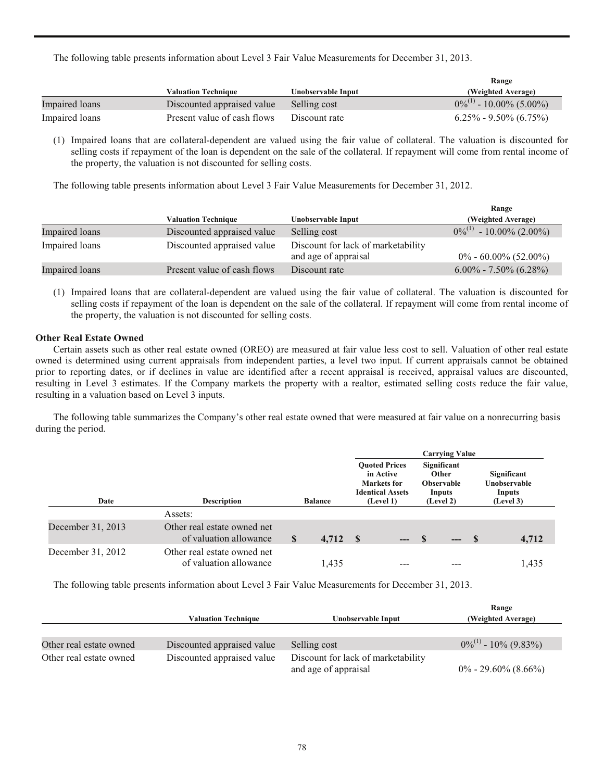The following table presents information about Level 3 Fair Value Measurements for December 31, 2013.

|                |                             |                    | Range                        |
|----------------|-----------------------------|--------------------|------------------------------|
|                | <b>Valuation Technique</b>  | Unobservable Input | (Weighted Average)           |
| Impaired loans | Discounted appraised value  | Selling cost       | $0\%^{(1)}$ - 10.00% (5.00%) |
| Impaired loans | Present value of cash flows | Discount rate      | $6.25\% - 9.50\%$ (6.75%)    |

(1) Impaired loans that are collateral-dependent are valued using the fair value of collateral. The valuation is discounted for selling costs if repayment of the loan is dependent on the sale of the collateral. If repayment will come from rental income of the property, the valuation is not discounted for selling costs.

The following table presents information about Level 3 Fair Value Measurements for December 31, 2012.

|                |                             |                                                            | Range                        |
|----------------|-----------------------------|------------------------------------------------------------|------------------------------|
|                | <b>Valuation Technique</b>  | Unobservable Input                                         | (Weighted Average)           |
| Impaired loans | Discounted appraised value  | Selling cost                                               | $0\%^{(1)}$ - 10.00% (2.00%) |
| Impaired loans | Discounted appraised value  | Discount for lack of marketability<br>and age of appraisal | $0\%$ - 60.00% (52.00%)      |
| Impaired loans | Present value of cash flows | Discount rate                                              | $6.00\%$ - 7.50% $(6.28\%)$  |

(1) Impaired loans that are collateral-dependent are valued using the fair value of collateral. The valuation is discounted for selling costs if repayment of the loan is dependent on the sale of the collateral. If repayment will come from rental income of the property, the valuation is not discounted for selling costs.

# **Other Real Estate Owned**

Certain assets such as other real estate owned (OREO) are measured at fair value less cost to sell. Valuation of other real estate owned is determined using current appraisals from independent parties, a level two input. If current appraisals cannot be obtained prior to reporting dates, or if declines in value are identified after a recent appraisal is received, appraisal values are discounted, resulting in Level 3 estimates. If the Company markets the property with a realtor, estimated selling costs reduce the fair value, resulting in a valuation based on Level 3 inputs.

 The following table summarizes the Company's other real estate owned that were measured at fair value on a nonrecurring basis during the period.

|                   |                                                       |             |                |      |                                                                                          | <b>Carrying Value</b>                                            |                                                    |
|-------------------|-------------------------------------------------------|-------------|----------------|------|------------------------------------------------------------------------------------------|------------------------------------------------------------------|----------------------------------------------------|
| Date              | <b>Description</b>                                    |             | <b>Balance</b> |      | <b>Ouoted Prices</b><br>in Active<br>Markets for<br><b>Identical Assets</b><br>(Level 1) | Significant<br>Other<br><b>Observable</b><br>Inputs<br>(Level 2) | Significant<br>Unobservable<br>Inputs<br>(Level 3) |
|                   | Assets:                                               |             |                |      |                                                                                          |                                                                  |                                                    |
| December 31, 2013 | Other real estate owned net<br>of valuation allowance | $\mathbf S$ | 4,712          | - \$ | $---$                                                                                    | $---$                                                            | 4,712                                              |
| December 31, 2012 | Other real estate owned net<br>of valuation allowance |             | 1.435          |      |                                                                                          | ---                                                              | 1,435                                              |

The following table presents information about Level 3 Fair Value Measurements for December 31, 2013.

|                         |                            |                                                            | Range                     |
|-------------------------|----------------------------|------------------------------------------------------------|---------------------------|
|                         | <b>Valuation Technique</b> | Unobservable Input                                         | (Weighted Average)        |
|                         |                            |                                                            |                           |
| Other real estate owned | Discounted appraised value | Selling cost                                               | $0\%^{(1)}$ - 10% (9.83%) |
| Other real estate owned | Discounted appraised value | Discount for lack of marketability<br>and age of appraisal | $0\%$ - 29.60% (8.66%)    |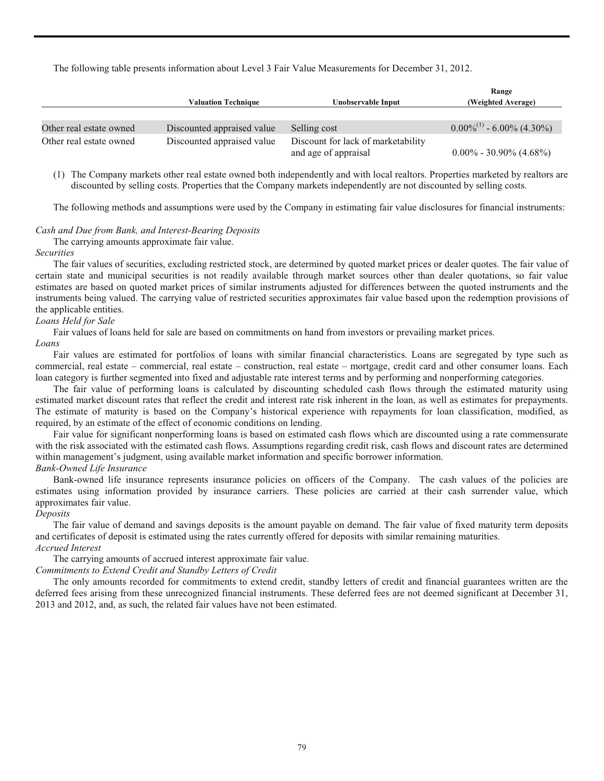The following table presents information about Level 3 Fair Value Measurements for December 31, 2012.

|                         |                            |                                                            | Range                             |
|-------------------------|----------------------------|------------------------------------------------------------|-----------------------------------|
|                         | <b>Valuation Technique</b> | Unobservable Input                                         | (Weighted Average)                |
|                         |                            |                                                            |                                   |
| Other real estate owned | Discounted appraised value | Selling cost                                               | $(0.00\%^{(1)} - 6.00\%)(4.30\%)$ |
| Other real estate owned | Discounted appraised value | Discount for lack of marketability<br>and age of appraisal | $0.00\%$ - 30.90% (4.68%)         |

(1) The Company markets other real estate owned both independently and with local realtors. Properties marketed by realtors are discounted by selling costs. Properties that the Company markets independently are not discounted by selling costs.

The following methods and assumptions were used by the Company in estimating fair value disclosures for financial instruments:

# *Cash and Due from Bank, and Interest-Bearing Deposits*

The carrying amounts approximate fair value.

#### *Securities*

 The fair values of securities, excluding restricted stock, are determined by quoted market prices or dealer quotes. The fair value of certain state and municipal securities is not readily available through market sources other than dealer quotations, so fair value estimates are based on quoted market prices of similar instruments adjusted for differences between the quoted instruments and the instruments being valued. The carrying value of restricted securities approximates fair value based upon the redemption provisions of the applicable entities.

#### *Loans Held for Sale*

Fair values of loans held for sale are based on commitments on hand from investors or prevailing market prices.

#### *Loans*

 Fair values are estimated for portfolios of loans with similar financial characteristics. Loans are segregated by type such as commercial, real estate – commercial, real estate – construction, real estate – mortgage, credit card and other consumer loans. Each loan category is further segmented into fixed and adjustable rate interest terms and by performing and nonperforming categories.

 The fair value of performing loans is calculated by discounting scheduled cash flows through the estimated maturity using estimated market discount rates that reflect the credit and interest rate risk inherent in the loan, as well as estimates for prepayments. The estimate of maturity is based on the Company's historical experience with repayments for loan classification, modified, as required, by an estimate of the effect of economic conditions on lending.

 Fair value for significant nonperforming loans is based on estimated cash flows which are discounted using a rate commensurate with the risk associated with the estimated cash flows. Assumptions regarding credit risk, cash flows and discount rates are determined within management's judgment, using available market information and specific borrower information.

# *Bank-Owned Life Insurance*

 Bank-owned life insurance represents insurance policies on officers of the Company. The cash values of the policies are estimates using information provided by insurance carriers. These policies are carried at their cash surrender value, which approximates fair value.

### *Deposits*

 The fair value of demand and savings deposits is the amount payable on demand. The fair value of fixed maturity term deposits and certificates of deposit is estimated using the rates currently offered for deposits with similar remaining maturities. *Accrued Interest* 

The carrying amounts of accrued interest approximate fair value.

# *Commitments to Extend Credit and Standby Letters of Credit*

 The only amounts recorded for commitments to extend credit, standby letters of credit and financial guarantees written are the deferred fees arising from these unrecognized financial instruments. These deferred fees are not deemed significant at December 31, 2013 and 2012, and, as such, the related fair values have not been estimated.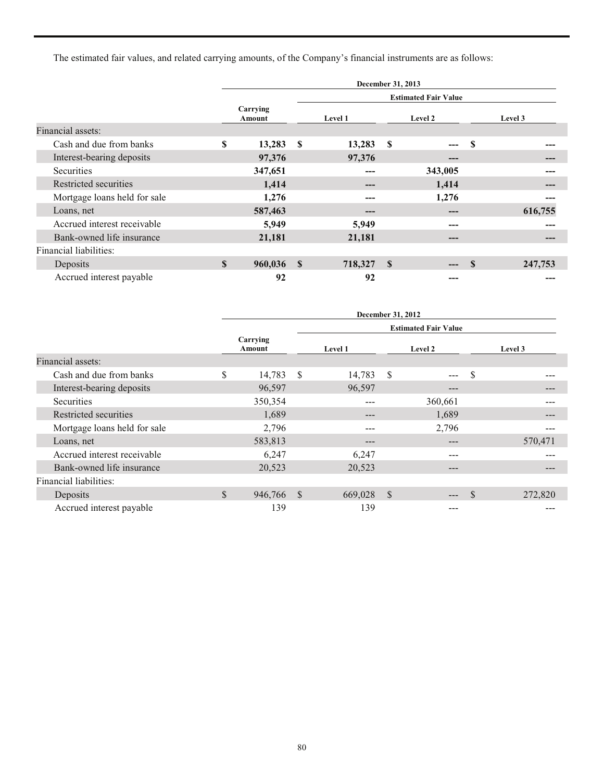The estimated fair values, and related carrying amounts, of the Company's financial instruments are as follows:

|                              |              | December 31, 2013  |              |         |               |                             |          |         |
|------------------------------|--------------|--------------------|--------------|---------|---------------|-----------------------------|----------|---------|
|                              |              |                    |              |         |               | <b>Estimated Fair Value</b> |          |         |
|                              |              | Carrying<br>Amount |              | Level 1 |               | Level 2                     |          | Level 3 |
| Financial assets:            |              |                    |              |         |               |                             |          |         |
| Cash and due from banks      | S            | 13,283             | -S           | 13,283  | <sup>\$</sup> | $---$                       | S        | ---     |
| Interest-bearing deposits    |              | 97,376             |              | 97,376  |               | ---                         |          |         |
| <b>Securities</b>            |              | 347,651            |              | ---     |               | 343,005                     |          | ---     |
| Restricted securities        |              | 1,414              |              | ---     |               | 1,414                       |          | ---     |
| Mortgage loans held for sale |              | 1,276              |              | ---     |               | 1,276                       |          | ---     |
| Loans, net                   |              | 587,463            |              | ---     |               | ---                         |          | 616,755 |
| Accrued interest receivable  |              | 5,949              |              | 5,949   |               | ---                         |          |         |
| Bank-owned life insurance    |              | 21,181             |              | 21,181  |               | ---                         |          | ---     |
| Financial liabilities:       |              |                    |              |         |               |                             |          |         |
| Deposits                     | $\mathbf{s}$ | 960,036            | $\mathbf{s}$ | 718,327 | <sup>S</sup>  |                             | <b>S</b> | 247,753 |
| Accrued interest payable     |              | 92                 |              | 92      |               |                             |          | ---     |

|                              |                    | December 31, 2012 |               |         |         |                             |          |         |  |
|------------------------------|--------------------|-------------------|---------------|---------|---------|-----------------------------|----------|---------|--|
|                              |                    |                   |               |         |         | <b>Estimated Fair Value</b> |          |         |  |
|                              | Carrying<br>Amount |                   |               | Level 1 | Level 2 |                             |          | Level 3 |  |
| Financial assets:            |                    |                   |               |         |         |                             |          |         |  |
| Cash and due from banks      | \$                 | 14,783            | <sup>\$</sup> | 14,783  | -S      | ---                         | S        |         |  |
| Interest-bearing deposits    |                    | 96,597            |               | 96,597  |         |                             |          |         |  |
| Securities                   |                    | 350,354           |               | ---     |         | 360,661                     |          | ---     |  |
| Restricted securities        |                    | 1,689             |               | ---     |         | 1,689                       |          | ---     |  |
| Mortgage loans held for sale |                    | 2,796             |               | ---     |         | 2,796                       |          |         |  |
| Loans, net                   |                    | 583,813           |               | ---     |         | ---                         |          | 570,471 |  |
| Accrued interest receivable  |                    | 6,247             |               | 6,247   |         | ---                         |          | ---     |  |
| Bank-owned life insurance    |                    | 20,523            |               | 20,523  |         | $---$                       |          | ---     |  |
| Financial liabilities:       |                    |                   |               |         |         |                             |          |         |  |
| Deposits                     | $\mathbb{S}$       | 946,766 \$        |               | 669,028 | -S      | $---$                       | <b>S</b> | 272,820 |  |
| Accrued interest payable     |                    | 139               |               | 139     |         |                             |          |         |  |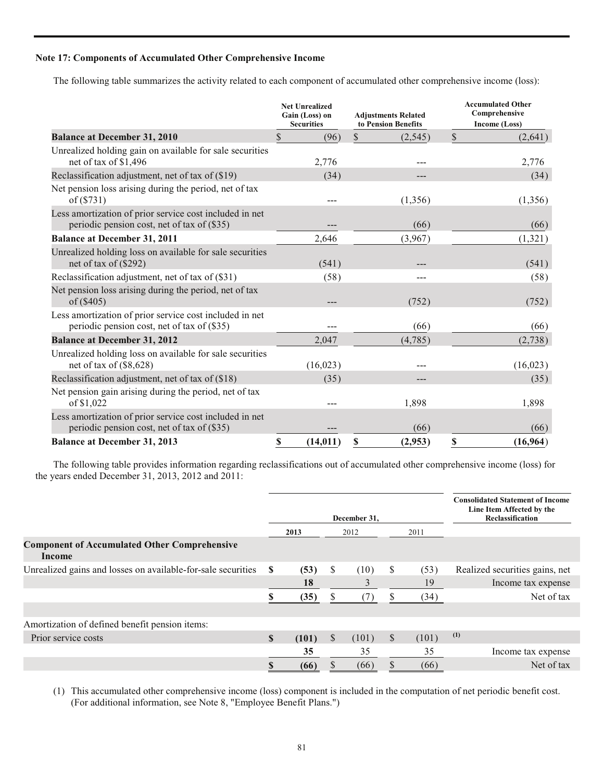# **Note 17: Components of Accumulated Other Comprehensive Income**

The following table summarizes the activity related to each component of accumulated other comprehensive income (loss):

|                                                                                                        | <b>Net Unrealized</b><br>Gain (Loss) on<br><b>Securities</b> | <b>Adjustments Related</b><br>to Pension Benefits | <b>Accumulated Other</b><br>Comprehensive<br>Income (Loss) |
|--------------------------------------------------------------------------------------------------------|--------------------------------------------------------------|---------------------------------------------------|------------------------------------------------------------|
| <b>Balance at December 31, 2010</b>                                                                    | \$<br>(96)                                                   | \$<br>(2,545)                                     | \$<br>(2,641)                                              |
| Unrealized holding gain on available for sale securities<br>net of tax of \$1,496                      | 2,776                                                        |                                                   | 2,776                                                      |
| Reclassification adjustment, net of tax of (\$19)                                                      | (34)                                                         |                                                   | (34)                                                       |
| Net pension loss arising during the period, net of tax<br>of $(\$731)$                                 |                                                              | (1,356)                                           | (1,356)                                                    |
| Less amortization of prior service cost included in net<br>periodic pension cost, net of tax of (\$35) |                                                              | (66)                                              | (66)                                                       |
| <b>Balance at December 31, 2011</b>                                                                    | 2,646                                                        | (3,967)                                           | (1,321)                                                    |
| Unrealized holding loss on available for sale securities<br>net of tax of (\$292)                      | (541)                                                        |                                                   | (541)                                                      |
| Reclassification adjustment, net of tax of (\$31)                                                      | (58)                                                         | ---                                               | (58)                                                       |
| Net pension loss arising during the period, net of tax<br>of $(\$405)$                                 |                                                              | (752)                                             | (752)                                                      |
| Less amortization of prior service cost included in net<br>periodic pension cost, net of tax of (\$35) |                                                              | (66)                                              | (66)                                                       |
| <b>Balance at December 31, 2012</b>                                                                    | 2,047                                                        | (4,785)                                           | (2,738)                                                    |
| Unrealized holding loss on available for sale securities<br>net of tax of $(\$8,628)$                  | (16,023)                                                     |                                                   | (16,023)                                                   |
| Reclassification adjustment, net of tax of (\$18)                                                      | (35)                                                         | ---                                               | (35)                                                       |
| Net pension gain arising during the period, net of tax<br>of \$1,022                                   |                                                              | 1,898                                             | 1,898                                                      |
| Less amortization of prior service cost included in net<br>periodic pension cost, net of tax of (\$35) |                                                              | (66)                                              | (66)                                                       |
| <b>Balance at December 31, 2013</b>                                                                    | \$<br>(14, 011)                                              | \$<br>(2,953)                                     | \$<br>(16,964)                                             |

 The following table provides information regarding reclassifications out of accumulated other comprehensive income (loss) for the years ended December 31, 2013, 2012 and 2011:

|             |       |    |       | <b>Consolidated Statement of Income</b><br>Line Item Affected by the<br>Reclassification |       |                                |
|-------------|-------|----|-------|------------------------------------------------------------------------------------------|-------|--------------------------------|
|             | 2013  |    |       |                                                                                          | 2011  |                                |
|             |       |    |       |                                                                                          |       |                                |
| S           | (53)  | \$ | (10)  | \$                                                                                       | (53)  | Realized securities gains, net |
|             | 18    |    | 3     |                                                                                          | 19    | Income tax expense             |
|             | (35)  | ъ. | (7)   | D.                                                                                       | (34)  | Net of tax                     |
|             |       |    |       |                                                                                          |       |                                |
|             |       |    |       |                                                                                          |       |                                |
| $\mathbf S$ | (101) | \$ | (101) | \$                                                                                       | (101) | (1)                            |
|             | 35    |    | 35    |                                                                                          | 35    | Income tax expense             |
|             | (66)  | \$ | (66)  | \$                                                                                       | (66)  | Net of tax                     |
|             |       |    |       | December 31.<br>2012                                                                     |       |                                |

(1) This accumulated other comprehensive income (loss) component is included in the computation of net periodic benefit cost. (For additional information, see Note 8, "Employee Benefit Plans.")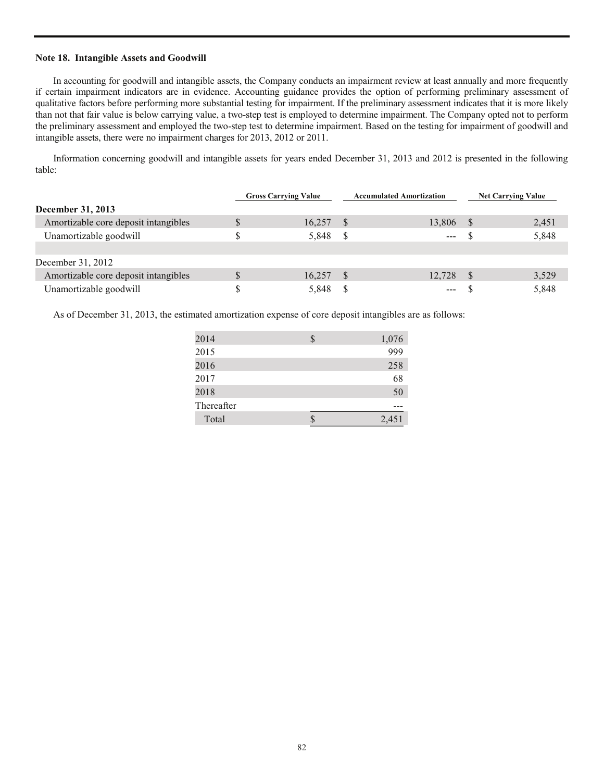#### **Note 18. Intangible Assets and Goodwill**

 In accounting for goodwill and intangible assets, the Company conducts an impairment review at least annually and more frequently if certain impairment indicators are in evidence. Accounting guidance provides the option of performing preliminary assessment of qualitative factors before performing more substantial testing for impairment. If the preliminary assessment indicates that it is more likely than not that fair value is below carrying value, a two-step test is employed to determine impairment. The Company opted not to perform the preliminary assessment and employed the two-step test to determine impairment. Based on the testing for impairment of goodwill and intangible assets, there were no impairment charges for 2013, 2012 or 2011.

 Information concerning goodwill and intangible assets for years ended December 31, 2013 and 2012 is presented in the following table:

|                                      | <b>Gross Carrying Value</b> |        |    | <b>Accumulated Amortization</b> |  | <b>Net Carrying Value</b> |
|--------------------------------------|-----------------------------|--------|----|---------------------------------|--|---------------------------|
| December 31, 2013                    |                             |        |    |                                 |  |                           |
| Amortizable core deposit intangibles | S                           | 16,257 | -S | 13,806                          |  | 2,451                     |
| Unamortizable goodwill               | \$                          | 5,848  | -S | $\frac{1}{2}$                   |  | 5,848                     |
|                                      |                             |        |    |                                 |  |                           |
| December 31, 2012                    |                             |        |    |                                 |  |                           |
| Amortizable core deposit intangibles | \$                          | 16,257 |    | 12,728                          |  | 3,529                     |
| Unamortizable goodwill               |                             | 5,848  |    | $---$                           |  | 5.848                     |

As of December 31, 2013, the estimated amortization expense of core deposit intangibles are as follows:

| 2014       | S | 1,076 |
|------------|---|-------|
| 2015       |   | 999   |
| 2016       |   | 258   |
| 2017       |   | 68    |
| 2018       |   | 50    |
| Thereafter |   |       |
| Total      |   | 2,451 |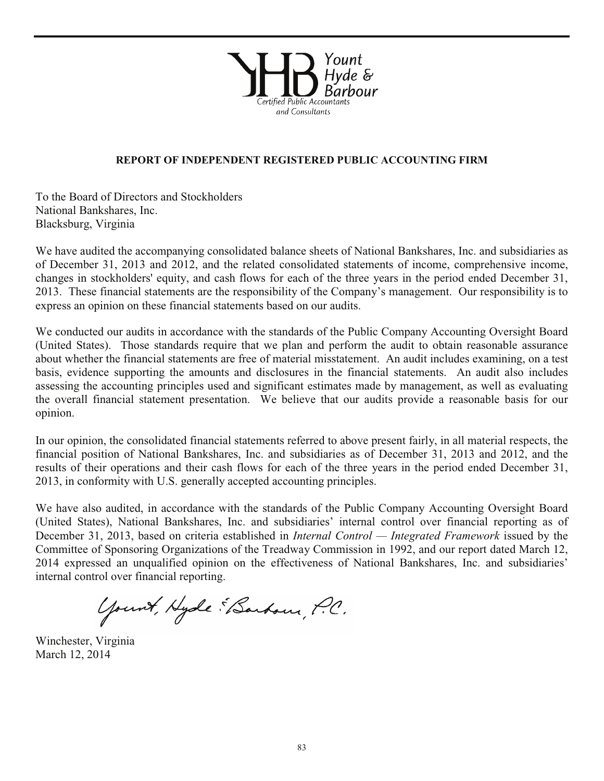

# **REPORT OF INDEPENDENT REGISTERED PUBLIC ACCOUNTING FIRM**

To the Board of Directors and Stockholders National Bankshares, Inc. Blacksburg, Virginia

We have audited the accompanying consolidated balance sheets of National Bankshares, Inc. and subsidiaries as of December 31, 2013 and 2012, and the related consolidated statements of income, comprehensive income, changes in stockholders' equity, and cash flows for each of the three years in the period ended December 31, 2013. These financial statements are the responsibility of the Company's management. Our responsibility is to express an opinion on these financial statements based on our audits.

We conducted our audits in accordance with the standards of the Public Company Accounting Oversight Board (United States). Those standards require that we plan and perform the audit to obtain reasonable assurance about whether the financial statements are free of material misstatement. An audit includes examining, on a test basis, evidence supporting the amounts and disclosures in the financial statements. An audit also includes assessing the accounting principles used and significant estimates made by management, as well as evaluating the overall financial statement presentation. We believe that our audits provide a reasonable basis for our opinion.

In our opinion, the consolidated financial statements referred to above present fairly, in all material respects, the financial position of National Bankshares, Inc. and subsidiaries as of December 31, 2013 and 2012, and the results of their operations and their cash flows for each of the three years in the period ended December 31, 2013, in conformity with U.S. generally accepted accounting principles.

We have also audited, in accordance with the standards of the Public Company Accounting Oversight Board (United States), National Bankshares, Inc. and subsidiaries' internal control over financial reporting as of December 31, 2013, based on criteria established in *Internal Control — Integrated Framework* issued by the Committee of Sponsoring Organizations of the Treadway Commission in 1992, and our report dated March 12, 2014 expressed an unqualified opinion on the effectiveness of National Bankshares, Inc. and subsidiaries' internal control over financial reporting.

Yount, Hyde "Barbon, P.C.

Winchester, Virginia March 12, 2014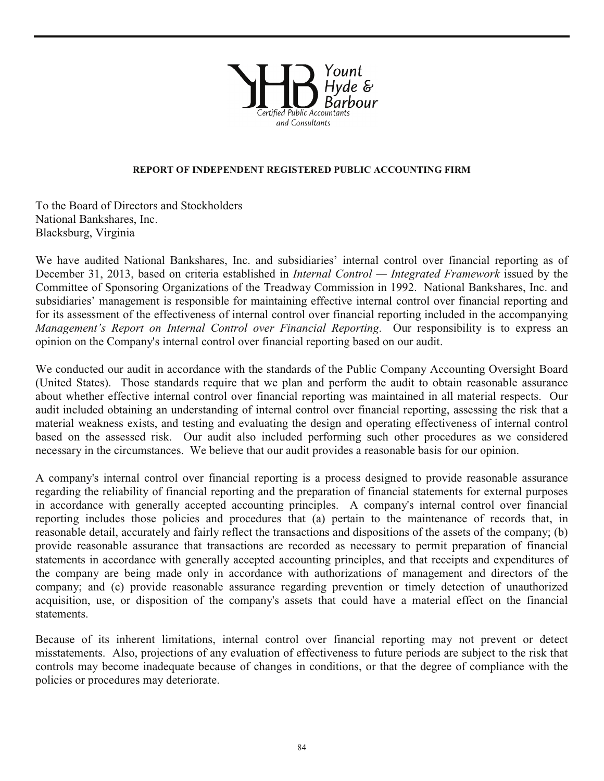

# **REPORT OF INDEPENDENT REGISTERED PUBLIC ACCOUNTING FIRM**

To the Board of Directors and Stockholders National Bankshares, Inc. Blacksburg, Virginia

We have audited National Bankshares, Inc. and subsidiaries' internal control over financial reporting as of December 31, 2013, based on criteria established in *Internal Control — Integrated Framework* issued by the Committee of Sponsoring Organizations of the Treadway Commission in 1992. National Bankshares, Inc. and subsidiaries' management is responsible for maintaining effective internal control over financial reporting and for its assessment of the effectiveness of internal control over financial reporting included in the accompanying *Management's Report on Internal Control over Financial Reporting*. Our responsibility is to express an opinion on the Company's internal control over financial reporting based on our audit.

We conducted our audit in accordance with the standards of the Public Company Accounting Oversight Board (United States). Those standards require that we plan and perform the audit to obtain reasonable assurance about whether effective internal control over financial reporting was maintained in all material respects. Our audit included obtaining an understanding of internal control over financial reporting, assessing the risk that a material weakness exists, and testing and evaluating the design and operating effectiveness of internal control based on the assessed risk. Our audit also included performing such other procedures as we considered necessary in the circumstances. We believe that our audit provides a reasonable basis for our opinion.

A company's internal control over financial reporting is a process designed to provide reasonable assurance regarding the reliability of financial reporting and the preparation of financial statements for external purposes in accordance with generally accepted accounting principles. A company's internal control over financial reporting includes those policies and procedures that (a) pertain to the maintenance of records that, in reasonable detail, accurately and fairly reflect the transactions and dispositions of the assets of the company; (b) provide reasonable assurance that transactions are recorded as necessary to permit preparation of financial statements in accordance with generally accepted accounting principles, and that receipts and expenditures of the company are being made only in accordance with authorizations of management and directors of the company; and (c) provide reasonable assurance regarding prevention or timely detection of unauthorized acquisition, use, or disposition of the company's assets that could have a material effect on the financial statements.

Because of its inherent limitations, internal control over financial reporting may not prevent or detect misstatements. Also, projections of any evaluation of effectiveness to future periods are subject to the risk that controls may become inadequate because of changes in conditions, or that the degree of compliance with the policies or procedures may deteriorate.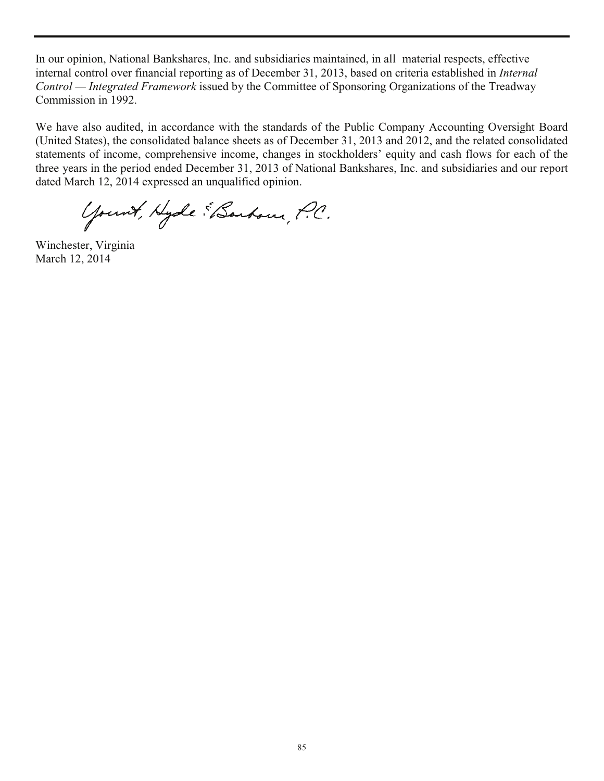In our opinion, National Bankshares, Inc. and subsidiaries maintained, in all material respects, effective internal control over financial reporting as of December 31, 2013, based on criteria established in *Internal Control — Integrated Framework* issued by the Committee of Sponsoring Organizations of the Treadway Commission in 1992.

We have also audited, in accordance with the standards of the Public Company Accounting Oversight Board (United States), the consolidated balance sheets as of December 31, 2013 and 2012, and the related consolidated statements of income, comprehensive income, changes in stockholders' equity and cash flows for each of the three years in the period ended December 31, 2013 of National Bankshares, Inc. and subsidiaries and our report dated March 12, 2014 expressed an unqualified opinion.

Yount, Hyde "Barbour, P.C.

j. Winchester, Virginia March 12, 2014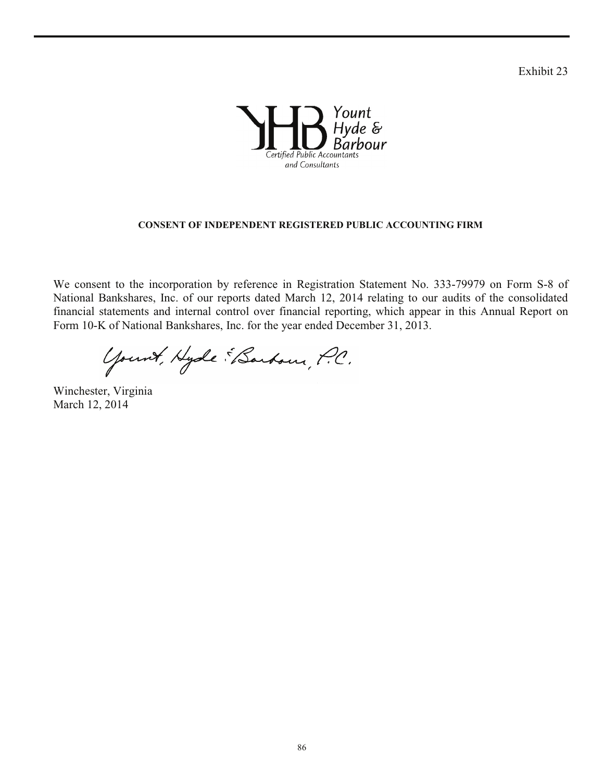Exhibit 23



# **CONSENT OF INDEPENDENT REGISTERED PUBLIC ACCOUNTING FIRM**

We consent to the incorporation by reference in Registration Statement No. 333-79979 on Form S-8 of National Bankshares, Inc. of our reports dated March 12, 2014 relating to our audits of the consolidated financial statements and internal control over financial reporting, which appear in this Annual Report on Form 10-K of National Bankshares, Inc. for the year ended December 31, 2013.

Yount, Hyde EBarbour, P.C.

Winchester, Virginia March 12, 2014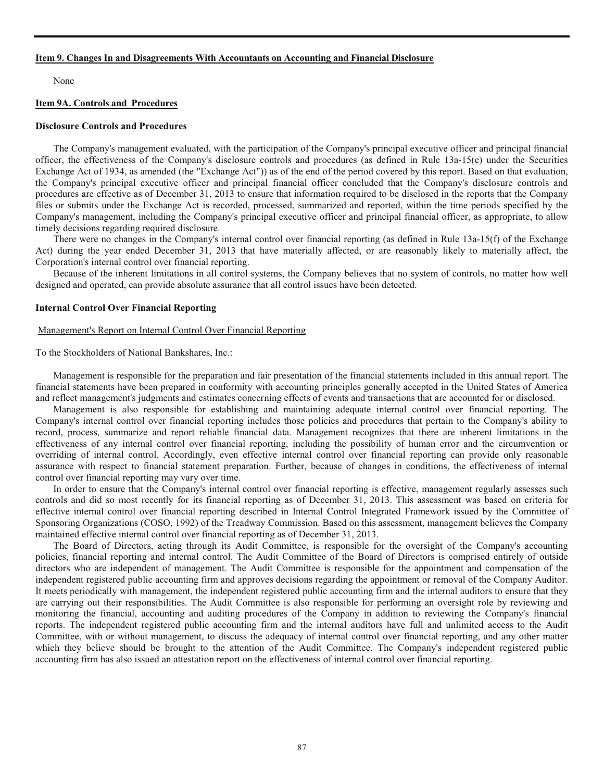#### **Item 9. Changes In and Disagreements With Accountants on Accounting and Financial Disclosure**

None

#### **Item 9A. Controls and Procedures**

#### **Disclosure Controls and Procedures**

 The Company's management evaluated, with the participation of the Company's principal executive officer and principal financial officer, the effectiveness of the Company's disclosure controls and procedures (as defined in Rule 13a-15(e) under the Securities Exchange Act of 1934, as amended (the "Exchange Act")) as of the end of the period covered by this report. Based on that evaluation, the Company's principal executive officer and principal financial officer concluded that the Company's disclosure controls and procedures are effective as of December 31, 2013 to ensure that information required to be disclosed in the reports that the Company files or submits under the Exchange Act is recorded, processed, summarized and reported, within the time periods specified by the Company's management, including the Company's principal executive officer and principal financial officer, as appropriate, to allow timely decisions regarding required disclosure.

 There were no changes in the Company's internal control over financial reporting (as defined in Rule 13a-15(f) of the Exchange Act) during the year ended December 31, 2013 that have materially affected, or are reasonably likely to materially affect, the Corporation's internal control over financial reporting.

 Because of the inherent limitations in all control systems, the Company believes that no system of controls, no matter how well designed and operated, can provide absolute assurance that all control issues have been detected.

#### **Internal Control Over Financial Reporting**

#### Management's Report on Internal Control Over Financial Reporting

To the Stockholders of National Bankshares, Inc.:

 Management is responsible for the preparation and fair presentation of the financial statements included in this annual report. The financial statements have been prepared in conformity with accounting principles generally accepted in the United States of America and reflect management's judgments and estimates concerning effects of events and transactions that are accounted for or disclosed.

 Management is also responsible for establishing and maintaining adequate internal control over financial reporting. The Company's internal control over financial reporting includes those policies and procedures that pertain to the Company's ability to record, process, summarize and report reliable financial data. Management recognizes that there are inherent limitations in the effectiveness of any internal control over financial reporting, including the possibility of human error and the circumvention or overriding of internal control. Accordingly, even effective internal control over financial reporting can provide only reasonable assurance with respect to financial statement preparation. Further, because of changes in conditions, the effectiveness of internal control over financial reporting may vary over time.

 In order to ensure that the Company's internal control over financial reporting is effective, management regularly assesses such controls and did so most recently for its financial reporting as of December 31, 2013. This assessment was based on criteria for effective internal control over financial reporting described in Internal Control Integrated Framework issued by the Committee of Sponsoring Organizations (COSO, 1992) of the Treadway Commission. Based on this assessment, management believes the Company maintained effective internal control over financial reporting as of December 31, 2013.

 The Board of Directors, acting through its Audit Committee, is responsible for the oversight of the Company's accounting policies, financial reporting and internal control. The Audit Committee of the Board of Directors is comprised entirely of outside directors who are independent of management. The Audit Committee is responsible for the appointment and compensation of the independent registered public accounting firm and approves decisions regarding the appointment or removal of the Company Auditor. It meets periodically with management, the independent registered public accounting firm and the internal auditors to ensure that they are carrying out their responsibilities. The Audit Committee is also responsible for performing an oversight role by reviewing and monitoring the financial, accounting and auditing procedures of the Company in addition to reviewing the Company's financial reports. The independent registered public accounting firm and the internal auditors have full and unlimited access to the Audit Committee, with or without management, to discuss the adequacy of internal control over financial reporting, and any other matter which they believe should be brought to the attention of the Audit Committee. The Company's independent registered public accounting firm has also issued an attestation report on the effectiveness of internal control over financial reporting.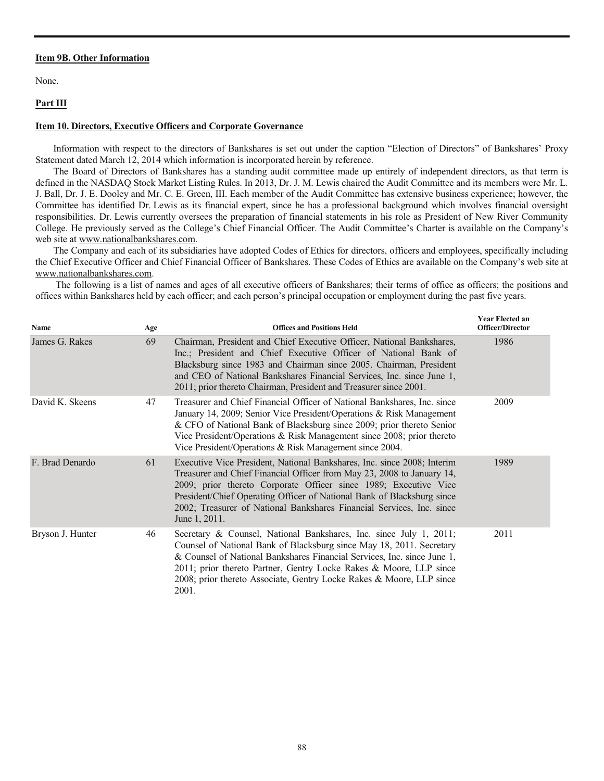#### **Item 9B. Other Information**

None.

# **Part III**

### **Item 10. Directors, Executive Officers and Corporate Governance**

 Information with respect to the directors of Bankshares is set out under the caption "Election of Directors" of Bankshares' Proxy Statement dated March 12, 2014 which information is incorporated herein by reference.

 The Board of Directors of Bankshares has a standing audit committee made up entirely of independent directors, as that term is defined in the NASDAQ Stock Market Listing Rules. In 2013, Dr. J. M. Lewis chaired the Audit Committee and its members were Mr. L. J. Ball, Dr. J. E. Dooley and Mr. C. E. Green, III. Each member of the Audit Committee has extensive business experience; however, the Committee has identified Dr. Lewis as its financial expert, since he has a professional background which involves financial oversight responsibilities. Dr. Lewis currently oversees the preparation of financial statements in his role as President of New River Community College. He previously served as the College's Chief Financial Officer. The Audit Committee's Charter is available on the Company's web site at www.nationalbankshares.com.

 The Company and each of its subsidiaries have adopted Codes of Ethics for directors, officers and employees, specifically including the Chief Executive Officer and Chief Financial Officer of Bankshares. These Codes of Ethics are available on the Company's web site at www.nationalbankshares.com.

 The following is a list of names and ages of all executive officers of Bankshares; their terms of office as officers; the positions and offices within Bankshares held by each officer; and each person's principal occupation or employment during the past five years.

**Year Elected an** 

| Name             | Age | <b>Offices and Positions Held</b>                                                                                                                                                                                                                                                                                                                                                         | 'r ear llected an<br><b>Officer/Director</b> |
|------------------|-----|-------------------------------------------------------------------------------------------------------------------------------------------------------------------------------------------------------------------------------------------------------------------------------------------------------------------------------------------------------------------------------------------|----------------------------------------------|
| James G. Rakes   | 69  | Chairman, President and Chief Executive Officer, National Bankshares,<br>Inc.; President and Chief Executive Officer of National Bank of<br>Blacksburg since 1983 and Chairman since 2005. Chairman, President<br>and CEO of National Bankshares Financial Services, Inc. since June 1,<br>2011; prior thereto Chairman, President and Treasurer since 2001.                              | 1986                                         |
| David K. Skeens  | 47  | Treasurer and Chief Financial Officer of National Bankshares, Inc. since<br>January 14, 2009; Senior Vice President/Operations & Risk Management<br>& CFO of National Bank of Blacksburg since 2009; prior thereto Senior<br>Vice President/Operations & Risk Management since 2008; prior thereto<br>Vice President/Operations & Risk Management since 2004.                             | 2009                                         |
| F. Brad Denardo  | 61  | Executive Vice President, National Bankshares, Inc. since 2008; Interim<br>Treasurer and Chief Financial Officer from May 23, 2008 to January 14,<br>2009; prior thereto Corporate Officer since 1989; Executive Vice<br>President/Chief Operating Officer of National Bank of Blacksburg since<br>2002; Treasurer of National Bankshares Financial Services, Inc. since<br>June 1, 2011. | 1989                                         |
| Bryson J. Hunter | 46  | Secretary & Counsel, National Bankshares, Inc. since July 1, 2011;<br>Counsel of National Bank of Blacksburg since May 18, 2011. Secretary<br>& Counsel of National Bankshares Financial Services, Inc. since June 1,<br>2011; prior thereto Partner, Gentry Locke Rakes & Moore, LLP since<br>2008; prior thereto Associate, Gentry Locke Rakes & Moore, LLP since<br>2001.              | 2011                                         |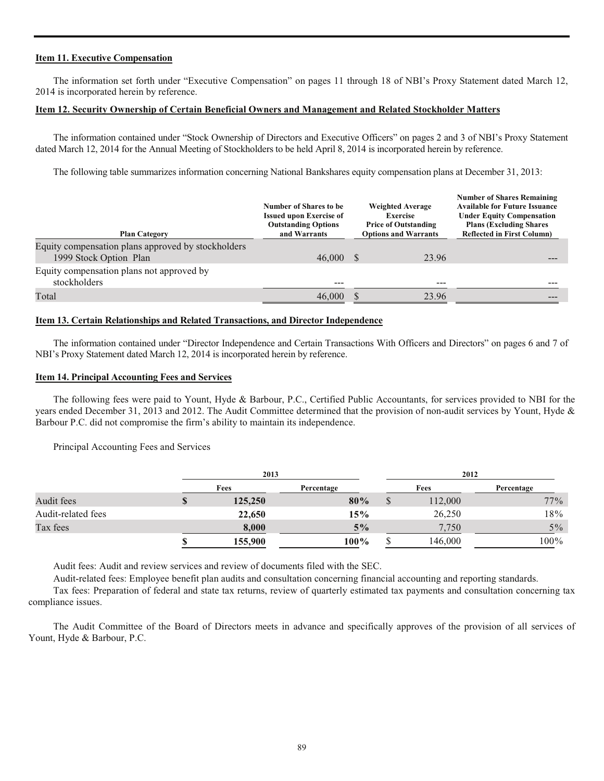#### **Item 11. Executive Compensation**

 The information set forth under "Executive Compensation" on pages 11 through 18 of NBI's Proxy Statement dated March 12, 2014 is incorporated herein by reference.

#### **Item 12. Security Ownership of Certain Beneficial Owners and Management and Related Stockholder Matters**

 The information contained under "Stock Ownership of Directors and Executive Officers" on pages 2 and 3 of NBI's Proxy Statement dated March 12, 2014 for the Annual Meeting of Stockholders to be held April 8, 2014 is incorporated herein by reference.

The following table summarizes information concerning National Bankshares equity compensation plans at December 31, 2013:

| <b>Plan Category</b>                                                         | Number of Shares to be<br><b>Issued upon Exercise of</b><br><b>Outstanding Options</b><br>and Warrants | <b>Weighted Average</b><br>Exercise<br><b>Price of Outstanding</b><br><b>Options and Warrants</b> | <b>Number of Shares Remaining</b><br><b>Available for Future Issuance</b><br><b>Under Equity Compensation</b><br><b>Plans (Excluding Shares)</b><br><b>Reflected in First Column)</b> |
|------------------------------------------------------------------------------|--------------------------------------------------------------------------------------------------------|---------------------------------------------------------------------------------------------------|---------------------------------------------------------------------------------------------------------------------------------------------------------------------------------------|
| Equity compensation plans approved by stockholders<br>1999 Stock Option Plan | 46,000                                                                                                 | 23.96                                                                                             |                                                                                                                                                                                       |
| Equity compensation plans not approved by<br>stockholders                    |                                                                                                        |                                                                                                   |                                                                                                                                                                                       |
| Total                                                                        | 46,000                                                                                                 | 23.96                                                                                             |                                                                                                                                                                                       |

# **Item 13. Certain Relationships and Related Transactions, and Director Independence**

 The information contained under "Director Independence and Certain Transactions With Officers and Directors" on pages 6 and 7 of NBI's Proxy Statement dated March 12, 2014 is incorporated herein by reference.

### **Item 14. Principal Accounting Fees and Services**

 The following fees were paid to Yount, Hyde & Barbour, P.C., Certified Public Accountants, for services provided to NBI for the years ended December 31, 2013 and 2012. The Audit Committee determined that the provision of non-audit services by Yount, Hyde & Barbour P.C. did not compromise the firm's ability to maintain its independence.

Principal Accounting Fees and Services

|                    | 2013    |            |   | 2012    |            |  |  |
|--------------------|---------|------------|---|---------|------------|--|--|
|                    | Fees    | Percentage |   | Fees    | Percentage |  |  |
| Audit fees         | 125,250 | 80%        | S | 112,000 | $77\%$     |  |  |
| Audit-related fees | 22,650  | 15%        |   | 26,250  | 18%        |  |  |
| Tax fees           | 8,000   | 5%         |   | 7,750   | $5\%$      |  |  |
|                    | 155,900 | $100\%$    |   | 146,000 | $100\%$    |  |  |

Audit fees: Audit and review services and review of documents filed with the SEC.

Audit-related fees: Employee benefit plan audits and consultation concerning financial accounting and reporting standards.

 Tax fees: Preparation of federal and state tax returns, review of quarterly estimated tax payments and consultation concerning tax compliance issues.

 The Audit Committee of the Board of Directors meets in advance and specifically approves of the provision of all services of Yount, Hyde & Barbour, P.C.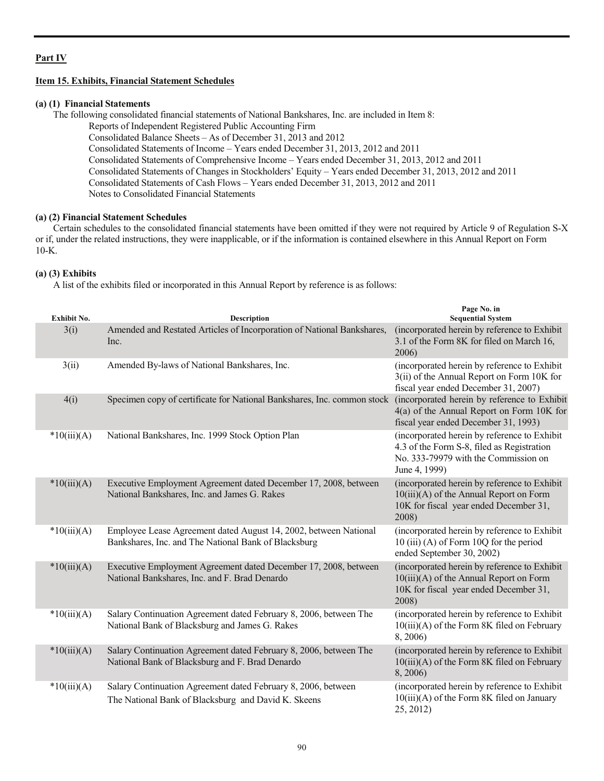# **Part IV**

# **Item 15. Exhibits, Financial Statement Schedules**

# **(a) (1) Financial Statements**

The following consolidated financial statements of National Bankshares, Inc. are included in Item 8:

Reports of Independent Registered Public Accounting Firm

Consolidated Balance Sheets – As of December 31, 2013 and 2012

 Consolidated Statements of Income – Years ended December 31, 2013, 2012 and 2011 Consolidated Statements of Comprehensive Income – Years ended December 31, 2013, 2012 and 2011 Consolidated Statements of Changes in Stockholders' Equity – Years ended December 31, 2013, 2012 and 2011 Consolidated Statements of Cash Flows – Years ended December 31, 2013, 2012 and 2011 Notes to Consolidated Financial Statements

# **(a) (2) Financial Statement Schedules**

 Certain schedules to the consolidated financial statements have been omitted if they were not required by Article 9 of Regulation S-X or if, under the related instructions, they were inapplicable, or if the information is contained elsewhere in this Annual Report on Form 10-K.

# **(a) (3) Exhibits**

A list of the exhibits filed or incorporated in this Annual Report by reference is as follows:

|  | Exhibit No.   | <b>Description</b>                                                                                                       | Page No. in<br><b>Sequential System</b>                                                                                                             |
|--|---------------|--------------------------------------------------------------------------------------------------------------------------|-----------------------------------------------------------------------------------------------------------------------------------------------------|
|  | 3(i)          | Amended and Restated Articles of Incorporation of National Bankshares,<br>Inc.                                           | (incorporated herein by reference to Exhibit<br>3.1 of the Form 8K for filed on March 16,<br>2006)                                                  |
|  | 3(ii)         | Amended By-laws of National Bankshares, Inc.                                                                             | (incorporated herein by reference to Exhibit<br>3(ii) of the Annual Report on Form 10K for<br>fiscal year ended December 31, 2007)                  |
|  | 4(i)          | Specimen copy of certificate for National Bankshares, Inc. common stock                                                  | (incorporated herein by reference to Exhibit<br>4(a) of the Annual Report on Form 10K for<br>fiscal year ended December 31, 1993)                   |
|  | $*10(iii)(A)$ | National Bankshares, Inc. 1999 Stock Option Plan                                                                         | (incorporated herein by reference to Exhibit<br>4.3 of the Form S-8, filed as Registration<br>No. 333-79979 with the Commission on<br>June 4, 1999) |
|  | $*10(iii)(A)$ | Executive Employment Agreement dated December 17, 2008, between<br>National Bankshares, Inc. and James G. Rakes          | (incorporated herein by reference to Exhibit<br>10(iii)(A) of the Annual Report on Form<br>10K for fiscal year ended December 31,<br>2008)          |
|  | $*10(iii)(A)$ | Employee Lease Agreement dated August 14, 2002, between National<br>Bankshares, Inc. and The National Bank of Blacksburg | (incorporated herein by reference to Exhibit<br>10 (iii) (A) of Form 10Q for the period<br>ended September 30, 2002)                                |
|  | $*10(iii)(A)$ | Executive Employment Agreement dated December 17, 2008, between<br>National Bankshares, Inc. and F. Brad Denardo         | (incorporated herein by reference to Exhibit<br>10(iii)(A) of the Annual Report on Form<br>10K for fiscal year ended December 31,<br>2008)          |
|  | $*10(iii)(A)$ | Salary Continuation Agreement dated February 8, 2006, between The<br>National Bank of Blacksburg and James G. Rakes      | (incorporated herein by reference to Exhibit<br>10(iii)(A) of the Form 8K filed on February<br>8, 2006)                                             |
|  | $*10(iii)(A)$ | Salary Continuation Agreement dated February 8, 2006, between The<br>National Bank of Blacksburg and F. Brad Denardo     | (incorporated herein by reference to Exhibit<br>10(iii)(A) of the Form 8K filed on February<br>8, 2006)                                             |
|  | $*10(iii)(A)$ | Salary Continuation Agreement dated February 8, 2006, between<br>The National Bank of Blacksburg and David K. Skeens     | (incorporated herein by reference to Exhibit<br>10(iii)(A) of the Form 8K filed on January<br>25, 2012)                                             |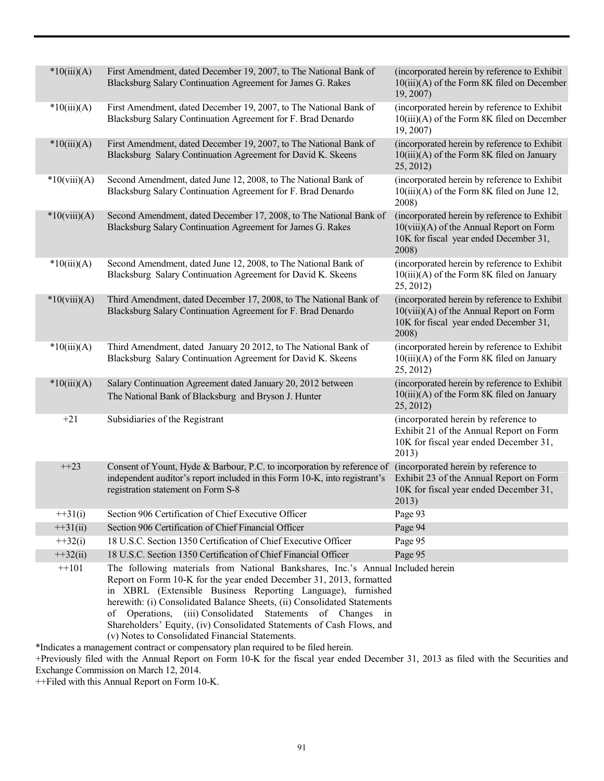| $*10(iii)(A)$  | First Amendment, dated December 19, 2007, to The National Bank of<br>Blacksburg Salary Continuation Agreement for James G. Rakes                                                                                                                                                                                                                                                                                                                                                           | (incorporated herein by reference to Exhibit<br>10(iii)(A) of the Form 8K filed on December<br>19, 2007)                                    |
|----------------|--------------------------------------------------------------------------------------------------------------------------------------------------------------------------------------------------------------------------------------------------------------------------------------------------------------------------------------------------------------------------------------------------------------------------------------------------------------------------------------------|---------------------------------------------------------------------------------------------------------------------------------------------|
| $*10(iii)(A)$  | First Amendment, dated December 19, 2007, to The National Bank of<br>Blacksburg Salary Continuation Agreement for F. Brad Denardo                                                                                                                                                                                                                                                                                                                                                          | (incorporated herein by reference to Exhibit<br>10(iii)(A) of the Form 8K filed on December<br>19, 2007)                                    |
| $*10(iii)(A)$  | First Amendment, dated December 19, 2007, to The National Bank of<br>Blacksburg Salary Continuation Agreement for David K. Skeens                                                                                                                                                                                                                                                                                                                                                          | (incorporated herein by reference to Exhibit<br>10(iii)(A) of the Form 8K filed on January<br>25, 2012)                                     |
| $*10(viii)(A)$ | Second Amendment, dated June 12, 2008, to The National Bank of<br>Blacksburg Salary Continuation Agreement for F. Brad Denardo                                                                                                                                                                                                                                                                                                                                                             | (incorporated herein by reference to Exhibit<br>10(iii)(A) of the Form 8K filed on June 12,<br>2008)                                        |
| $*10(viii)(A)$ | Second Amendment, dated December 17, 2008, to The National Bank of<br>Blacksburg Salary Continuation Agreement for James G. Rakes                                                                                                                                                                                                                                                                                                                                                          | (incorporated herein by reference to Exhibit<br>10(viii)(A) of the Annual Report on Form<br>10K for fiscal year ended December 31,<br>2008) |
| $*10(iii)(A)$  | Second Amendment, dated June 12, 2008, to The National Bank of<br>Blacksburg Salary Continuation Agreement for David K. Skeens                                                                                                                                                                                                                                                                                                                                                             | (incorporated herein by reference to Exhibit<br>10(iii)(A) of the Form 8K filed on January<br>25, 2012)                                     |
| $*10(viii)(A)$ | Third Amendment, dated December 17, 2008, to The National Bank of<br>Blacksburg Salary Continuation Agreement for F. Brad Denardo                                                                                                                                                                                                                                                                                                                                                          | (incorporated herein by reference to Exhibit<br>10(viii)(A) of the Annual Report on Form<br>10K for fiscal year ended December 31,<br>2008) |
| $*10(iii)(A)$  | Third Amendment, dated January 20 2012, to The National Bank of<br>Blacksburg Salary Continuation Agreement for David K. Skeens                                                                                                                                                                                                                                                                                                                                                            | (incorporated herein by reference to Exhibit<br>10(iii)(A) of the Form 8K filed on January<br>25, 2012)                                     |
| $*10(iii)(A)$  | Salary Continuation Agreement dated January 20, 2012 between<br>The National Bank of Blacksburg and Bryson J. Hunter                                                                                                                                                                                                                                                                                                                                                                       | (incorporated herein by reference to Exhibit<br>10(iii)(A) of the Form 8K filed on January<br>25, 2012)                                     |
| $+21$          | Subsidiaries of the Registrant                                                                                                                                                                                                                                                                                                                                                                                                                                                             | (incorporated herein by reference to<br>Exhibit 21 of the Annual Report on Form<br>10K for fiscal year ended December 31,<br>2013)          |
| $+ +23$        | Consent of Yount, Hyde & Barbour, P.C. to incorporation by reference of<br>independent auditor's report included in this Form 10-K, into registrant's<br>registration statement on Form S-8                                                                                                                                                                                                                                                                                                | (incorporated herein by reference to<br>Exhibit 23 of the Annual Report on Form<br>10K for fiscal year ended December 31,<br>2013)          |
| $+31(i)$       | Section 906 Certification of Chief Executive Officer                                                                                                                                                                                                                                                                                                                                                                                                                                       | Page 93                                                                                                                                     |
| $+31(ii)$      | Section 906 Certification of Chief Financial Officer                                                                                                                                                                                                                                                                                                                                                                                                                                       | Page 94                                                                                                                                     |
| $+32(i)$       | 18 U.S.C. Section 1350 Certification of Chief Executive Officer                                                                                                                                                                                                                                                                                                                                                                                                                            | Page 95                                                                                                                                     |
| $+32(ii)$      | 18 U.S.C. Section 1350 Certification of Chief Financial Officer                                                                                                                                                                                                                                                                                                                                                                                                                            | Page 95                                                                                                                                     |
| $+101$         | The following materials from National Bankshares, Inc.'s Annual Included herein<br>Report on Form 10-K for the year ended December 31, 2013, formatted<br>in XBRL (Extensible Business Reporting Language), furnished<br>herewith: (i) Consolidated Balance Sheets, (ii) Consolidated Statements<br>of Operations, (iii) Consolidated Statements of Changes in<br>Shareholders' Equity, (iv) Consolidated Statements of Cash Flows, and<br>(v) Notes to Consolidated Financial Statements. |                                                                                                                                             |
|                | *Indicates a management contract or compensatory plan required to be filed herein.                                                                                                                                                                                                                                                                                                                                                                                                         |                                                                                                                                             |

+Previously filed with the Annual Report on Form 10-K for the fiscal year ended December 31, 2013 as filed with the Securities and Exchange Commission on March 12, 2014.

++Filed with this Annual Report on Form 10-K.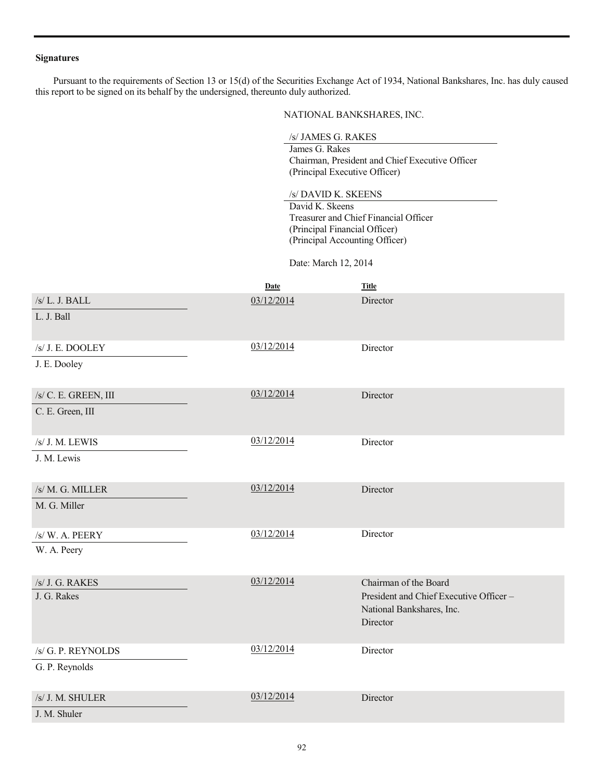# **Signatures**

 Pursuant to the requirements of Section 13 or 15(d) of the Securities Exchange Act of 1934, National Bankshares, Inc. has duly caused this report to be signed on its behalf by the undersigned, thereunto duly authorized.

NATIONAL BANKSHARES, INC.

/s/ JAMES G. RAKES

James G. Rakes Chairman, President and Chief Executive Officer (Principal Executive Officer)

/s/ DAVID K. SKEENS

David K. Skeens Treasurer and Chief Financial Officer (Principal Financial Officer) (Principal Accounting Officer)

Date: March 12, 2014

|                      | <b>Date</b> | <b>Title</b>                            |
|----------------------|-------------|-----------------------------------------|
| /s/ L. J. BALL       | 03/12/2014  | Director                                |
| L. J. Ball           |             |                                         |
|                      |             |                                         |
| /s/ J. E. DOOLEY     | 03/12/2014  | Director                                |
| J. E. Dooley         |             |                                         |
|                      |             |                                         |
| /s/ C. E. GREEN, III | 03/12/2014  | Director                                |
| C. E. Green, III     |             |                                         |
|                      |             |                                         |
| /s/ J. M. LEWIS      | 03/12/2014  | Director                                |
| J. M. Lewis          |             |                                         |
|                      |             |                                         |
| /s/ M. G. MILLER     | 03/12/2014  | Director                                |
| M. G. Miller         |             |                                         |
|                      |             |                                         |
| /s/W.A.PEERY         | 03/12/2014  | Director                                |
| W. A. Peery          |             |                                         |
|                      |             |                                         |
| /s/ J. G. RAKES      | 03/12/2014  | Chairman of the Board                   |
| J. G. Rakes          |             | President and Chief Executive Officer - |
|                      |             | National Bankshares, Inc.               |
|                      |             | Director                                |
| /s/ G. P. REYNOLDS   | 03/12/2014  | Director                                |
| G. P. Reynolds       |             |                                         |
|                      |             |                                         |
| /s/ J. M. SHULER     | 03/12/2014  | Director                                |
| J. M. Shuler         |             |                                         |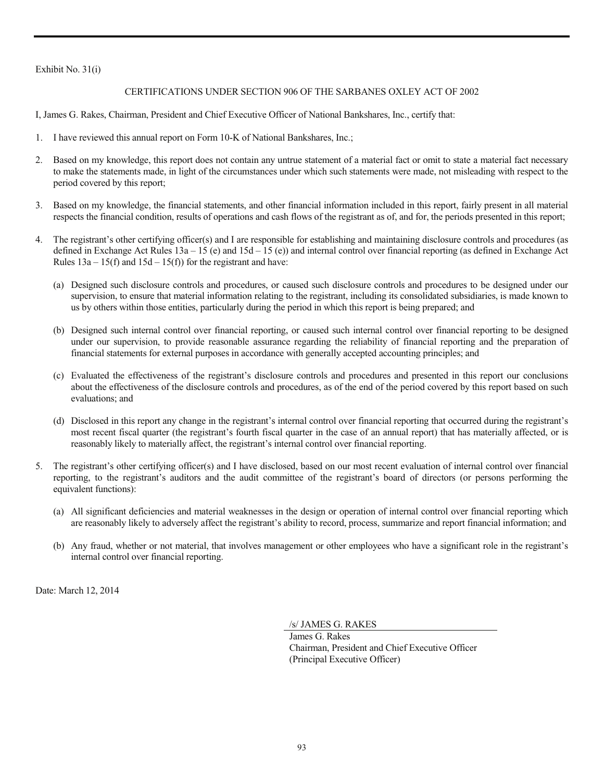Exhibit No. 31(i)

# CERTIFICATIONS UNDER SECTION 906 OF THE SARBANES OXLEY ACT OF 2002

I, James G. Rakes, Chairman, President and Chief Executive Officer of National Bankshares, Inc., certify that:

- 1. I have reviewed this annual report on Form 10-K of National Bankshares, Inc.;
- 2. Based on my knowledge, this report does not contain any untrue statement of a material fact or omit to state a material fact necessary to make the statements made, in light of the circumstances under which such statements were made, not misleading with respect to the period covered by this report;
- 3. Based on my knowledge, the financial statements, and other financial information included in this report, fairly present in all material respects the financial condition, results of operations and cash flows of the registrant as of, and for, the periods presented in this report;
- 4. The registrant's other certifying officer(s) and I are responsible for establishing and maintaining disclosure controls and procedures (as defined in Exchange Act Rules  $13a - 15$  (e) and  $15d - 15$  (e)) and internal control over financial reporting (as defined in Exchange Act Rules  $13a - 15(f)$  and  $15d - 15(f)$  for the registrant and have:
	- (a) Designed such disclosure controls and procedures, or caused such disclosure controls and procedures to be designed under our supervision, to ensure that material information relating to the registrant, including its consolidated subsidiaries, is made known to us by others within those entities, particularly during the period in which this report is being prepared; and
	- (b) Designed such internal control over financial reporting, or caused such internal control over financial reporting to be designed under our supervision, to provide reasonable assurance regarding the reliability of financial reporting and the preparation of financial statements for external purposes in accordance with generally accepted accounting principles; and
	- (c) Evaluated the effectiveness of the registrant's disclosure controls and procedures and presented in this report our conclusions about the effectiveness of the disclosure controls and procedures, as of the end of the period covered by this report based on such evaluations; and
	- (d) Disclosed in this report any change in the registrant's internal control over financial reporting that occurred during the registrant's most recent fiscal quarter (the registrant's fourth fiscal quarter in the case of an annual report) that has materially affected, or is reasonably likely to materially affect, the registrant's internal control over financial reporting.
- 5. The registrant's other certifying officer(s) and I have disclosed, based on our most recent evaluation of internal control over financial reporting, to the registrant's auditors and the audit committee of the registrant's board of directors (or persons performing the equivalent functions):
	- (a) All significant deficiencies and material weaknesses in the design or operation of internal control over financial reporting which are reasonably likely to adversely affect the registrant's ability to record, process, summarize and report financial information; and
	- (b) Any fraud, whether or not material, that involves management or other employees who have a significant role in the registrant's internal control over financial reporting.

Date: March 12, 2014

/s/ JAMES G. RAKES

James G. Rakes Chairman, President and Chief Executive Officer (Principal Executive Officer)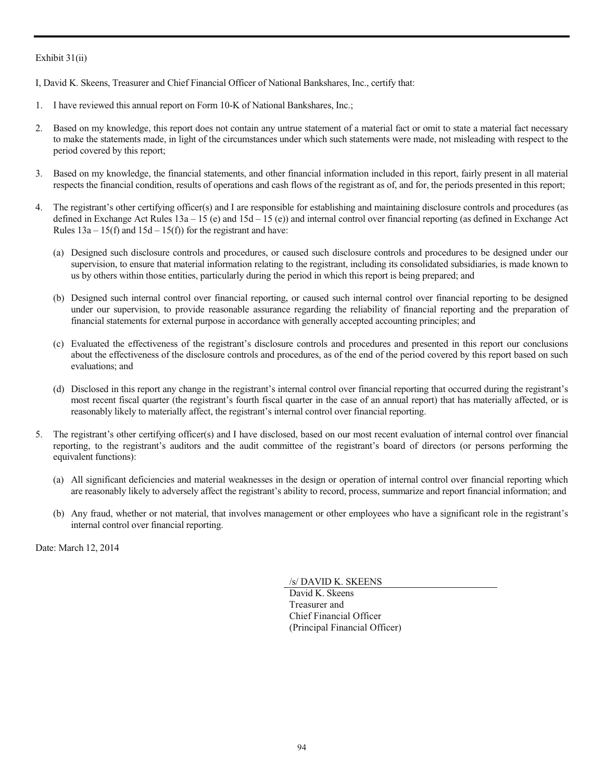# Exhibit 31(ii)

I, David K. Skeens, Treasurer and Chief Financial Officer of National Bankshares, Inc., certify that:

- 1. I have reviewed this annual report on Form 10-K of National Bankshares, Inc.;
- 2. Based on my knowledge, this report does not contain any untrue statement of a material fact or omit to state a material fact necessary to make the statements made, in light of the circumstances under which such statements were made, not misleading with respect to the period covered by this report;
- 3. Based on my knowledge, the financial statements, and other financial information included in this report, fairly present in all material respects the financial condition, results of operations and cash flows of the registrant as of, and for, the periods presented in this report;
- 4. The registrant's other certifying officer(s) and I are responsible for establishing and maintaining disclosure controls and procedures (as defined in Exchange Act Rules  $13a - 15$  (e) and  $15d - 15$  (e)) and internal control over financial reporting (as defined in Exchange Act Rules  $13a - 15(f)$  and  $15d - 15(f)$  for the registrant and have:
	- (a) Designed such disclosure controls and procedures, or caused such disclosure controls and procedures to be designed under our supervision, to ensure that material information relating to the registrant, including its consolidated subsidiaries, is made known to us by others within those entities, particularly during the period in which this report is being prepared; and
	- (b) Designed such internal control over financial reporting, or caused such internal control over financial reporting to be designed under our supervision, to provide reasonable assurance regarding the reliability of financial reporting and the preparation of financial statements for external purpose in accordance with generally accepted accounting principles; and
	- (c) Evaluated the effectiveness of the registrant's disclosure controls and procedures and presented in this report our conclusions about the effectiveness of the disclosure controls and procedures, as of the end of the period covered by this report based on such evaluations; and
	- (d) Disclosed in this report any change in the registrant's internal control over financial reporting that occurred during the registrant's most recent fiscal quarter (the registrant's fourth fiscal quarter in the case of an annual report) that has materially affected, or is reasonably likely to materially affect, the registrant's internal control over financial reporting.
- 5. The registrant's other certifying officer(s) and I have disclosed, based on our most recent evaluation of internal control over financial reporting, to the registrant's auditors and the audit committee of the registrant's board of directors (or persons performing the equivalent functions):
	- (a) All significant deficiencies and material weaknesses in the design or operation of internal control over financial reporting which are reasonably likely to adversely affect the registrant's ability to record, process, summarize and report financial information; and
	- (b) Any fraud, whether or not material, that involves management or other employees who have a significant role in the registrant's internal control over financial reporting.

Date: March 12, 2014

/s/ DAVID K. SKEENS

David K. Skeens Treasurer and Chief Financial Officer (Principal Financial Officer)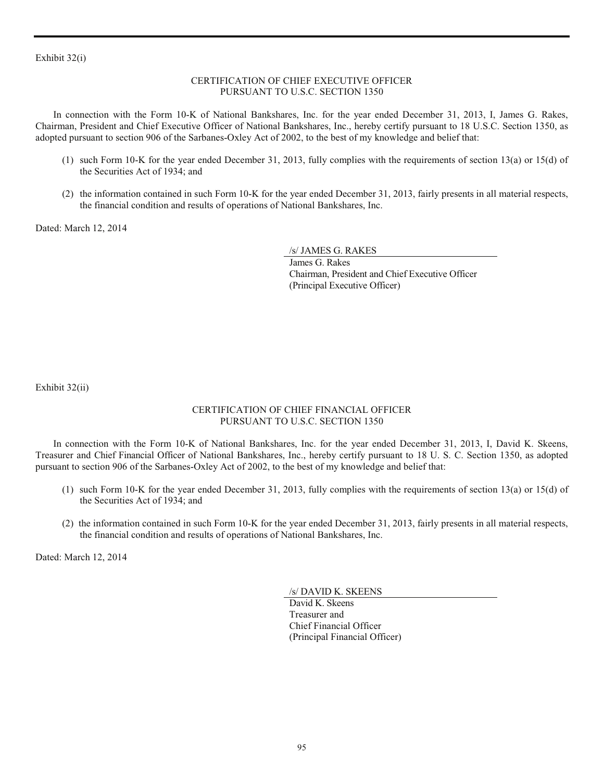Exhibit 32(i)

# CERTIFICATION OF CHIEF EXECUTIVE OFFICER PURSUANT TO U.S.C. SECTION 1350

 In connection with the Form 10-K of National Bankshares, Inc. for the year ended December 31, 2013, I, James G. Rakes, Chairman, President and Chief Executive Officer of National Bankshares, Inc., hereby certify pursuant to 18 U.S.C. Section 1350, as adopted pursuant to section 906 of the Sarbanes-Oxley Act of 2002, to the best of my knowledge and belief that:

- (1) such Form 10-K for the year ended December 31, 2013, fully complies with the requirements of section 13(a) or 15(d) of the Securities Act of 1934; and
- (2) the information contained in such Form 10-K for the year ended December 31, 2013, fairly presents in all material respects, the financial condition and results of operations of National Bankshares, Inc.

Dated: March 12, 2014

/s/ JAMES G. RAKES

James G. Rakes Chairman, President and Chief Executive Officer (Principal Executive Officer)

Exhibit 32(ii)

# CERTIFICATION OF CHIEF FINANCIAL OFFICER PURSUANT TO U.S.C. SECTION 1350

 In connection with the Form 10-K of National Bankshares, Inc. for the year ended December 31, 2013, I, David K. Skeens, Treasurer and Chief Financial Officer of National Bankshares, Inc., hereby certify pursuant to 18 U. S. C. Section 1350, as adopted pursuant to section 906 of the Sarbanes-Oxley Act of 2002, to the best of my knowledge and belief that:

- (1) such Form 10-K for the year ended December 31, 2013, fully complies with the requirements of section 13(a) or 15(d) of the Securities Act of 1934; and
- (2) the information contained in such Form 10-K for the year ended December 31, 2013, fairly presents in all material respects, the financial condition and results of operations of National Bankshares, Inc.

Dated: March 12, 2014

/s/ DAVID K. SKEENS

David K. Skeens Treasurer and Chief Financial Officer (Principal Financial Officer)